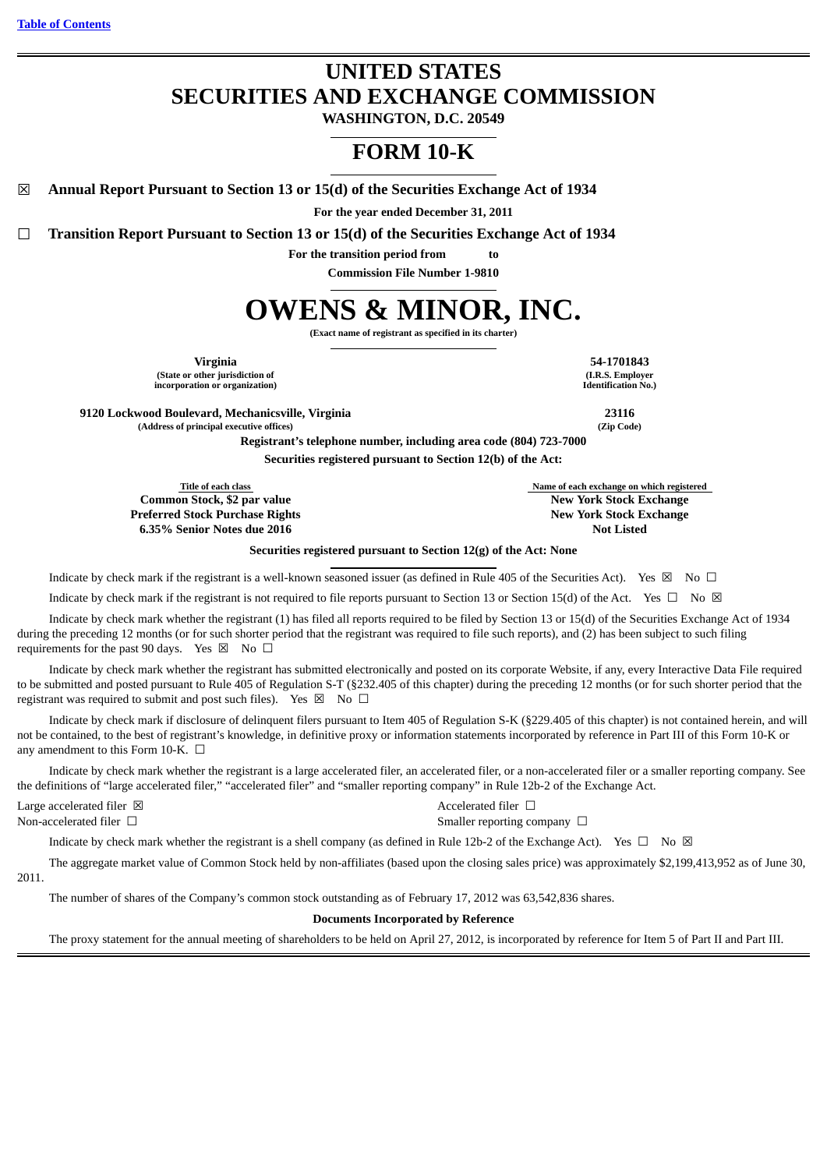# **UNITED STATES SECURITIES AND EXCHANGE COMMISSION**

**WASHINGTON, D.C. 20549**

# **FORM 10-K**

☒ **Annual Report Pursuant to Section 13 or 15(d) of the Securities Exchange Act of 1934**

**For the year ended December 31, 2011**

☐ **Transition Report Pursuant to Section 13 or 15(d) of the Securities Exchange Act of 1934**

**For the transition period from to** 

**Commission File Number 1-9810**

# **OWENS & MINOR, INC.**

**(Exact name of registrant as specified in its charter)**

**(State or other jurisdiction of incorporation or organization)**

**Virginia 54-1701843 (I.R.S. Employer Identification No.)**

**9120 Lockwood Boulevard, Mechanicsville, Virginia 23116 (Address of principal executive offices) (Zip Code)**

**Registrant's telephone number, including area code (804) 723-7000**

**Securities registered pursuant to Section 12(b) of the Act:**

**Common Stock, \$2 par value New York Stock Exchange Preferred Stock Purchase Rights New York Stock Exchange 6.35% Senior Notes due 2016 Not Listed**

**Title of each class Name of each exchange on which registered**

**Securities registered pursuant to Section 12(g) of the Act: None**

Indicate by check mark if the registrant is a well-known seasoned issuer (as defined in Rule 405 of the Securities Act). Yes  $\boxtimes$  No  $\Box$ 

Indicate by check mark if the registrant is not required to file reports pursuant to Section 13 or Section 15(d) of the Act. Yes  $\Box$  No  $\boxtimes$ 

Indicate by check mark whether the registrant (1) has filed all reports required to be filed by Section 13 or 15(d) of the Securities Exchange Act of 1934 during the preceding 12 months (or for such shorter period that the registrant was required to file such reports), and (2) has been subject to such filing requirements for the past 90 days. Yes  $\boxtimes$  No  $\Box$ 

Indicate by check mark whether the registrant has submitted electronically and posted on its corporate Website, if any, every Interactive Data File required to be submitted and posted pursuant to Rule 405 of Regulation S-T (§232.405 of this chapter) during the preceding 12 months (or for such shorter period that the registrant was required to submit and post such files). Yes  $\boxtimes$  No  $\Box$ 

Indicate by check mark if disclosure of delinquent filers pursuant to Item 405 of Regulation S-K (§229.405 of this chapter) is not contained herein, and will not be contained, to the best of registrant's knowledge, in definitive proxy or information statements incorporated by reference in Part III of this Form 10-K or any amendment to this Form 10-K.  $\Box$ 

Indicate by check mark whether the registrant is a large accelerated filer, an accelerated filer, or a non-accelerated filer or a smaller reporting company. See the definitions of "large accelerated filer," "accelerated filer" and "smaller reporting company" in Rule 12b-2 of the Exchange Act.

Large accelerated filer  $\boxtimes$  Accelerated filer □

Non-accelerated filer <del>□</del> state of the state of the state of the state of the Smaller reporting company □

Indicate by check mark whether the registrant is a shell company (as defined in Rule 12b-2 of the Exchange Act). Yes  $\Box$  No  $\boxtimes$ 

The aggregate market value of Common Stock held by non-affiliates (based upon the closing sales price) was approximately \$2,199,413,952 as of June 30, 2011.

The number of shares of the Company's common stock outstanding as of February 17, 2012 was 63,542,836 shares.

### **Documents Incorporated by Reference**

The proxy statement for the annual meeting of shareholders to be held on April 27, 2012, is incorporated by reference for Item 5 of Part II and Part III.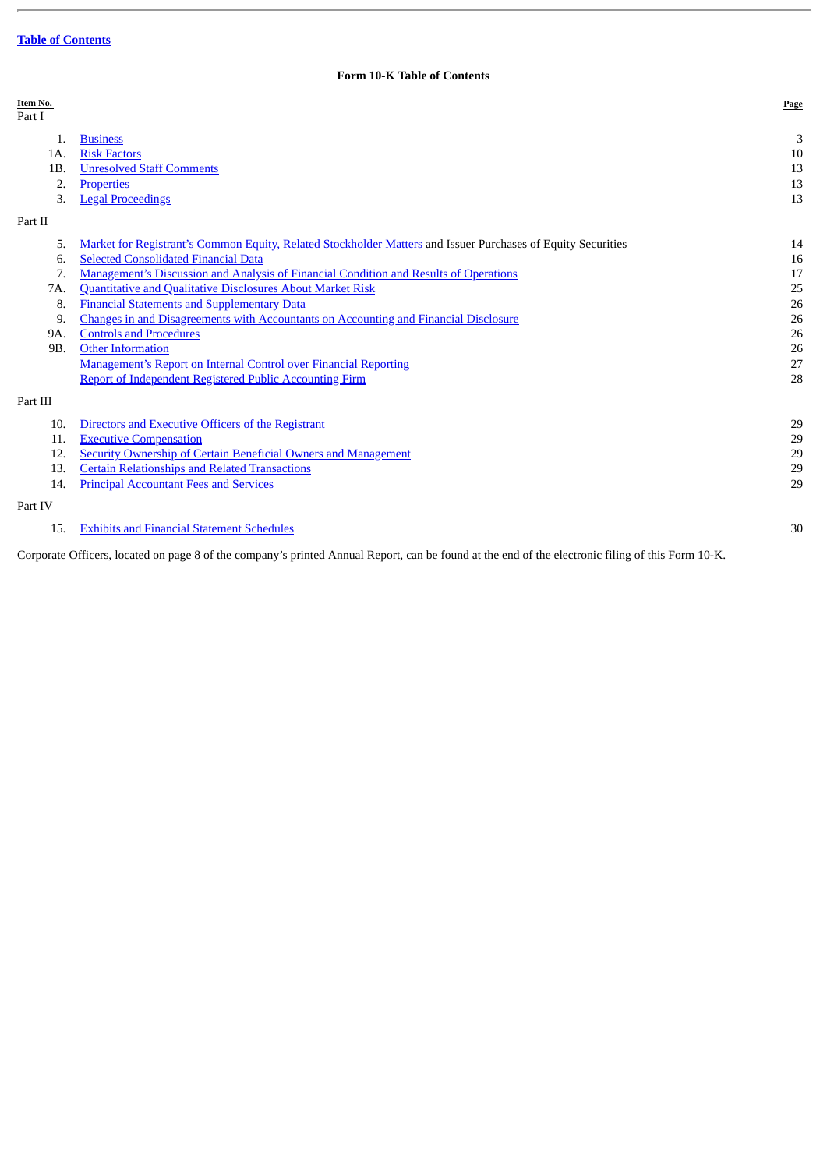### **Form 10-K Table of Contents**

<span id="page-1-0"></span>

| <b>Business</b><br>1.<br><b>Risk Factors</b><br>1A.<br><b>Unresolved Staff Comments</b><br>1B.<br>2.<br><b>Properties</b><br>3.<br><b>Legal Proceedings</b><br>Part II<br>Market for Registrant's Common Equity, Related Stockholder Matters and Issuer Purchases of Equity Securities<br>5.<br><b>Selected Consolidated Financial Data</b><br>6.<br>7.<br>Management's Discussion and Analysis of Financial Condition and Results of Operations<br>Quantitative and Qualitative Disclosures About Market Risk<br>7A.<br><b>Financial Statements and Supplementary Data</b><br>8.<br>Changes in and Disagreements with Accountants on Accounting and Financial Disclosure<br>9.<br><b>Controls and Procedures</b><br>9A.<br><b>Other Information</b><br>9B.<br><b>Management's Report on Internal Control over Financial Reporting</b><br>Report of Independent Registered Public Accounting Firm<br>Part III<br>Directors and Executive Officers of the Registrant<br>10.<br><b>Executive Compensation</b><br>11.<br><b>Security Ownership of Certain Beneficial Owners and Management</b><br>12.<br><b>Certain Relationships and Related Transactions</b><br>13.<br><b>Principal Accountant Fees and Services</b><br>14.<br>Part IV<br><b>Exhibits and Financial Statement Schedules</b><br>15. | Item No.<br>Part I | Page |
|---------------------------------------------------------------------------------------------------------------------------------------------------------------------------------------------------------------------------------------------------------------------------------------------------------------------------------------------------------------------------------------------------------------------------------------------------------------------------------------------------------------------------------------------------------------------------------------------------------------------------------------------------------------------------------------------------------------------------------------------------------------------------------------------------------------------------------------------------------------------------------------------------------------------------------------------------------------------------------------------------------------------------------------------------------------------------------------------------------------------------------------------------------------------------------------------------------------------------------------------------------------------------------------------------|--------------------|------|
|                                                                                                                                                                                                                                                                                                                                                                                                                                                                                                                                                                                                                                                                                                                                                                                                                                                                                                                                                                                                                                                                                                                                                                                                                                                                                                   |                    |      |
|                                                                                                                                                                                                                                                                                                                                                                                                                                                                                                                                                                                                                                                                                                                                                                                                                                                                                                                                                                                                                                                                                                                                                                                                                                                                                                   |                    | 3    |
|                                                                                                                                                                                                                                                                                                                                                                                                                                                                                                                                                                                                                                                                                                                                                                                                                                                                                                                                                                                                                                                                                                                                                                                                                                                                                                   |                    | 10   |
|                                                                                                                                                                                                                                                                                                                                                                                                                                                                                                                                                                                                                                                                                                                                                                                                                                                                                                                                                                                                                                                                                                                                                                                                                                                                                                   |                    | 13   |
|                                                                                                                                                                                                                                                                                                                                                                                                                                                                                                                                                                                                                                                                                                                                                                                                                                                                                                                                                                                                                                                                                                                                                                                                                                                                                                   |                    | 13   |
|                                                                                                                                                                                                                                                                                                                                                                                                                                                                                                                                                                                                                                                                                                                                                                                                                                                                                                                                                                                                                                                                                                                                                                                                                                                                                                   |                    | 13   |
|                                                                                                                                                                                                                                                                                                                                                                                                                                                                                                                                                                                                                                                                                                                                                                                                                                                                                                                                                                                                                                                                                                                                                                                                                                                                                                   |                    |      |
|                                                                                                                                                                                                                                                                                                                                                                                                                                                                                                                                                                                                                                                                                                                                                                                                                                                                                                                                                                                                                                                                                                                                                                                                                                                                                                   |                    | 14   |
|                                                                                                                                                                                                                                                                                                                                                                                                                                                                                                                                                                                                                                                                                                                                                                                                                                                                                                                                                                                                                                                                                                                                                                                                                                                                                                   |                    | 16   |
|                                                                                                                                                                                                                                                                                                                                                                                                                                                                                                                                                                                                                                                                                                                                                                                                                                                                                                                                                                                                                                                                                                                                                                                                                                                                                                   |                    | 17   |
|                                                                                                                                                                                                                                                                                                                                                                                                                                                                                                                                                                                                                                                                                                                                                                                                                                                                                                                                                                                                                                                                                                                                                                                                                                                                                                   |                    | 25   |
|                                                                                                                                                                                                                                                                                                                                                                                                                                                                                                                                                                                                                                                                                                                                                                                                                                                                                                                                                                                                                                                                                                                                                                                                                                                                                                   |                    | 26   |
|                                                                                                                                                                                                                                                                                                                                                                                                                                                                                                                                                                                                                                                                                                                                                                                                                                                                                                                                                                                                                                                                                                                                                                                                                                                                                                   |                    | 26   |
|                                                                                                                                                                                                                                                                                                                                                                                                                                                                                                                                                                                                                                                                                                                                                                                                                                                                                                                                                                                                                                                                                                                                                                                                                                                                                                   |                    | 26   |
|                                                                                                                                                                                                                                                                                                                                                                                                                                                                                                                                                                                                                                                                                                                                                                                                                                                                                                                                                                                                                                                                                                                                                                                                                                                                                                   |                    | 26   |
|                                                                                                                                                                                                                                                                                                                                                                                                                                                                                                                                                                                                                                                                                                                                                                                                                                                                                                                                                                                                                                                                                                                                                                                                                                                                                                   |                    | 27   |
|                                                                                                                                                                                                                                                                                                                                                                                                                                                                                                                                                                                                                                                                                                                                                                                                                                                                                                                                                                                                                                                                                                                                                                                                                                                                                                   |                    | 28   |
|                                                                                                                                                                                                                                                                                                                                                                                                                                                                                                                                                                                                                                                                                                                                                                                                                                                                                                                                                                                                                                                                                                                                                                                                                                                                                                   |                    |      |
|                                                                                                                                                                                                                                                                                                                                                                                                                                                                                                                                                                                                                                                                                                                                                                                                                                                                                                                                                                                                                                                                                                                                                                                                                                                                                                   |                    | 29   |
|                                                                                                                                                                                                                                                                                                                                                                                                                                                                                                                                                                                                                                                                                                                                                                                                                                                                                                                                                                                                                                                                                                                                                                                                                                                                                                   |                    | 29   |
|                                                                                                                                                                                                                                                                                                                                                                                                                                                                                                                                                                                                                                                                                                                                                                                                                                                                                                                                                                                                                                                                                                                                                                                                                                                                                                   |                    | 29   |
|                                                                                                                                                                                                                                                                                                                                                                                                                                                                                                                                                                                                                                                                                                                                                                                                                                                                                                                                                                                                                                                                                                                                                                                                                                                                                                   |                    | 29   |
|                                                                                                                                                                                                                                                                                                                                                                                                                                                                                                                                                                                                                                                                                                                                                                                                                                                                                                                                                                                                                                                                                                                                                                                                                                                                                                   |                    | 29   |
|                                                                                                                                                                                                                                                                                                                                                                                                                                                                                                                                                                                                                                                                                                                                                                                                                                                                                                                                                                                                                                                                                                                                                                                                                                                                                                   |                    |      |
|                                                                                                                                                                                                                                                                                                                                                                                                                                                                                                                                                                                                                                                                                                                                                                                                                                                                                                                                                                                                                                                                                                                                                                                                                                                                                                   |                    | 30   |

Corporate Officers, located on page 8 of the company's printed Annual Report, can be found at the end of the electronic filing of this Form 10-K.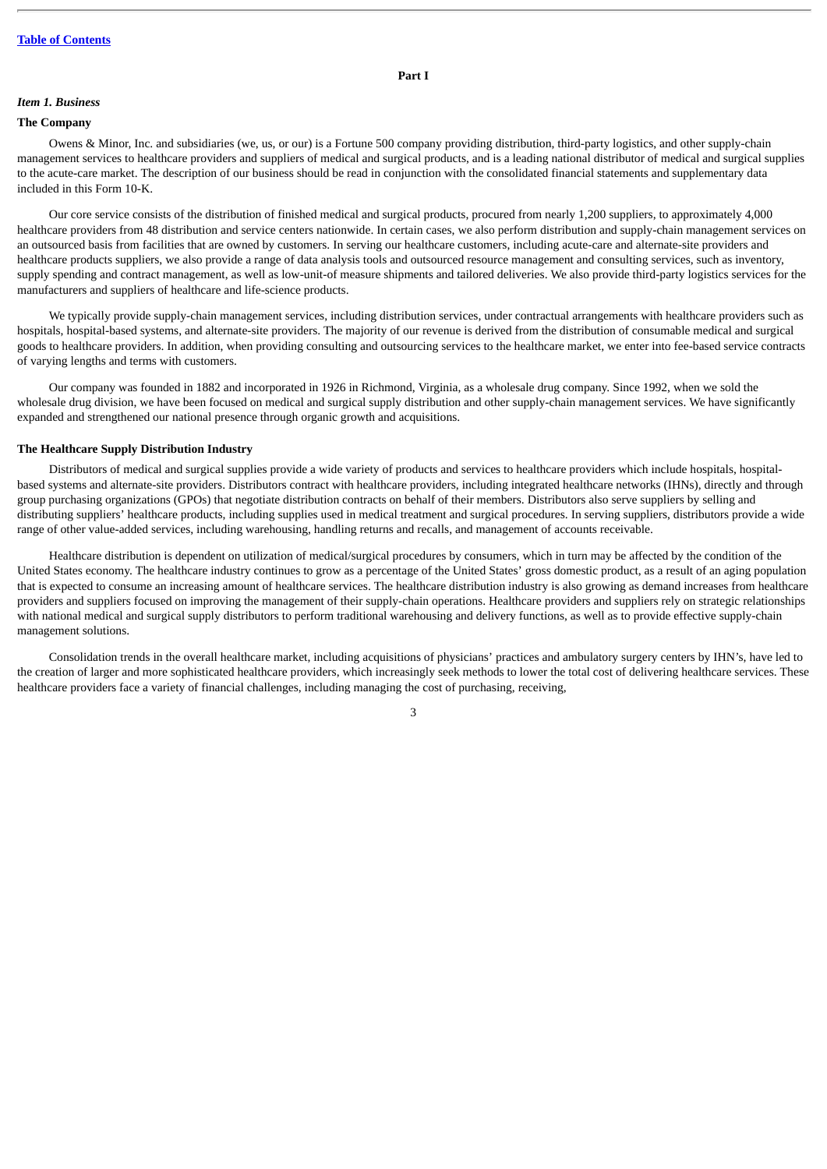### <span id="page-2-0"></span>*Item 1. Business*

### **The Company**

Owens & Minor, Inc. and subsidiaries (we, us, or our) is a Fortune 500 company providing distribution, third-party logistics, and other supply-chain management services to healthcare providers and suppliers of medical and surgical products, and is a leading national distributor of medical and surgical supplies to the acute-care market. The description of our business should be read in conjunction with the consolidated financial statements and supplementary data included in this Form 10-K.

Our core service consists of the distribution of finished medical and surgical products, procured from nearly 1,200 suppliers, to approximately 4,000 healthcare providers from 48 distribution and service centers nationwide. In certain cases, we also perform distribution and supply-chain management services on an outsourced basis from facilities that are owned by customers. In serving our healthcare customers, including acute-care and alternate-site providers and healthcare products suppliers, we also provide a range of data analysis tools and outsourced resource management and consulting services, such as inventory, supply spending and contract management, as well as low-unit-of measure shipments and tailored deliveries. We also provide third-party logistics services for the manufacturers and suppliers of healthcare and life-science products.

We typically provide supply-chain management services, including distribution services, under contractual arrangements with healthcare providers such as hospitals, hospital-based systems, and alternate-site providers. The majority of our revenue is derived from the distribution of consumable medical and surgical goods to healthcare providers. In addition, when providing consulting and outsourcing services to the healthcare market, we enter into fee-based service contracts of varying lengths and terms with customers.

Our company was founded in 1882 and incorporated in 1926 in Richmond, Virginia, as a wholesale drug company. Since 1992, when we sold the wholesale drug division, we have been focused on medical and surgical supply distribution and other supply-chain management services. We have significantly expanded and strengthened our national presence through organic growth and acquisitions.

### **The Healthcare Supply Distribution Industry**

Distributors of medical and surgical supplies provide a wide variety of products and services to healthcare providers which include hospitals, hospitalbased systems and alternate-site providers. Distributors contract with healthcare providers, including integrated healthcare networks (IHNs), directly and through group purchasing organizations (GPOs) that negotiate distribution contracts on behalf of their members. Distributors also serve suppliers by selling and distributing suppliers' healthcare products, including supplies used in medical treatment and surgical procedures. In serving suppliers, distributors provide a wide range of other value-added services, including warehousing, handling returns and recalls, and management of accounts receivable.

Healthcare distribution is dependent on utilization of medical/surgical procedures by consumers, which in turn may be affected by the condition of the United States economy. The healthcare industry continues to grow as a percentage of the United States' gross domestic product, as a result of an aging population that is expected to consume an increasing amount of healthcare services. The healthcare distribution industry is also growing as demand increases from healthcare providers and suppliers focused on improving the management of their supply-chain operations. Healthcare providers and suppliers rely on strategic relationships with national medical and surgical supply distributors to perform traditional warehousing and delivery functions, as well as to provide effective supply-chain management solutions.

Consolidation trends in the overall healthcare market, including acquisitions of physicians' practices and ambulatory surgery centers by IHN's, have led to the creation of larger and more sophisticated healthcare providers, which increasingly seek methods to lower the total cost of delivering healthcare services. These healthcare providers face a variety of financial challenges, including managing the cost of purchasing, receiving,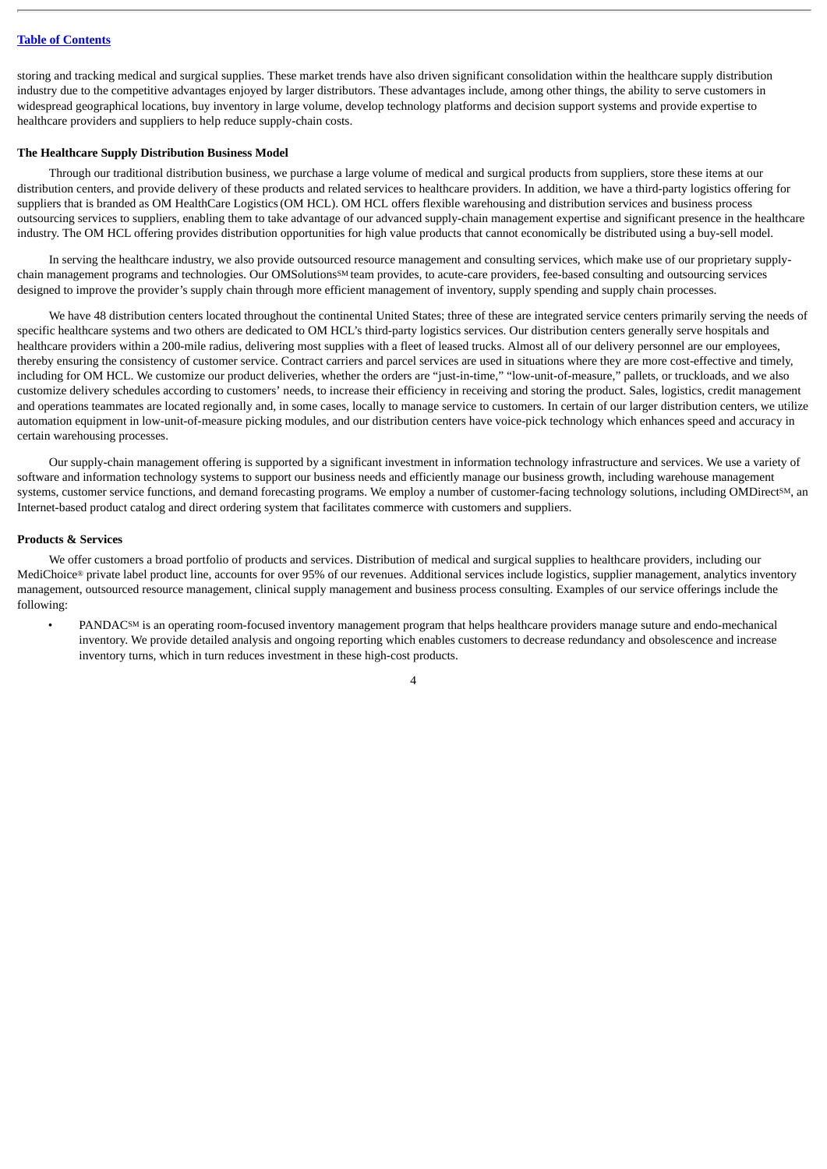storing and tracking medical and surgical supplies. These market trends have also driven significant consolidation within the healthcare supply distribution industry due to the competitive advantages enjoyed by larger distributors. These advantages include, among other things, the ability to serve customers in widespread geographical locations, buy inventory in large volume, develop technology platforms and decision support systems and provide expertise to healthcare providers and suppliers to help reduce supply-chain costs.

### **The Healthcare Supply Distribution Business Model**

Through our traditional distribution business, we purchase a large volume of medical and surgical products from suppliers, store these items at our distribution centers, and provide delivery of these products and related services to healthcare providers. In addition, we have a third-party logistics offering for suppliers that is branded as OM HealthCare Logistics(OM HCL). OM HCL offers flexible warehousing and distribution services and business process outsourcing services to suppliers, enabling them to take advantage of our advanced supply-chain management expertise and significant presence in the healthcare industry. The OM HCL offering provides distribution opportunities for high value products that cannot economically be distributed using a buy-sell model.

In serving the healthcare industry, we also provide outsourced resource management and consulting services, which make use of our proprietary supplychain management programs and technologies. Our OMSolutions<sup>SM</sup> team provides, to acute-care providers, fee-based consulting and outsourcing services designed to improve the provider's supply chain through more efficient management of inventory, supply spending and supply chain processes.

We have 48 distribution centers located throughout the continental United States; three of these are integrated service centers primarily serving the needs of specific healthcare systems and two others are dedicated to OM HCL's third-party logistics services. Our distribution centers generally serve hospitals and healthcare providers within a 200-mile radius, delivering most supplies with a fleet of leased trucks. Almost all of our delivery personnel are our employees, thereby ensuring the consistency of customer service. Contract carriers and parcel services are used in situations where they are more cost-effective and timely, including for OM HCL. We customize our product deliveries, whether the orders are "just-in-time," "low-unit-of-measure," pallets, or truckloads, and we also customize delivery schedules according to customers' needs, to increase their efficiency in receiving and storing the product. Sales, logistics, credit management and operations teammates are located regionally and, in some cases, locally to manage service to customers*.* In certain of our larger distribution centers, we utilize automation equipment in low-unit-of-measure picking modules, and our distribution centers have voice-pick technology which enhances speed and accuracy in certain warehousing processes.

Our supply-chain management offering is supported by a significant investment in information technology infrastructure and services. We use a variety of software and information technology systems to support our business needs and efficiently manage our business growth, including warehouse management systems, customer service functions, and demand forecasting programs. We employ a number of customer-facing technology solutions, including OMDirect<sup>SM</sup>, an Internet-based product catalog and direct ordering system that facilitates commerce with customers and suppliers.

### **Products & Services**

We offer customers a broad portfolio of products and services. Distribution of medical and surgical supplies to healthcare providers, including our MediChoice® private label product line, accounts for over 95% of our revenues. Additional services include logistics, supplier management, analytics inventory management, outsourced resource management, clinical supply management and business process consulting. Examples of our service offerings include the following:

• PANDAC<sup>SM</sup> is an operating room-focused inventory management program that helps healthcare providers manage suture and endo-mechanical inventory. We provide detailed analysis and ongoing reporting which enables customers to decrease redundancy and obsolescence and increase inventory turns, which in turn reduces investment in these high-cost products.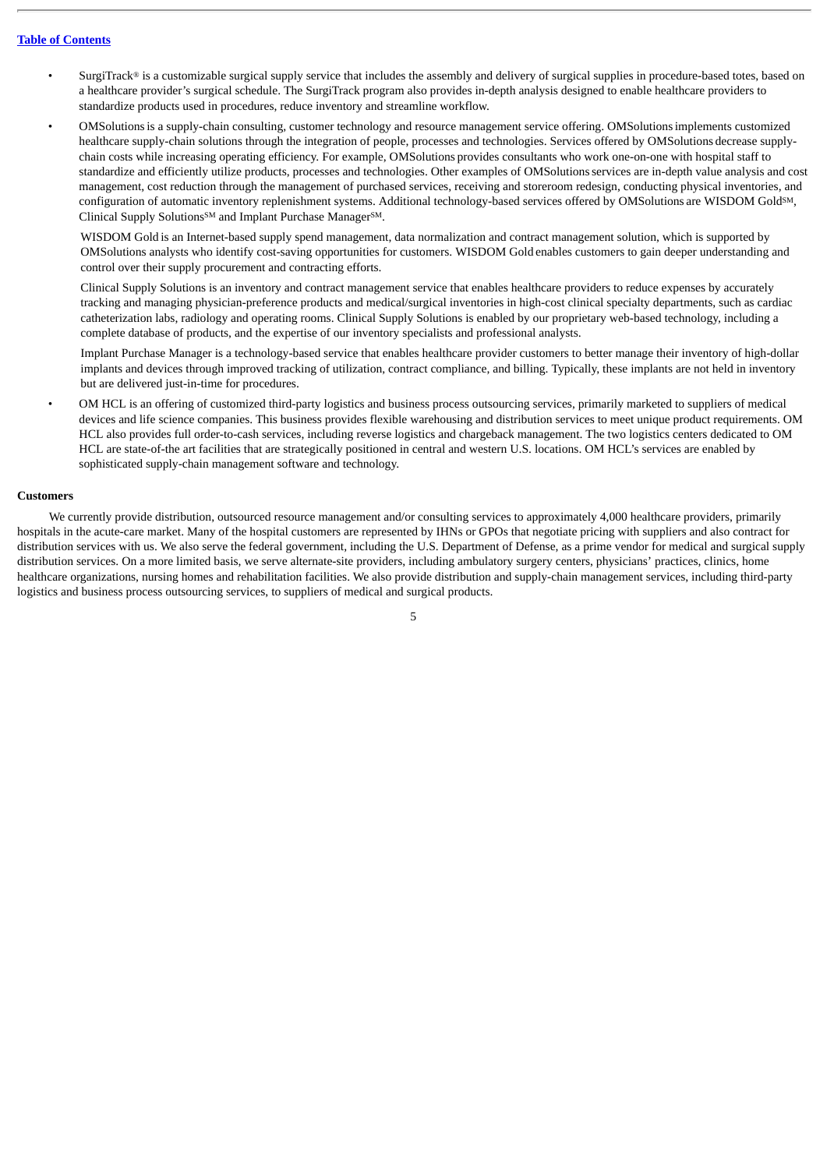- SurgiTrack® is a customizable surgical supply service that includes the assembly and delivery of surgical supplies in procedure-based totes, based on a healthcare provider's surgical schedule. The SurgiTrack program also provides in-depth analysis designed to enable healthcare providers to standardize products used in procedures, reduce inventory and streamline workflow.
- OMSolutionsis a supply-chain consulting, customer technology and resource management service offering. OMSolutionsimplements customized healthcare supply-chain solutions through the integration of people, processes and technologies. Services offered by OMSolutions decrease supplychain costs while increasing operating efficiency. For example, OMSolutions provides consultants who work one-on-one with hospital staff to standardize and efficiently utilize products, processes and technologies. Other examples of OMSolutionsservices are in-depth value analysis and cost management, cost reduction through the management of purchased services, receiving and storeroom redesign, conducting physical inventories, and configuration of automatic inventory replenishment systems. Additional technology-based services offered by OMSolutions are WISDOM Gold<sup>sM</sup>, Clinical Supply Solutions<sup>SM</sup> and Implant Purchase Manager<sup>SM</sup>.

WISDOM Gold is an Internet-based supply spend management, data normalization and contract management solution, which is supported by OMSolutions analysts who identify cost-saving opportunities for customers. WISDOM Gold enables customers to gain deeper understanding and control over their supply procurement and contracting efforts.

Clinical Supply Solutions is an inventory and contract management service that enables healthcare providers to reduce expenses by accurately tracking and managing physician-preference products and medical/surgical inventories in high-cost clinical specialty departments, such as cardiac catheterization labs, radiology and operating rooms. Clinical Supply Solutions is enabled by our proprietary web-based technology, including a complete database of products, and the expertise of our inventory specialists and professional analysts.

Implant Purchase Manager is a technology-based service that enables healthcare provider customers to better manage their inventory of high-dollar implants and devices through improved tracking of utilization, contract compliance, and billing. Typically, these implants are not held in inventory but are delivered just-in-time for procedures.

• OM HCL is an offering of customized third-party logistics and business process outsourcing services, primarily marketed to suppliers of medical devices and life science companies. This business provides flexible warehousing and distribution services to meet unique product requirements. OM HCL also provides full order-to-cash services, including reverse logistics and chargeback management. The two logistics centers dedicated to OM HCL are state-of-the art facilities that are strategically positioned in central and western U.S. locations. OM HCL's services are enabled by sophisticated supply-chain management software and technology.

### **Customers**

We currently provide distribution, outsourced resource management and/or consulting services to approximately 4,000 healthcare providers, primarily hospitals in the acute-care market. Many of the hospital customers are represented by IHNs or GPOs that negotiate pricing with suppliers and also contract for distribution services with us. We also serve the federal government, including the U.S. Department of Defense, as a prime vendor for medical and surgical supply distribution services. On a more limited basis, we serve alternate-site providers, including ambulatory surgery centers, physicians' practices, clinics, home healthcare organizations, nursing homes and rehabilitation facilities. We also provide distribution and supply-chain management services, including third-party logistics and business process outsourcing services, to suppliers of medical and surgical products.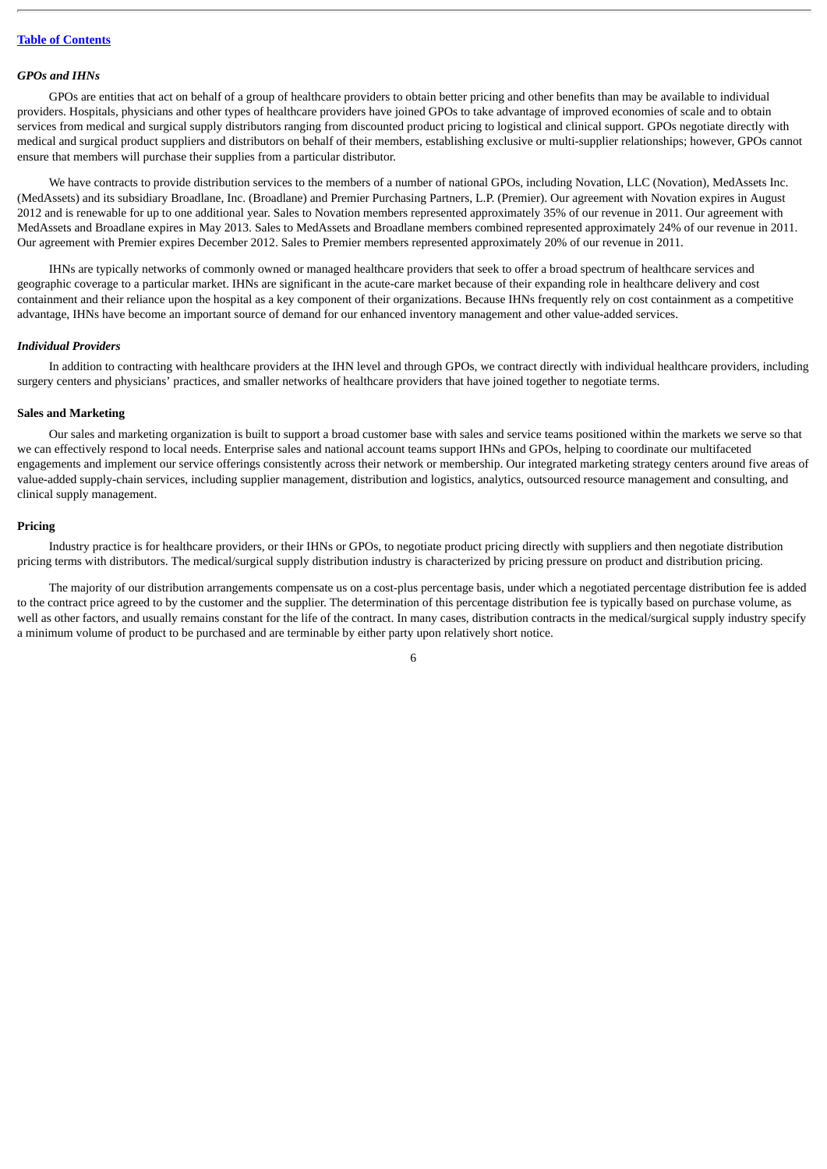### *GPOs and IHNs*

GPOs are entities that act on behalf of a group of healthcare providers to obtain better pricing and other benefits than may be available to individual providers. Hospitals, physicians and other types of healthcare providers have joined GPOs to take advantage of improved economies of scale and to obtain services from medical and surgical supply distributors ranging from discounted product pricing to logistical and clinical support. GPOs negotiate directly with medical and surgical product suppliers and distributors on behalf of their members, establishing exclusive or multi-supplier relationships; however, GPOs cannot ensure that members will purchase their supplies from a particular distributor.

We have contracts to provide distribution services to the members of a number of national GPOs, including Novation, LLC (Novation), MedAssets Inc. (MedAssets) and its subsidiary Broadlane, Inc. (Broadlane) and Premier Purchasing Partners, L.P. (Premier). Our agreement with Novation expires in August 2012 and is renewable for up to one additional year. Sales to Novation members represented approximately 35% of our revenue in 2011. Our agreement with MedAssets and Broadlane expires in May 2013. Sales to MedAssets and Broadlane members combined represented approximately 24% of our revenue in 2011. Our agreement with Premier expires December 2012. Sales to Premier members represented approximately 20% of our revenue in 2011.

IHNs are typically networks of commonly owned or managed healthcare providers that seek to offer a broad spectrum of healthcare services and geographic coverage to a particular market. IHNs are significant in the acute-care market because of their expanding role in healthcare delivery and cost containment and their reliance upon the hospital as a key component of their organizations. Because IHNs frequently rely on cost containment as a competitive advantage, IHNs have become an important source of demand for our enhanced inventory management and other value-added services.

#### *Individual Providers*

In addition to contracting with healthcare providers at the IHN level and through GPOs, we contract directly with individual healthcare providers, including surgery centers and physicians' practices, and smaller networks of healthcare providers that have joined together to negotiate terms.

#### **Sales and Marketing**

Our sales and marketing organization is built to support a broad customer base with sales and service teams positioned within the markets we serve so that we can effectively respond to local needs. Enterprise sales and national account teams support IHNs and GPOs, helping to coordinate our multifaceted engagements and implement our service offerings consistently across their network or membership. Our integrated marketing strategy centers around five areas of value-added supply-chain services, including supplier management, distribution and logistics, analytics, outsourced resource management and consulting, and clinical supply management.

#### **Pricing**

Industry practice is for healthcare providers, or their IHNs or GPOs, to negotiate product pricing directly with suppliers and then negotiate distribution pricing terms with distributors. The medical/surgical supply distribution industry is characterized by pricing pressure on product and distribution pricing.

The majority of our distribution arrangements compensate us on a cost-plus percentage basis, under which a negotiated percentage distribution fee is added to the contract price agreed to by the customer and the supplier. The determination of this percentage distribution fee is typically based on purchase volume, as well as other factors, and usually remains constant for the life of the contract. In many cases, distribution contracts in the medical/surgical supply industry specify a minimum volume of product to be purchased and are terminable by either party upon relatively short notice.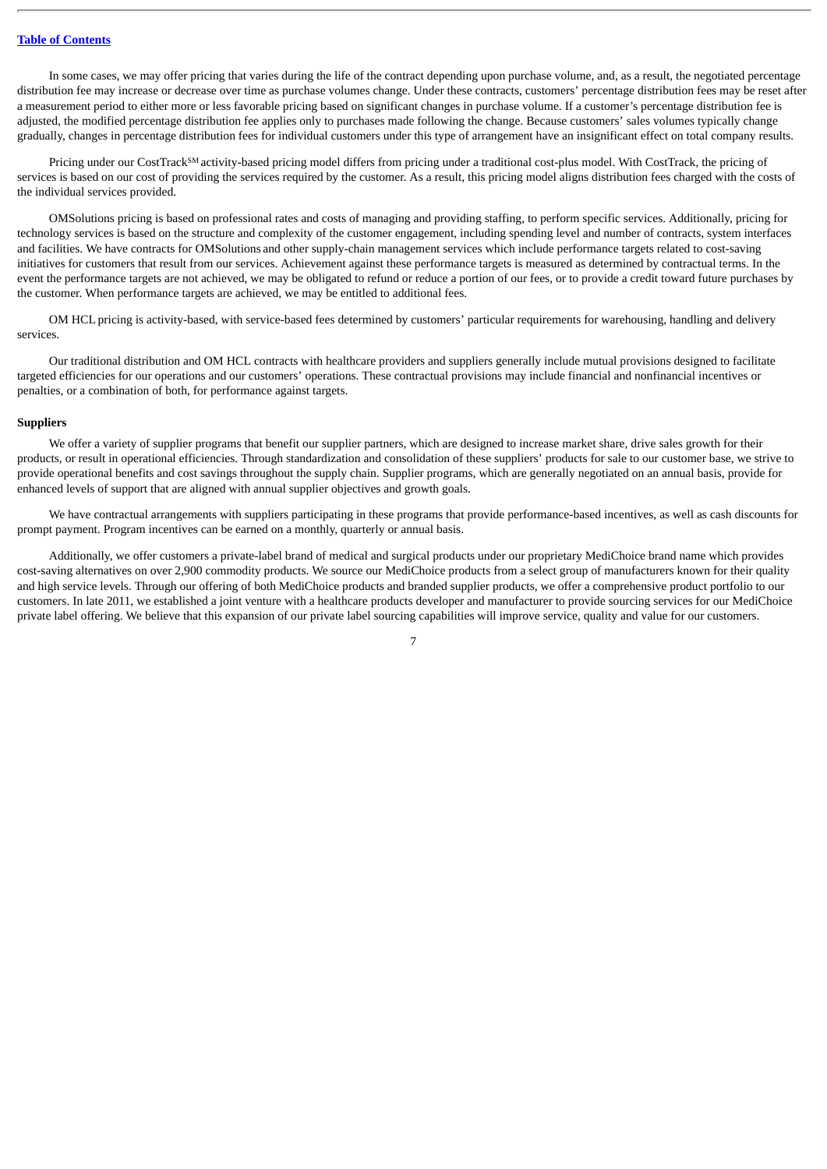In some cases, we may offer pricing that varies during the life of the contract depending upon purchase volume, and, as a result, the negotiated percentage distribution fee may increase or decrease over time as purchase volumes change. Under these contracts, customers' percentage distribution fees may be reset after a measurement period to either more or less favorable pricing based on significant changes in purchase volume. If a customer's percentage distribution fee is adjusted, the modified percentage distribution fee applies only to purchases made following the change. Because customers' sales volumes typically change gradually, changes in percentage distribution fees for individual customers under this type of arrangement have an insignificant effect on total company results.

Pricing under our CostTrack<sup>SM</sup> activity-based pricing model differs from pricing under a traditional cost-plus model. With CostTrack, the pricing of services is based on our cost of providing the services required by the customer. As a result, this pricing model aligns distribution fees charged with the costs of the individual services provided.

OMSolutions pricing is based on professional rates and costs of managing and providing staffing, to perform specific services. Additionally, pricing for technology services is based on the structure and complexity of the customer engagement, including spending level and number of contracts, system interfaces and facilities. We have contracts for OMSolutions and other supply-chain management services which include performance targets related to cost-saving initiatives for customers that result from our services. Achievement against these performance targets is measured as determined by contractual terms. In the event the performance targets are not achieved, we may be obligated to refund or reduce a portion of our fees, or to provide a credit toward future purchases by the customer. When performance targets are achieved, we may be entitled to additional fees.

OM HCL pricing is activity-based, with service-based fees determined by customers' particular requirements for warehousing, handling and delivery services.

Our traditional distribution and OM HCL contracts with healthcare providers and suppliers generally include mutual provisions designed to facilitate targeted efficiencies for our operations and our customers' operations. These contractual provisions may include financial and nonfinancial incentives or penalties, or a combination of both, for performance against targets.

#### **Suppliers**

We offer a variety of supplier programs that benefit our supplier partners, which are designed to increase market share, drive sales growth for their products, or result in operational efficiencies. Through standardization and consolidation of these suppliers' products for sale to our customer base, we strive to provide operational benefits and cost savings throughout the supply chain. Supplier programs, which are generally negotiated on an annual basis, provide for enhanced levels of support that are aligned with annual supplier objectives and growth goals.

We have contractual arrangements with suppliers participating in these programs that provide performance-based incentives, as well as cash discounts for prompt payment. Program incentives can be earned on a monthly, quarterly or annual basis.

Additionally, we offer customers a private-label brand of medical and surgical products under our proprietary MediChoice brand name which provides cost-saving alternatives on over 2,900 commodity products. We source our MediChoice products from a select group of manufacturers known for their quality and high service levels. Through our offering of both MediChoice products and branded supplier products, we offer a comprehensive product portfolio to our customers. In late 2011, we established a joint venture with a healthcare products developer and manufacturer to provide sourcing services for our MediChoice private label offering. We believe that this expansion of our private label sourcing capabilities will improve service, quality and value for our customers.

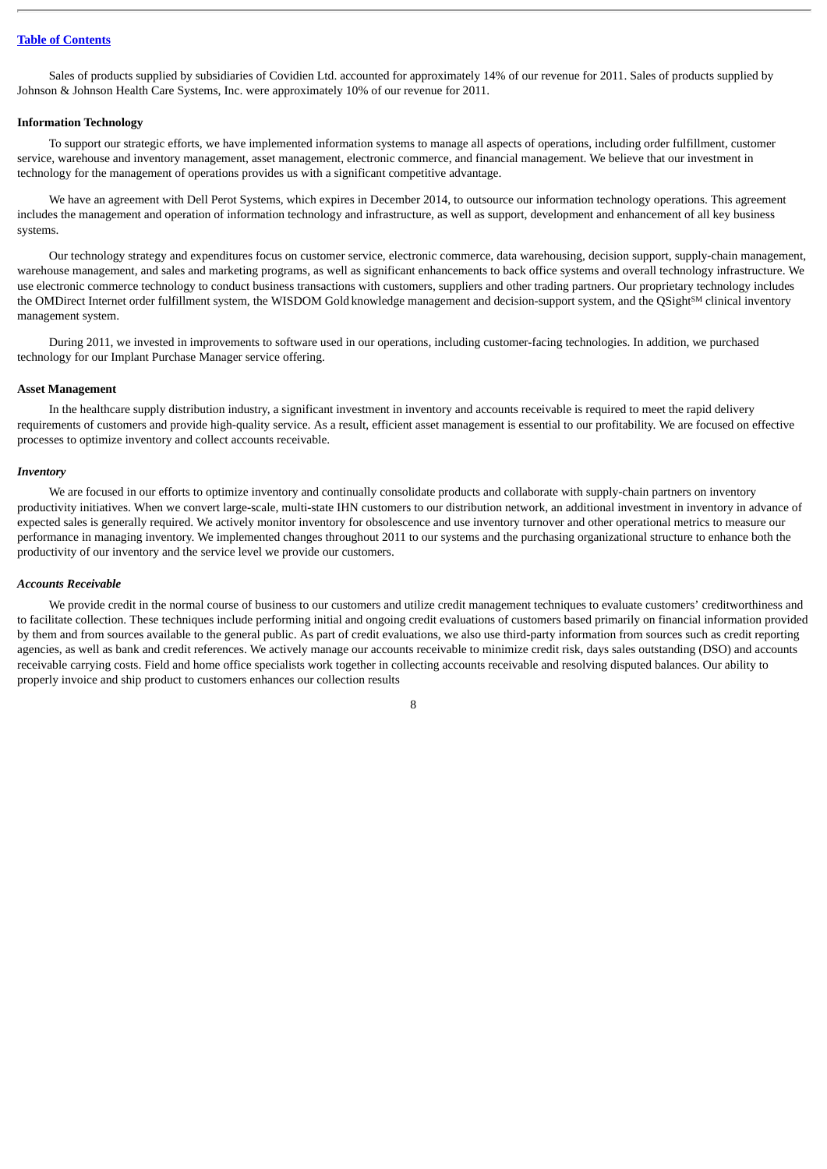Sales of products supplied by subsidiaries of Covidien Ltd. accounted for approximately 14% of our revenue for 2011. Sales of products supplied by Johnson & Johnson Health Care Systems, Inc. were approximately 10% of our revenue for 2011.

### **Information Technology**

To support our strategic efforts, we have implemented information systems to manage all aspects of operations, including order fulfillment, customer service, warehouse and inventory management, asset management, electronic commerce, and financial management. We believe that our investment in technology for the management of operations provides us with a significant competitive advantage.

We have an agreement with Dell Perot Systems, which expires in December 2014, to outsource our information technology operations. This agreement includes the management and operation of information technology and infrastructure, as well as support, development and enhancement of all key business systems.

Our technology strategy and expenditures focus on customer service, electronic commerce, data warehousing, decision support, supply-chain management, warehouse management, and sales and marketing programs, as well as significant enhancements to back office systems and overall technology infrastructure. We use electronic commerce technology to conduct business transactions with customers, suppliers and other trading partners. Our proprietary technology includes the OMDirect Internet order fulfillment system, the WISDOM Gold knowledge management and decision-support system, and the QSight<sup>5M</sup> clinical inventory management system.

During 2011, we invested in improvements to software used in our operations, including customer-facing technologies. In addition, we purchased technology for our Implant Purchase Manager service offering.

### **Asset Management**

In the healthcare supply distribution industry, a significant investment in inventory and accounts receivable is required to meet the rapid delivery requirements of customers and provide high-quality service. As a result, efficient asset management is essential to our profitability. We are focused on effective processes to optimize inventory and collect accounts receivable.

#### *Inventory*

We are focused in our efforts to optimize inventory and continually consolidate products and collaborate with supply-chain partners on inventory productivity initiatives. When we convert large-scale, multi-state IHN customers to our distribution network, an additional investment in inventory in advance of expected sales is generally required. We actively monitor inventory for obsolescence and use inventory turnover and other operational metrics to measure our performance in managing inventory. We implemented changes throughout 2011 to our systems and the purchasing organizational structure to enhance both the productivity of our inventory and the service level we provide our customers.

### *Accounts Receivable*

We provide credit in the normal course of business to our customers and utilize credit management techniques to evaluate customers' creditworthiness and to facilitate collection. These techniques include performing initial and ongoing credit evaluations of customers based primarily on financial information provided by them and from sources available to the general public. As part of credit evaluations, we also use third-party information from sources such as credit reporting agencies, as well as bank and credit references. We actively manage our accounts receivable to minimize credit risk, days sales outstanding (DSO) and accounts receivable carrying costs. Field and home office specialists work together in collecting accounts receivable and resolving disputed balances. Our ability to properly invoice and ship product to customers enhances our collection results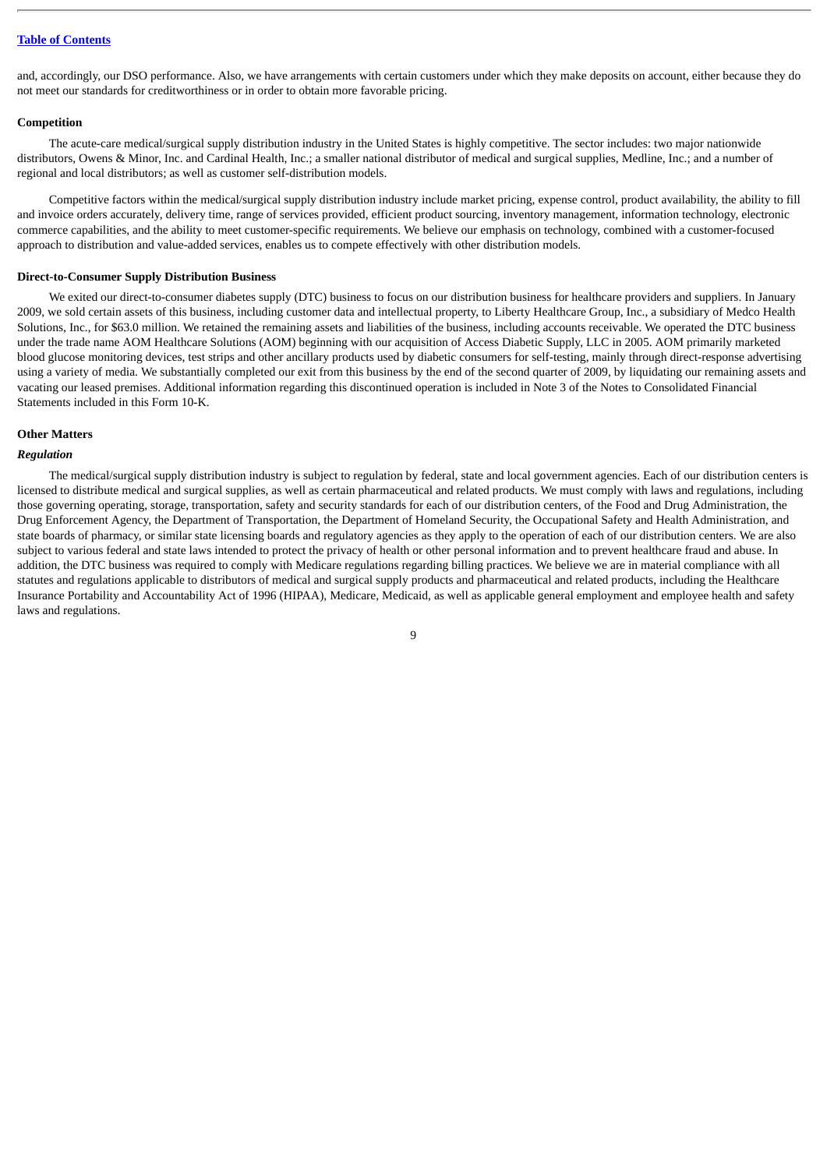and, accordingly, our DSO performance. Also, we have arrangements with certain customers under which they make deposits on account, either because they do not meet our standards for creditworthiness or in order to obtain more favorable pricing.

#### **Competition**

The acute-care medical/surgical supply distribution industry in the United States is highly competitive. The sector includes: two major nationwide distributors, Owens & Minor, Inc. and Cardinal Health, Inc.; a smaller national distributor of medical and surgical supplies, Medline, Inc.; and a number of regional and local distributors; as well as customer self-distribution models.

Competitive factors within the medical/surgical supply distribution industry include market pricing, expense control, product availability, the ability to fill and invoice orders accurately, delivery time, range of services provided, efficient product sourcing, inventory management, information technology, electronic commerce capabilities, and the ability to meet customer-specific requirements. We believe our emphasis on technology, combined with a customer-focused approach to distribution and value-added services, enables us to compete effectively with other distribution models.

### **Direct-to-Consumer Supply Distribution Business**

We exited our direct-to-consumer diabetes supply (DTC) business to focus on our distribution business for healthcare providers and suppliers. In January 2009, we sold certain assets of this business, including customer data and intellectual property, to Liberty Healthcare Group, Inc., a subsidiary of Medco Health Solutions, Inc., for \$63.0 million. We retained the remaining assets and liabilities of the business, including accounts receivable. We operated the DTC business under the trade name AOM Healthcare Solutions (AOM) beginning with our acquisition of Access Diabetic Supply, LLC in 2005. AOM primarily marketed blood glucose monitoring devices, test strips and other ancillary products used by diabetic consumers for self-testing, mainly through direct-response advertising using a variety of media. We substantially completed our exit from this business by the end of the second quarter of 2009, by liquidating our remaining assets and vacating our leased premises. Additional information regarding this discontinued operation is included in Note 3 of the Notes to Consolidated Financial Statements included in this Form 10-K.

### **Other Matters**

#### *Regulation*

The medical/surgical supply distribution industry is subject to regulation by federal, state and local government agencies. Each of our distribution centers is licensed to distribute medical and surgical supplies, as well as certain pharmaceutical and related products. We must comply with laws and regulations, including those governing operating, storage, transportation, safety and security standards for each of our distribution centers, of the Food and Drug Administration, the Drug Enforcement Agency, the Department of Transportation, the Department of Homeland Security, the Occupational Safety and Health Administration, and state boards of pharmacy, or similar state licensing boards and regulatory agencies as they apply to the operation of each of our distribution centers. We are also subject to various federal and state laws intended to protect the privacy of health or other personal information and to prevent healthcare fraud and abuse. In addition, the DTC business was required to comply with Medicare regulations regarding billing practices. We believe we are in material compliance with all statutes and regulations applicable to distributors of medical and surgical supply products and pharmaceutical and related products, including the Healthcare Insurance Portability and Accountability Act of 1996 (HIPAA), Medicare, Medicaid, as well as applicable general employment and employee health and safety laws and regulations.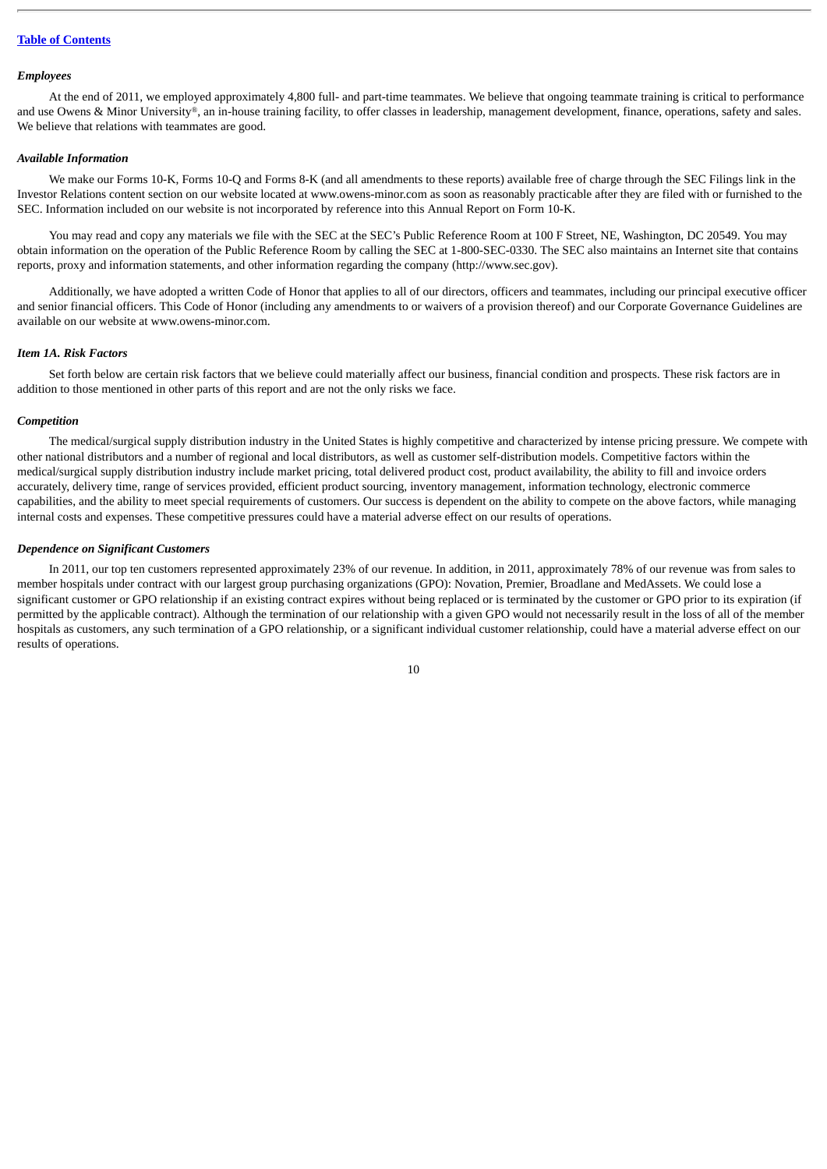#### *Employees*

At the end of 2011, we employed approximately 4,800 full- and part-time teammates. We believe that ongoing teammate training is critical to performance and use Owens & Minor University®, an in-house training facility, to offer classes in leadership, management development, finance, operations, safety and sales. We believe that relations with teammates are good.

#### *Available Information*

We make our Forms 10-K, Forms 10-Q and Forms 8-K (and all amendments to these reports) available free of charge through the SEC Filings link in the Investor Relations content section on our website located at www.owens-minor.com as soon as reasonably practicable after they are filed with or furnished to the SEC. Information included on our website is not incorporated by reference into this Annual Report on Form 10-K.

You may read and copy any materials we file with the SEC at the SEC's Public Reference Room at 100 F Street, NE, Washington, DC 20549. You may obtain information on the operation of the Public Reference Room by calling the SEC at 1-800-SEC-0330. The SEC also maintains an Internet site that contains reports, proxy and information statements, and other information regarding the company (http://www.sec.gov).

Additionally, we have adopted a written Code of Honor that applies to all of our directors, officers and teammates, including our principal executive officer and senior financial officers. This Code of Honor (including any amendments to or waivers of a provision thereof) and our Corporate Governance Guidelines are available on our website at www.owens-minor.com.

#### <span id="page-9-0"></span>*Item 1A. Risk Factors*

Set forth below are certain risk factors that we believe could materially affect our business, financial condition and prospects. These risk factors are in addition to those mentioned in other parts of this report and are not the only risks we face.

### *Competition*

The medical/surgical supply distribution industry in the United States is highly competitive and characterized by intense pricing pressure. We compete with other national distributors and a number of regional and local distributors, as well as customer self-distribution models. Competitive factors within the medical/surgical supply distribution industry include market pricing, total delivered product cost, product availability, the ability to fill and invoice orders accurately, delivery time, range of services provided, efficient product sourcing, inventory management, information technology, electronic commerce capabilities, and the ability to meet special requirements of customers. Our success is dependent on the ability to compete on the above factors, while managing internal costs and expenses. These competitive pressures could have a material adverse effect on our results of operations.

#### *Dependence on Significant Customers*

In 2011, our top ten customers represented approximately 23% of our revenue. In addition, in 2011, approximately 78% of our revenue was from sales to member hospitals under contract with our largest group purchasing organizations (GPO): Novation, Premier, Broadlane and MedAssets. We could lose a significant customer or GPO relationship if an existing contract expires without being replaced or is terminated by the customer or GPO prior to its expiration (if permitted by the applicable contract). Although the termination of our relationship with a given GPO would not necessarily result in the loss of all of the member hospitals as customers, any such termination of a GPO relationship, or a significant individual customer relationship, could have a material adverse effect on our results of operations.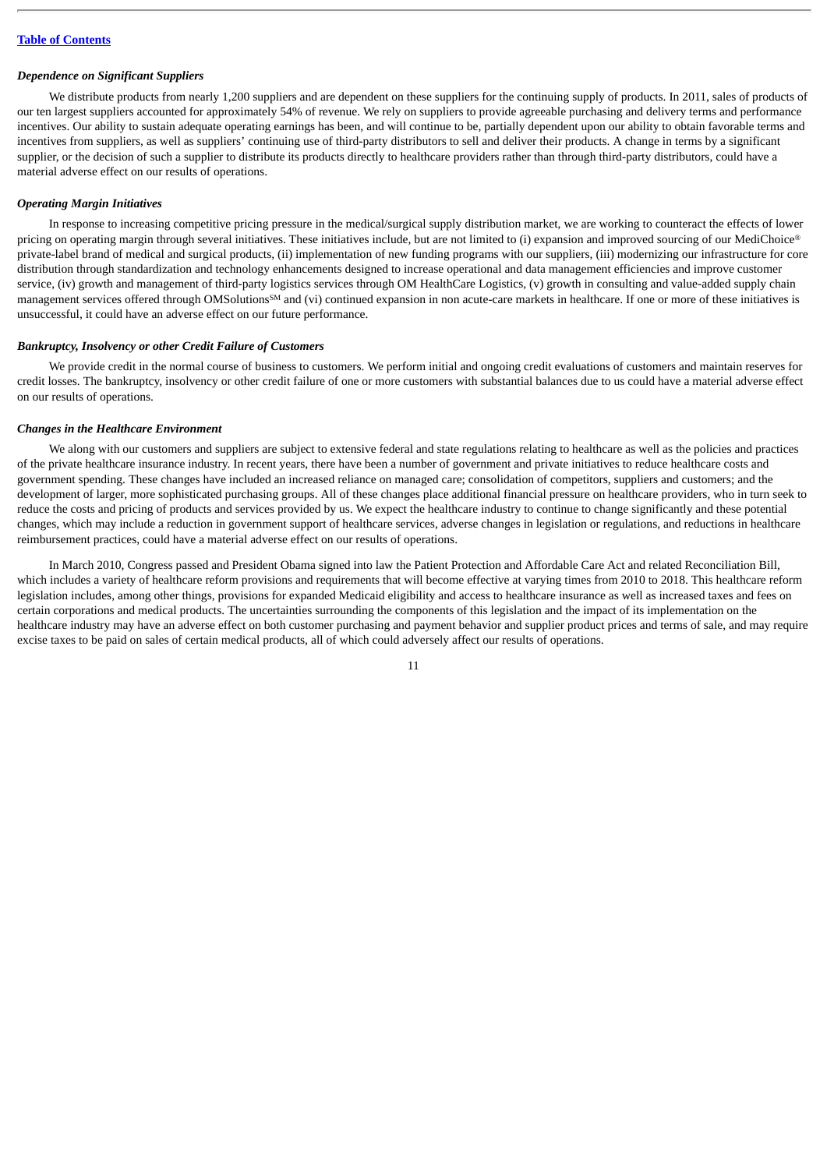### *Dependence on Significant Suppliers*

We distribute products from nearly 1,200 suppliers and are dependent on these suppliers for the continuing supply of products. In 2011, sales of products of our ten largest suppliers accounted for approximately 54% of revenue. We rely on suppliers to provide agreeable purchasing and delivery terms and performance incentives. Our ability to sustain adequate operating earnings has been, and will continue to be, partially dependent upon our ability to obtain favorable terms and incentives from suppliers, as well as suppliers' continuing use of third-party distributors to sell and deliver their products. A change in terms by a significant supplier, or the decision of such a supplier to distribute its products directly to healthcare providers rather than through third-party distributors, could have a material adverse effect on our results of operations.

### *Operating Margin Initiatives*

In response to increasing competitive pricing pressure in the medical/surgical supply distribution market, we are working to counteract the effects of lower pricing on operating margin through several initiatives. These initiatives include, but are not limited to (i) expansion and improved sourcing of our MediChoice® private-label brand of medical and surgical products, (ii) implementation of new funding programs with our suppliers, (iii) modernizing our infrastructure for core distribution through standardization and technology enhancements designed to increase operational and data management efficiencies and improve customer service, (iv) growth and management of third-party logistics services through OM HealthCare Logistics, (v) growth in consulting and value-added supply chain management services offered through OMSolutions<sup>5M</sup> and (vi) continued expansion in non acute-care markets in healthcare. If one or more of these initiatives is unsuccessful, it could have an adverse effect on our future performance.

### *Bankruptcy, Insolvency or other Credit Failure of Customers*

We provide credit in the normal course of business to customers. We perform initial and ongoing credit evaluations of customers and maintain reserves for credit losses. The bankruptcy, insolvency or other credit failure of one or more customers with substantial balances due to us could have a material adverse effect on our results of operations.

#### *Changes in the Healthcare Environment*

We along with our customers and suppliers are subject to extensive federal and state regulations relating to healthcare as well as the policies and practices of the private healthcare insurance industry. In recent years, there have been a number of government and private initiatives to reduce healthcare costs and government spending. These changes have included an increased reliance on managed care; consolidation of competitors, suppliers and customers; and the development of larger, more sophisticated purchasing groups. All of these changes place additional financial pressure on healthcare providers, who in turn seek to reduce the costs and pricing of products and services provided by us. We expect the healthcare industry to continue to change significantly and these potential changes, which may include a reduction in government support of healthcare services, adverse changes in legislation or regulations, and reductions in healthcare reimbursement practices, could have a material adverse effect on our results of operations.

In March 2010, Congress passed and President Obama signed into law the Patient Protection and Affordable Care Act and related Reconciliation Bill, which includes a variety of healthcare reform provisions and requirements that will become effective at varying times from 2010 to 2018. This healthcare reform legislation includes, among other things, provisions for expanded Medicaid eligibility and access to healthcare insurance as well as increased taxes and fees on certain corporations and medical products. The uncertainties surrounding the components of this legislation and the impact of its implementation on the healthcare industry may have an adverse effect on both customer purchasing and payment behavior and supplier product prices and terms of sale, and may require excise taxes to be paid on sales of certain medical products, all of which could adversely affect our results of operations.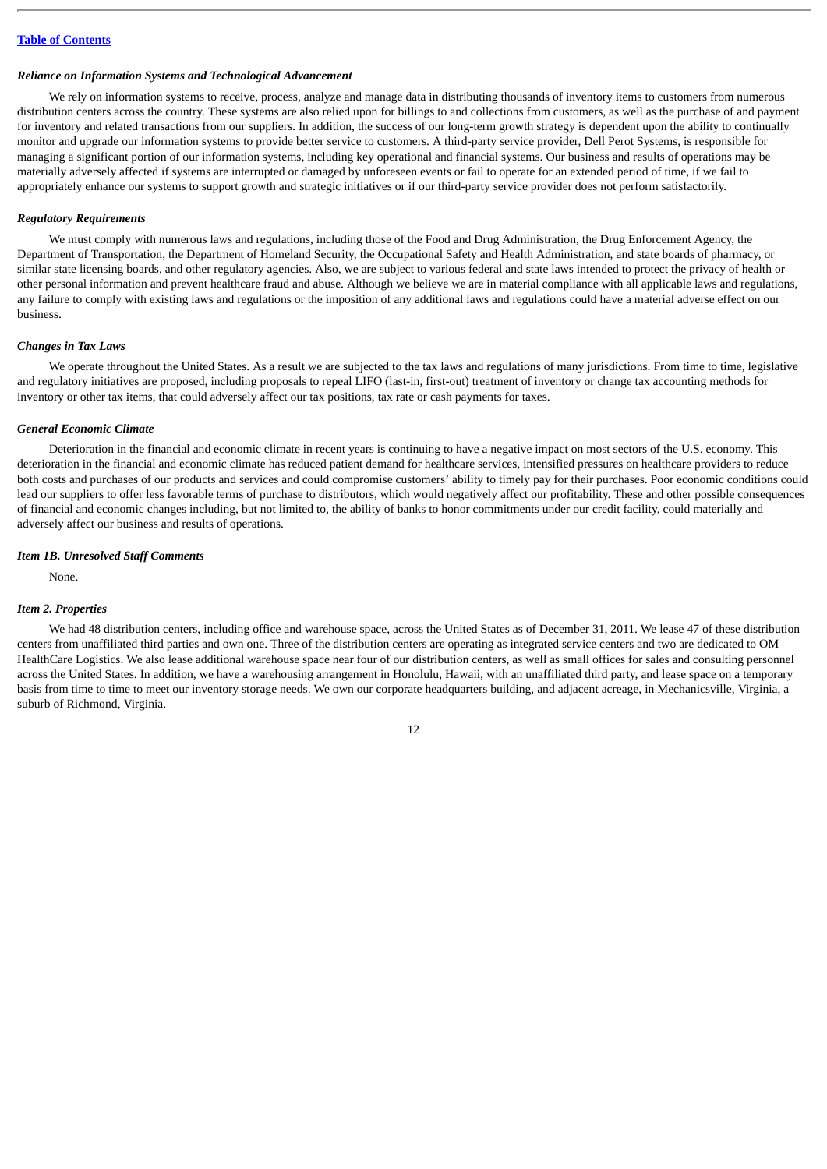#### *Reliance on Information Systems and Technological Advancement*

We rely on information systems to receive, process, analyze and manage data in distributing thousands of inventory items to customers from numerous distribution centers across the country. These systems are also relied upon for billings to and collections from customers, as well as the purchase of and payment for inventory and related transactions from our suppliers. In addition, the success of our long-term growth strategy is dependent upon the ability to continually monitor and upgrade our information systems to provide better service to customers. A third-party service provider, Dell Perot Systems, is responsible for managing a significant portion of our information systems, including key operational and financial systems. Our business and results of operations may be materially adversely affected if systems are interrupted or damaged by unforeseen events or fail to operate for an extended period of time, if we fail to appropriately enhance our systems to support growth and strategic initiatives or if our third-party service provider does not perform satisfactorily.

### *Regulatory Requirements*

We must comply with numerous laws and regulations, including those of the Food and Drug Administration, the Drug Enforcement Agency, the Department of Transportation, the Department of Homeland Security, the Occupational Safety and Health Administration, and state boards of pharmacy, or similar state licensing boards, and other regulatory agencies. Also, we are subject to various federal and state laws intended to protect the privacy of health or other personal information and prevent healthcare fraud and abuse. Although we believe we are in material compliance with all applicable laws and regulations, any failure to comply with existing laws and regulations or the imposition of any additional laws and regulations could have a material adverse effect on our business.

#### *Changes in Tax Laws*

We operate throughout the United States. As a result we are subjected to the tax laws and regulations of many jurisdictions. From time to time, legislative and regulatory initiatives are proposed, including proposals to repeal LIFO (last-in, first-out) treatment of inventory or change tax accounting methods for inventory or other tax items, that could adversely affect our tax positions, tax rate or cash payments for taxes.

#### *General Economic Climate*

Deterioration in the financial and economic climate in recent years is continuing to have a negative impact on most sectors of the U.S. economy. This deterioration in the financial and economic climate has reduced patient demand for healthcare services, intensified pressures on healthcare providers to reduce both costs and purchases of our products and services and could compromise customers' ability to timely pay for their purchases. Poor economic conditions could lead our suppliers to offer less favorable terms of purchase to distributors, which would negatively affect our profitability. These and other possible consequences of financial and economic changes including, but not limited to, the ability of banks to honor commitments under our credit facility, could materially and adversely affect our business and results of operations.

#### <span id="page-11-0"></span>*Item 1B. Unresolved Staff Comments*

None.

### <span id="page-11-1"></span>*Item 2. Properties*

We had 48 distribution centers, including office and warehouse space, across the United States as of December 31, 2011. We lease 47 of these distribution centers from unaffiliated third parties and own one. Three of the distribution centers are operating as integrated service centers and two are dedicated to OM HealthCare Logistics. We also lease additional warehouse space near four of our distribution centers, as well as small offices for sales and consulting personnel across the United States. In addition, we have a warehousing arrangement in Honolulu, Hawaii, with an unaffiliated third party, and lease space on a temporary basis from time to time to meet our inventory storage needs. We own our corporate headquarters building, and adjacent acreage, in Mechanicsville, Virginia, a suburb of Richmond, Virginia.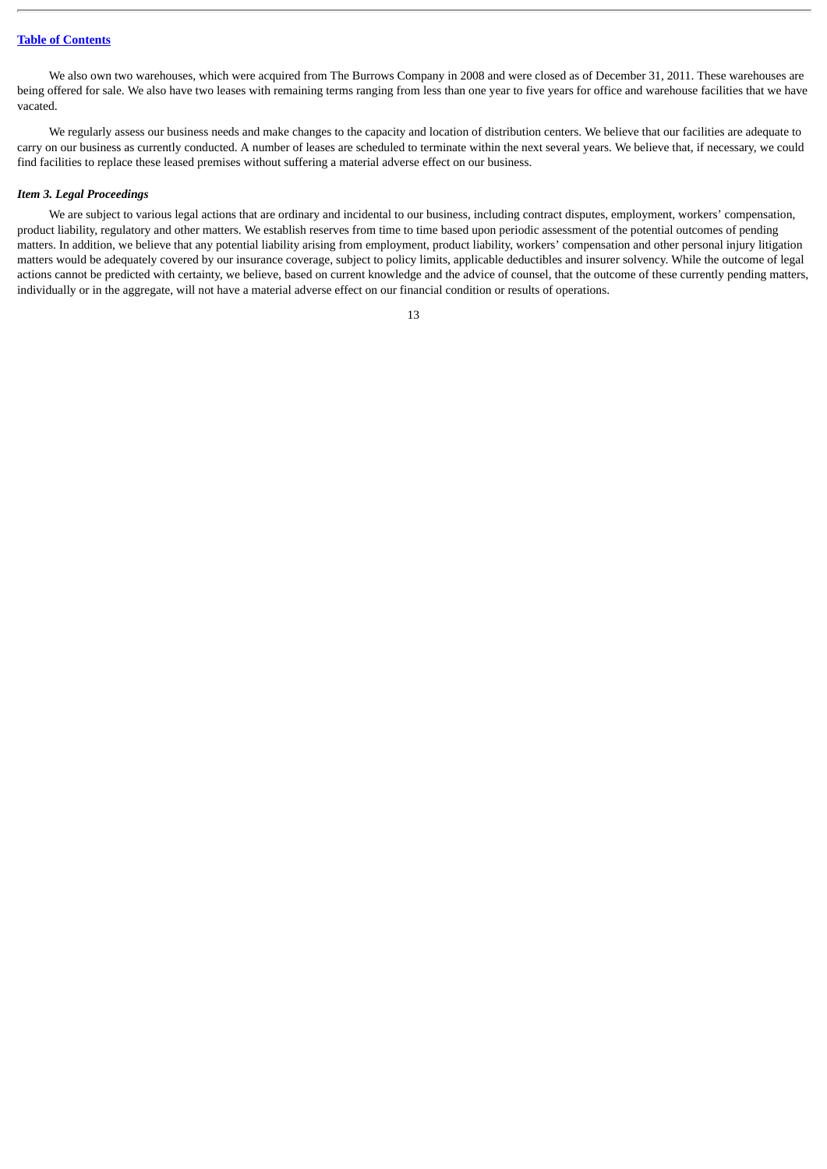We also own two warehouses, which were acquired from The Burrows Company in 2008 and were closed as of December 31, 2011. These warehouses are being offered for sale. We also have two leases with remaining terms ranging from less than one year to five years for office and warehouse facilities that we have vacated.

We regularly assess our business needs and make changes to the capacity and location of distribution centers. We believe that our facilities are adequate to carry on our business as currently conducted. A number of leases are scheduled to terminate within the next several years. We believe that, if necessary, we could find facilities to replace these leased premises without suffering a material adverse effect on our business.

### <span id="page-12-0"></span>*Item 3. Legal Proceedings*

We are subject to various legal actions that are ordinary and incidental to our business, including contract disputes, employment, workers' compensation, product liability, regulatory and other matters. We establish reserves from time to time based upon periodic assessment of the potential outcomes of pending matters. In addition, we believe that any potential liability arising from employment, product liability, workers' compensation and other personal injury litigation matters would be adequately covered by our insurance coverage, subject to policy limits, applicable deductibles and insurer solvency. While the outcome of legal actions cannot be predicted with certainty, we believe, based on current knowledge and the advice of counsel, that the outcome of these currently pending matters, individually or in the aggregate, will not have a material adverse effect on our financial condition or results of operations.

| P.           |
|--------------|
|              |
| ٦<br>×<br>۰, |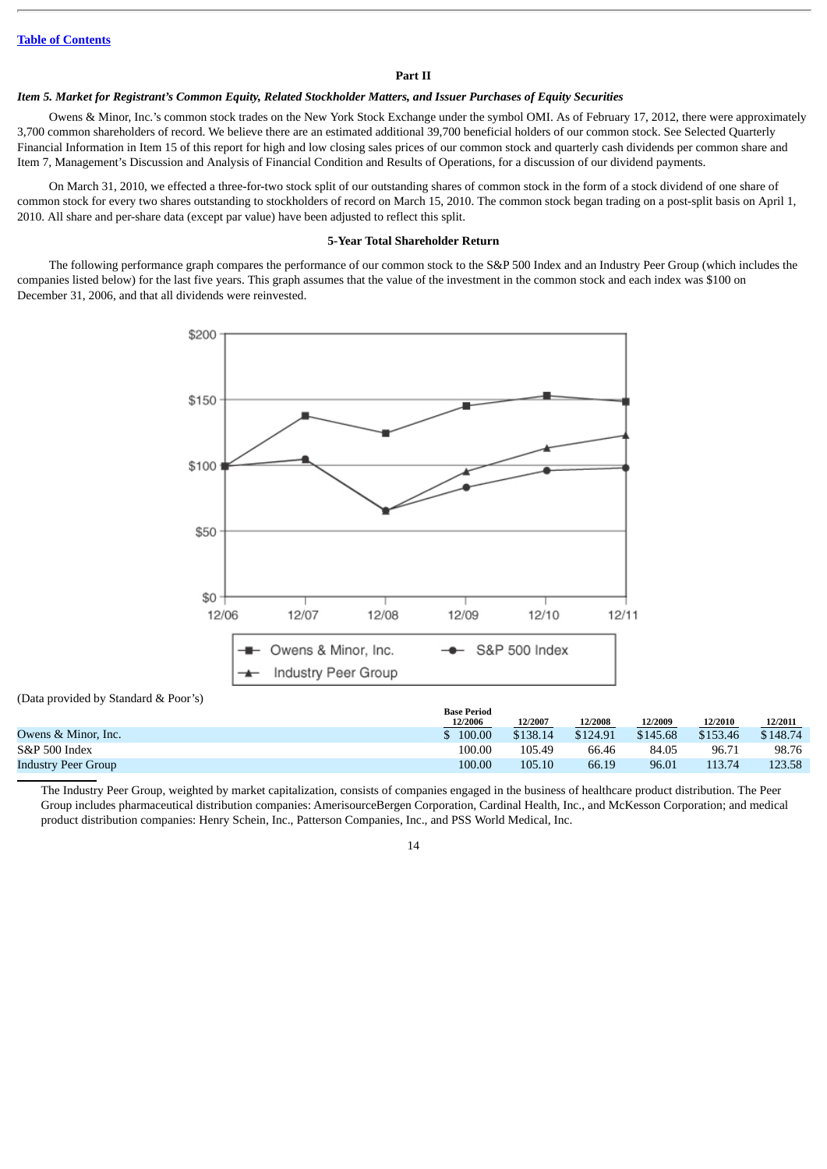### **Part II**

### <span id="page-13-0"></span>*Item 5. Market for Registrant's Common Equity, Related Stockholder Matters, and Issuer Purchases of Equity Securities*

Owens & Minor, Inc.'s common stock trades on the New York Stock Exchange under the symbol OMI. As of February 17, 2012, there were approximately 3,700 common shareholders of record. We believe there are an estimated additional 39,700 beneficial holders of our common stock. See Selected Quarterly Financial Information in Item 15 of this report for high and low closing sales prices of our common stock and quarterly cash dividends per common share and Item 7, Management's Discussion and Analysis of Financial Condition and Results of Operations, for a discussion of our dividend payments.

On March 31, 2010, we effected a three-for-two stock split of our outstanding shares of common stock in the form of a stock dividend of one share of common stock for every two shares outstanding to stockholders of record on March 15, 2010. The common stock began trading on a post-split basis on April 1, 2010. All share and per-share data (except par value) have been adjusted to reflect this split.

### **5-Year Total Shareholder Return**

The following performance graph compares the performance of our common stock to the S&P 500 Index and an Industry Peer Group (which includes the companies listed below) for the last five years. This graph assumes that the value of the investment in the common stock and each index was \$100 on December 31, 2006, and that all dividends were reinvested.



#### (Data provided by Standard & Poor's)

|                     | <b>Base Period</b> |          |          |          |          |          |
|---------------------|--------------------|----------|----------|----------|----------|----------|
|                     | 12/2006            | 12/2007  | 12/2008  | 12/2009  | 12/2010  | 12/2011  |
| Owens & Minor, Inc. | \$100.00           | \$138.14 | \$124.91 | \$145.68 | \$153.46 | \$148.74 |
| S&P 500 Index       | 100.00             | 105.49   | 66.46    | 84.05    | 96.71    | 98.76    |
| Industry Peer Group | 100.00             | 105.10   | 66.19    | 96.01    | 113.74   | 123.58   |

The Industry Peer Group, weighted by market capitalization, consists of companies engaged in the business of healthcare product distribution. The Peer Group includes pharmaceutical distribution companies: AmerisourceBergen Corporation, Cardinal Health, Inc., and McKesson Corporation; and medical product distribution companies: Henry Schein, Inc., Patterson Companies, Inc., and PSS World Medical, Inc.

<sup>14</sup>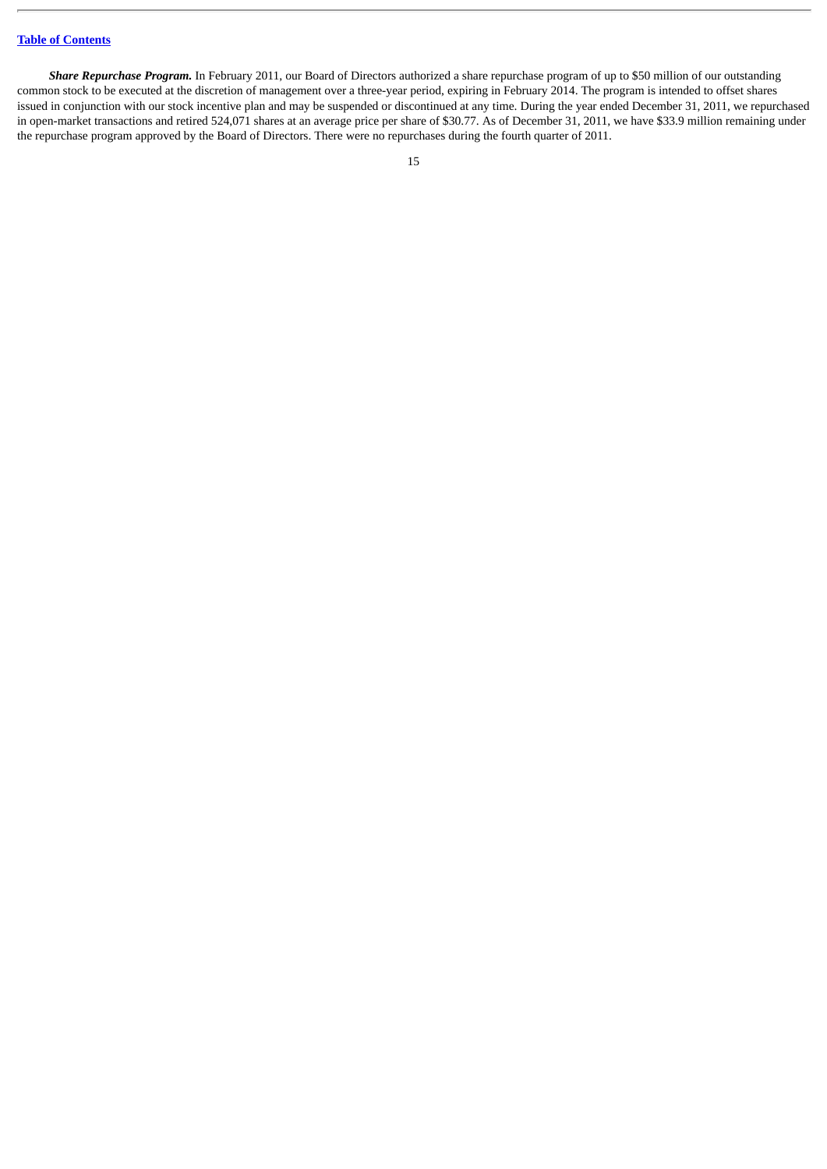*Share Repurchase Program.* In February 2011, our Board of Directors authorized a share repurchase program of up to \$50 million of our outstanding common stock to be executed at the discretion of management over a three-year period, expiring in February 2014. The program is intended to offset shares issued in conjunction with our stock incentive plan and may be suspended or discontinued at any time. During the year ended December 31, 2011, we repurchased in open-market transactions and retired 524,071 shares at an average price per share of \$30.77. As of December 31, 2011, we have \$33.9 million remaining under the repurchase program approved by the Board of Directors. There were no repurchases during the fourth quarter of 2011.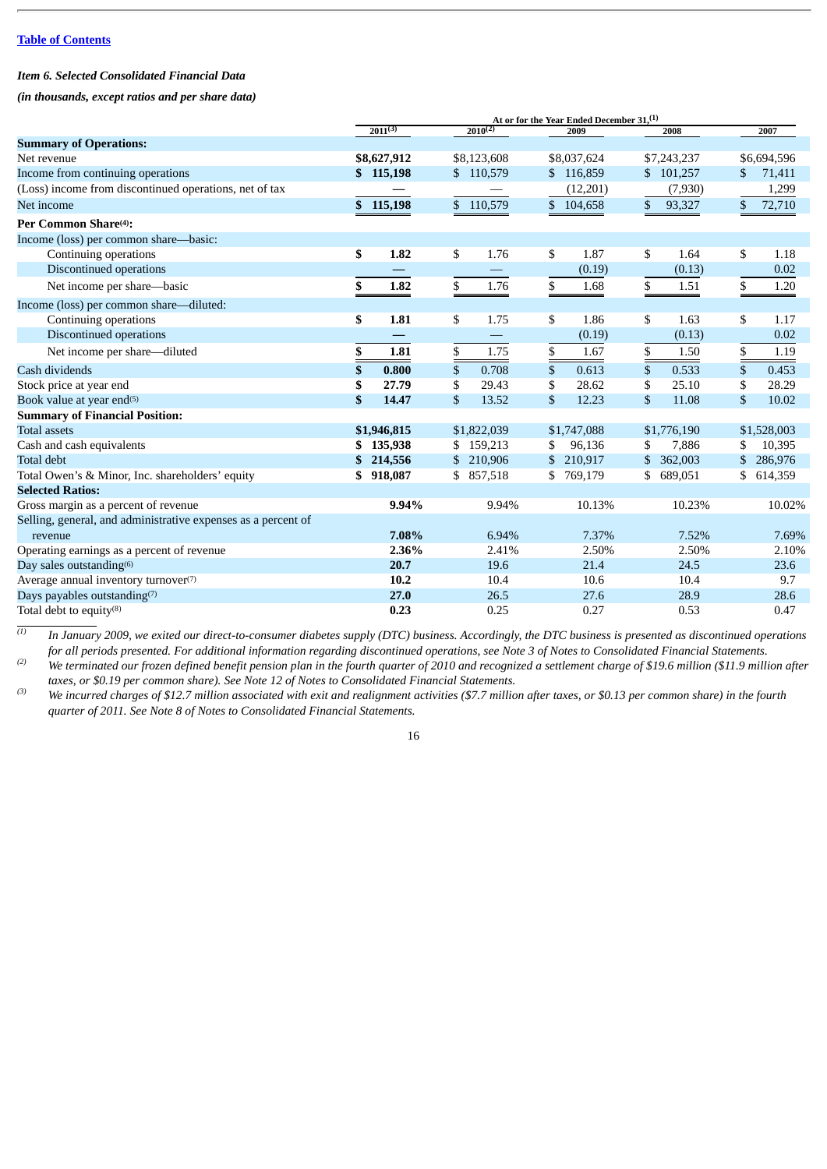### <span id="page-15-0"></span>*Item 6. Selected Consolidated Financial Data*

### *(in thousands, except ratios and per share data)*

|                                                               |               |               | At or for the Year Ended December 31, (1) |                       |                       |
|---------------------------------------------------------------|---------------|---------------|-------------------------------------------|-----------------------|-----------------------|
|                                                               | $2011^{(3)}$  | $2010^{(2)}$  | 2009                                      | 2008                  | 2007                  |
| <b>Summary of Operations:</b>                                 |               |               |                                           |                       |                       |
| Net revenue                                                   | \$8,627,912   | \$8,123,608   | \$8,037,624                               | \$7,243,237           | \$6,694,596           |
| Income from continuing operations                             | \$115,198     | \$ 110,579    | \$116,859                                 | \$101,257             | \$<br>71,411          |
| (Loss) income from discontinued operations, net of tax        |               |               | (12,201)                                  | (7,930)               | 1,299                 |
| Net income                                                    | 115,198<br>\$ | 110,579<br>\$ | \$<br>104,658                             | \$<br>93,327          | \$<br>72,710          |
| Per Common Share(4):                                          |               |               |                                           |                       |                       |
| Income (loss) per common share—basic:                         |               |               |                                           |                       |                       |
| Continuing operations                                         | \$<br>1.82    | \$<br>1.76    | \$<br>1.87                                | \$<br>1.64            | \$<br>1.18            |
| <b>Discontinued operations</b>                                |               |               | (0.19)                                    | (0.13)                | 0.02                  |
| Net income per share-basic                                    | \$<br>1.82    | \$<br>1.76    | \$<br>1.68                                | \$<br>1.51            | \$<br>1.20            |
| Income (loss) per common share—diluted:                       |               |               |                                           |                       |                       |
| Continuing operations                                         | \$<br>1.81    | \$<br>1.75    | \$<br>1.86                                | \$<br>1.63            | \$<br>1.17            |
| <b>Discontinued operations</b>                                |               |               | (0.19)                                    | (0.13)                | 0.02                  |
| Net income per share-diluted                                  | \$<br>1.81    | \$<br>1.75    | \$<br>1.67                                | \$<br>1.50            | \$<br>1.19            |
| Cash dividends                                                | \$<br>0.800   | \$<br>0.708   | \$<br>0.613                               | \$<br>0.533           | \$<br>0.453           |
| Stock price at year end                                       | \$<br>27.79   | \$<br>29.43   | \$<br>28.62                               | \$<br>25.10           | \$<br>28.29           |
| Book value at year end <sup>(5)</sup>                         | \$<br>14.47   | \$<br>13.52   | \$<br>12.23                               | $\mathbb{S}$<br>11.08 | $\mathbb{S}$<br>10.02 |
| <b>Summary of Financial Position:</b>                         |               |               |                                           |                       |                       |
| <b>Total assets</b>                                           | \$1,946,815   | \$1,822,039   | \$1,747,088                               | \$1,776,190           | \$1,528,003           |
| Cash and cash equivalents                                     | 135,938       | \$159,213     | 96,136<br>\$                              | \$<br>7,886           | 10,395<br>\$          |
| Total debt                                                    | 214,556       | 210,906       | \$<br>210,917                             | \$<br>362,003         | \$<br>286,976         |
| Total Owen's & Minor, Inc. shareholders' equity               | 918,087<br>\$ | 857,518<br>\$ | \$<br>769,179                             | \$<br>689,051         | \$.<br>614,359        |
| <b>Selected Ratios:</b>                                       |               |               |                                           |                       |                       |
| Gross margin as a percent of revenue                          | 9.94%         | 9.94%         | 10.13%                                    | 10.23%                | 10.02%                |
| Selling, general, and administrative expenses as a percent of |               |               |                                           |                       |                       |
| revenue                                                       | 7.08%         | 6.94%         | 7.37%                                     | 7.52%                 | 7.69%                 |
| Operating earnings as a percent of revenue                    | 2.36%         | 2.41%         | 2.50%                                     | 2.50%                 | 2.10%                 |
| Day sales outstanding(6)                                      | 20.7          | 19.6          | 21.4                                      | 24.5                  | 23.6                  |
| Average annual inventory turnover <sup>(7)</sup>              | 10.2          | 10.4          | 10.6                                      | 10.4                  | 9.7                   |
| Days payables outstanding(7)                                  | 27.0          | 26.5          | 27.6                                      | 28.9                  | 28.6                  |
| Total debt to equity <sup>(8)</sup>                           | 0.23          | 0.25          | 0.27                                      | 0.53                  | 0.47                  |

*In January 2009, we exited our direct-to-consumer diabetes supply (DTC) business. Accordingly, the DTC business is presented as discontinued operations for all periods presented. For additional information regarding discontinued operations, see Note 3 of Notes to Consolidated Financial Statements. (1)*

*We terminated our frozen defined benefit pension plan in the fourth quarter of 2010 and recognized a settlement charge of \$19.6 million (\$11.9 million after taxes, or \$0.19 per common share). See Note 12 of Notes to Consolidated Financial Statements. (2)*

*We incurred charges of \$12.7 million associated with exit and realignment activities (\$7.7 million after taxes, or \$0.13 per common share) in the fourth quarter of 2011. See Note 8 of Notes to Consolidated Financial Statements. (3)*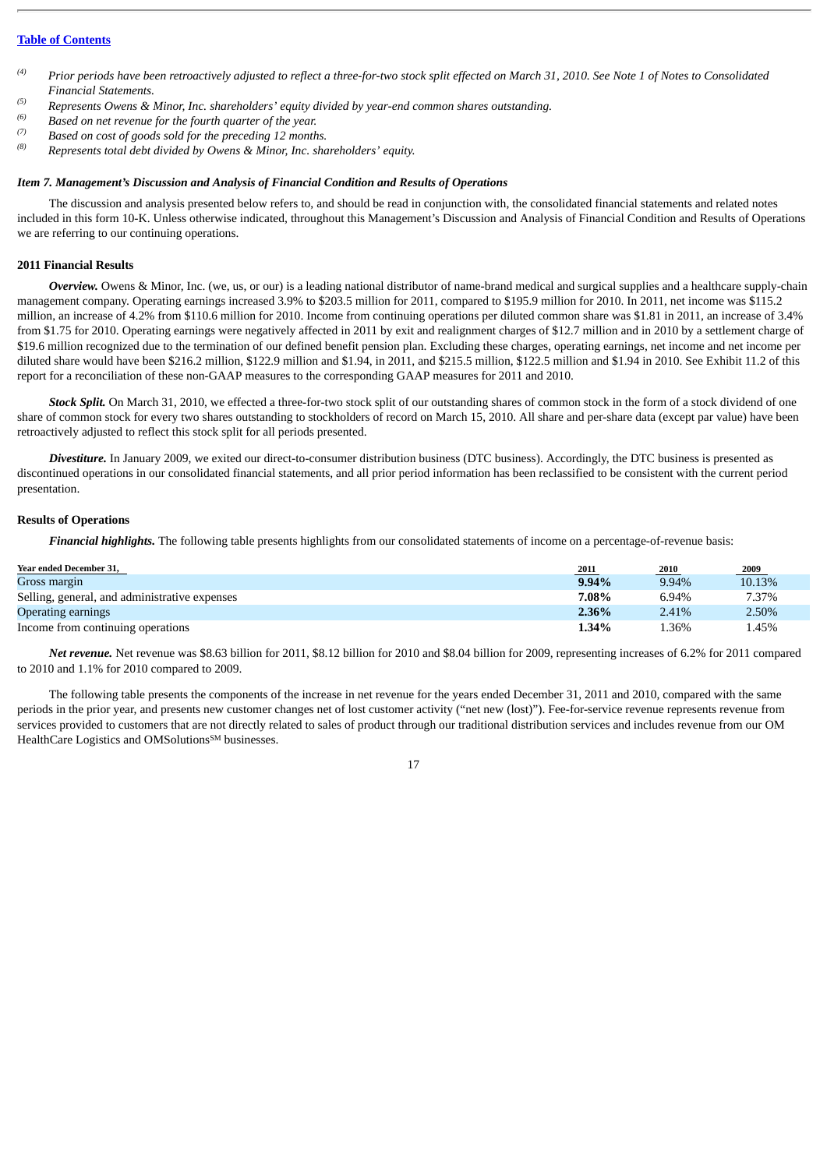- *Prior periods have been retroactively adjusted to reflect a three-for-two stock split effected on March 31, 2010. See Note 1 of Notes to Consolidated Financial Statements. (4)*
- *Represents Owens & Minor, Inc. shareholders' equity divided by year-end common shares outstanding. (5)*
- *Based on net revenue for the fourth quarter of the year. (6)*
- *Based on cost of goods sold for the preceding 12 months. (7)*
- *Represents total debt divided by Owens & Minor, Inc. shareholders' equity. (8)*

#### <span id="page-16-0"></span>*Item 7. Management's Discussion and Analysis of Financial Condition and Results of Operations*

The discussion and analysis presented below refers to, and should be read in conjunction with, the consolidated financial statements and related notes included in this form 10-K. Unless otherwise indicated, throughout this Management's Discussion and Analysis of Financial Condition and Results of Operations we are referring to our continuing operations.

### **2011 Financial Results**

*Overview.* Owens & Minor, Inc. (we, us, or our) is a leading national distributor of name-brand medical and surgical supplies and a healthcare supply-chain management company. Operating earnings increased 3.9% to \$203.5 million for 2011, compared to \$195.9 million for 2010. In 2011, net income was \$115.2 million, an increase of 4.2% from \$110.6 million for 2010. Income from continuing operations per diluted common share was \$1.81 in 2011, an increase of 3.4% from \$1.75 for 2010. Operating earnings were negatively affected in 2011 by exit and realignment charges of \$12.7 million and in 2010 by a settlement charge of \$19.6 million recognized due to the termination of our defined benefit pension plan. Excluding these charges, operating earnings, net income and net income per diluted share would have been \$216.2 million, \$122.9 million and \$1.94, in 2011, and \$215.5 million, \$122.5 million and \$1.94 in 2010. See Exhibit 11.2 of this report for a reconciliation of these non-GAAP measures to the corresponding GAAP measures for 2011 and 2010.

*Stock Split.* On March 31, 2010, we effected a three-for-two stock split of our outstanding shares of common stock in the form of a stock dividend of one share of common stock for every two shares outstanding to stockholders of record on March 15, 2010. All share and per-share data (except par value) have been retroactively adjusted to reflect this stock split for all periods presented.

*Divestiture.* In January 2009, we exited our direct-to-consumer distribution business (DTC business). Accordingly, the DTC business is presented as discontinued operations in our consolidated financial statements, and all prior period information has been reclassified to be consistent with the current period presentation.

### **Results of Operations**

*Financial highlights.* The following table presents highlights from our consolidated statements of income on a percentage-of-revenue basis:

| Year ended December 31,                       | <u>2011</u> | 2010     | 2009   |
|-----------------------------------------------|-------------|----------|--------|
| Gross margin                                  | 9.94%       | 9.94%    | 10.13% |
| Selling, general, and administrative expenses | 7.08%       | 6.94%    | 7.37%  |
| <b>Operating earnings</b>                     | 2.36%       | 2.41%    | 2.50%  |
| Income from continuing operations             | 1.34%       | $-.36\%$ | .45%   |

*Net revenue.* Net revenue was \$8.63 billion for 2011, \$8.12 billion for 2010 and \$8.04 billion for 2009, representing increases of 6.2% for 2011 compared to 2010 and 1.1% for 2010 compared to 2009.

The following table presents the components of the increase in net revenue for the years ended December 31, 2011 and 2010, compared with the same periods in the prior year, and presents new customer changes net of lost customer activity ("net new (lost)"). Fee-for-service revenue represents revenue from services provided to customers that are not directly related to sales of product through our traditional distribution services and includes revenue from our OM HealthCare Logistics and OMSolutions<sup>SM</sup> businesses.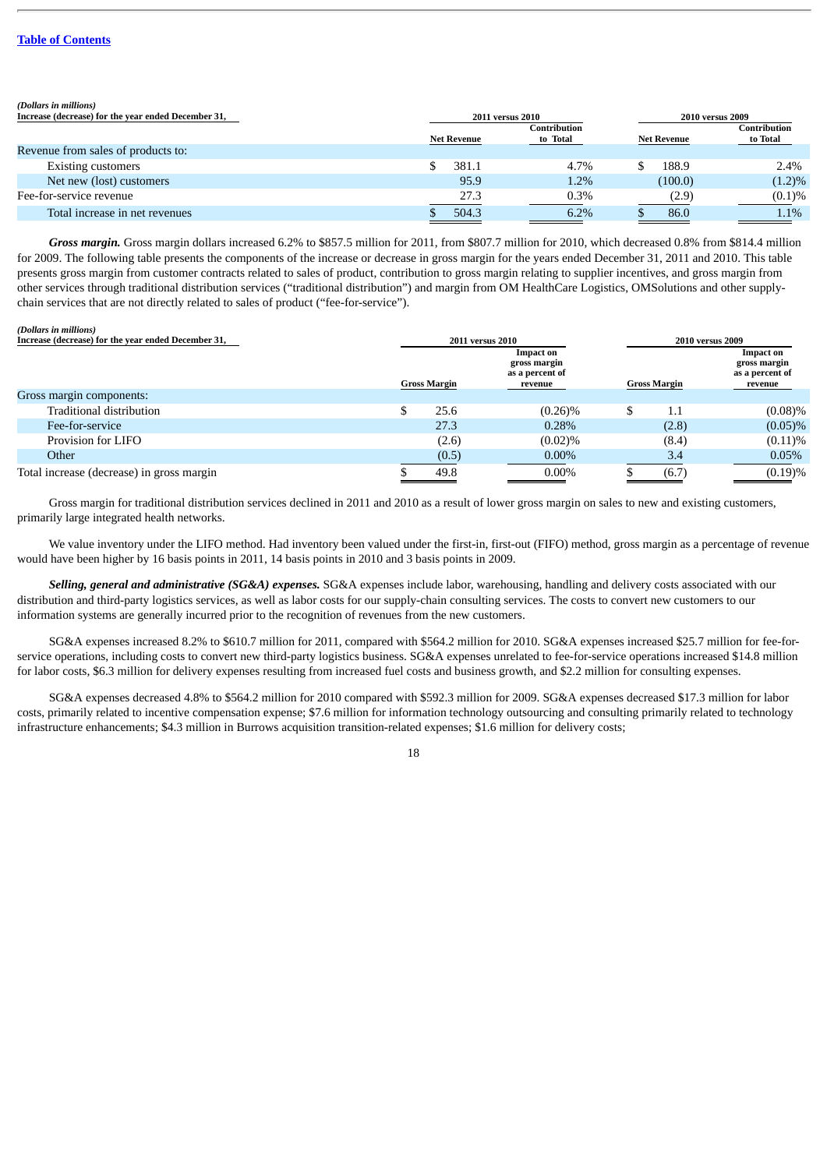| (Dollars in millions)                               |                    |                                             |                    |              |
|-----------------------------------------------------|--------------------|---------------------------------------------|--------------------|--------------|
| Increase (decrease) for the year ended December 31, |                    | <b>2010 versus 2009</b><br>2011 versus 2010 |                    |              |
|                                                     |                    | Contribution                                |                    | Contribution |
|                                                     | <b>Net Revenue</b> | to Total                                    | <b>Net Revenue</b> | to Total     |
| Revenue from sales of products to:                  |                    |                                             |                    |              |
| <b>Existing customers</b>                           | 381.1              | 4.7%                                        | 188.9              | 2.4%         |
| Net new (lost) customers                            | 95.9               | 1.2%                                        | (100.0)            | $(1.2)\%$    |
| Fee-for-service revenue                             | 27.3               | 0.3%                                        | (2.9)              | (0.1)%       |
| Total increase in net revenues                      | 504.3              | 6.2%                                        | 86.0               | 1.1%         |

*Gross margin.* Gross margin dollars increased 6.2% to \$857.5 million for 2011, from \$807.7 million for 2010, which decreased 0.8% from \$814.4 million for 2009. The following table presents the components of the increase or decrease in gross margin for the years ended December 31, 2011 and 2010. This table presents gross margin from customer contracts related to sales of product, contribution to gross margin relating to supplier incentives, and gross margin from other services through traditional distribution services ("traditional distribution") and margin from OM HealthCare Logistics, OMSolutions and other supplychain services that are not directly related to sales of product ("fee-for-service").

#### *(Dollars in millions)*

| Increase (decrease) for the year ended December 31, |                                                                                | 2011 versus 2010 |            | <b>2010 versus 2009</b> |       |                                                         |  |
|-----------------------------------------------------|--------------------------------------------------------------------------------|------------------|------------|-------------------------|-------|---------------------------------------------------------|--|
|                                                     | Impact on<br>gross margin<br>as a percent of<br><b>Gross Margin</b><br>revenue |                  |            | <b>Gross Margin</b>     |       | Impact on<br>gross margin<br>as a percent of<br>revenue |  |
| Gross margin components:                            |                                                                                |                  |            |                         |       |                                                         |  |
| Traditional distribution                            |                                                                                | 25.6             | $(0.26)\%$ |                         | 1.1   | $(0.08)\%$                                              |  |
| Fee-for-service                                     |                                                                                | 27.3             | 0.28%      |                         | (2.8) | $(0.05)\%$                                              |  |
| Provision for LIFO                                  |                                                                                | (2.6)            | $(0.02)\%$ |                         | (8.4) | $(0.11)\%$                                              |  |
| Other                                               |                                                                                | (0.5)            | $0.00\%$   |                         | 3.4   | 0.05%                                                   |  |
| Total increase (decrease) in gross margin           |                                                                                | 49.8             | $0.00\%$   |                         | (6.7) | (0.19)%                                                 |  |

Gross margin for traditional distribution services declined in 2011 and 2010 as a result of lower gross margin on sales to new and existing customers, primarily large integrated health networks.

We value inventory under the LIFO method. Had inventory been valued under the first-in, first-out (FIFO) method, gross margin as a percentage of revenue would have been higher by 16 basis points in 2011, 14 basis points in 2010 and 3 basis points in 2009.

*Selling, general and administrative (SG&A) expenses.* SG&A expenses include labor, warehousing, handling and delivery costs associated with our distribution and third-party logistics services, as well as labor costs for our supply-chain consulting services. The costs to convert new customers to our information systems are generally incurred prior to the recognition of revenues from the new customers.

SG&A expenses increased 8.2% to \$610.7 million for 2011, compared with \$564.2 million for 2010. SG&A expenses increased \$25.7 million for fee-forservice operations, including costs to convert new third-party logistics business. SG&A expenses unrelated to fee-for-service operations increased \$14.8 million for labor costs, \$6.3 million for delivery expenses resulting from increased fuel costs and business growth, and \$2.2 million for consulting expenses.

SG&A expenses decreased 4.8% to \$564.2 million for 2010 compared with \$592.3 million for 2009. SG&A expenses decreased \$17.3 million for labor costs, primarily related to incentive compensation expense; \$7.6 million for information technology outsourcing and consulting primarily related to technology infrastructure enhancements; \$4.3 million in Burrows acquisition transition-related expenses; \$1.6 million for delivery costs;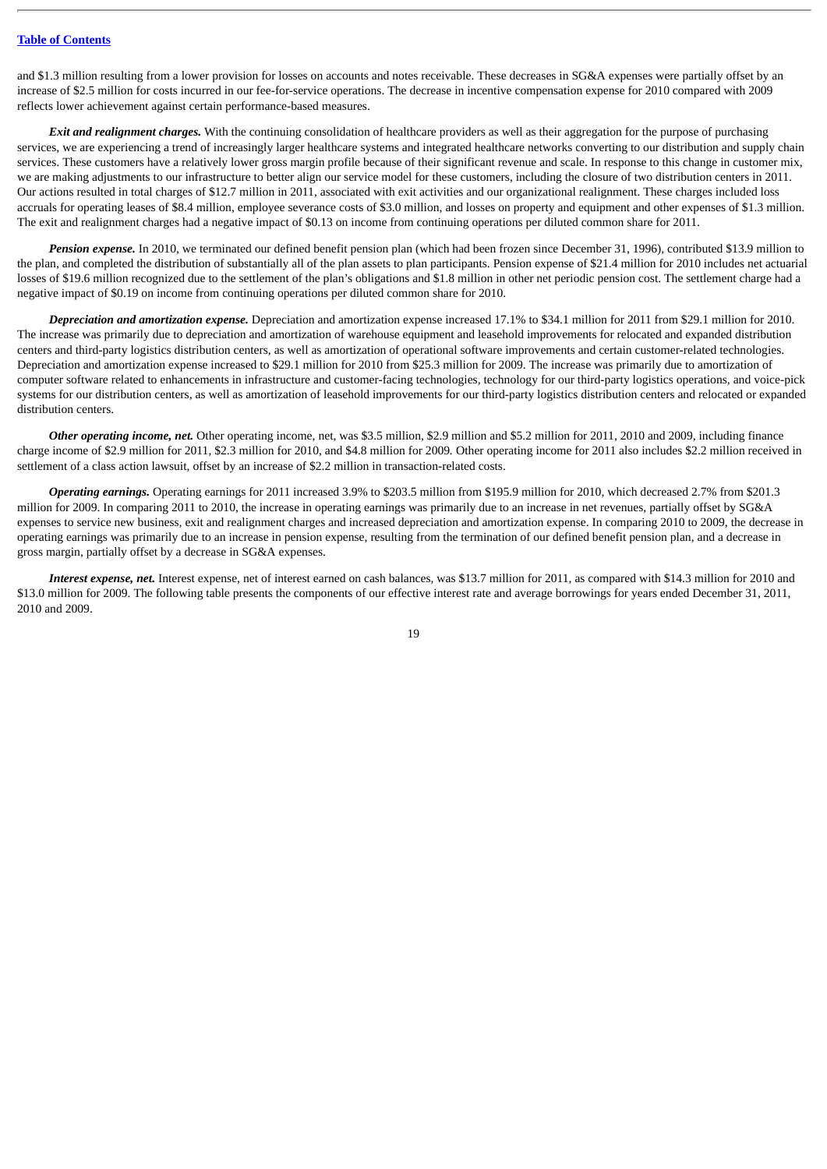and \$1.3 million resulting from a lower provision for losses on accounts and notes receivable. These decreases in SG&A expenses were partially offset by an increase of \$2.5 million for costs incurred in our fee-for-service operations. The decrease in incentive compensation expense for 2010 compared with 2009 reflects lower achievement against certain performance-based measures.

*Exit and realignment charges.* With the continuing consolidation of healthcare providers as well as their aggregation for the purpose of purchasing services, we are experiencing a trend of increasingly larger healthcare systems and integrated healthcare networks converting to our distribution and supply chain services. These customers have a relatively lower gross margin profile because of their significant revenue and scale. In response to this change in customer mix, we are making adjustments to our infrastructure to better align our service model for these customers, including the closure of two distribution centers in 2011. Our actions resulted in total charges of \$12.7 million in 2011, associated with exit activities and our organizational realignment. These charges included loss accruals for operating leases of \$8.4 million, employee severance costs of \$3.0 million, and losses on property and equipment and other expenses of \$1.3 million. The exit and realignment charges had a negative impact of \$0.13 on income from continuing operations per diluted common share for 2011.

*Pension expense.* In 2010, we terminated our defined benefit pension plan (which had been frozen since December 31, 1996), contributed \$13.9 million to the plan, and completed the distribution of substantially all of the plan assets to plan participants. Pension expense of \$21.4 million for 2010 includes net actuarial losses of \$19.6 million recognized due to the settlement of the plan's obligations and \$1.8 million in other net periodic pension cost. The settlement charge had a negative impact of \$0.19 on income from continuing operations per diluted common share for 2010.

*Depreciation and amortization expense.* Depreciation and amortization expense increased 17.1% to \$34.1 million for 2011 from \$29.1 million for 2010. The increase was primarily due to depreciation and amortization of warehouse equipment and leasehold improvements for relocated and expanded distribution centers and third-party logistics distribution centers, as well as amortization of operational software improvements and certain customer-related technologies. Depreciation and amortization expense increased to \$29.1 million for 2010 from \$25.3 million for 2009. The increase was primarily due to amortization of computer software related to enhancements in infrastructure and customer-facing technologies, technology for our third-party logistics operations, and voice-pick systems for our distribution centers, as well as amortization of leasehold improvements for our third-party logistics distribution centers and relocated or expanded distribution centers.

*Other operating income, net.* Other operating income, net, was \$3.5 million, \$2.9 million and \$5.2 million for 2011, 2010 and 2009, including finance charge income of \$2.9 million for 2011, \$2.3 million for 2010, and \$4.8 million for 2009*.* Other operating income for 2011 also includes \$2.2 million received in settlement of a class action lawsuit, offset by an increase of \$2.2 million in transaction-related costs.

*Operating earnings.* Operating earnings for 2011 increased 3.9% to \$203.5 million from \$195.9 million for 2010, which decreased 2.7% from \$201.3 million for 2009. In comparing 2011 to 2010, the increase in operating earnings was primarily due to an increase in net revenues, partially offset by SG&A expenses to service new business, exit and realignment charges and increased depreciation and amortization expense. In comparing 2010 to 2009, the decrease in operating earnings was primarily due to an increase in pension expense, resulting from the termination of our defined benefit pension plan, and a decrease in gross margin, partially offset by a decrease in SG&A expenses.

*Interest expense, net.* Interest expense, net of interest earned on cash balances, was \$13.7 million for 2011, as compared with \$14.3 million for 2010 and \$13.0 million for 2009. The following table presents the components of our effective interest rate and average borrowings for years ended December 31, 2011, 2010 and 2009.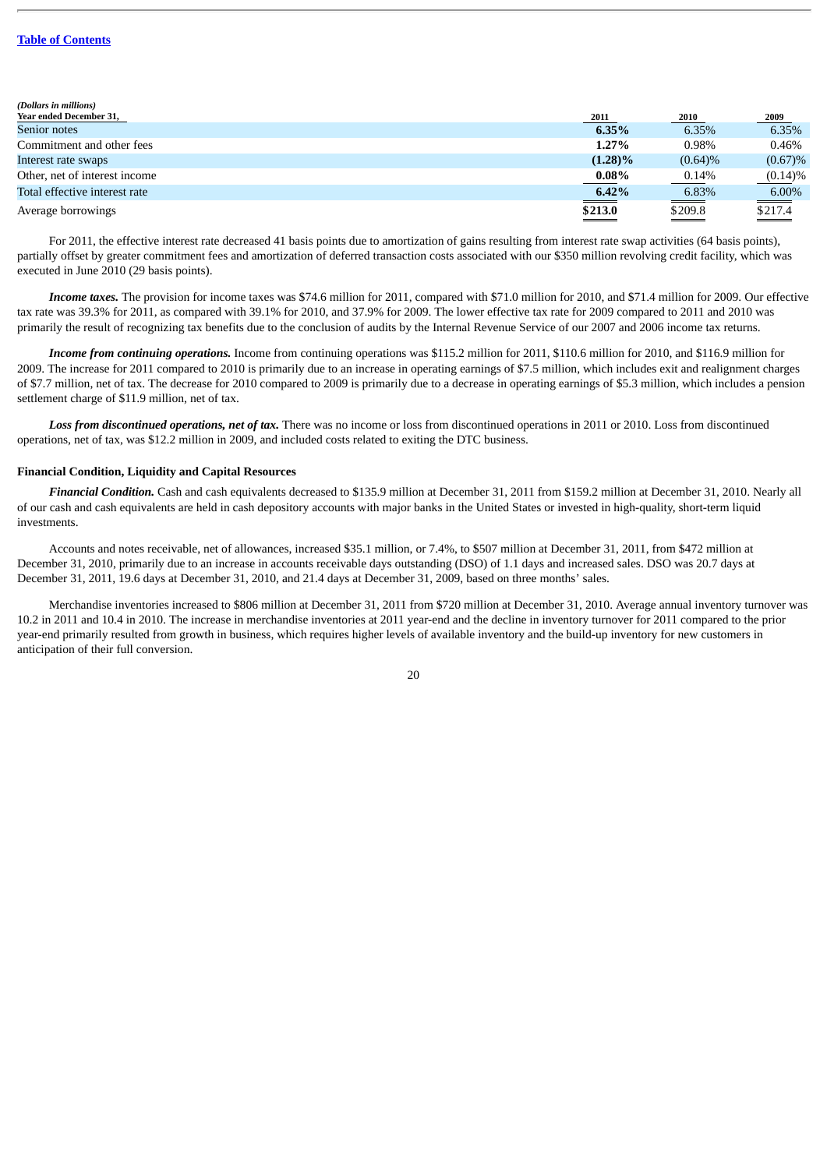| (Dollars in millions)         |                  |                  |                                  |
|-------------------------------|------------------|------------------|----------------------------------|
| Year ended December 31,       | 2011             | 2010             | 2009                             |
| Senior notes                  | 6.35%            | 6.35%            | 6.35%                            |
| Commitment and other fees     | 1.27%            | 0.98%            | 0.46%                            |
| Interest rate swaps           | $(1.28)\%$       | $(0.64)\%$       | $(0.67)\%$                       |
| Other, net of interest income | 0.08%            | 0.14%            | $(0.14)\%$                       |
| Total effective interest rate | 6.42%            | 6.83%            | 6.00%                            |
| Average borrowings            | _____<br>\$213.0 | _____<br>\$209.8 | $\sim$ $\sim$<br>\$217.4<br>____ |

For 2011, the effective interest rate decreased 41 basis points due to amortization of gains resulting from interest rate swap activities (64 basis points), partially offset by greater commitment fees and amortization of deferred transaction costs associated with our \$350 million revolving credit facility, which was executed in June 2010 (29 basis points).

*Income taxes.* The provision for income taxes was \$74.6 million for 2011, compared with \$71.0 million for 2010, and \$71.4 million for 2009. Our effective tax rate was 39.3% for 2011, as compared with 39.1% for 2010, and 37.9% for 2009. The lower effective tax rate for 2009 compared to 2011 and 2010 was primarily the result of recognizing tax benefits due to the conclusion of audits by the Internal Revenue Service of our 2007 and 2006 income tax returns.

*Income from continuing operations.* Income from continuing operations was \$115.2 million for 2011, \$110.6 million for 2010, and \$116.9 million for 2009. The increase for 2011 compared to 2010 is primarily due to an increase in operating earnings of \$7.5 million, which includes exit and realignment charges of \$7.7 million, net of tax. The decrease for 2010 compared to 2009 is primarily due to a decrease in operating earnings of \$5.3 million, which includes a pension settlement charge of \$11.9 million, net of tax.

*Loss from discontinued operations, net of tax.* There was no income or loss from discontinued operations in 2011 or 2010. Loss from discontinued operations, net of tax, was \$12.2 million in 2009, and included costs related to exiting the DTC business.

### **Financial Condition, Liquidity and Capital Resources**

*Financial Condition.* Cash and cash equivalents decreased to \$135.9 million at December 31, 2011 from \$159.2 million at December 31, 2010. Nearly all of our cash and cash equivalents are held in cash depository accounts with major banks in the United States or invested in high-quality, short-term liquid investments.

Accounts and notes receivable, net of allowances, increased \$35.1 million, or 7.4%, to \$507 million at December 31, 2011, from \$472 million at December 31, 2010, primarily due to an increase in accounts receivable days outstanding (DSO) of 1.1 days and increased sales. DSO was 20.7 days at December 31, 2011, 19.6 days at December 31, 2010, and 21.4 days at December 31, 2009, based on three months' sales.

Merchandise inventories increased to \$806 million at December 31, 2011 from \$720 million at December 31, 2010. Average annual inventory turnover was 10.2 in 2011 and 10.4 in 2010. The increase in merchandise inventories at 2011 year-end and the decline in inventory turnover for 2011 compared to the prior year-end primarily resulted from growth in business, which requires higher levels of available inventory and the build-up inventory for new customers in anticipation of their full conversion.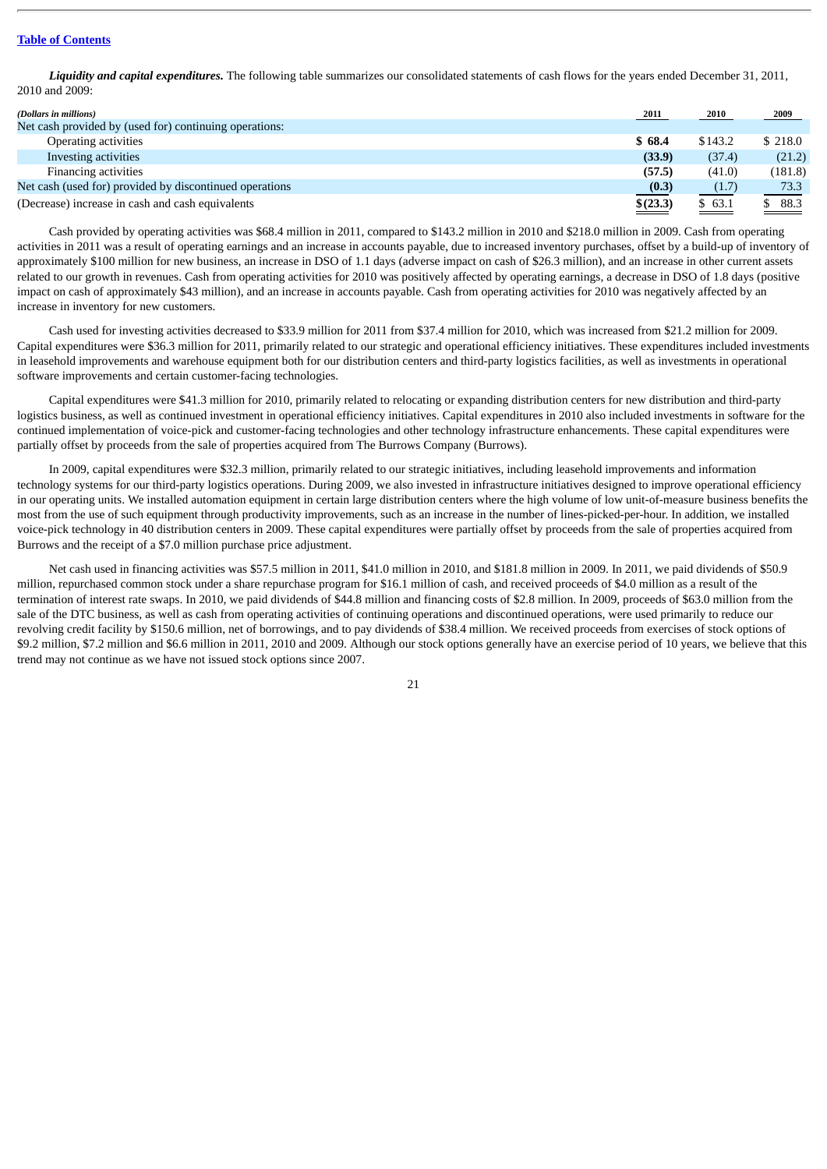*Liquidity and capital expenditures.* The following table summarizes our consolidated statements of cash flows for the years ended December 31, 2011, 2010 and 2009:

| (Dollars in millions)                                   | <b>2011</b>         | 2010    | <b>2009</b> |
|---------------------------------------------------------|---------------------|---------|-------------|
| Net cash provided by (used for) continuing operations:  |                     |         |             |
| Operating activities                                    | \$68.4              | \$143.2 | \$218.0     |
| Investing activities                                    | (33.9)              | (37.4)  | (21.2)      |
| <b>Financing activities</b>                             | (57.5)              | (41.0)  | (181.8)     |
| Net cash (used for) provided by discontinued operations | (0.3)               | (1.7)   | 73.3        |
| (Decrease) increase in cash and cash equivalents        | $\frac{$(23.3)}{2}$ | \$63.1  | 88.3        |

Cash provided by operating activities was \$68.4 million in 2011, compared to \$143.2 million in 2010 and \$218.0 million in 2009. Cash from operating activities in 2011 was a result of operating earnings and an increase in accounts payable, due to increased inventory purchases, offset by a build-up of inventory of approximately \$100 million for new business, an increase in DSO of 1.1 days (adverse impact on cash of \$26.3 million), and an increase in other current assets related to our growth in revenues. Cash from operating activities for 2010 was positively affected by operating earnings, a decrease in DSO of 1.8 days (positive impact on cash of approximately \$43 million), and an increase in accounts payable. Cash from operating activities for 2010 was negatively affected by an increase in inventory for new customers.

Cash used for investing activities decreased to \$33.9 million for 2011 from \$37.4 million for 2010, which was increased from \$21.2 million for 2009. Capital expenditures were \$36.3 million for 2011, primarily related to our strategic and operational efficiency initiatives. These expenditures included investments in leasehold improvements and warehouse equipment both for our distribution centers and third-party logistics facilities, as well as investments in operational software improvements and certain customer-facing technologies.

Capital expenditures were \$41.3 million for 2010, primarily related to relocating or expanding distribution centers for new distribution and third-party logistics business, as well as continued investment in operational efficiency initiatives. Capital expenditures in 2010 also included investments in software for the continued implementation of voice-pick and customer-facing technologies and other technology infrastructure enhancements. These capital expenditures were partially offset by proceeds from the sale of properties acquired from The Burrows Company (Burrows).

In 2009, capital expenditures were \$32.3 million, primarily related to our strategic initiatives, including leasehold improvements and information technology systems for our third-party logistics operations. During 2009, we also invested in infrastructure initiatives designed to improve operational efficiency in our operating units. We installed automation equipment in certain large distribution centers where the high volume of low unit-of-measure business benefits the most from the use of such equipment through productivity improvements, such as an increase in the number of lines-picked-per-hour. In addition, we installed voice-pick technology in 40 distribution centers in 2009. These capital expenditures were partially offset by proceeds from the sale of properties acquired from Burrows and the receipt of a \$7.0 million purchase price adjustment.

Net cash used in financing activities was \$57.5 million in 2011, \$41.0 million in 2010, and \$181.8 million in 2009. In 2011, we paid dividends of \$50.9 million, repurchased common stock under a share repurchase program for \$16.1 million of cash, and received proceeds of \$4.0 million as a result of the termination of interest rate swaps. In 2010, we paid dividends of \$44.8 million and financing costs of \$2.8 million. In 2009, proceeds of \$63.0 million from the sale of the DTC business, as well as cash from operating activities of continuing operations and discontinued operations, were used primarily to reduce our revolving credit facility by \$150.6 million, net of borrowings, and to pay dividends of \$38.4 million. We received proceeds from exercises of stock options of \$9.2 million, \$7.2 million and \$6.6 million in 2011, 2010 and 2009. Although our stock options generally have an exercise period of 10 years, we believe that this trend may not continue as we have not issued stock options since 2007.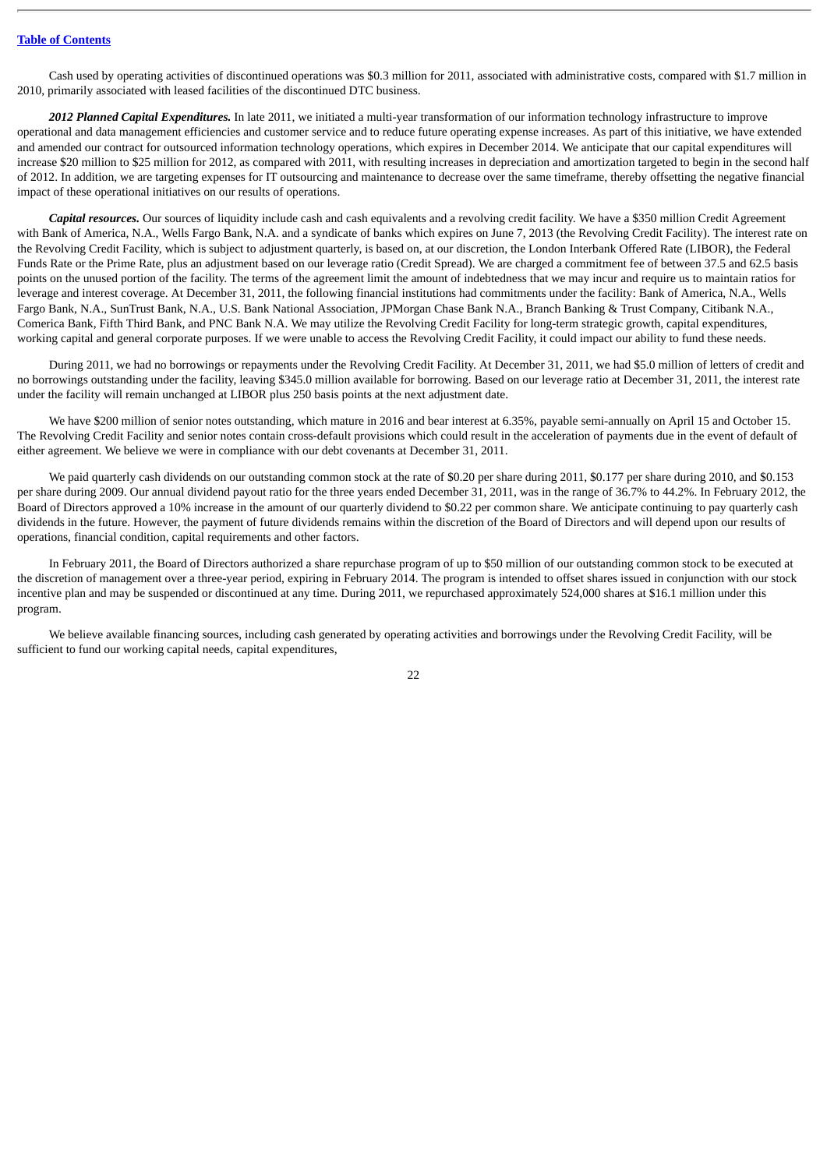Cash used by operating activities of discontinued operations was \$0.3 million for 2011, associated with administrative costs, compared with \$1.7 million in 2010, primarily associated with leased facilities of the discontinued DTC business.

*2012 Planned Capital Expenditures.* In late 2011, we initiated a multi-year transformation of our information technology infrastructure to improve operational and data management efficiencies and customer service and to reduce future operating expense increases. As part of this initiative, we have extended and amended our contract for outsourced information technology operations, which expires in December 2014. We anticipate that our capital expenditures will increase \$20 million to \$25 million for 2012, as compared with 2011, with resulting increases in depreciation and amortization targeted to begin in the second half of 2012. In addition, we are targeting expenses for IT outsourcing and maintenance to decrease over the same timeframe, thereby offsetting the negative financial impact of these operational initiatives on our results of operations.

*Capital resources.* Our sources of liquidity include cash and cash equivalents and a revolving credit facility. We have a \$350 million Credit Agreement with Bank of America, N.A., Wells Fargo Bank, N.A. and a syndicate of banks which expires on June 7, 2013 (the Revolving Credit Facility). The interest rate on the Revolving Credit Facility, which is subject to adjustment quarterly, is based on, at our discretion, the London Interbank Offered Rate (LIBOR), the Federal Funds Rate or the Prime Rate, plus an adjustment based on our leverage ratio (Credit Spread). We are charged a commitment fee of between 37.5 and 62.5 basis points on the unused portion of the facility. The terms of the agreement limit the amount of indebtedness that we may incur and require us to maintain ratios for leverage and interest coverage. At December 31, 2011, the following financial institutions had commitments under the facility: Bank of America, N.A., Wells Fargo Bank, N.A., SunTrust Bank, N.A., U.S. Bank National Association, JPMorgan Chase Bank N.A., Branch Banking & Trust Company, Citibank N.A., Comerica Bank, Fifth Third Bank, and PNC Bank N.A. We may utilize the Revolving Credit Facility for long-term strategic growth, capital expenditures, working capital and general corporate purposes. If we were unable to access the Revolving Credit Facility, it could impact our ability to fund these needs.

During 2011, we had no borrowings or repayments under the Revolving Credit Facility. At December 31, 2011, we had \$5.0 million of letters of credit and no borrowings outstanding under the facility, leaving \$345.0 million available for borrowing. Based on our leverage ratio at December 31, 2011, the interest rate under the facility will remain unchanged at LIBOR plus 250 basis points at the next adjustment date.

We have \$200 million of senior notes outstanding, which mature in 2016 and bear interest at 6.35%, payable semi-annually on April 15 and October 15. The Revolving Credit Facility and senior notes contain cross-default provisions which could result in the acceleration of payments due in the event of default of either agreement. We believe we were in compliance with our debt covenants at December 31, 2011.

We paid quarterly cash dividends on our outstanding common stock at the rate of \$0.20 per share during 2011, \$0.177 per share during 2010, and \$0.153 per share during 2009. Our annual dividend payout ratio for the three years ended December 31, 2011, was in the range of 36.7% to 44.2%. In February 2012, the Board of Directors approved a 10% increase in the amount of our quarterly dividend to \$0.22 per common share. We anticipate continuing to pay quarterly cash dividends in the future. However, the payment of future dividends remains within the discretion of the Board of Directors and will depend upon our results of operations, financial condition, capital requirements and other factors.

In February 2011, the Board of Directors authorized a share repurchase program of up to \$50 million of our outstanding common stock to be executed at the discretion of management over a three-year period, expiring in February 2014. The program is intended to offset shares issued in conjunction with our stock incentive plan and may be suspended or discontinued at any time. During 2011, we repurchased approximately 524,000 shares at \$16.1 million under this program.

We believe available financing sources, including cash generated by operating activities and borrowings under the Revolving Credit Facility, will be sufficient to fund our working capital needs, capital expenditures,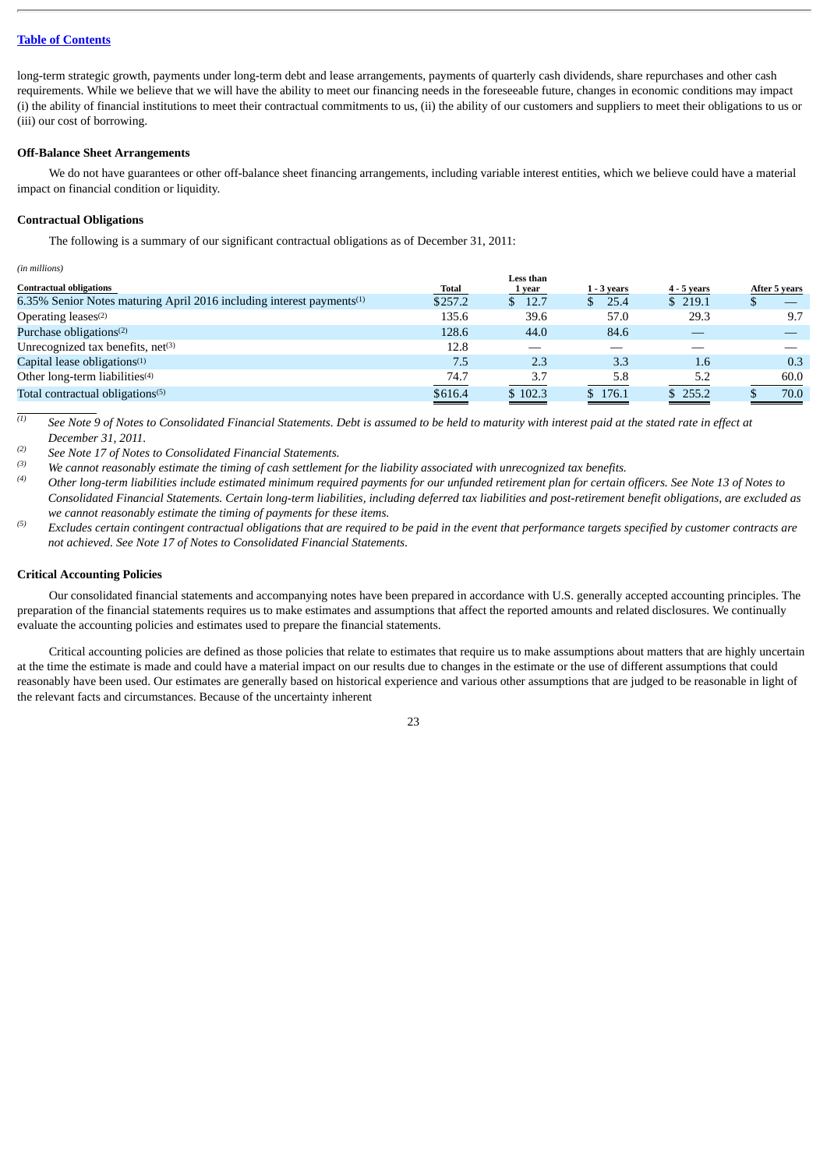long-term strategic growth, payments under long-term debt and lease arrangements, payments of quarterly cash dividends, share repurchases and other cash requirements. While we believe that we will have the ability to meet our financing needs in the foreseeable future, changes in economic conditions may impact (i) the ability of financial institutions to meet their contractual commitments to us, (ii) the ability of our customers and suppliers to meet their obligations to us or (iii) our cost of borrowing.

### **Off-Balance Sheet Arrangements**

We do not have guarantees or other off-balance sheet financing arrangements, including variable interest entities, which we believe could have a material impact on financial condition or liquidity.

### **Contractual Obligations**

The following is a summary of our significant contractual obligations as of December 31, 2011:

| (in millions)                                                                     |              |                     |               |               |               |
|-----------------------------------------------------------------------------------|--------------|---------------------|---------------|---------------|---------------|
| <b>Contractual obligations</b>                                                    | <b>Total</b> | Less than<br>1 year | $1 - 3$ years | $4 - 5$ years | After 5 years |
| 6.35% Senior Notes maturing April 2016 including interest payments <sup>(1)</sup> | \$257.2      | \$12.7              | 25.4          | \$219.1       |               |
| Operating leases <sup>(2)</sup>                                                   | 135.6        | 39.6                | 57.0          | 29.3          | 9.7           |
| Purchase obligations <sup>(2)</sup>                                               | 128.6        | 44.0                | 84.6          |               |               |
| Unrecognized tax benefits, net <sup>(3)</sup>                                     | 12.8         |                     |               |               |               |
| Capital lease obligations <sup>(1)</sup>                                          | 7.5          | 2.3                 | 3.3           | 1.6           | 0.3           |
| Other long-term liabilities <sup>(4)</sup>                                        | 74.7         | 3.7                 | 5.8           | 5.2           | 60.0          |
| Total contractual obligations <sup>(5)</sup>                                      | \$616.4      | \$102.3             | \$176.1       | \$255.2       | 70.0          |

*See Note 9 of Notes to Consolidated Financial Statements. Debt is assumed to be held to maturity with interest paid at the stated rate in effect at December 31, 2011. (1)*

*See Note 17 of Notes to Consolidated Financial Statements. (2)*

*We cannot reasonably estimate the timing of cash settlement for the liability associated with unrecognized tax benefits. (3)*

*Other long-term liabilities include estimated minimum required payments for our unfunded retirement plan for certain officers. See Note 13 of Notes to Consolidated Financial Statements. Certain long-term liabilities, including deferred tax liabilities and post-retirement benefit obligations, are excluded as we cannot reasonably estimate the timing of payments for these items. (4)*

*Excludes certain contingent contractual obligations that are required to be paid in the event that performance targets specified by customer contracts are not achieved. See Note 17 of Notes to Consolidated Financial Statements*. *(5)*

### **Critical Accounting Policies**

Our consolidated financial statements and accompanying notes have been prepared in accordance with U.S. generally accepted accounting principles. The preparation of the financial statements requires us to make estimates and assumptions that affect the reported amounts and related disclosures. We continually evaluate the accounting policies and estimates used to prepare the financial statements.

Critical accounting policies are defined as those policies that relate to estimates that require us to make assumptions about matters that are highly uncertain at the time the estimate is made and could have a material impact on our results due to changes in the estimate or the use of different assumptions that could reasonably have been used. Our estimates are generally based on historical experience and various other assumptions that are judged to be reasonable in light of the relevant facts and circumstances. Because of the uncertainty inherent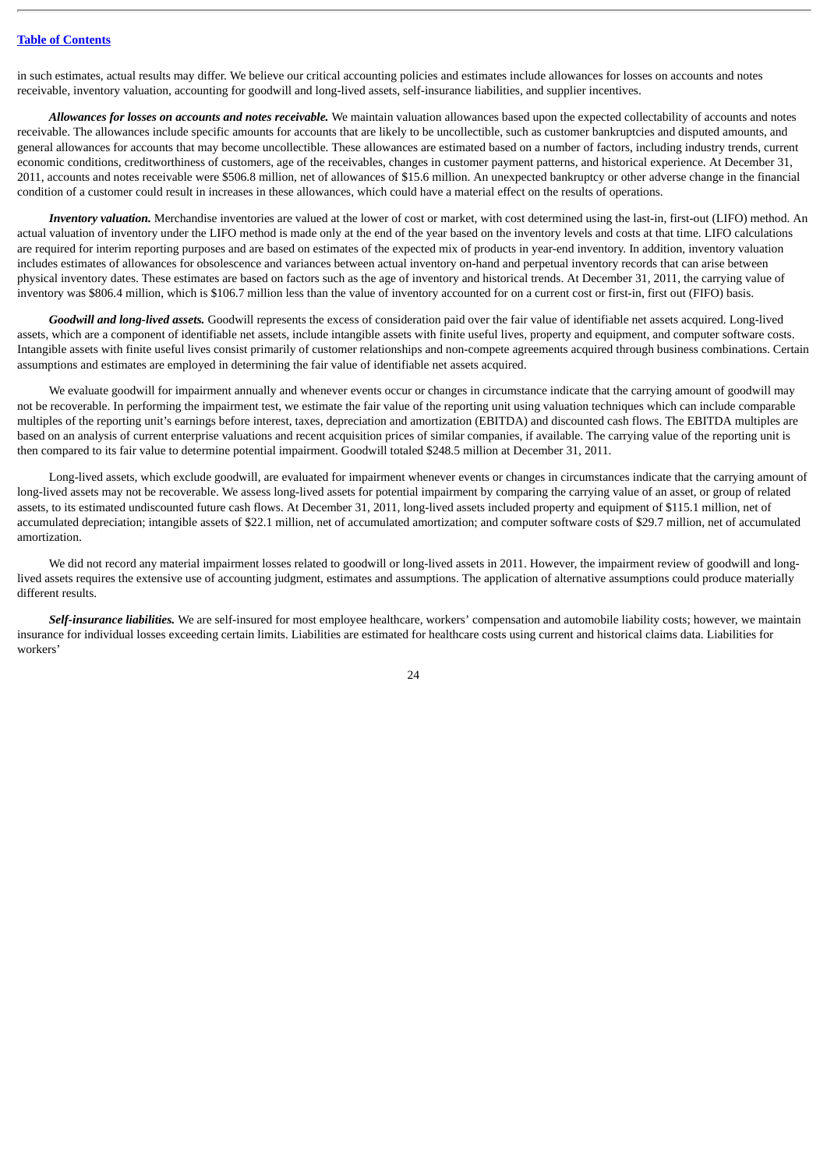in such estimates, actual results may differ. We believe our critical accounting policies and estimates include allowances for losses on accounts and notes receivable, inventory valuation, accounting for goodwill and long-lived assets, self-insurance liabilities, and supplier incentives.

*Allowances for losses on accounts and notes receivable.* We maintain valuation allowances based upon the expected collectability of accounts and notes receivable. The allowances include specific amounts for accounts that are likely to be uncollectible, such as customer bankruptcies and disputed amounts, and general allowances for accounts that may become uncollectible. These allowances are estimated based on a number of factors, including industry trends, current economic conditions, creditworthiness of customers, age of the receivables, changes in customer payment patterns, and historical experience. At December 31, 2011, accounts and notes receivable were \$506.8 million, net of allowances of \$15.6 million. An unexpected bankruptcy or other adverse change in the financial condition of a customer could result in increases in these allowances, which could have a material effect on the results of operations.

*Inventory valuation.* Merchandise inventories are valued at the lower of cost or market, with cost determined using the last-in, first-out (LIFO) method. An actual valuation of inventory under the LIFO method is made only at the end of the year based on the inventory levels and costs at that time. LIFO calculations are required for interim reporting purposes and are based on estimates of the expected mix of products in year-end inventory. In addition, inventory valuation includes estimates of allowances for obsolescence and variances between actual inventory on-hand and perpetual inventory records that can arise between physical inventory dates. These estimates are based on factors such as the age of inventory and historical trends. At December 31, 2011, the carrying value of inventory was \$806.4 million, which is \$106.7 million less than the value of inventory accounted for on a current cost or first-in, first out (FIFO) basis.

*Goodwill and long-lived assets.* Goodwill represents the excess of consideration paid over the fair value of identifiable net assets acquired. Long-lived assets, which are a component of identifiable net assets, include intangible assets with finite useful lives, property and equipment, and computer software costs. Intangible assets with finite useful lives consist primarily of customer relationships and non-compete agreements acquired through business combinations. Certain assumptions and estimates are employed in determining the fair value of identifiable net assets acquired.

We evaluate goodwill for impairment annually and whenever events occur or changes in circumstance indicate that the carrying amount of goodwill may not be recoverable. In performing the impairment test, we estimate the fair value of the reporting unit using valuation techniques which can include comparable multiples of the reporting unit's earnings before interest, taxes, depreciation and amortization (EBITDA) and discounted cash flows. The EBITDA multiples are based on an analysis of current enterprise valuations and recent acquisition prices of similar companies, if available. The carrying value of the reporting unit is then compared to its fair value to determine potential impairment. Goodwill totaled \$248.5 million at December 31, 2011.

Long-lived assets, which exclude goodwill, are evaluated for impairment whenever events or changes in circumstances indicate that the carrying amount of long-lived assets may not be recoverable. We assess long-lived assets for potential impairment by comparing the carrying value of an asset, or group of related assets, to its estimated undiscounted future cash flows. At December 31, 2011, long-lived assets included property and equipment of \$115.1 million, net of accumulated depreciation; intangible assets of \$22.1 million, net of accumulated amortization; and computer software costs of \$29.7 million, net of accumulated amortization.

We did not record any material impairment losses related to goodwill or long-lived assets in 2011. However, the impairment review of goodwill and longlived assets requires the extensive use of accounting judgment, estimates and assumptions. The application of alternative assumptions could produce materially different results.

*Self-insurance liabilities.* We are self-insured for most employee healthcare, workers' compensation and automobile liability costs; however, we maintain insurance for individual losses exceeding certain limits. Liabilities are estimated for healthcare costs using current and historical claims data. Liabilities for workers'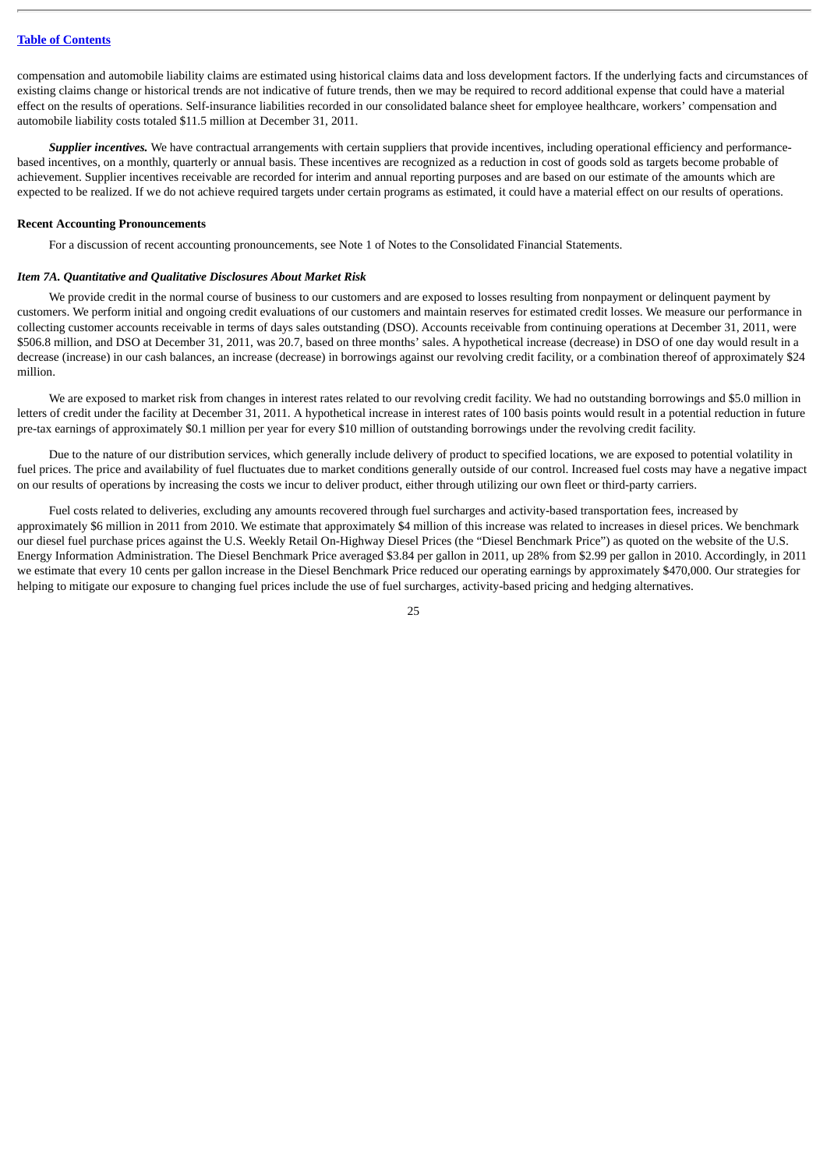compensation and automobile liability claims are estimated using historical claims data and loss development factors. If the underlying facts and circumstances of existing claims change or historical trends are not indicative of future trends, then we may be required to record additional expense that could have a material effect on the results of operations. Self-insurance liabilities recorded in our consolidated balance sheet for employee healthcare, workers' compensation and automobile liability costs totaled \$11.5 million at December 31, 2011.

**Supplier incentives.** We have contractual arrangements with certain suppliers that provide incentives, including operational efficiency and performancebased incentives, on a monthly, quarterly or annual basis. These incentives are recognized as a reduction in cost of goods sold as targets become probable of achievement. Supplier incentives receivable are recorded for interim and annual reporting purposes and are based on our estimate of the amounts which are expected to be realized. If we do not achieve required targets under certain programs as estimated, it could have a material effect on our results of operations.

### **Recent Accounting Pronouncements**

For a discussion of recent accounting pronouncements, see Note 1 of Notes to the Consolidated Financial Statements.

### <span id="page-24-0"></span>*Item 7A. Quantitative and Qualitative Disclosures About Market Risk*

We provide credit in the normal course of business to our customers and are exposed to losses resulting from nonpayment or delinquent payment by customers. We perform initial and ongoing credit evaluations of our customers and maintain reserves for estimated credit losses. We measure our performance in collecting customer accounts receivable in terms of days sales outstanding (DSO). Accounts receivable from continuing operations at December 31, 2011, were \$506.8 million, and DSO at December 31, 2011, was 20.7, based on three months' sales. A hypothetical increase (decrease) in DSO of one day would result in a decrease (increase) in our cash balances, an increase (decrease) in borrowings against our revolving credit facility, or a combination thereof of approximately \$24 million.

We are exposed to market risk from changes in interest rates related to our revolving credit facility. We had no outstanding borrowings and \$5.0 million in letters of credit under the facility at December 31, 2011. A hypothetical increase in interest rates of 100 basis points would result in a potential reduction in future pre-tax earnings of approximately \$0.1 million per year for every \$10 million of outstanding borrowings under the revolving credit facility.

Due to the nature of our distribution services, which generally include delivery of product to specified locations, we are exposed to potential volatility in fuel prices. The price and availability of fuel fluctuates due to market conditions generally outside of our control. Increased fuel costs may have a negative impact on our results of operations by increasing the costs we incur to deliver product, either through utilizing our own fleet or third-party carriers.

Fuel costs related to deliveries, excluding any amounts recovered through fuel surcharges and activity-based transportation fees, increased by approximately \$6 million in 2011 from 2010. We estimate that approximately \$4 million of this increase was related to increases in diesel prices. We benchmark our diesel fuel purchase prices against the U.S. Weekly Retail On-Highway Diesel Prices (the "Diesel Benchmark Price") as quoted on the website of the U.S. Energy Information Administration. The Diesel Benchmark Price averaged \$3.84 per gallon in 2011, up 28% from \$2.99 per gallon in 2010. Accordingly, in 2011 we estimate that every 10 cents per gallon increase in the Diesel Benchmark Price reduced our operating earnings by approximately \$470,000. Our strategies for helping to mitigate our exposure to changing fuel prices include the use of fuel surcharges, activity-based pricing and hedging alternatives.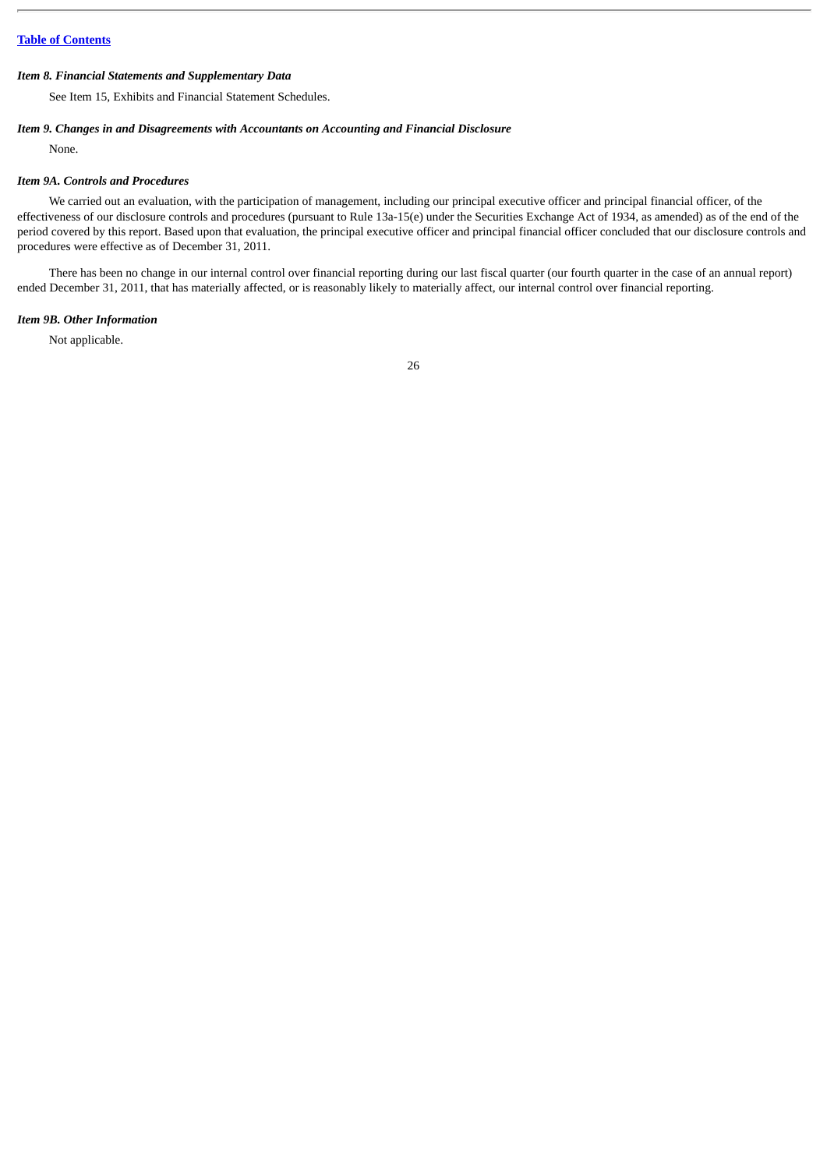### <span id="page-25-0"></span>*Item 8. Financial Statements and Supplementary Data*

See Item 15, Exhibits and Financial Statement Schedules.

### <span id="page-25-1"></span>*Item 9. Changes in and Disagreements with Accountants on Accounting and Financial Disclosure*

None.

### <span id="page-25-2"></span>*Item 9A. Controls and Procedures*

We carried out an evaluation, with the participation of management, including our principal executive officer and principal financial officer, of the effectiveness of our disclosure controls and procedures (pursuant to Rule 13a-15(e) under the Securities Exchange Act of 1934, as amended) as of the end of the period covered by this report. Based upon that evaluation, the principal executive officer and principal financial officer concluded that our disclosure controls and procedures were effective as of December 31, 2011.

There has been no change in our internal control over financial reporting during our last fiscal quarter (our fourth quarter in the case of an annual report) ended December 31, 2011, that has materially affected, or is reasonably likely to materially affect, our internal control over financial reporting.

### <span id="page-25-3"></span>*Item 9B. Other Information*

Not applicable.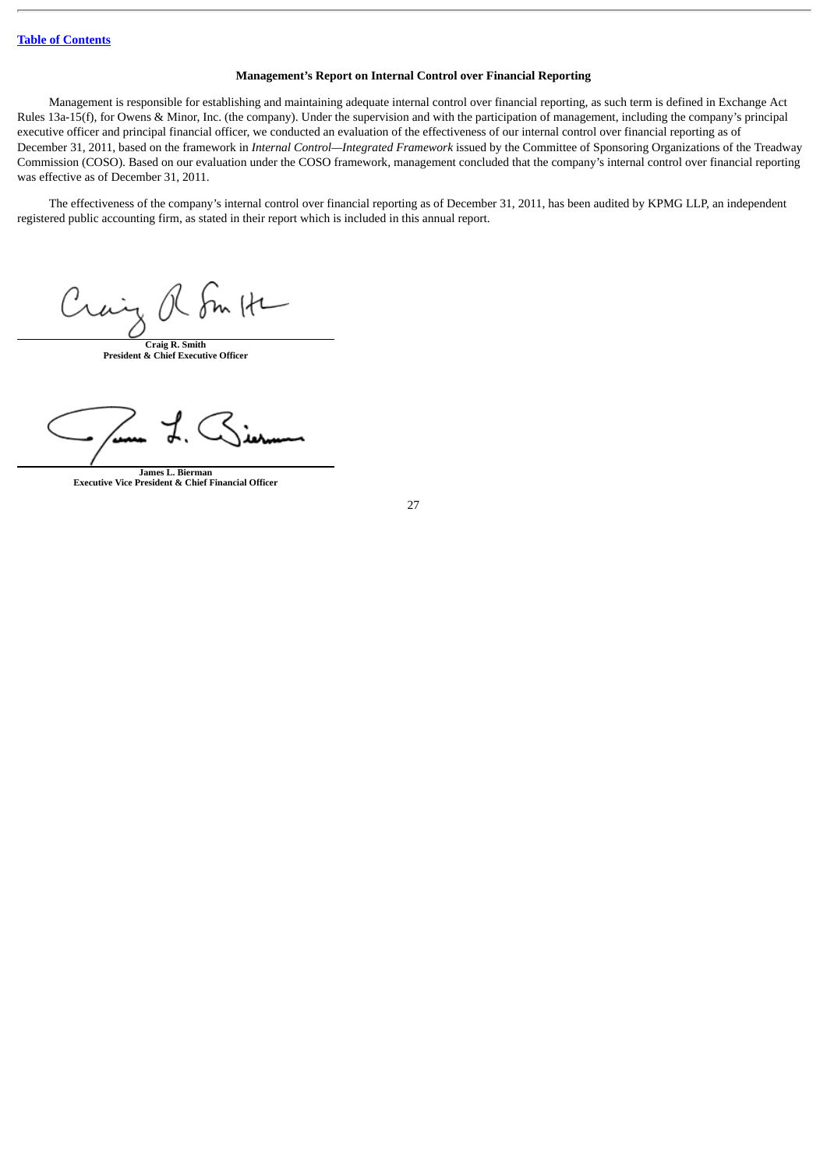### **Management's Report on Internal Control over Financial Reporting**

<span id="page-26-0"></span>Management is responsible for establishing and maintaining adequate internal control over financial reporting, as such term is defined in Exchange Act Rules 13a-15(f), for Owens & Minor, Inc. (the company). Under the supervision and with the participation of management, including the company's principal executive officer and principal financial officer, we conducted an evaluation of the effectiveness of our internal control over financial reporting as of December 31, 2011, based on the framework in *Internal Control—Integrated Framework* issued by the Committee of Sponsoring Organizations of the Treadway Commission (COSO). Based on our evaluation under the COSO framework*,* management concluded that the company's internal control over financial reporting was effective as of December 31, 2011.

The effectiveness of the company's internal control over financial reporting as of December 31, 2011, has been audited by KPMG LLP, an independent registered public accounting firm, as stated in their report which is included in this annual report.

 $\stackrel{\cdot}{m}$  /t $-$ 

**Craig R. Smith President & Chief Executive Officer**

**James L. Bierman Executive Vice President & Chief Financial Officer**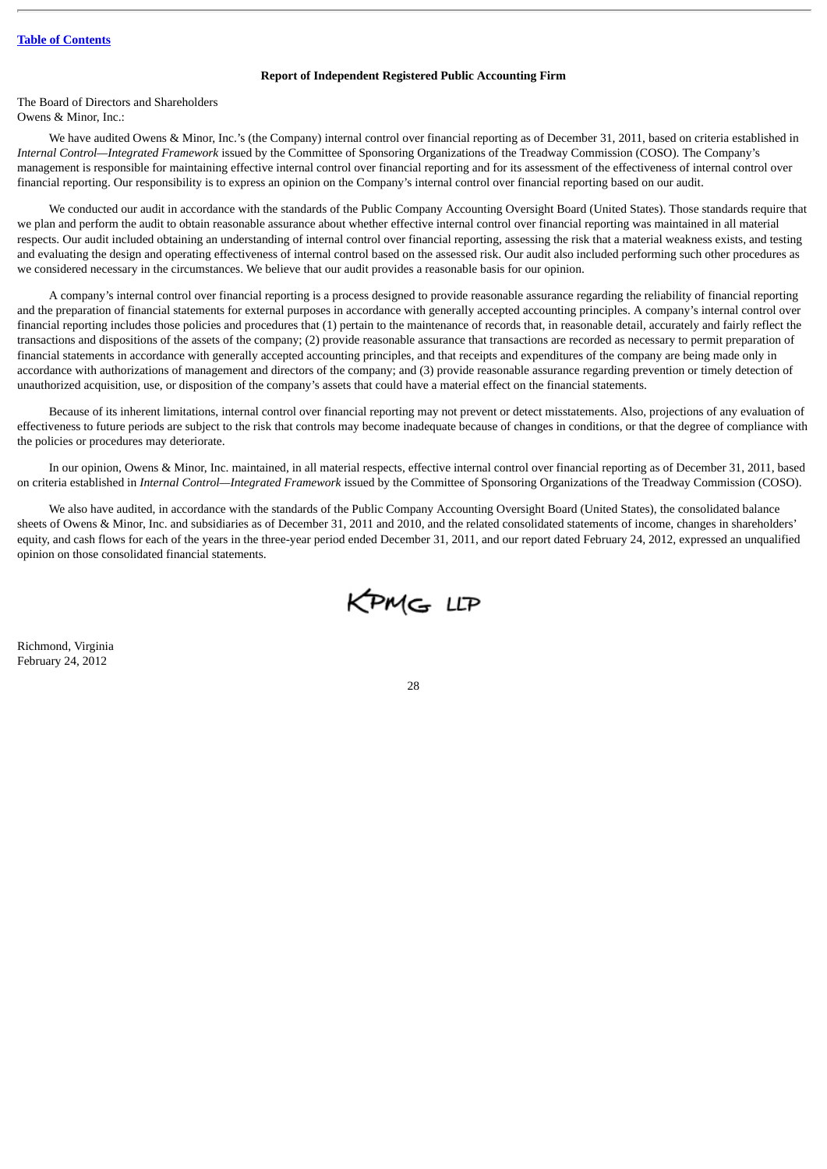#### **Report of Independent Registered Public Accounting Firm**

<span id="page-27-0"></span>The Board of Directors and Shareholders Owens & Minor, Inc.:

We have audited Owens & Minor, Inc.'s (the Company) internal control over financial reporting as of December 31, 2011, based on criteria established in *Internal Control—Integrated Framework* issued by the Committee of Sponsoring Organizations of the Treadway Commission (COSO). The Company's management is responsible for maintaining effective internal control over financial reporting and for its assessment of the effectiveness of internal control over financial reporting. Our responsibility is to express an opinion on the Company's internal control over financial reporting based on our audit.

We conducted our audit in accordance with the standards of the Public Company Accounting Oversight Board (United States). Those standards require that we plan and perform the audit to obtain reasonable assurance about whether effective internal control over financial reporting was maintained in all material respects. Our audit included obtaining an understanding of internal control over financial reporting, assessing the risk that a material weakness exists, and testing and evaluating the design and operating effectiveness of internal control based on the assessed risk. Our audit also included performing such other procedures as we considered necessary in the circumstances. We believe that our audit provides a reasonable basis for our opinion.

A company's internal control over financial reporting is a process designed to provide reasonable assurance regarding the reliability of financial reporting and the preparation of financial statements for external purposes in accordance with generally accepted accounting principles. A company's internal control over financial reporting includes those policies and procedures that (1) pertain to the maintenance of records that, in reasonable detail, accurately and fairly reflect the transactions and dispositions of the assets of the company; (2) provide reasonable assurance that transactions are recorded as necessary to permit preparation of financial statements in accordance with generally accepted accounting principles, and that receipts and expenditures of the company are being made only in accordance with authorizations of management and directors of the company; and (3) provide reasonable assurance regarding prevention or timely detection of unauthorized acquisition, use, or disposition of the company's assets that could have a material effect on the financial statements.

Because of its inherent limitations, internal control over financial reporting may not prevent or detect misstatements. Also, projections of any evaluation of effectiveness to future periods are subject to the risk that controls may become inadequate because of changes in conditions, or that the degree of compliance with the policies or procedures may deteriorate.

In our opinion, Owens & Minor, Inc. maintained, in all material respects, effective internal control over financial reporting as of December 31, 2011, based on criteria established in *Internal Control—Integrated Framework* issued by the Committee of Sponsoring Organizations of the Treadway Commission (COSO).

We also have audited, in accordance with the standards of the Public Company Accounting Oversight Board (United States), the consolidated balance sheets of Owens & Minor, Inc. and subsidiaries as of December 31, 2011 and 2010, and the related consolidated statements of income, changes in shareholders' equity, and cash flows for each of the years in the three-year period ended December 31, 2011, and our report dated February 24, 2012, expressed an unqualified opinion on those consolidated financial statements.



Richmond, Virginia February 24, 2012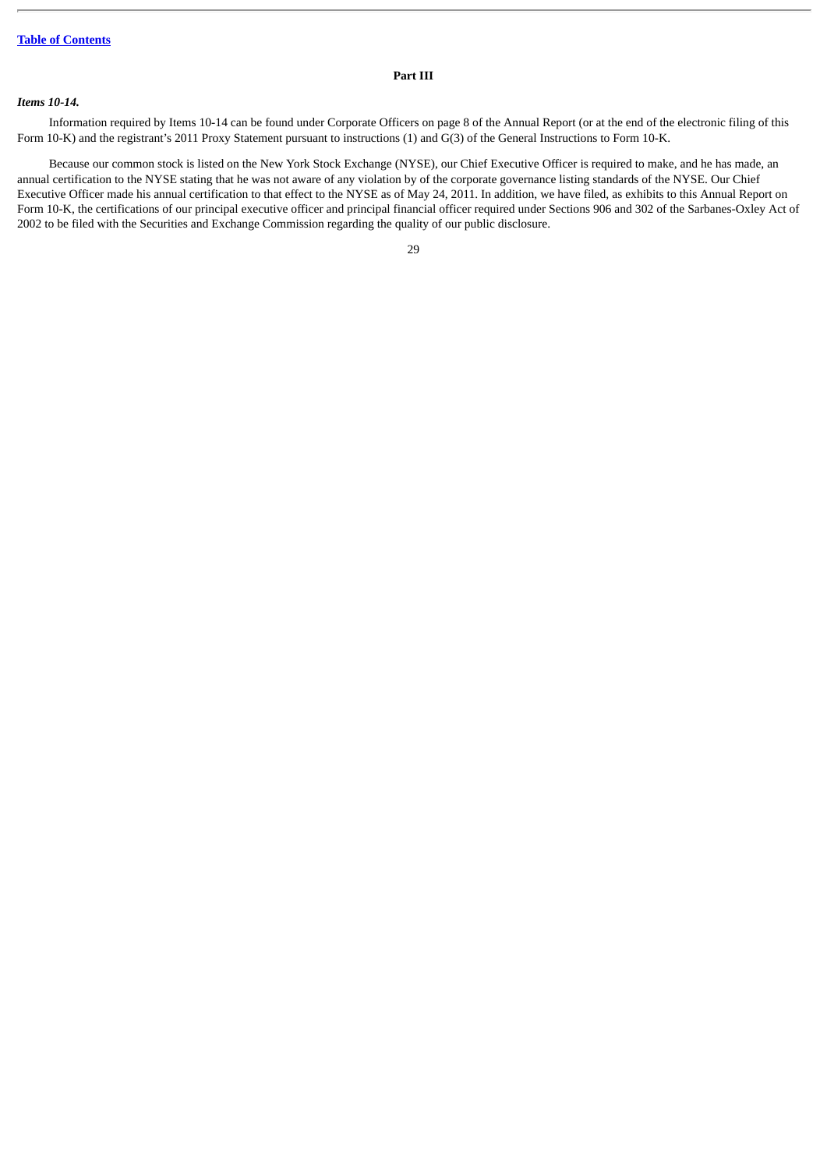### **Part III**

### <span id="page-28-0"></span>*Items 10-14.*

Information required by Items 10-14 can be found under Corporate Officers on page 8 of the Annual Report (or at the end of the electronic filing of this Form 10-K) and the registrant's 2011 Proxy Statement pursuant to instructions (1) and G(3) of the General Instructions to Form 10-K.

Because our common stock is listed on the New York Stock Exchange (NYSE), our Chief Executive Officer is required to make, and he has made, an annual certification to the NYSE stating that he was not aware of any violation by of the corporate governance listing standards of the NYSE. Our Chief Executive Officer made his annual certification to that effect to the NYSE as of May 24, 2011. In addition, we have filed, as exhibits to this Annual Report on Form 10-K, the certifications of our principal executive officer and principal financial officer required under Sections 906 and 302 of the Sarbanes-Oxley Act of 2002 to be filed with the Securities and Exchange Commission regarding the quality of our public disclosure.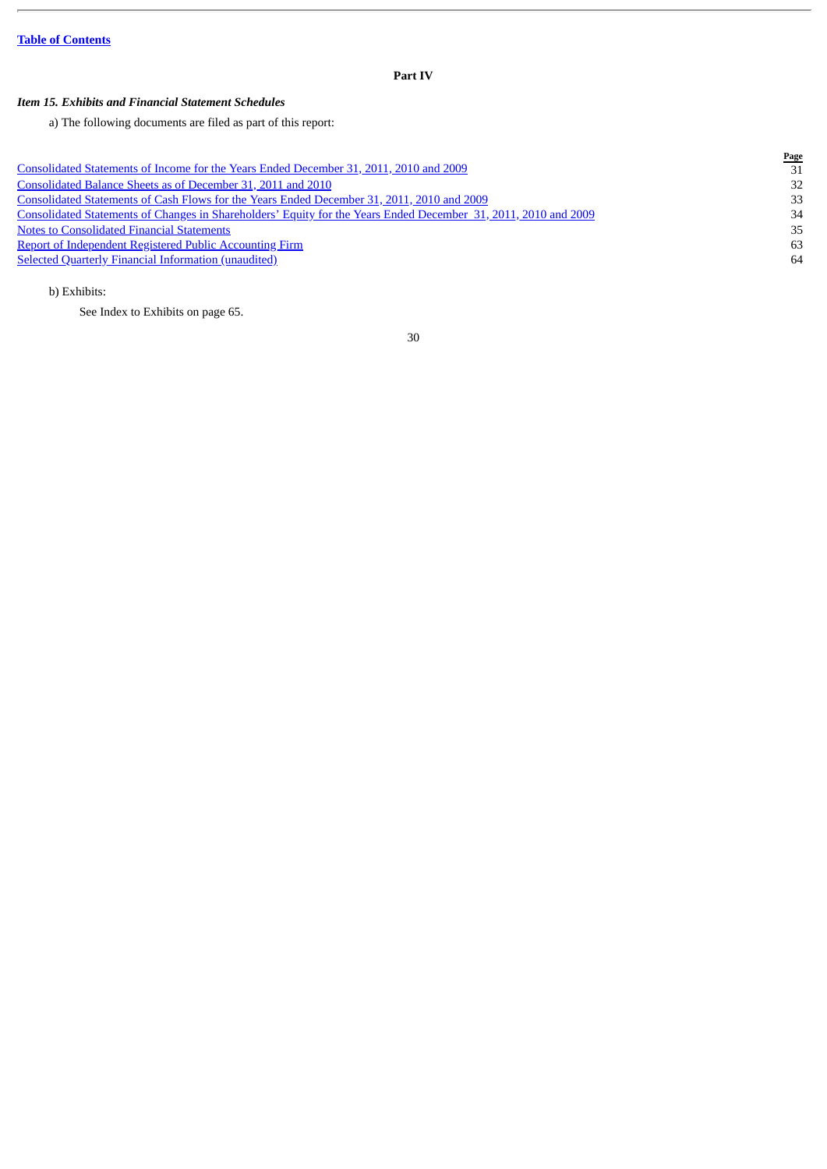### **Part IV**

### <span id="page-29-0"></span>*Item 15. Exhibits and Financial Statement Schedules*

a) The following documents are filed as part of this report:

|                                                                                                                 | Page |
|-----------------------------------------------------------------------------------------------------------------|------|
| Consolidated Statements of Income for the Years Ended December 31, 2011, 2010 and 2009                          | 31   |
| Consolidated Balance Sheets as of December 31, 2011 and 2010                                                    | 32   |
| Consolidated Statements of Cash Flows for the Years Ended December 31, 2011, 2010 and 2009                      | 33   |
| Consolidated Statements of Changes in Shareholders' Equity for the Years Ended December 31, 2011, 2010 and 2009 | 34   |
| <b>Notes to Consolidated Financial Statements</b>                                                               | 35   |
| Report of Independent Registered Public Accounting Firm                                                         | 63   |
| <b>Selected Quarterly Financial Information (unaudited)</b>                                                     | 64   |
|                                                                                                                 |      |

b) Exhibits:

See Index to Exhibits on page 65.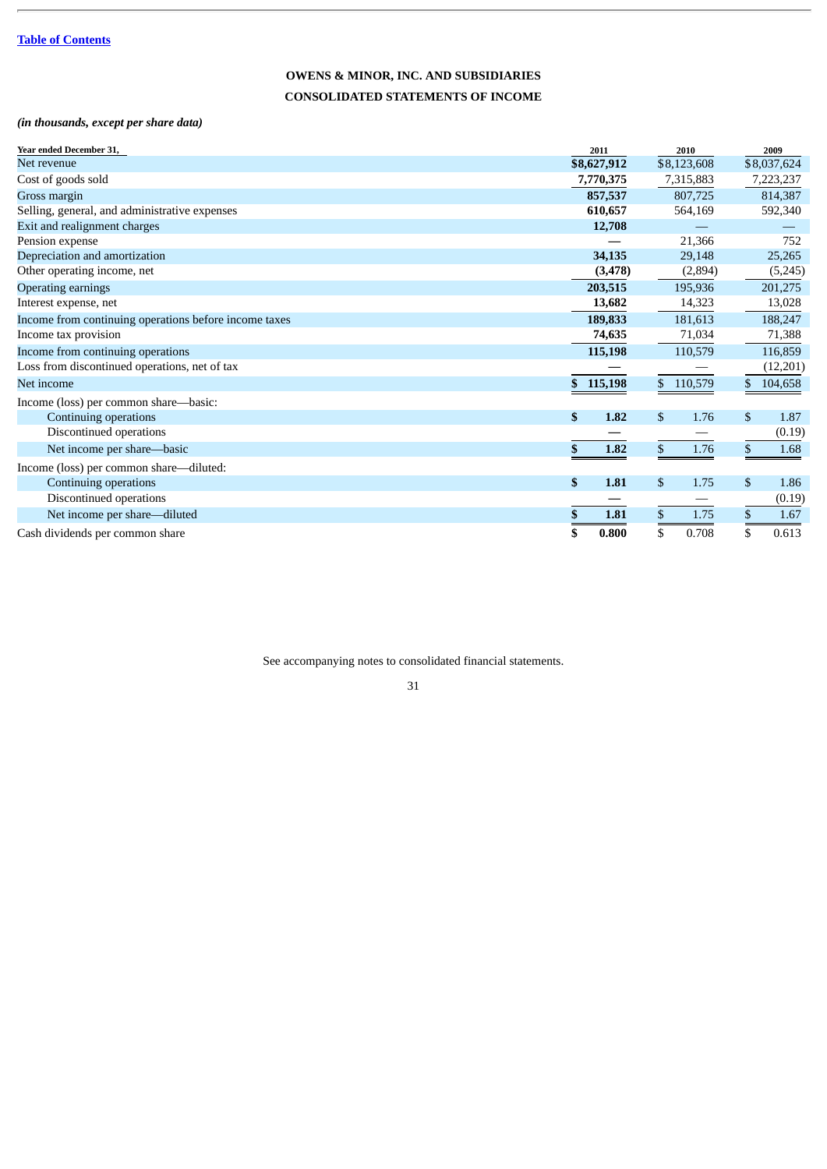# **OWENS & MINOR, INC. AND SUBSIDIARIES CONSOLIDATED STATEMENTS OF INCOME**

### <span id="page-30-0"></span>*(in thousands, except per share data)*

| Year ended December 31,                               | 2011          |              | 2010        | 2009          |
|-------------------------------------------------------|---------------|--------------|-------------|---------------|
| Net revenue                                           | \$8,627,912   |              | \$8,123,608 | \$8,037,624   |
| Cost of goods sold                                    | 7,770,375     |              | 7,315,883   | 7,223,237     |
| Gross margin                                          | 857,537       |              | 807,725     | 814,387       |
| Selling, general, and administrative expenses         | 610,657       |              | 564,169     | 592,340       |
| Exit and realignment charges                          | 12,708        |              |             |               |
| Pension expense                                       |               |              | 21,366      | 752           |
| Depreciation and amortization                         | 34,135        |              | 29,148      | 25,265        |
| Other operating income, net                           | (3, 478)      |              | (2,894)     | (5,245)       |
| Operating earnings                                    | 203,515       |              | 195,936     | 201,275       |
| Interest expense, net                                 | 13,682        |              | 14,323      | 13,028        |
| Income from continuing operations before income taxes | 189,833       |              | 181,613     | 188,247       |
| Income tax provision                                  | 74,635        |              | 71,034      | 71,388        |
| Income from continuing operations                     | 115,198       |              | 110,579     | 116,859       |
| Loss from discontinued operations, net of tax         |               |              |             | (12, 201)     |
| Net income                                            | \$<br>115,198 |              | \$ 110,579  | \$<br>104,658 |
| Income (loss) per common share—basic:                 |               |              |             |               |
| Continuing operations                                 | \$<br>1.82    | $\mathbb{S}$ | 1.76        | \$<br>1.87    |
| Discontinued operations                               |               |              |             | (0.19)        |
| Net income per share—basic                            | \$<br>1.82    | \$.          | 1.76        | \$<br>1.68    |
| Income (loss) per common share—diluted:               |               |              |             |               |
| Continuing operations                                 | \$<br>1.81    | \$           | 1.75        | \$<br>1.86    |
| Discontinued operations                               |               |              |             | (0.19)        |
| Net income per share—diluted                          | \$<br>1.81    | \$           | 1.75        | \$<br>1.67    |
| Cash dividends per common share                       | \$<br>0.800   | \$           | 0.708       | \$<br>0.613   |

See accompanying notes to consolidated financial statements.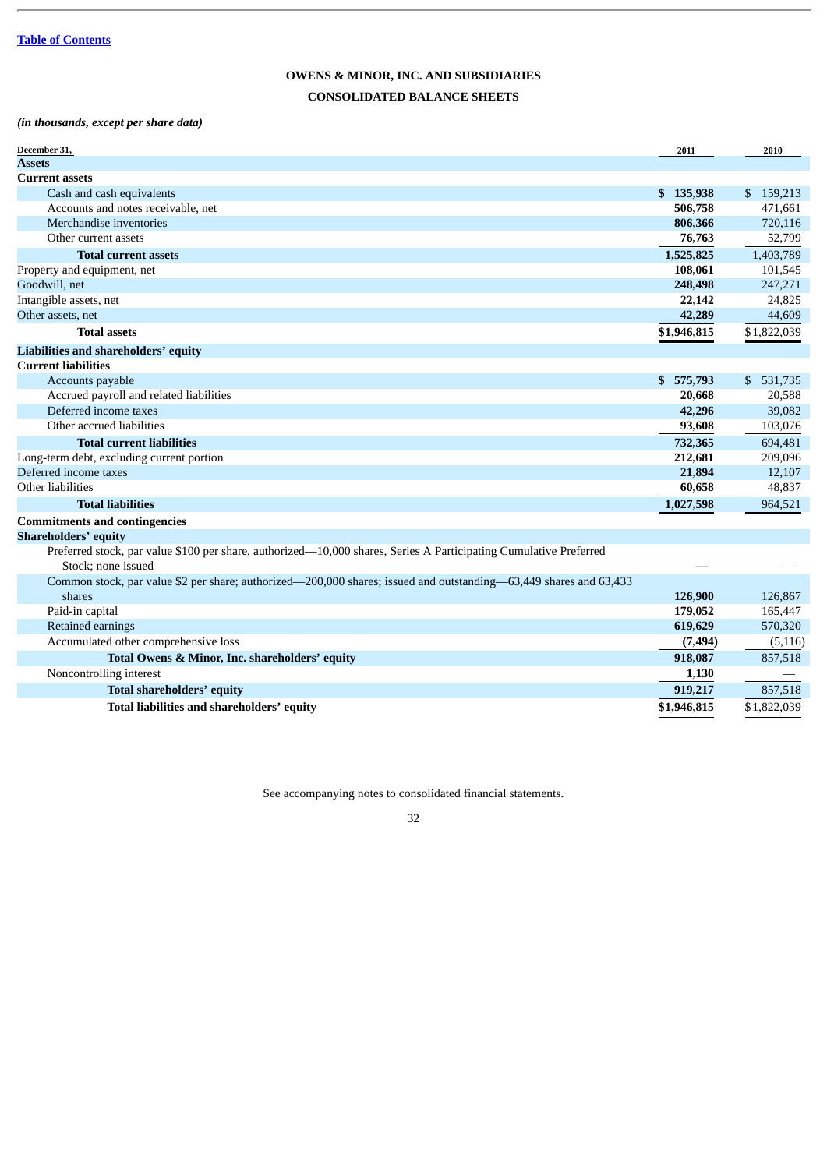## **OWENS & MINOR, INC. AND SUBSIDIARIES CONSOLIDATED BALANCE SHEETS**

### <span id="page-31-0"></span>*(in thousands, except per share data)*

| December 31,                                                                                                                            | 2011        | 2010        |
|-----------------------------------------------------------------------------------------------------------------------------------------|-------------|-------------|
| <b>Assets</b>                                                                                                                           |             |             |
| <b>Current assets</b>                                                                                                                   |             |             |
| Cash and cash equivalents                                                                                                               | \$135,938   | \$159,213   |
| Accounts and notes receivable, net                                                                                                      | 506,758     | 471,661     |
| Merchandise inventories                                                                                                                 | 806,366     | 720,116     |
| Other current assets                                                                                                                    | 76,763      | 52,799      |
| <b>Total current assets</b>                                                                                                             | 1,525,825   | 1,403,789   |
| Property and equipment, net                                                                                                             | 108,061     | 101,545     |
| Goodwill, net                                                                                                                           | 248,498     | 247,271     |
| Intangible assets, net                                                                                                                  | 22,142      | 24,825      |
| Other assets, net                                                                                                                       | 42,289      | 44,609      |
| <b>Total assets</b>                                                                                                                     | \$1,946,815 | \$1,822,039 |
| Liabilities and shareholders' equity                                                                                                    |             |             |
| <b>Current liabilities</b>                                                                                                              |             |             |
| Accounts payable                                                                                                                        | \$575,793   | \$ 531,735  |
| Accrued payroll and related liabilities                                                                                                 | 20,668      | 20,588      |
| Deferred income taxes                                                                                                                   | 42,296      | 39,082      |
| Other accrued liabilities                                                                                                               | 93,608      | 103,076     |
| <b>Total current liabilities</b>                                                                                                        | 732,365     | 694,481     |
| Long-term debt, excluding current portion                                                                                               | 212,681     | 209,096     |
| Deferred income taxes                                                                                                                   | 21,894      | 12,107      |
| Other liabilities                                                                                                                       | 60,658      | 48,837      |
| <b>Total liabilities</b>                                                                                                                | 1,027,598   | 964,521     |
| <b>Commitments and contingencies</b>                                                                                                    |             |             |
| <b>Shareholders' equity</b>                                                                                                             |             |             |
| Preferred stock, par value \$100 per share, authorized—10,000 shares, Series A Participating Cumulative Preferred<br>Stock: none issued |             |             |
| Common stock, par value \$2 per share; authorized—200,000 shares; issued and outstanding—63,449 shares and 63,433                       |             |             |
| shares                                                                                                                                  | 126,900     | 126,867     |
| Paid-in capital                                                                                                                         | 179,052     | 165,447     |
| Retained earnings                                                                                                                       | 619,629     | 570,320     |
| Accumulated other comprehensive loss                                                                                                    | (7, 494)    | (5, 116)    |
| Total Owens & Minor, Inc. shareholders' equity                                                                                          | 918,087     | 857,518     |
| Noncontrolling interest                                                                                                                 | 1,130       |             |
| <b>Total shareholders' equity</b>                                                                                                       | 919,217     | 857,518     |
| Total liabilities and shareholders' equity                                                                                              | \$1,946,815 | \$1,822,039 |

See accompanying notes to consolidated financial statements.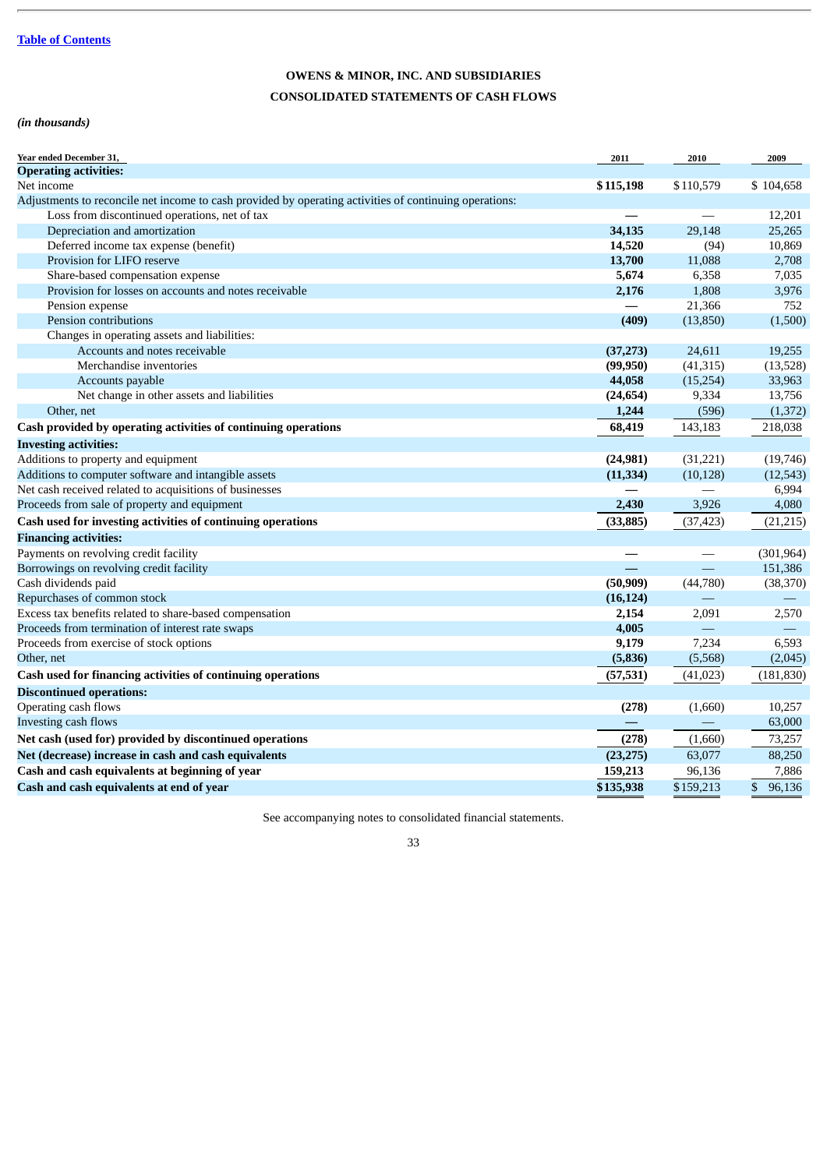# **OWENS & MINOR, INC. AND SUBSIDIARIES CONSOLIDATED STATEMENTS OF CASH FLOWS**

### <span id="page-32-0"></span>*(in thousands)*

| Year ended December 31,                                                                                | 2011      | 2010      | 2009                   |
|--------------------------------------------------------------------------------------------------------|-----------|-----------|------------------------|
| <b>Operating activities:</b>                                                                           |           |           |                        |
| Net income                                                                                             | \$115,198 | \$110,579 | \$104,658              |
| Adjustments to reconcile net income to cash provided by operating activities of continuing operations: |           |           |                        |
| Loss from discontinued operations, net of tax                                                          |           |           | 12,201                 |
| Depreciation and amortization                                                                          | 34,135    | 29,148    | 25,265                 |
| Deferred income tax expense (benefit)                                                                  | 14,520    | (94)      | 10,869                 |
| Provision for LIFO reserve                                                                             | 13,700    | 11,088    | 2,708                  |
| Share-based compensation expense                                                                       | 5,674     | 6,358     | 7,035                  |
| Provision for losses on accounts and notes receivable                                                  | 2,176     | 1,808     | 3,976                  |
| Pension expense                                                                                        |           | 21,366    | 752                    |
| Pension contributions                                                                                  | (409)     | (13, 850) | (1,500)                |
| Changes in operating assets and liabilities:                                                           |           |           |                        |
| Accounts and notes receivable                                                                          | (37, 273) | 24,611    | 19,255                 |
| Merchandise inventories                                                                                | (99, 950) | (41, 315) | (13,528)               |
| Accounts payable                                                                                       | 44,058    | (15,254)  | 33,963                 |
| Net change in other assets and liabilities                                                             | (24, 654) | 9,334     | 13,756                 |
| Other, net                                                                                             | 1,244     | (596)     | (1, 372)               |
| Cash provided by operating activities of continuing operations                                         | 68,419    | 143,183   | 218,038                |
| <b>Investing activities:</b>                                                                           |           |           |                        |
| Additions to property and equipment                                                                    | (24, 981) | (31,221)  | (19,746)               |
| Additions to computer software and intangible assets                                                   | (11, 334) | (10, 128) | (12, 543)              |
| Net cash received related to acquisitions of businesses                                                |           |           | 6,994                  |
| Proceeds from sale of property and equipment                                                           | 2,430     | 3,926     | 4,080                  |
| Cash used for investing activities of continuing operations                                            | (33, 885) | (37, 423) | (21, 215)              |
| <b>Financing activities:</b>                                                                           |           |           |                        |
| Payments on revolving credit facility                                                                  |           |           | (301, 964)             |
| Borrowings on revolving credit facility                                                                |           |           | 151,386                |
| Cash dividends paid                                                                                    | (50, 909) | (44,780)  | (38, 370)              |
| Repurchases of common stock                                                                            | (16, 124) |           |                        |
| Excess tax benefits related to share-based compensation                                                | 2,154     | 2,091     | 2,570                  |
| Proceeds from termination of interest rate swaps                                                       | 4,005     |           |                        |
| Proceeds from exercise of stock options                                                                | 9,179     | 7,234     | 6,593                  |
| Other, net                                                                                             | (5, 836)  | (5,568)   | (2,045)                |
| Cash used for financing activities of continuing operations                                            | (57, 531) | (41, 023) | (181, 830)             |
| <b>Discontinued operations:</b>                                                                        |           |           |                        |
| Operating cash flows                                                                                   | (278)     | (1,660)   | 10,257                 |
| Investing cash flows                                                                                   |           |           | 63,000                 |
| Net cash (used for) provided by discontinued operations                                                | (278)     | (1,660)   | 73,257                 |
| Net (decrease) increase in cash and cash equivalents                                                   | (23, 275) | 63,077    | 88,250                 |
| Cash and cash equivalents at beginning of year                                                         | 159,213   | 96,136    | 7,886                  |
| Cash and cash equivalents at end of year                                                               | \$135,938 | \$159,213 | $\mathbb{S}$<br>96,136 |

See accompanying notes to consolidated financial statements.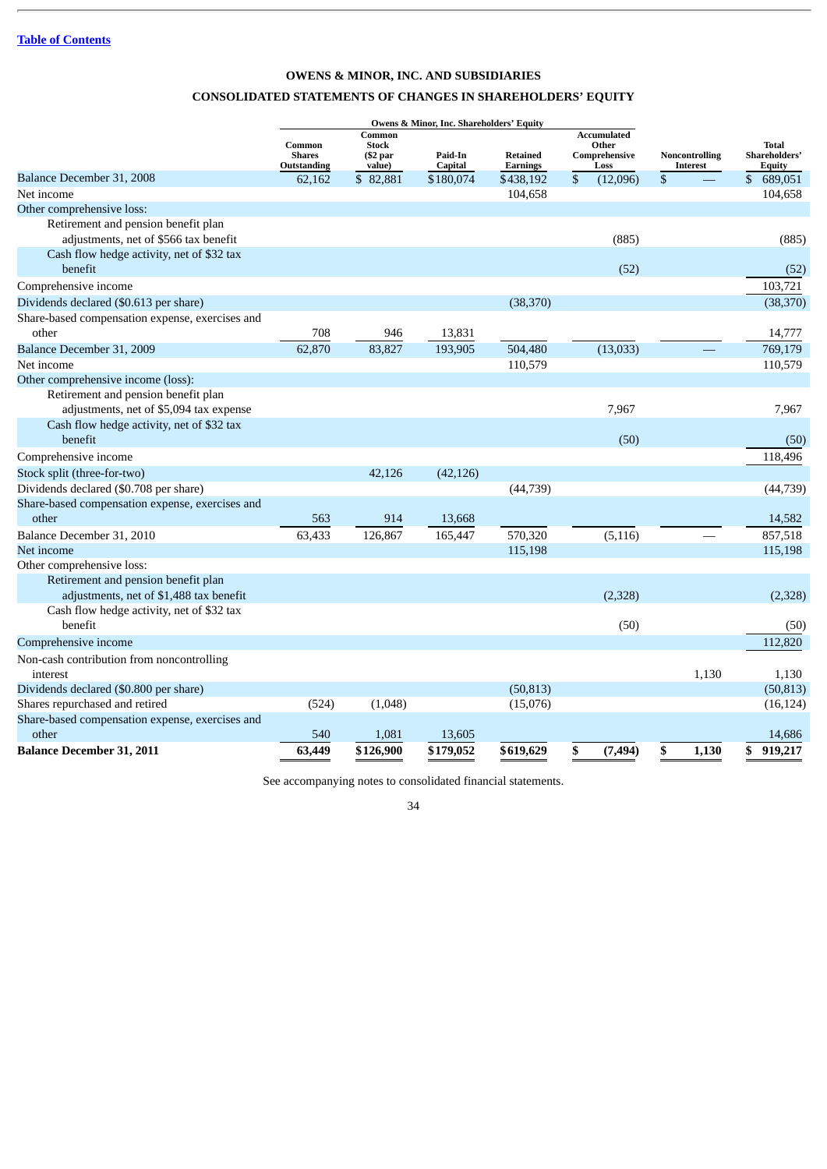### **OWENS & MINOR, INC. AND SUBSIDIARIES**

### **CONSOLIDATED STATEMENTS OF CHANGES IN SHAREHOLDERS' EQUITY**

<span id="page-33-0"></span>

|                                                                                | Owens & Minor, Inc. Shareholders' Equity |                                                        |                    |                                    |                                                      |                            |                                         |
|--------------------------------------------------------------------------------|------------------------------------------|--------------------------------------------------------|--------------------|------------------------------------|------------------------------------------------------|----------------------------|-----------------------------------------|
|                                                                                | Common<br><b>Shares</b><br>Outstanding   | Common<br><b>Stock</b><br>\$2 <sub>par</sub><br>value) | Paid-In<br>Capital | <b>Retained</b><br><b>Earnings</b> | <b>Accumulated</b><br>Other<br>Comprehensive<br>Loss | Noncontrolling<br>Interest | <b>Total</b><br>Shareholders'<br>Equity |
| Balance December 31, 2008                                                      | 62,162                                   | \$ 82,881                                              | \$180,074          | \$438,192                          | \$<br>(12,096)                                       | \$                         | \$689,051                               |
| Net income                                                                     |                                          |                                                        |                    | 104,658                            |                                                      |                            | 104,658                                 |
| Other comprehensive loss:                                                      |                                          |                                                        |                    |                                    |                                                      |                            |                                         |
| Retirement and pension benefit plan                                            |                                          |                                                        |                    |                                    |                                                      |                            |                                         |
| adjustments, net of \$566 tax benefit                                          |                                          |                                                        |                    |                                    | (885)                                                |                            | (885)                                   |
| Cash flow hedge activity, net of \$32 tax<br>benefit                           |                                          |                                                        |                    |                                    | (52)                                                 |                            | (52)                                    |
| Comprehensive income                                                           |                                          |                                                        |                    |                                    |                                                      |                            | 103,721                                 |
| Dividends declared (\$0.613 per share)                                         |                                          |                                                        |                    | (38, 370)                          |                                                      |                            | (38, 370)                               |
| Share-based compensation expense, exercises and<br>other                       | 708                                      | 946                                                    | 13,831             |                                    |                                                      |                            | 14,777                                  |
|                                                                                | 62,870                                   | 83,827                                                 | 193,905            | 504,480                            |                                                      |                            | 769,179                                 |
| Balance December 31, 2009<br>Net income                                        |                                          |                                                        |                    | 110,579                            | (13,033)                                             |                            | 110,579                                 |
| Other comprehensive income (loss):                                             |                                          |                                                        |                    |                                    |                                                      |                            |                                         |
| Retirement and pension benefit plan                                            |                                          |                                                        |                    |                                    |                                                      |                            |                                         |
| adjustments, net of \$5,094 tax expense                                        |                                          |                                                        |                    |                                    | 7,967                                                |                            | 7,967                                   |
| Cash flow hedge activity, net of \$32 tax<br>benefit                           |                                          |                                                        |                    |                                    | (50)                                                 |                            | (50)                                    |
| Comprehensive income                                                           |                                          |                                                        |                    |                                    |                                                      |                            | 118,496                                 |
| Stock split (three-for-two)                                                    |                                          | 42,126                                                 | (42, 126)          |                                    |                                                      |                            |                                         |
| Dividends declared (\$0.708 per share)                                         |                                          |                                                        |                    | (44, 739)                          |                                                      |                            | (44, 739)                               |
| Share-based compensation expense, exercises and                                |                                          |                                                        |                    |                                    |                                                      |                            |                                         |
| other                                                                          | 563                                      | 914                                                    | 13,668             |                                    |                                                      |                            | 14,582                                  |
| Balance December 31, 2010                                                      | 63,433                                   | 126,867                                                | 165,447            | 570,320                            | (5, 116)                                             |                            | 857,518                                 |
| Net income                                                                     |                                          |                                                        |                    | 115,198                            |                                                      |                            | 115,198                                 |
| Other comprehensive loss:                                                      |                                          |                                                        |                    |                                    |                                                      |                            |                                         |
| Retirement and pension benefit plan<br>adjustments, net of \$1,488 tax benefit |                                          |                                                        |                    |                                    | (2,328)                                              |                            | (2,328)                                 |
| Cash flow hedge activity, net of \$32 tax                                      |                                          |                                                        |                    |                                    |                                                      |                            |                                         |
| benefit                                                                        |                                          |                                                        |                    |                                    | (50)                                                 |                            | (50)                                    |
| Comprehensive income                                                           |                                          |                                                        |                    |                                    |                                                      |                            | 112,820                                 |
| Non-cash contribution from noncontrolling<br>interest                          |                                          |                                                        |                    |                                    |                                                      | 1,130                      | 1,130                                   |
| Dividends declared (\$0.800 per share)                                         |                                          |                                                        |                    | (50, 813)                          |                                                      |                            | (50, 813)                               |
| Shares repurchased and retired                                                 | (524)                                    | (1,048)                                                |                    | (15,076)                           |                                                      |                            | (16, 124)                               |
| Share-based compensation expense, exercises and                                |                                          |                                                        |                    |                                    |                                                      |                            |                                         |
| other                                                                          | 540                                      | 1,081                                                  | 13,605             |                                    |                                                      |                            | 14,686                                  |
| <b>Balance December 31, 2011</b>                                               | 63,449                                   | \$126,900                                              | \$179,052          | \$619,629                          | \$<br>(7, 494)                                       | \$<br>1,130                | \$<br>919,217                           |

See accompanying notes to consolidated financial statements.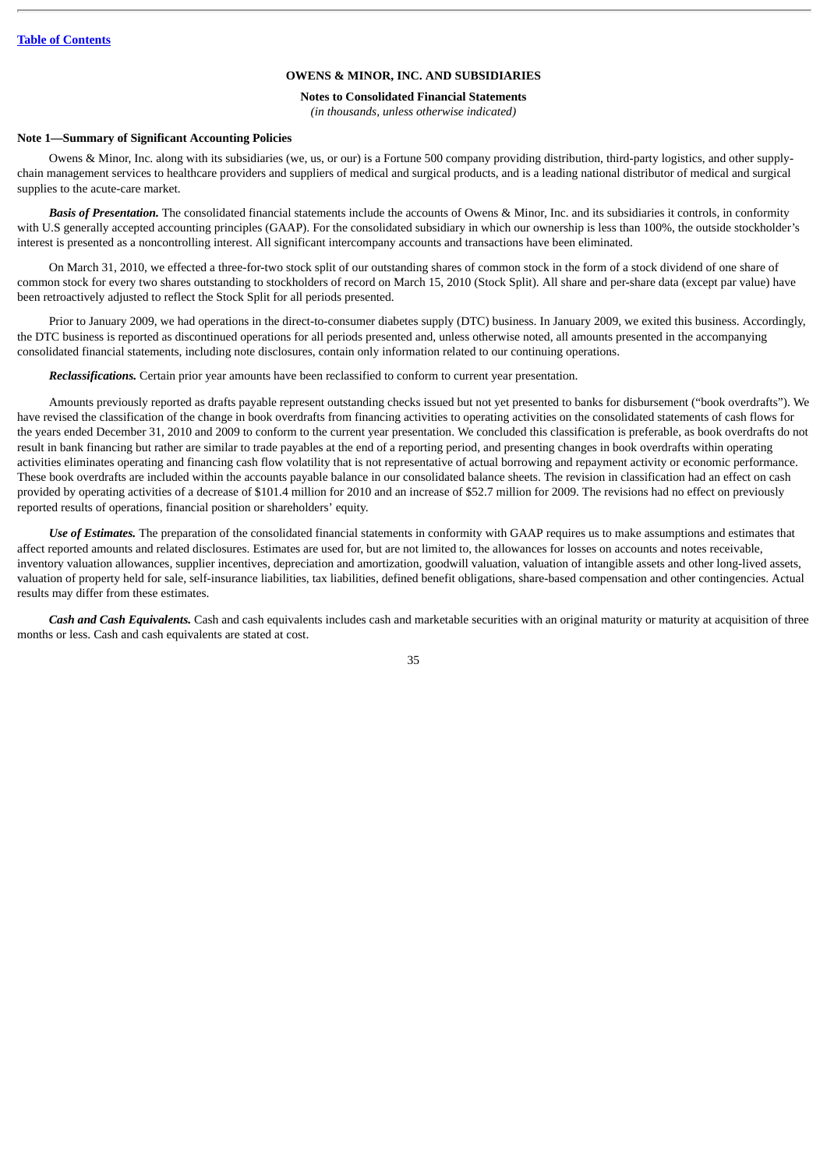### **OWENS & MINOR, INC. AND SUBSIDIARIES**

### **Notes to Consolidated Financial Statements**

*(in thousands, unless otherwise indicated)*

### <span id="page-34-0"></span>**Note 1—Summary of Significant Accounting Policies**

Owens & Minor, Inc. along with its subsidiaries (we, us, or our) is a Fortune 500 company providing distribution, third-party logistics, and other supplychain management services to healthcare providers and suppliers of medical and surgical products, and is a leading national distributor of medical and surgical supplies to the acute-care market.

*Basis of Presentation.* The consolidated financial statements include the accounts of Owens & Minor, Inc. and its subsidiaries it controls, in conformity with U.S generally accepted accounting principles (GAAP). For the consolidated subsidiary in which our ownership is less than 100%, the outside stockholder's interest is presented as a noncontrolling interest. All significant intercompany accounts and transactions have been eliminated.

On March 31, 2010, we effected a three-for-two stock split of our outstanding shares of common stock in the form of a stock dividend of one share of common stock for every two shares outstanding to stockholders of record on March 15, 2010 (Stock Split). All share and per-share data (except par value) have been retroactively adjusted to reflect the Stock Split for all periods presented.

Prior to January 2009, we had operations in the direct-to-consumer diabetes supply (DTC) business. In January 2009, we exited this business. Accordingly, the DTC business is reported as discontinued operations for all periods presented and, unless otherwise noted, all amounts presented in the accompanying consolidated financial statements, including note disclosures, contain only information related to our continuing operations.

*Reclassifications.* Certain prior year amounts have been reclassified to conform to current year presentation.

Amounts previously reported as drafts payable represent outstanding checks issued but not yet presented to banks for disbursement ("book overdrafts"). We have revised the classification of the change in book overdrafts from financing activities to operating activities on the consolidated statements of cash flows for the years ended December 31, 2010 and 2009 to conform to the current year presentation. We concluded this classification is preferable, as book overdrafts do not result in bank financing but rather are similar to trade payables at the end of a reporting period, and presenting changes in book overdrafts within operating activities eliminates operating and financing cash flow volatility that is not representative of actual borrowing and repayment activity or economic performance. These book overdrafts are included within the accounts payable balance in our consolidated balance sheets. The revision in classification had an effect on cash provided by operating activities of a decrease of \$101.4 million for 2010 and an increase of \$52.7 million for 2009. The revisions had no effect on previously reported results of operations, financial position or shareholders' equity.

*Use of Estimates.* The preparation of the consolidated financial statements in conformity with GAAP requires us to make assumptions and estimates that affect reported amounts and related disclosures. Estimates are used for, but are not limited to, the allowances for losses on accounts and notes receivable, inventory valuation allowances, supplier incentives, depreciation and amortization, goodwill valuation, valuation of intangible assets and other long-lived assets, valuation of property held for sale, self-insurance liabilities, tax liabilities, defined benefit obligations, share-based compensation and other contingencies. Actual results may differ from these estimates.

*Cash and Cash Equivalents.* Cash and cash equivalents includes cash and marketable securities with an original maturity or maturity at acquisition of three months or less. Cash and cash equivalents are stated at cost.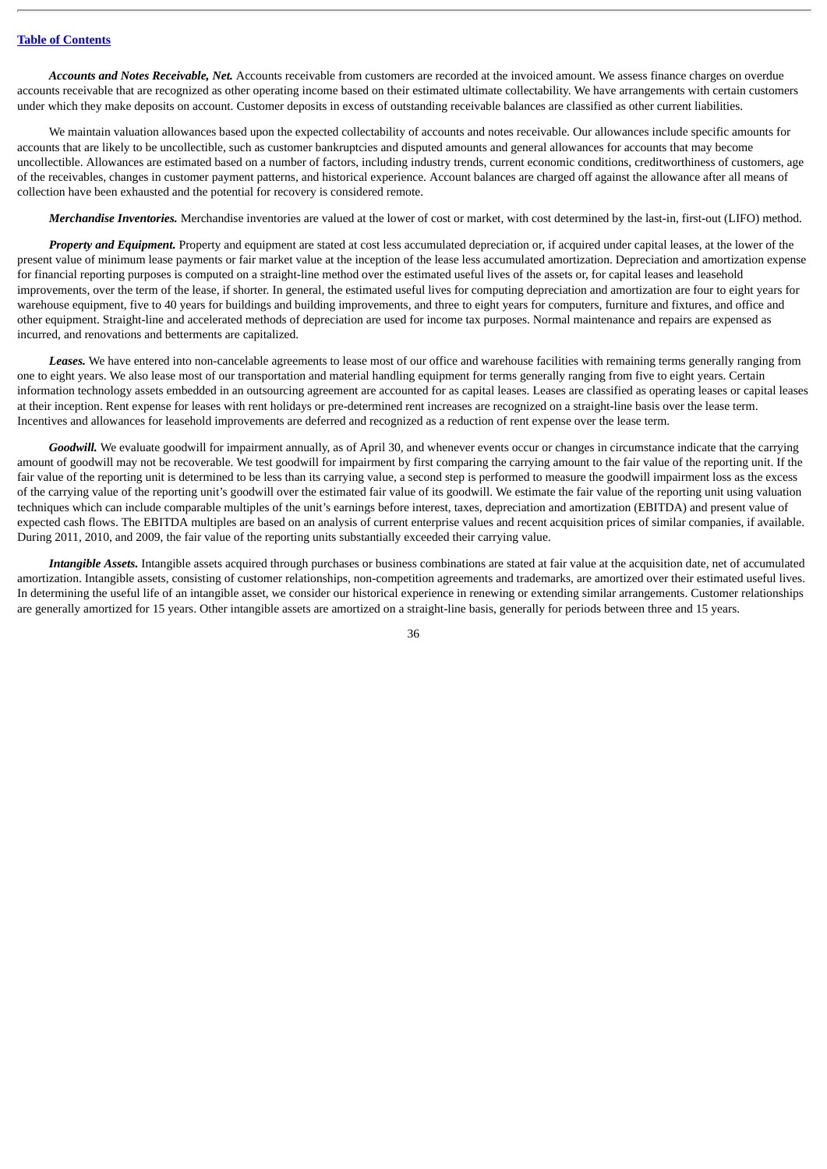*Accounts and Notes Receivable, Net.* Accounts receivable from customers are recorded at the invoiced amount. We assess finance charges on overdue accounts receivable that are recognized as other operating income based on their estimated ultimate collectability. We have arrangements with certain customers under which they make deposits on account. Customer deposits in excess of outstanding receivable balances are classified as other current liabilities.

We maintain valuation allowances based upon the expected collectability of accounts and notes receivable. Our allowances include specific amounts for accounts that are likely to be uncollectible, such as customer bankruptcies and disputed amounts and general allowances for accounts that may become uncollectible. Allowances are estimated based on a number of factors, including industry trends, current economic conditions, creditworthiness of customers, age of the receivables, changes in customer payment patterns, and historical experience. Account balances are charged off against the allowance after all means of collection have been exhausted and the potential for recovery is considered remote.

*Merchandise Inventories.* Merchandise inventories are valued at the lower of cost or market, with cost determined by the last-in, first-out (LIFO) method.

*Property and Equipment.* Property and equipment are stated at cost less accumulated depreciation or, if acquired under capital leases, at the lower of the present value of minimum lease payments or fair market value at the inception of the lease less accumulated amortization. Depreciation and amortization expense for financial reporting purposes is computed on a straight-line method over the estimated useful lives of the assets or, for capital leases and leasehold improvements, over the term of the lease, if shorter. In general, the estimated useful lives for computing depreciation and amortization are four to eight years for warehouse equipment, five to 40 years for buildings and building improvements, and three to eight years for computers, furniture and fixtures, and office and other equipment. Straight-line and accelerated methods of depreciation are used for income tax purposes. Normal maintenance and repairs are expensed as incurred, and renovations and betterments are capitalized.

*Leases.* We have entered into non-cancelable agreements to lease most of our office and warehouse facilities with remaining terms generally ranging from one to eight years. We also lease most of our transportation and material handling equipment for terms generally ranging from five to eight years. Certain information technology assets embedded in an outsourcing agreement are accounted for as capital leases. Leases are classified as operating leases or capital leases at their inception. Rent expense for leases with rent holidays or pre-determined rent increases are recognized on a straight-line basis over the lease term. Incentives and allowances for leasehold improvements are deferred and recognized as a reduction of rent expense over the lease term.

Goodwill. We evaluate goodwill for impairment annually, as of April 30, and whenever events occur or changes in circumstance indicate that the carrying amount of goodwill may not be recoverable. We test goodwill for impairment by first comparing the carrying amount to the fair value of the reporting unit. If the fair value of the reporting unit is determined to be less than its carrying value, a second step is performed to measure the goodwill impairment loss as the excess of the carrying value of the reporting unit's goodwill over the estimated fair value of its goodwill. We estimate the fair value of the reporting unit using valuation techniques which can include comparable multiples of the unit's earnings before interest, taxes, depreciation and amortization (EBITDA) and present value of expected cash flows. The EBITDA multiples are based on an analysis of current enterprise values and recent acquisition prices of similar companies, if available. During 2011, 2010, and 2009, the fair value of the reporting units substantially exceeded their carrying value.

*Intangible Assets.* Intangible assets acquired through purchases or business combinations are stated at fair value at the acquisition date, net of accumulated amortization. Intangible assets, consisting of customer relationships, non-competition agreements and trademarks, are amortized over their estimated useful lives. In determining the useful life of an intangible asset, we consider our historical experience in renewing or extending similar arrangements. Customer relationships are generally amortized for 15 years. Other intangible assets are amortized on a straight-line basis, generally for periods between three and 15 years.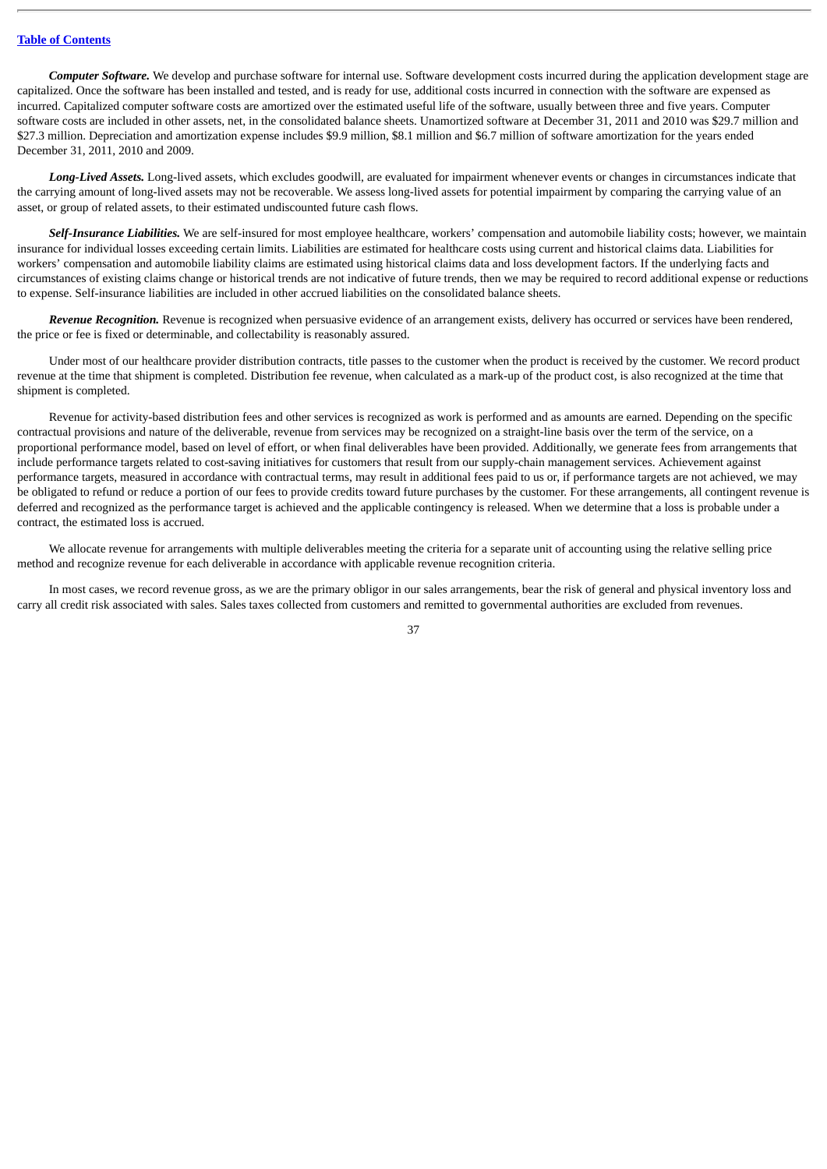*Computer Software.* We develop and purchase software for internal use. Software development costs incurred during the application development stage are capitalized. Once the software has been installed and tested, and is ready for use, additional costs incurred in connection with the software are expensed as incurred. Capitalized computer software costs are amortized over the estimated useful life of the software, usually between three and five years. Computer software costs are included in other assets, net, in the consolidated balance sheets. Unamortized software at December 31, 2011 and 2010 was \$29.7 million and \$27.3 million. Depreciation and amortization expense includes \$9.9 million, \$8.1 million and \$6.7 million of software amortization for the years ended December 31, 2011, 2010 and 2009.

*Long-Lived Assets.* Long-lived assets, which excludes goodwill, are evaluated for impairment whenever events or changes in circumstances indicate that the carrying amount of long-lived assets may not be recoverable. We assess long-lived assets for potential impairment by comparing the carrying value of an asset, or group of related assets, to their estimated undiscounted future cash flows.

*Self-Insurance Liabilities.* We are self-insured for most employee healthcare, workers' compensation and automobile liability costs; however, we maintain insurance for individual losses exceeding certain limits. Liabilities are estimated for healthcare costs using current and historical claims data. Liabilities for workers' compensation and automobile liability claims are estimated using historical claims data and loss development factors. If the underlying facts and circumstances of existing claims change or historical trends are not indicative of future trends, then we may be required to record additional expense or reductions to expense. Self-insurance liabilities are included in other accrued liabilities on the consolidated balance sheets.

*Revenue Recognition.* Revenue is recognized when persuasive evidence of an arrangement exists, delivery has occurred or services have been rendered, the price or fee is fixed or determinable, and collectability is reasonably assured.

Under most of our healthcare provider distribution contracts, title passes to the customer when the product is received by the customer. We record product revenue at the time that shipment is completed. Distribution fee revenue, when calculated as a mark-up of the product cost, is also recognized at the time that shipment is completed.

Revenue for activity-based distribution fees and other services is recognized as work is performed and as amounts are earned. Depending on the specific contractual provisions and nature of the deliverable, revenue from services may be recognized on a straight-line basis over the term of the service, on a proportional performance model, based on level of effort, or when final deliverables have been provided. Additionally, we generate fees from arrangements that include performance targets related to cost-saving initiatives for customers that result from our supply-chain management services. Achievement against performance targets, measured in accordance with contractual terms, may result in additional fees paid to us or, if performance targets are not achieved, we may be obligated to refund or reduce a portion of our fees to provide credits toward future purchases by the customer. For these arrangements, all contingent revenue is deferred and recognized as the performance target is achieved and the applicable contingency is released. When we determine that a loss is probable under a contract, the estimated loss is accrued.

We allocate revenue for arrangements with multiple deliverables meeting the criteria for a separate unit of accounting using the relative selling price method and recognize revenue for each deliverable in accordance with applicable revenue recognition criteria.

In most cases, we record revenue gross, as we are the primary obligor in our sales arrangements, bear the risk of general and physical inventory loss and carry all credit risk associated with sales. Sales taxes collected from customers and remitted to governmental authorities are excluded from revenues.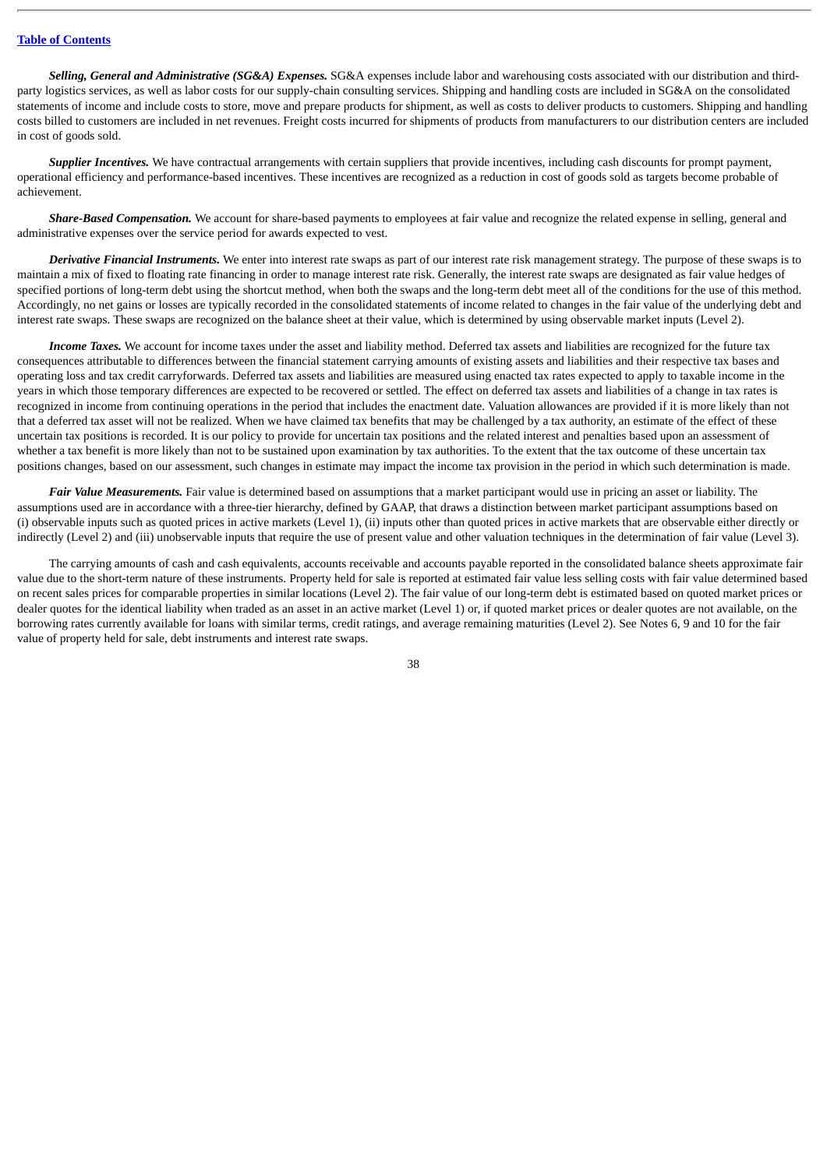*Selling, General and Administrative (SG&A) Expenses.* SG&A expenses include labor and warehousing costs associated with our distribution and thirdparty logistics services, as well as labor costs for our supply-chain consulting services. Shipping and handling costs are included in SG&A on the consolidated statements of income and include costs to store, move and prepare products for shipment, as well as costs to deliver products to customers. Shipping and handling costs billed to customers are included in net revenues. Freight costs incurred for shipments of products from manufacturers to our distribution centers are included in cost of goods sold.

*Supplier Incentives.* We have contractual arrangements with certain suppliers that provide incentives, including cash discounts for prompt payment, operational efficiency and performance-based incentives. These incentives are recognized as a reduction in cost of goods sold as targets become probable of achievement.

*Share-Based Compensation.* We account for share-based payments to employees at fair value and recognize the related expense in selling, general and administrative expenses over the service period for awards expected to vest.

*Derivative Financial Instruments.* We enter into interest rate swaps as part of our interest rate risk management strategy. The purpose of these swaps is to maintain a mix of fixed to floating rate financing in order to manage interest rate risk. Generally, the interest rate swaps are designated as fair value hedges of specified portions of long-term debt using the shortcut method, when both the swaps and the long-term debt meet all of the conditions for the use of this method. Accordingly, no net gains or losses are typically recorded in the consolidated statements of income related to changes in the fair value of the underlying debt and interest rate swaps. These swaps are recognized on the balance sheet at their value, which is determined by using observable market inputs (Level 2).

*Income Taxes*. We account for income taxes under the asset and liability method. Deferred tax assets and liabilities are recognized for the future tax consequences attributable to differences between the financial statement carrying amounts of existing assets and liabilities and their respective tax bases and operating loss and tax credit carryforwards. Deferred tax assets and liabilities are measured using enacted tax rates expected to apply to taxable income in the years in which those temporary differences are expected to be recovered or settled. The effect on deferred tax assets and liabilities of a change in tax rates is recognized in income from continuing operations in the period that includes the enactment date. Valuation allowances are provided if it is more likely than not that a deferred tax asset will not be realized. When we have claimed tax benefits that may be challenged by a tax authority, an estimate of the effect of these uncertain tax positions is recorded. It is our policy to provide for uncertain tax positions and the related interest and penalties based upon an assessment of whether a tax benefit is more likely than not to be sustained upon examination by tax authorities. To the extent that the tax outcome of these uncertain tax positions changes, based on our assessment, such changes in estimate may impact the income tax provision in the period in which such determination is made.

*Fair Value Measurements.* Fair value is determined based on assumptions that a market participant would use in pricing an asset or liability. The assumptions used are in accordance with a three-tier hierarchy, defined by GAAP, that draws a distinction between market participant assumptions based on (i) observable inputs such as quoted prices in active markets (Level 1), (ii) inputs other than quoted prices in active markets that are observable either directly or indirectly (Level 2) and (iii) unobservable inputs that require the use of present value and other valuation techniques in the determination of fair value (Level 3).

The carrying amounts of cash and cash equivalents, accounts receivable and accounts payable reported in the consolidated balance sheets approximate fair value due to the short-term nature of these instruments. Property held for sale is reported at estimated fair value less selling costs with fair value determined based on recent sales prices for comparable properties in similar locations (Level 2). The fair value of our long-term debt is estimated based on quoted market prices or dealer quotes for the identical liability when traded as an asset in an active market (Level 1) or, if quoted market prices or dealer quotes are not available, on the borrowing rates currently available for loans with similar terms, credit ratings, and average remaining maturities (Level 2). See Notes 6, 9 and 10 for the fair value of property held for sale, debt instruments and interest rate swaps.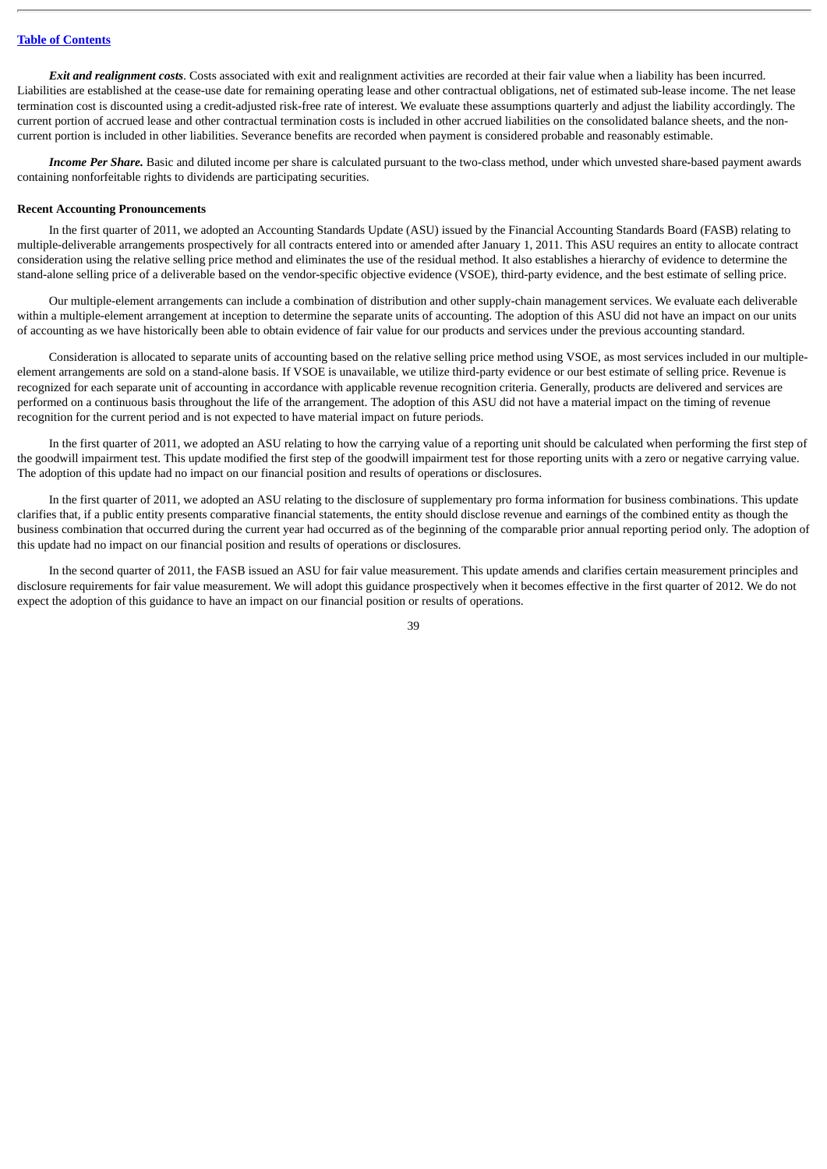*Exit and realignment costs*. Costs associated with exit and realignment activities are recorded at their fair value when a liability has been incurred. Liabilities are established at the cease-use date for remaining operating lease and other contractual obligations, net of estimated sub-lease income. The net lease termination cost is discounted using a credit-adjusted risk-free rate of interest. We evaluate these assumptions quarterly and adjust the liability accordingly. The current portion of accrued lease and other contractual termination costs is included in other accrued liabilities on the consolidated balance sheets, and the noncurrent portion is included in other liabilities. Severance benefits are recorded when payment is considered probable and reasonably estimable.

*Income Per Share.* Basic and diluted income per share is calculated pursuant to the two-class method, under which unvested share-based payment awards containing nonforfeitable rights to dividends are participating securities.

#### **Recent Accounting Pronouncements**

In the first quarter of 2011, we adopted an Accounting Standards Update (ASU) issued by the Financial Accounting Standards Board (FASB) relating to multiple-deliverable arrangements prospectively for all contracts entered into or amended after January 1, 2011. This ASU requires an entity to allocate contract consideration using the relative selling price method and eliminates the use of the residual method. It also establishes a hierarchy of evidence to determine the stand-alone selling price of a deliverable based on the vendor-specific objective evidence (VSOE), third-party evidence, and the best estimate of selling price.

Our multiple-element arrangements can include a combination of distribution and other supply-chain management services. We evaluate each deliverable within a multiple-element arrangement at inception to determine the separate units of accounting. The adoption of this ASU did not have an impact on our units of accounting as we have historically been able to obtain evidence of fair value for our products and services under the previous accounting standard.

Consideration is allocated to separate units of accounting based on the relative selling price method using VSOE, as most services included in our multipleelement arrangements are sold on a stand-alone basis. If VSOE is unavailable, we utilize third-party evidence or our best estimate of selling price. Revenue is recognized for each separate unit of accounting in accordance with applicable revenue recognition criteria. Generally, products are delivered and services are performed on a continuous basis throughout the life of the arrangement. The adoption of this ASU did not have a material impact on the timing of revenue recognition for the current period and is not expected to have material impact on future periods.

In the first quarter of 2011, we adopted an ASU relating to how the carrying value of a reporting unit should be calculated when performing the first step of the goodwill impairment test. This update modified the first step of the goodwill impairment test for those reporting units with a zero or negative carrying value. The adoption of this update had no impact on our financial position and results of operations or disclosures.

In the first quarter of 2011, we adopted an ASU relating to the disclosure of supplementary pro forma information for business combinations. This update clarifies that, if a public entity presents comparative financial statements, the entity should disclose revenue and earnings of the combined entity as though the business combination that occurred during the current year had occurred as of the beginning of the comparable prior annual reporting period only. The adoption of this update had no impact on our financial position and results of operations or disclosures.

In the second quarter of 2011, the FASB issued an ASU for fair value measurement. This update amends and clarifies certain measurement principles and disclosure requirements for fair value measurement. We will adopt this guidance prospectively when it becomes effective in the first quarter of 2012. We do not expect the adoption of this guidance to have an impact on our financial position or results of operations.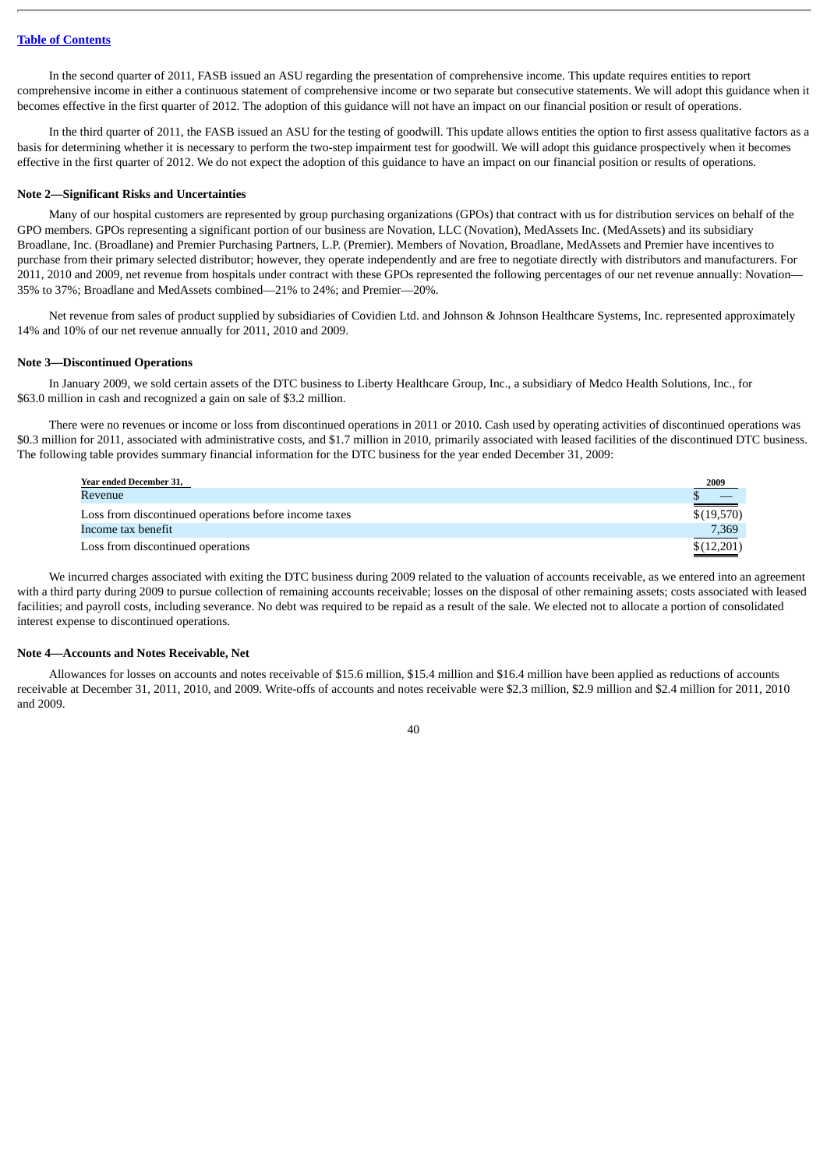In the second quarter of 2011, FASB issued an ASU regarding the presentation of comprehensive income. This update requires entities to report comprehensive income in either a continuous statement of comprehensive income or two separate but consecutive statements. We will adopt this guidance when it becomes effective in the first quarter of 2012. The adoption of this guidance will not have an impact on our financial position or result of operations.

In the third quarter of 2011, the FASB issued an ASU for the testing of goodwill. This update allows entities the option to first assess qualitative factors as a basis for determining whether it is necessary to perform the two-step impairment test for goodwill. We will adopt this guidance prospectively when it becomes effective in the first quarter of 2012. We do not expect the adoption of this guidance to have an impact on our financial position or results of operations.

#### **Note 2—Significant Risks and Uncertainties**

Many of our hospital customers are represented by group purchasing organizations (GPOs) that contract with us for distribution services on behalf of the GPO members. GPOs representing a significant portion of our business are Novation, LLC (Novation), MedAssets Inc. (MedAssets) and its subsidiary Broadlane, Inc. (Broadlane) and Premier Purchasing Partners, L.P. (Premier). Members of Novation, Broadlane, MedAssets and Premier have incentives to purchase from their primary selected distributor; however, they operate independently and are free to negotiate directly with distributors and manufacturers. For 2011, 2010 and 2009, net revenue from hospitals under contract with these GPOs represented the following percentages of our net revenue annually: Novation— 35% to 37%; Broadlane and MedAssets combined—21% to 24%; and Premier—20%.

Net revenue from sales of product supplied by subsidiaries of Covidien Ltd. and Johnson & Johnson Healthcare Systems, Inc. represented approximately 14% and 10% of our net revenue annually for 2011, 2010 and 2009.

#### **Note 3—Discontinued Operations**

In January 2009, we sold certain assets of the DTC business to Liberty Healthcare Group, Inc., a subsidiary of Medco Health Solutions, Inc., for \$63.0 million in cash and recognized a gain on sale of \$3.2 million.

There were no revenues or income or loss from discontinued operations in 2011 or 2010. Cash used by operating activities of discontinued operations was \$0.3 million for 2011, associated with administrative costs, and \$1.7 million in 2010, primarily associated with leased facilities of the discontinued DTC business. The following table provides summary financial information for the DTC business for the year ended December 31, 2009:

| Year ended December 31,                               | 2009          |
|-------------------------------------------------------|---------------|
| Revenue                                               | $\frac{s}{s}$ |
| Loss from discontinued operations before income taxes | \$(19,570)    |
| Income tax benefit                                    | 7,369         |
| Loss from discontinued operations                     | \$(12,201)    |

We incurred charges associated with exiting the DTC business during 2009 related to the valuation of accounts receivable, as we entered into an agreement with a third party during 2009 to pursue collection of remaining accounts receivable; losses on the disposal of other remaining assets; costs associated with leased facilities; and payroll costs, including severance. No debt was required to be repaid as a result of the sale. We elected not to allocate a portion of consolidated interest expense to discontinued operations.

#### **Note 4—Accounts and Notes Receivable, Net**

Allowances for losses on accounts and notes receivable of \$15.6 million, \$15.4 million and \$16.4 million have been applied as reductions of accounts receivable at December 31, 2011, 2010, and 2009. Write-offs of accounts and notes receivable were \$2.3 million, \$2.9 million and \$2.4 million for 2011, 2010 and 2009.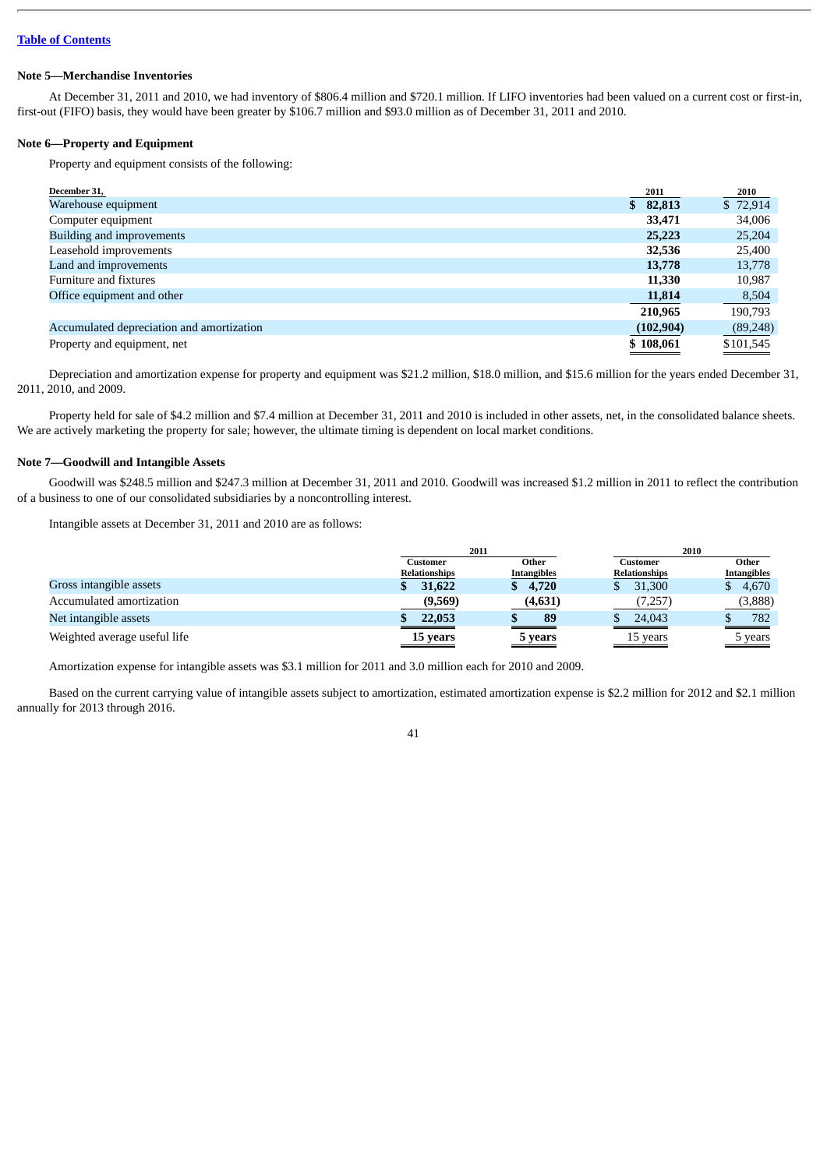## **Note 5—Merchandise Inventories**

At December 31, 2011 and 2010, we had inventory of \$806.4 million and \$720.1 million. If LIFO inventories had been valued on a current cost or first-in, first-out (FIFO) basis, they would have been greater by \$106.7 million and \$93.0 million as of December 31, 2011 and 2010.

## **Note 6—Property and Equipment**

Property and equipment consists of the following:

| December 31,                              | 2011       | 2010      |
|-------------------------------------------|------------|-----------|
| Warehouse equipment                       | \$82,813   | \$72,914  |
| Computer equipment                        | 33,471     | 34,006    |
| Building and improvements                 | 25,223     | 25,204    |
| Leasehold improvements                    | 32,536     | 25,400    |
| Land and improvements                     | 13,778     | 13,778    |
| Furniture and fixtures                    | 11,330     | 10,987    |
| Office equipment and other                | 11,814     | 8,504     |
|                                           | 210,965    | 190,793   |
| Accumulated depreciation and amortization | (102, 904) | (89, 248) |
| Property and equipment, net               | \$108,061  | \$101.545 |

Depreciation and amortization expense for property and equipment was \$21.2 million, \$18.0 million, and \$15.6 million for the years ended December 31, 2011, 2010, and 2009.

Property held for sale of \$4.2 million and \$7.4 million at December 31, 2011 and 2010 is included in other assets, net, in the consolidated balance sheets. We are actively marketing the property for sale; however, the ultimate timing is dependent on local market conditions.

## **Note 7—Goodwill and Intangible Assets**

Goodwill was \$248.5 million and \$247.3 million at December 31, 2011 and 2010. Goodwill was increased \$1.2 million in 2011 to reflect the contribution of a business to one of our consolidated subsidiaries by a noncontrolling interest.

Intangible assets at December 31, 2011 and 2010 are as follows:

|                              |                                                                                                                                  | 2011                        |                                  |                             |  | 2010 |  |
|------------------------------|----------------------------------------------------------------------------------------------------------------------------------|-----------------------------|----------------------------------|-----------------------------|--|------|--|
|                              | Customer<br><b>Relationships</b>                                                                                                 | Other<br><b>Intangibles</b> | Customer<br><b>Relationships</b> | Other<br><b>Intangibles</b> |  |      |  |
| Gross intangible assets      | 31,622<br>D                                                                                                                      | 4,720                       | 31,300                           | 4,670                       |  |      |  |
| Accumulated amortization     | (9,569)                                                                                                                          | (4,631)                     | (7,257                           | (3,888)                     |  |      |  |
| Net intangible assets        | 22,053                                                                                                                           | 89                          | 24,043                           | 782                         |  |      |  |
| Weighted average useful life | 15 years<br><u> 1989 - Johann Stoff, deutscher Stoff, der Stoff, deutscher Stoff, der Stoff, der Stoff, der Stoff, der Stoff</u> | <u>5</u> years              | 15 years                         | $rac{5 \text{ years}}{2}$   |  |      |  |

Amortization expense for intangible assets was \$3.1 million for 2011 and 3.0 million each for 2010 and 2009.

Based on the current carrying value of intangible assets subject to amortization, estimated amortization expense is \$2.2 million for 2012 and \$2.1 million annually for 2013 through 2016.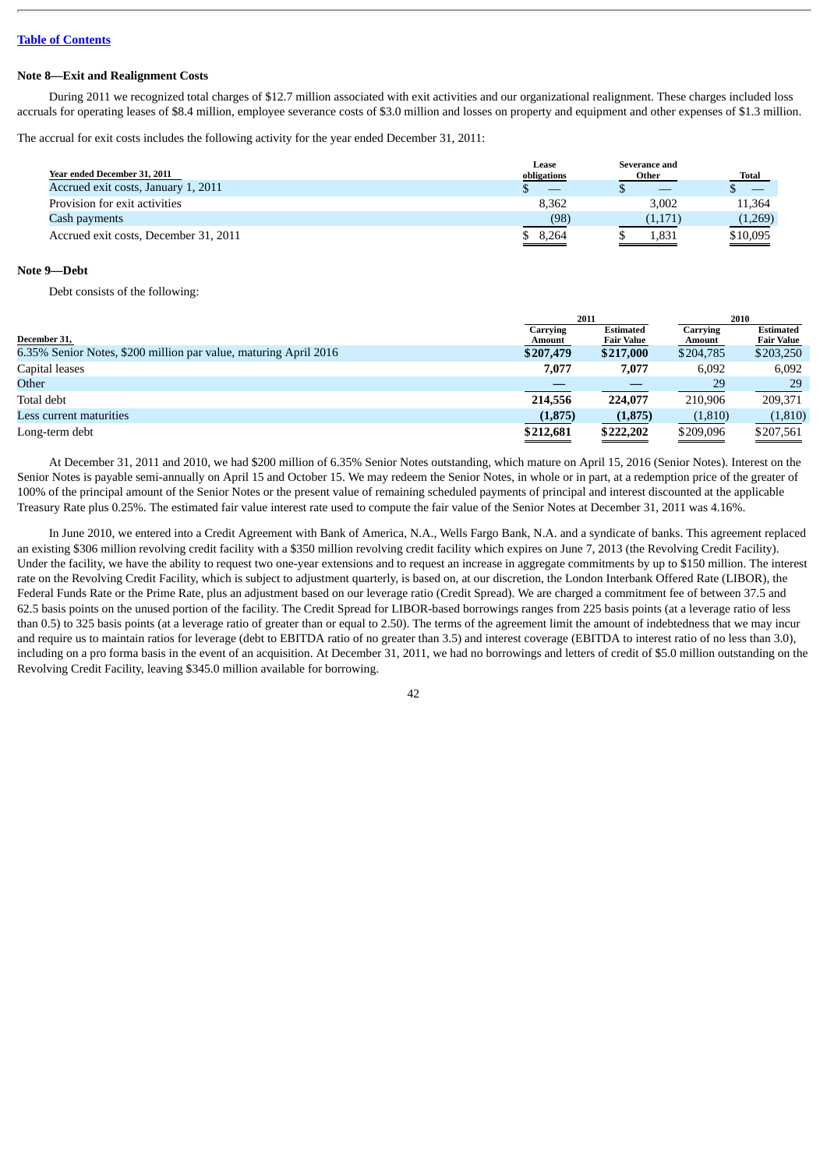# **Note 8—Exit and Realignment Costs**

During 2011 we recognized total charges of \$12.7 million associated with exit activities and our organizational realignment. These charges included loss accruals for operating leases of \$8.4 million, employee severance costs of \$3.0 million and losses on property and equipment and other expenses of \$1.3 million.

The accrual for exit costs includes the following activity for the year ended December 31, 2011:

|                                       | Lease       | <b>Severance and</b> |              |
|---------------------------------------|-------------|----------------------|--------------|
| Year ended December 31, 2011          | obligations | Other                | <b>Total</b> |
| Accrued exit costs, January 1, 2011   |             |                      |              |
| Provision for exit activities         | 8.362       | 3.002                | 11,364       |
| Cash payments                         | (98)        | (1,171)              | (1,269)      |
| Accrued exit costs, December 31, 2011 | 8,264       | 1.831                | \$10,095     |

# **Note 9—Debt**

Debt consists of the following:

|                                                                  | 2011               |                                       | 2010               |                                       |
|------------------------------------------------------------------|--------------------|---------------------------------------|--------------------|---------------------------------------|
| December 31,                                                     | Carrying<br>Amount | <b>Estimated</b><br><b>Fair Value</b> | Carrying<br>Amount | <b>Estimated</b><br><b>Fair Value</b> |
| 6.35% Senior Notes, \$200 million par value, maturing April 2016 | \$207,479          | \$217,000                             | \$204,785          | \$203,250                             |
| Capital leases                                                   | 7,077              | 7,077                                 | 6,092              | 6,092                                 |
| Other                                                            |                    |                                       | 29                 | 29                                    |
| Total debt                                                       | 214,556            | 224,077                               | 210,906            | 209,371                               |
| Less current maturities                                          | (1, 875)           | (1, 875)                              | (1,810)            | (1,810)                               |
| Long-term debt                                                   | \$212,681          | \$222,202                             | \$209,096          | \$207,561                             |

At December 31, 2011 and 2010, we had \$200 million of 6.35% Senior Notes outstanding, which mature on April 15, 2016 (Senior Notes). Interest on the Senior Notes is payable semi-annually on April 15 and October 15. We may redeem the Senior Notes, in whole or in part, at a redemption price of the greater of 100% of the principal amount of the Senior Notes or the present value of remaining scheduled payments of principal and interest discounted at the applicable Treasury Rate plus 0.25%. The estimated fair value interest rate used to compute the fair value of the Senior Notes at December 31, 2011 was 4.16%.

In June 2010, we entered into a Credit Agreement with Bank of America, N.A., Wells Fargo Bank, N.A. and a syndicate of banks. This agreement replaced an existing \$306 million revolving credit facility with a \$350 million revolving credit facility which expires on June 7, 2013 (the Revolving Credit Facility). Under the facility, we have the ability to request two one-year extensions and to request an increase in aggregate commitments by up to \$150 million. The interest rate on the Revolving Credit Facility, which is subject to adjustment quarterly, is based on, at our discretion, the London Interbank Offered Rate (LIBOR), the Federal Funds Rate or the Prime Rate, plus an adjustment based on our leverage ratio (Credit Spread). We are charged a commitment fee of between 37.5 and 62.5 basis points on the unused portion of the facility. The Credit Spread for LIBOR-based borrowings ranges from 225 basis points (at a leverage ratio of less than 0.5) to 325 basis points (at a leverage ratio of greater than or equal to 2.50). The terms of the agreement limit the amount of indebtedness that we may incur and require us to maintain ratios for leverage (debt to EBITDA ratio of no greater than 3.5) and interest coverage (EBITDA to interest ratio of no less than 3.0), including on a pro forma basis in the event of an acquisition. At December 31, 2011, we had no borrowings and letters of credit of \$5.0 million outstanding on the Revolving Credit Facility, leaving \$345.0 million available for borrowing.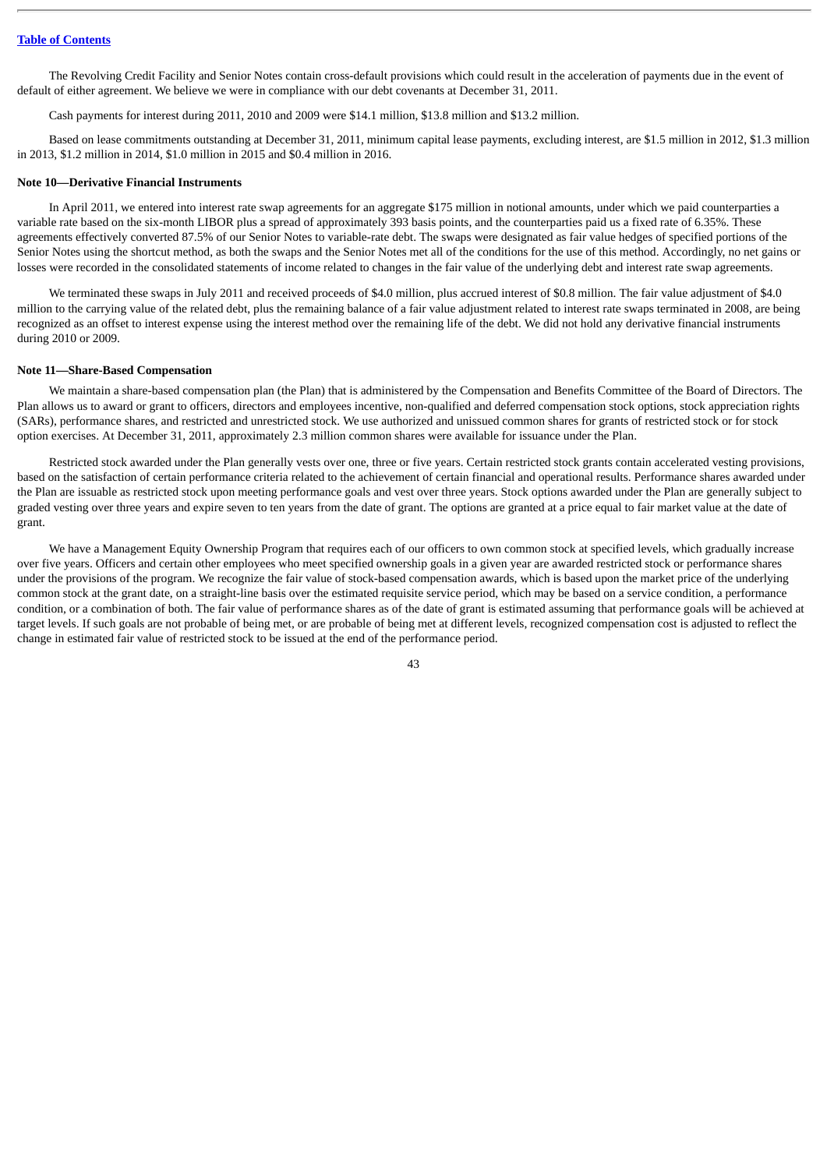The Revolving Credit Facility and Senior Notes contain cross-default provisions which could result in the acceleration of payments due in the event of default of either agreement. We believe we were in compliance with our debt covenants at December 31, 2011.

Cash payments for interest during 2011, 2010 and 2009 were \$14.1 million, \$13.8 million and \$13.2 million.

Based on lease commitments outstanding at December 31, 2011, minimum capital lease payments, excluding interest, are \$1.5 million in 2012, \$1.3 million in 2013, \$1.2 million in 2014, \$1.0 million in 2015 and \$0.4 million in 2016.

#### **Note 10—Derivative Financial Instruments**

In April 2011, we entered into interest rate swap agreements for an aggregate \$175 million in notional amounts, under which we paid counterparties a variable rate based on the six-month LIBOR plus a spread of approximately 393 basis points, and the counterparties paid us a fixed rate of 6.35%. These agreements effectively converted 87.5% of our Senior Notes to variable-rate debt. The swaps were designated as fair value hedges of specified portions of the Senior Notes using the shortcut method, as both the swaps and the Senior Notes met all of the conditions for the use of this method. Accordingly, no net gains or losses were recorded in the consolidated statements of income related to changes in the fair value of the underlying debt and interest rate swap agreements.

We terminated these swaps in July 2011 and received proceeds of \$4.0 million, plus accrued interest of \$0.8 million. The fair value adjustment of \$4.0 million to the carrying value of the related debt, plus the remaining balance of a fair value adjustment related to interest rate swaps terminated in 2008, are being recognized as an offset to interest expense using the interest method over the remaining life of the debt. We did not hold any derivative financial instruments during 2010 or 2009.

#### **Note 11—Share-Based Compensation**

We maintain a share-based compensation plan (the Plan) that is administered by the Compensation and Benefits Committee of the Board of Directors. The Plan allows us to award or grant to officers, directors and employees incentive, non-qualified and deferred compensation stock options, stock appreciation rights (SARs), performance shares, and restricted and unrestricted stock. We use authorized and unissued common shares for grants of restricted stock or for stock option exercises. At December 31, 2011, approximately 2.3 million common shares were available for issuance under the Plan.

Restricted stock awarded under the Plan generally vests over one, three or five years. Certain restricted stock grants contain accelerated vesting provisions, based on the satisfaction of certain performance criteria related to the achievement of certain financial and operational results. Performance shares awarded under the Plan are issuable as restricted stock upon meeting performance goals and vest over three years. Stock options awarded under the Plan are generally subject to graded vesting over three years and expire seven to ten years from the date of grant. The options are granted at a price equal to fair market value at the date of grant.

We have a Management Equity Ownership Program that requires each of our officers to own common stock at specified levels, which gradually increase over five years. Officers and certain other employees who meet specified ownership goals in a given year are awarded restricted stock or performance shares under the provisions of the program. We recognize the fair value of stock-based compensation awards, which is based upon the market price of the underlying common stock at the grant date, on a straight-line basis over the estimated requisite service period, which may be based on a service condition, a performance condition, or a combination of both. The fair value of performance shares as of the date of grant is estimated assuming that performance goals will be achieved at target levels. If such goals are not probable of being met, or are probable of being met at different levels, recognized compensation cost is adjusted to reflect the change in estimated fair value of restricted stock to be issued at the end of the performance period.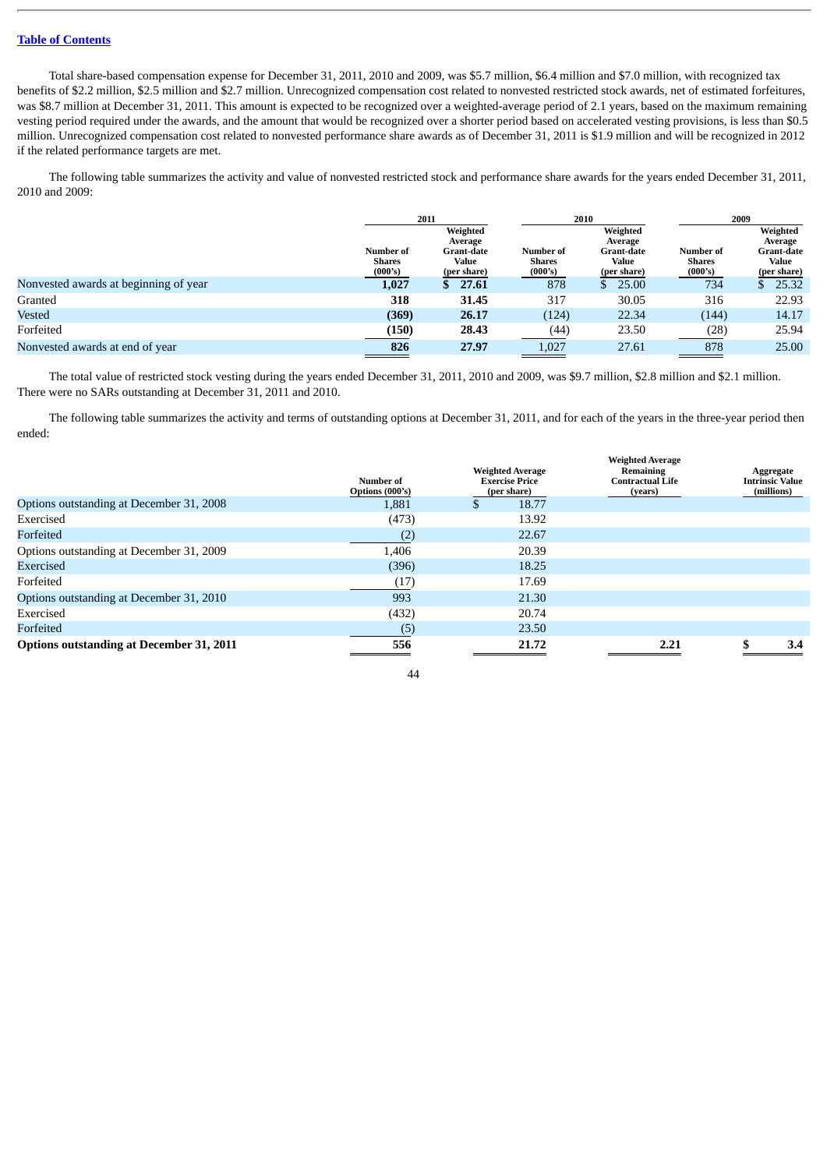Total share-based compensation expense for December 31, 2011, 2010 and 2009, was \$5.7 million, \$6.4 million and \$7.0 million, with recognized tax benefits of \$2.2 million, \$2.5 million and \$2.7 million. Unrecognized compensation cost related to nonvested restricted stock awards, net of estimated forfeitures, was \$8.7 million at December 31, 2011. This amount is expected to be recognized over a weighted-average period of 2.1 years, based on the maximum remaining vesting period required under the awards, and the amount that would be recognized over a shorter period based on accelerated vesting provisions, is less than \$0.5 million. Unrecognized compensation cost related to nonvested performance share awards as of December 31, 2011 is \$1.9 million and will be recognized in 2012 if the related performance targets are met.

The following table summarizes the activity and value of nonvested restricted stock and performance share awards for the years ended December 31, 2011, 2010 and 2009:

|                                       | 2011                                  |                                                           | 2010                                  |                                                                  | 2009                                  |                                                           |
|---------------------------------------|---------------------------------------|-----------------------------------------------------------|---------------------------------------|------------------------------------------------------------------|---------------------------------------|-----------------------------------------------------------|
|                                       | Number of<br><b>Shares</b><br>(000's) | Weighted<br>Average<br>Grant-date<br>Value<br>(per share) | Number of<br><b>Shares</b><br>(000's) | Weighted<br>Average<br><b>Grant-date</b><br>Value<br>(per share) | Number of<br><b>Shares</b><br>(000's) | Weighted<br>Average<br>Grant-date<br>Value<br>(per share) |
| Nonvested awards at beginning of year | 1,027                                 | 27.61                                                     | 878                                   | 25.00                                                            | 734                                   | 25.32                                                     |
| Granted                               | 318                                   | 31.45                                                     | 317                                   | 30.05                                                            | 316                                   | 22.93                                                     |
| <b>Vested</b>                         | (369)                                 | 26.17                                                     | (124)                                 | 22.34                                                            | (144)                                 | 14.17                                                     |
| Forfeited                             | (150)                                 | 28.43                                                     | (44)                                  | 23.50                                                            | (28)                                  | 25.94                                                     |
| Nonvested awards at end of year       | 826                                   | 27.97                                                     | 1,027                                 | 27.61                                                            | 878                                   | 25.00                                                     |

The total value of restricted stock vesting during the years ended December 31, 2011, 2010 and 2009, was \$9.7 million, \$2.8 million and \$2.1 million. There were no SARs outstanding at December 31, 2011 and 2010.

The following table summarizes the activity and terms of outstanding options at December 31, 2011, and for each of the years in the three-year period then ended:

|                                                 | Number of<br>Options (000's) | <b>Weighted Average</b><br><b>Exercise Price</b><br>(per share) | <b>Weighted Average</b><br>Remaining<br><b>Contractual Life</b><br>(years) | Aggregate<br><b>Intrinsic Value</b><br>(millions) |
|-------------------------------------------------|------------------------------|-----------------------------------------------------------------|----------------------------------------------------------------------------|---------------------------------------------------|
| Options outstanding at December 31, 2008        | 1,881                        | 18.77                                                           |                                                                            |                                                   |
| Exercised                                       | (473)                        | 13.92                                                           |                                                                            |                                                   |
| Forfeited                                       | (2)                          | 22.67                                                           |                                                                            |                                                   |
| Options outstanding at December 31, 2009        | 1,406                        | 20.39                                                           |                                                                            |                                                   |
| Exercised                                       | (396)                        | 18.25                                                           |                                                                            |                                                   |
| Forfeited                                       | (17)                         | 17.69                                                           |                                                                            |                                                   |
| Options outstanding at December 31, 2010        | 993                          | 21.30                                                           |                                                                            |                                                   |
| Exercised                                       | (432)                        | 20.74                                                           |                                                                            |                                                   |
| Forfeited                                       | (5)                          | 23.50                                                           |                                                                            |                                                   |
| <b>Options outstanding at December 31, 2011</b> | 556                          | 21.72                                                           | 2.21                                                                       | 3.4                                               |

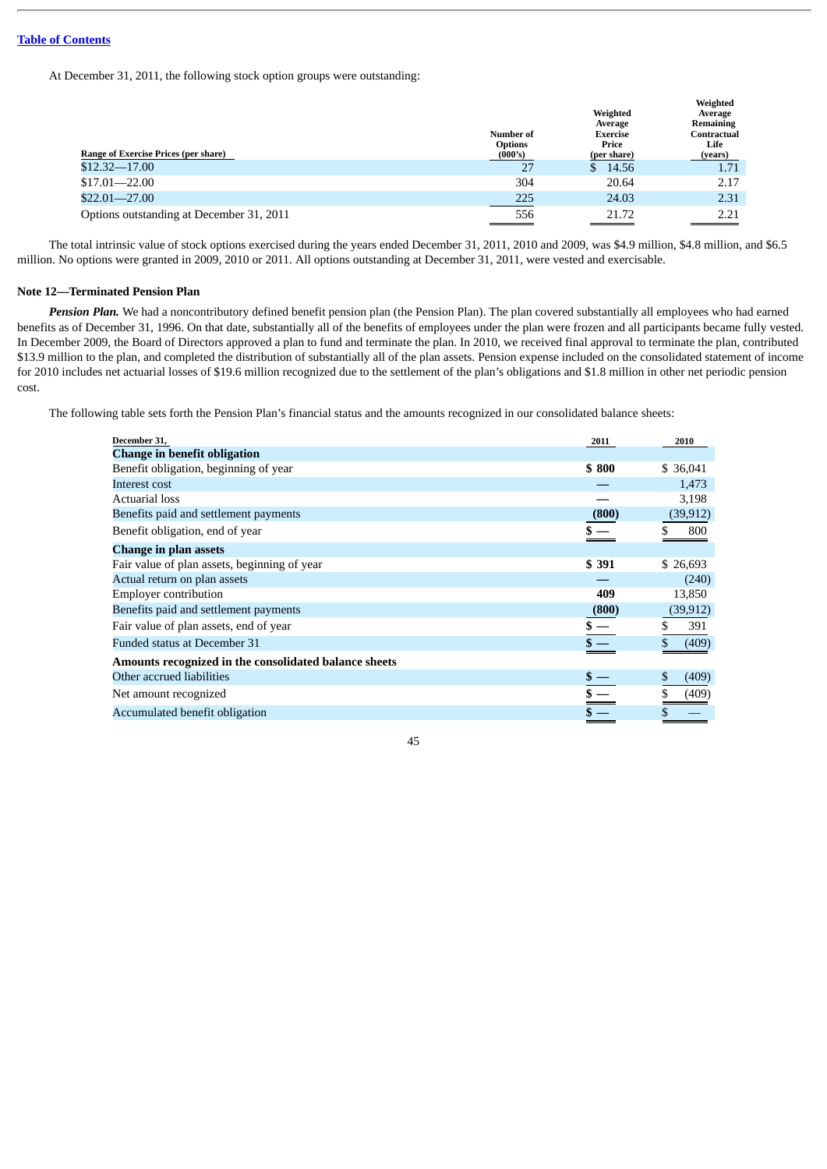At December 31, 2011, the following stock option groups were outstanding:

| Range of Exercise Prices (per share)     | Number of<br><b>Options</b><br>(000's) | Weighted<br>Average<br>Exercise<br>Price<br>(per share) | Weighted<br>Average<br>Remaining<br>Contractual<br>Life<br>(years) |
|------------------------------------------|----------------------------------------|---------------------------------------------------------|--------------------------------------------------------------------|
| $$12.32 - 17.00$                         | 27                                     | \$14.56                                                 | 1.71                                                               |
| $$17.01 - 22.00$                         | 304                                    | 20.64                                                   | 2.17                                                               |
| $$22.01 - 27.00$                         | 225                                    | 24.03                                                   | 2.31                                                               |
| Options outstanding at December 31, 2011 | 556                                    | 21.72<br>$\overline{\phantom{a}}$                       | 2.21                                                               |

**Weighted**

The total intrinsic value of stock options exercised during the years ended December 31, 2011, 2010 and 2009, was \$4.9 million, \$4.8 million, and \$6.5 million. No options were granted in 2009, 2010 or 2011. All options outstanding at December 31, 2011, were vested and exercisable.

#### **Note 12—Terminated Pension Plan**

*Pension Plan.* We had a noncontributory defined benefit pension plan (the Pension Plan). The plan covered substantially all employees who had earned benefits as of December 31, 1996. On that date, substantially all of the benefits of employees under the plan were frozen and all participants became fully vested. In December 2009, the Board of Directors approved a plan to fund and terminate the plan. In 2010, we received final approval to terminate the plan, contributed \$13.9 million to the plan, and completed the distribution of substantially all of the plan assets. Pension expense included on the consolidated statement of income for 2010 includes net actuarial losses of \$19.6 million recognized due to the settlement of the plan's obligations and \$1.8 million in other net periodic pension cost.

The following table sets forth the Pension Plan's financial status and the amounts recognized in our consolidated balance sheets:

| December 31,                                          | 2011                      | 2010        |
|-------------------------------------------------------|---------------------------|-------------|
| Change in benefit obligation                          |                           |             |
| Benefit obligation, beginning of year                 | \$800                     | \$ 36,041   |
| Interest cost                                         |                           | 1,473       |
| <b>Actuarial loss</b>                                 |                           | 3,198       |
| Benefits paid and settlement payments                 | (800)                     | (39, 912)   |
| Benefit obligation, end of year                       |                           | 800         |
| <b>Change in plan assets</b>                          |                           |             |
| Fair value of plan assets, beginning of year          | \$ 391                    | \$26,693    |
| Actual return on plan assets                          |                           | (240)       |
| <b>Employer contribution</b>                          | 409                       | 13,850      |
| Benefits paid and settlement payments                 | (800)                     | (39, 912)   |
| Fair value of plan assets, end of year                |                           | 391         |
| Funded status at December 31                          |                           | (409)       |
| Amounts recognized in the consolidated balance sheets |                           |             |
| Other accrued liabilities                             |                           | \$<br>(409) |
| Net amount recognized                                 | $\frac{\frac{s}{s-}}{s-}$ | (409)       |
| Accumulated benefit obligation                        |                           |             |
|                                                       |                           |             |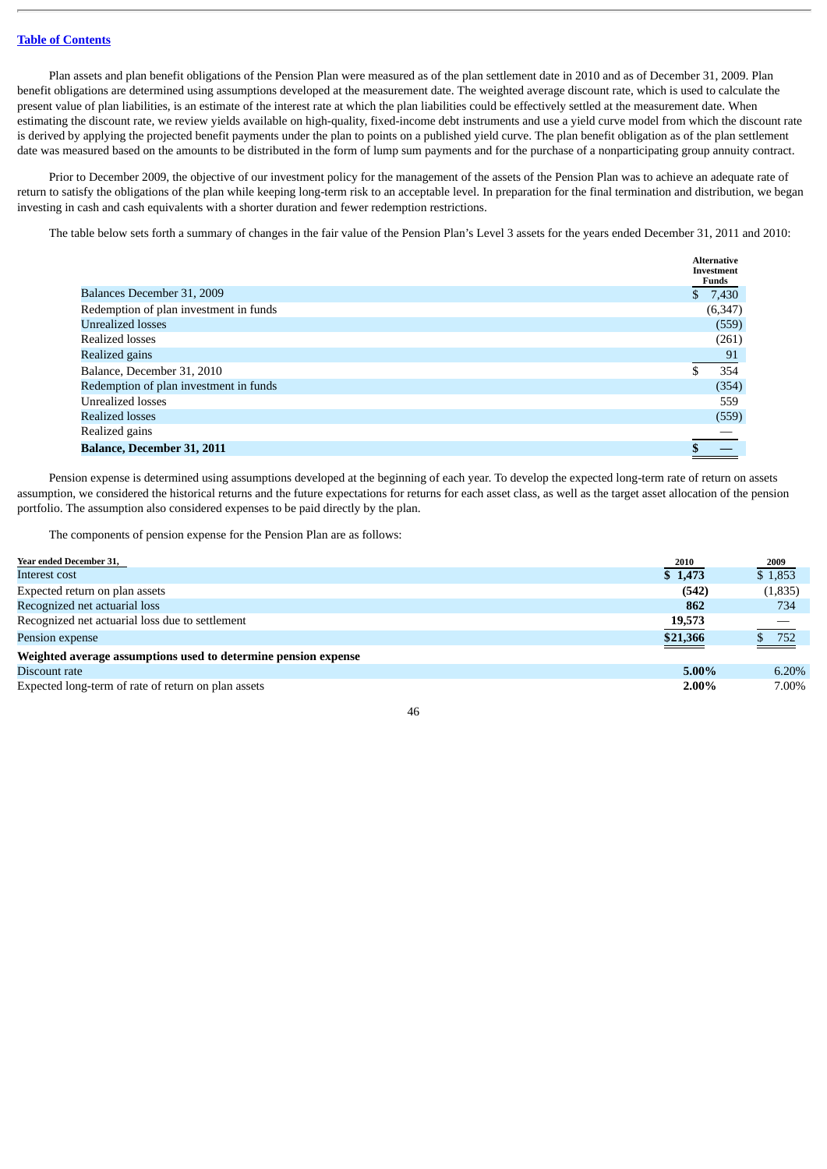Plan assets and plan benefit obligations of the Pension Plan were measured as of the plan settlement date in 2010 and as of December 31, 2009. Plan benefit obligations are determined using assumptions developed at the measurement date. The weighted average discount rate, which is used to calculate the present value of plan liabilities, is an estimate of the interest rate at which the plan liabilities could be effectively settled at the measurement date. When estimating the discount rate, we review yields available on high-quality, fixed-income debt instruments and use a yield curve model from which the discount rate is derived by applying the projected benefit payments under the plan to points on a published yield curve. The plan benefit obligation as of the plan settlement date was measured based on the amounts to be distributed in the form of lump sum payments and for the purchase of a nonparticipating group annuity contract.

Prior to December 2009, the objective of our investment policy for the management of the assets of the Pension Plan was to achieve an adequate rate of return to satisfy the obligations of the plan while keeping long-term risk to an acceptable level. In preparation for the final termination and distribution, we began investing in cash and cash equivalents with a shorter duration and fewer redemption restrictions.

The table below sets forth a summary of changes in the fair value of the Pension Plan's Level 3 assets for the years ended December 31, 2011 and 2010:

|                                        |                | <b>Alternative</b><br>Investment<br>Funds |
|----------------------------------------|----------------|-------------------------------------------|
| Balances December 31, 2009             | $\mathbb{S}^-$ | 7,430                                     |
| Redemption of plan investment in funds |                | (6, 347)                                  |
| Unrealized losses                      |                | (559)                                     |
| Realized losses                        |                | (261)                                     |
| Realized gains                         |                | 91                                        |
| Balance, December 31, 2010             |                | 354                                       |
| Redemption of plan investment in funds |                | (354)                                     |
| Unrealized losses                      |                | 559                                       |
| Realized losses                        |                | (559)                                     |
| Realized gains                         |                |                                           |
| <b>Balance, December 31, 2011</b>      |                |                                           |

Pension expense is determined using assumptions developed at the beginning of each year. To develop the expected long-term rate of return on assets assumption, we considered the historical returns and the future expectations for returns for each asset class, as well as the target asset allocation of the pension portfolio. The assumption also considered expenses to be paid directly by the plan.

The components of pension expense for the Pension Plan are as follows:

| Year ended December 31,                                        | 2010     | 2009    |
|----------------------------------------------------------------|----------|---------|
| Interest cost                                                  | \$1,473  | \$1,853 |
| Expected return on plan assets                                 | (542)    | (1,835) |
| Recognized net actuarial loss                                  | 862      | 734     |
| Recognized net actuarial loss due to settlement                | 19,573   |         |
| Pension expense                                                | \$21,366 | 752     |
| Weighted average assumptions used to determine pension expense |          |         |
| Discount rate                                                  | $5.00\%$ | 6.20%   |
| Expected long-term of rate of return on plan assets            | $2.00\%$ | 7.00%   |

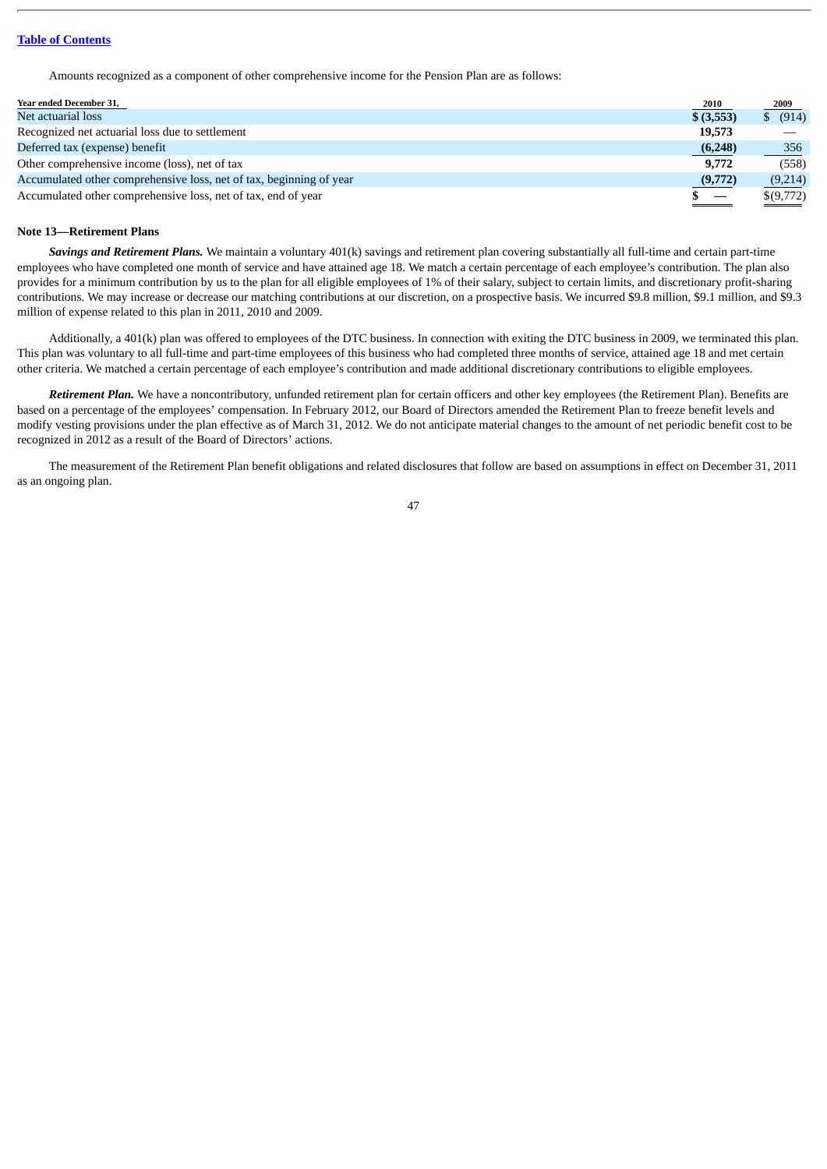Amounts recognized as a component of other comprehensive income for the Pension Plan are as follows:

| Year ended December 31,                                             | 2010                         | 2009                 |
|---------------------------------------------------------------------|------------------------------|----------------------|
| Net actuarial loss                                                  | $$$ (3,553)                  | \$ (914)             |
| Recognized net actuarial loss due to settlement                     | 19,573                       |                      |
| Deferred tax (expense) benefit                                      | (6,248)                      | 356                  |
| Other comprehensive income (loss), net of tax                       | 9,772                        | (558)                |
| Accumulated other comprehensive loss, net of tax, beginning of year | (9,772)                      | (9,214)              |
| Accumulated other comprehensive loss, net of tax, end of year       | $\frac{\text{s}}{\text{}}$ – | $\frac{$(9,772)}{2}$ |

## **Note 13—Retirement Plans**

*Savings and Retirement Plans.* We maintain a voluntary 401(k) savings and retirement plan covering substantially all full-time and certain part-time employees who have completed one month of service and have attained age 18. We match a certain percentage of each employee's contribution. The plan also provides for a minimum contribution by us to the plan for all eligible employees of 1% of their salary, subject to certain limits, and discretionary profit-sharing contributions. We may increase or decrease our matching contributions at our discretion, on a prospective basis. We incurred \$9.8 million, \$9.1 million, and \$9.3 million of expense related to this plan in 2011, 2010 and 2009.

Additionally, a 401(k) plan was offered to employees of the DTC business. In connection with exiting the DTC business in 2009, we terminated this plan. This plan was voluntary to all full-time and part-time employees of this business who had completed three months of service, attained age 18 and met certain other criteria. We matched a certain percentage of each employee's contribution and made additional discretionary contributions to eligible employees.

*Retirement Plan.* We have a noncontributory, unfunded retirement plan for certain officers and other key employees (the Retirement Plan). Benefits are based on a percentage of the employees' compensation. In February 2012, our Board of Directors amended the Retirement Plan to freeze benefit levels and modify vesting provisions under the plan effective as of March 31, 2012. We do not anticipate material changes to the amount of net periodic benefit cost to be recognized in 2012 as a result of the Board of Directors' actions.

The measurement of the Retirement Plan benefit obligations and related disclosures that follow are based on assumptions in effect on December 31, 2011 as an ongoing plan.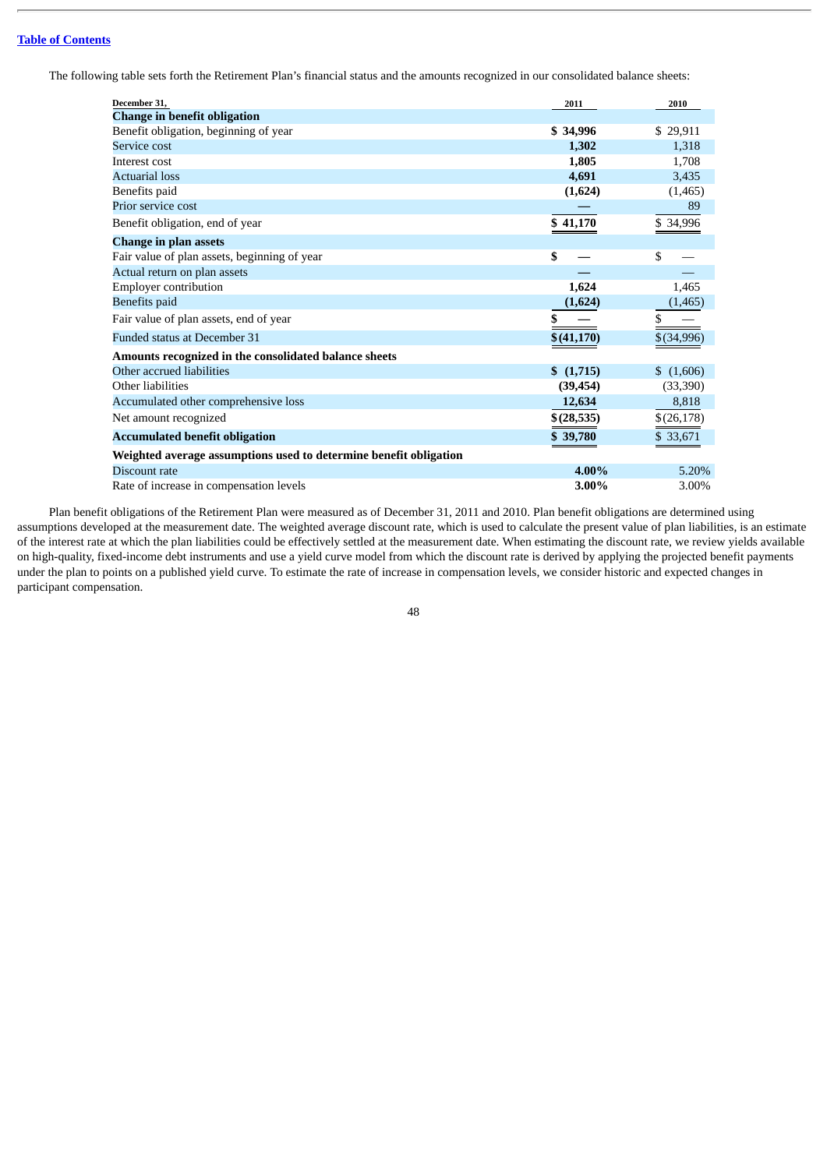The following table sets forth the Retirement Plan's financial status and the amounts recognized in our consolidated balance sheets:

| December 31,                                                      | 2011         | 2010         |
|-------------------------------------------------------------------|--------------|--------------|
| <b>Change in benefit obligation</b>                               |              |              |
| Benefit obligation, beginning of year                             | \$34,996     | \$ 29,911    |
| Service cost                                                      | 1,302        | 1,318        |
| Interest cost                                                     | 1,805        | 1,708        |
| <b>Actuarial loss</b>                                             | 4,691        | 3,435        |
| Benefits paid                                                     | (1,624)      | (1,465)      |
| Prior service cost                                                |              | 89           |
| Benefit obligation, end of year                                   | \$41,170     | \$34,996     |
| <b>Change in plan assets</b>                                      |              |              |
| Fair value of plan assets, beginning of year                      | \$           | \$           |
| Actual return on plan assets                                      |              |              |
| <b>Employer contribution</b>                                      | 1,624        | 1,465        |
| <b>Benefits</b> paid                                              | (1,624)      | (1, 465)     |
| Fair value of plan assets, end of year                            | \$           | \$           |
| <b>Funded status at December 31</b>                               | \$(41,170)   | $$$ (34,996) |
| Amounts recognized in the consolidated balance sheets             |              |              |
| Other accrued liabilities                                         | \$(1,715)    | \$(1,606)    |
| Other liabilities                                                 | (39, 454)    | (33,390)     |
| Accumulated other comprehensive loss                              | 12,634       | 8,818        |
| Net amount recognized                                             | $$$ (28,535) | \$(26, 178)  |
| <b>Accumulated benefit obligation</b>                             | \$39,780     | \$33,671     |
| Weighted average assumptions used to determine benefit obligation |              |              |
| Discount rate                                                     | 4.00%        | 5.20%        |
| Rate of increase in compensation levels                           | 3.00%        | 3.00%        |

Plan benefit obligations of the Retirement Plan were measured as of December 31, 2011 and 2010. Plan benefit obligations are determined using assumptions developed at the measurement date. The weighted average discount rate, which is used to calculate the present value of plan liabilities, is an estimate of the interest rate at which the plan liabilities could be effectively settled at the measurement date. When estimating the discount rate, we review yields available on high-quality, fixed-income debt instruments and use a yield curve model from which the discount rate is derived by applying the projected benefit payments under the plan to points on a published yield curve. To estimate the rate of increase in compensation levels, we consider historic and expected changes in participant compensation.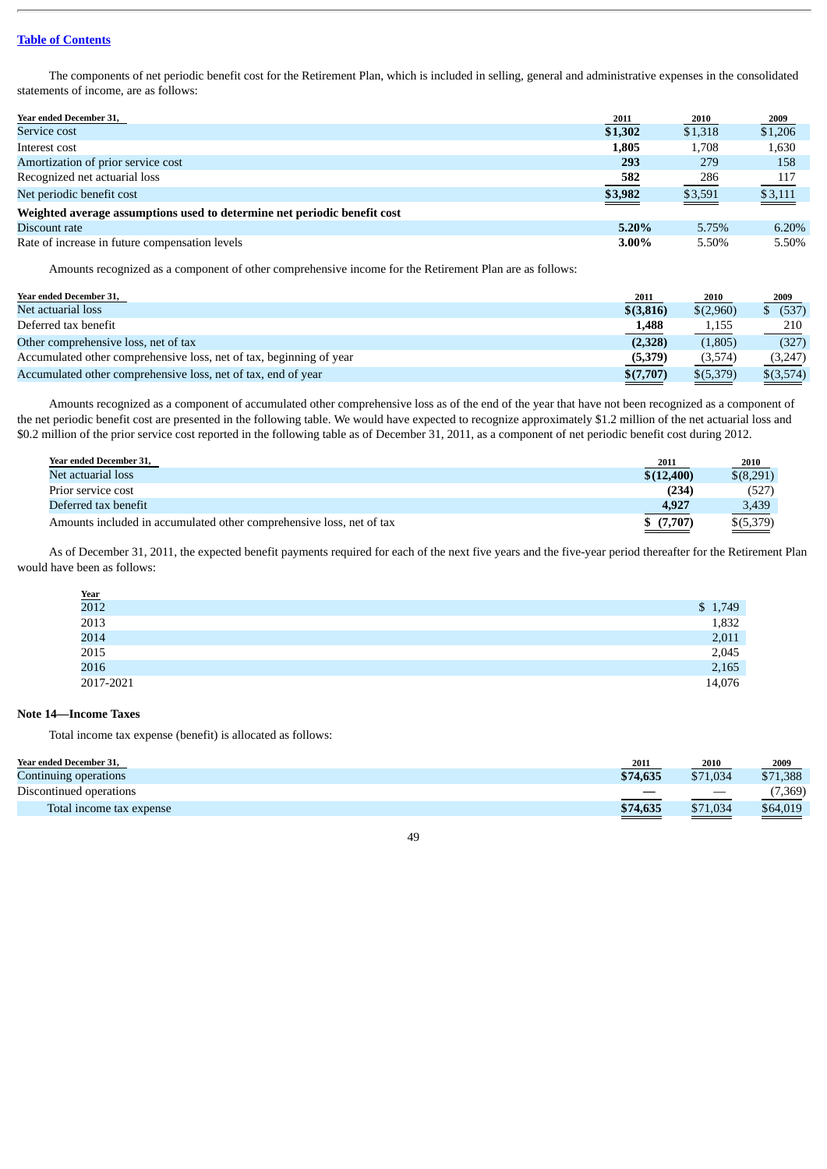The components of net periodic benefit cost for the Retirement Plan, which is included in selling, general and administrative expenses in the consolidated statements of income, are as follows:

| Year ended December 31,                                                  | 2011                                        | 2010    | 2009            |
|--------------------------------------------------------------------------|---------------------------------------------|---------|-----------------|
| Service cost                                                             | \$1,302                                     | \$1,318 | \$1,206         |
| Interest cost                                                            | 1,805                                       | 1.708   | 1,630           |
| Amortization of prior service cost                                       | 293                                         | 279     | 158             |
| Recognized net actuarial loss                                            | 582                                         | 286     | $\frac{117}{1}$ |
| Net periodic benefit cost                                                | \$3,982<br><b>Service Contract Contract</b> | \$3,591 | \$3,111         |
| Weighted average assumptions used to determine net periodic benefit cost |                                             |         |                 |
| Discount rate                                                            | 5.20%                                       | 5.75%   | 6.20%           |
| Rate of increase in future compensation levels                           | 3.00%                                       | 5.50%   | 5.50%           |

Amounts recognized as a component of other comprehensive income for the Retirement Plan are as follows:

| Year ended December 31,                                             | 2011        | 2010       | 2009      |
|---------------------------------------------------------------------|-------------|------------|-----------|
| Net actuarial loss                                                  | $$$ (3,816) | \$(2,960)  | \$ (537)  |
| Deferred tax benefit                                                | 1,488       | 1,155      | 210       |
| Other comprehensive loss, net of tax                                | (2,328)     | (1,805)    | (327)     |
| Accumulated other comprehensive loss, net of tax, beginning of year | (5,379)     | (3,574)    | (3,247)   |
| Accumulated other comprehensive loss, net of tax, end of year       | \$(7,707)   | \$ (5,379) | \$(3,574) |

Amounts recognized as a component of accumulated other comprehensive loss as of the end of the year that have not been recognized as a component of the net periodic benefit cost are presented in the following table. We would have expected to recognize approximately \$1.2 million of the net actuarial loss and \$0.2 million of the prior service cost reported in the following table as of December 31, 2011, as a component of net periodic benefit cost during 2012.

| <b>Year ended December 31.</b>                                       | 2011       | 2010       |
|----------------------------------------------------------------------|------------|------------|
| Net actuarial loss                                                   | \$(12,400) | \$(8,291)  |
| Prior service cost                                                   | (234)      | (527)      |
| Deferred tax benefit                                                 | 4,927      | 3,439      |
| Amounts included in accumulated other comprehensive loss, net of tax | \$(7,707)  | \$ (5,379) |

As of December 31, 2011, the expected benefit payments required for each of the next five years and the five-year period thereafter for the Retirement Plan would have been as follows:

| $\frac{\text{Year}}{2012}$ | \$1,749 |
|----------------------------|---------|
| 2013                       | 1,832   |
| 2014                       | 2,011   |
| 2015                       | 2,045   |
| 2016                       | 2,165   |
| 2017-2021                  | 14,076  |

### **Note 14—Income Taxes**

Total income tax expense (benefit) is allocated as follows:

| Year ended December 31.  | 2011     | 2010     | 2009               |
|--------------------------|----------|----------|--------------------|
| Continuing operations    | \$74,635 | \$71,034 | \$71,388           |
| Discontinued operations  |          |          | (7,369)            |
| Total income tax expense | \$74,635 | \$71,034 | \$64,019<br>______ |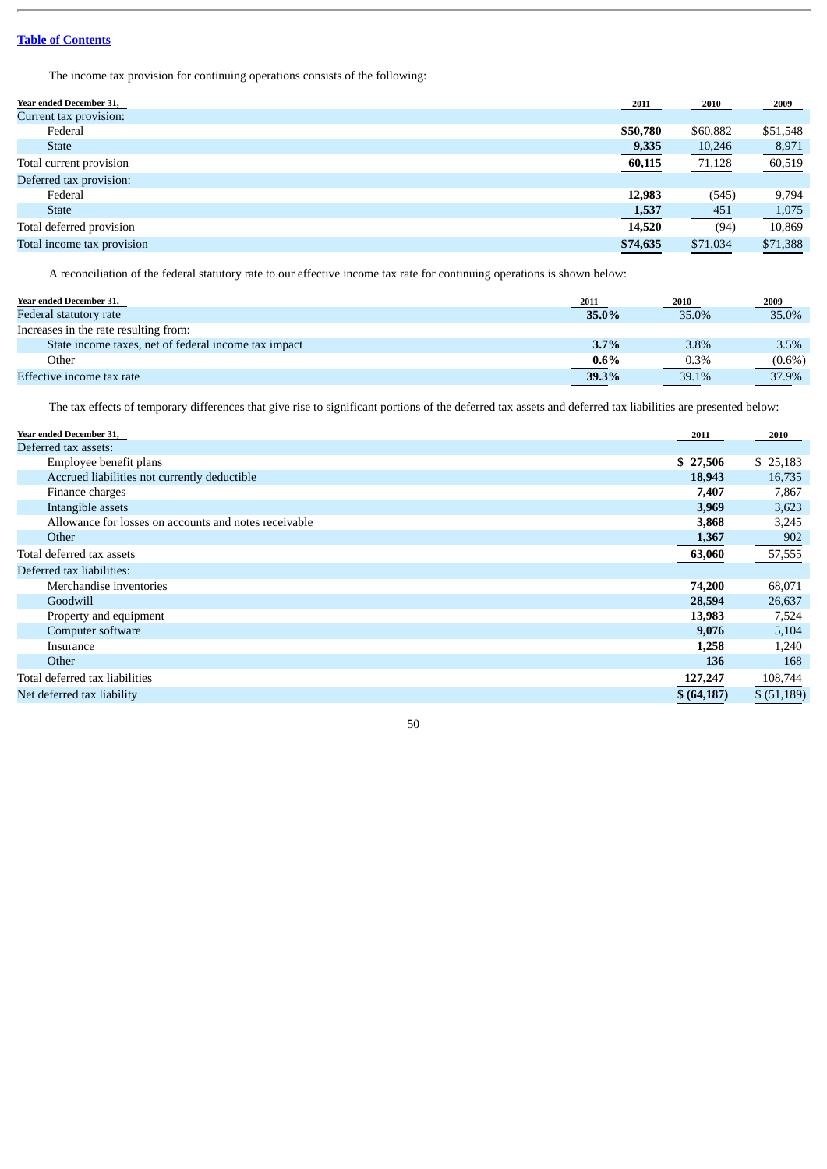The income tax provision for continuing operations consists of the following:

| Year ended December 31,    | 2011     | 2010     | 2009     |
|----------------------------|----------|----------|----------|
| Current tax provision:     |          |          |          |
| Federal                    | \$50,780 | \$60,882 | \$51,548 |
| <b>State</b>               | 9,335    | 10,246   | 8,971    |
| Total current provision    | 60,115   | 71,128   | 60,519   |
| Deferred tax provision:    |          |          |          |
| Federal                    | 12,983   | (545)    | 9,794    |
| <b>State</b>               | 1,537    | 451      | 1,075    |
| Total deferred provision   | 14,520   | (94)     | 10,869   |
| Total income tax provision | \$74,635 | \$71,034 | \$71,388 |
|                            |          |          |          |

A reconciliation of the federal statutory rate to our effective income tax rate for continuing operations is shown below:

| Year ended December 31,                              | <b>2011</b> | 2010  | 2009      |
|------------------------------------------------------|-------------|-------|-----------|
| <b>Federal statutory rate</b>                        | 35.0%       | 35.0% | 35.0%     |
| Increases in the rate resulting from:                |             |       |           |
| State income taxes, net of federal income tax impact | 3.7%        | 3.8%  | 3.5%      |
| Other                                                | $0.6\%$     | 0.3%  | $(0.6\%)$ |
| Effective income tax rate                            | 39.3%       | 39.1% | 37.9%     |

The tax effects of temporary differences that give rise to significant portions of the deferred tax assets and deferred tax liabilities are presented below:

| Deferred tax assets:<br>Employee benefit plans<br>\$27,506<br>\$25,183<br>Accrued liabilities not currently deductible<br>18,943<br>16,735<br>Finance charges<br>7,867<br>7,407<br>Intangible assets<br>3,969<br>3,623<br>Allowance for losses on accounts and notes receivable<br>3,868<br>3,245<br>1,367<br>Other<br>902<br>63,060<br>57,555<br>Total deferred tax assets<br>Deferred tax liabilities:<br>Merchandise inventories<br>74,200<br>68,071<br>Goodwill<br>28,594<br>26,637<br>Property and equipment<br>7,524<br>13,983<br>Computer software<br>9,076<br>5,104<br>1,258<br>1,240<br>Insurance<br>Other<br>136<br>168 | Year ended December 31, | 2011 | 2010 |
|-----------------------------------------------------------------------------------------------------------------------------------------------------------------------------------------------------------------------------------------------------------------------------------------------------------------------------------------------------------------------------------------------------------------------------------------------------------------------------------------------------------------------------------------------------------------------------------------------------------------------------------|-------------------------|------|------|
|                                                                                                                                                                                                                                                                                                                                                                                                                                                                                                                                                                                                                                   |                         |      |      |
|                                                                                                                                                                                                                                                                                                                                                                                                                                                                                                                                                                                                                                   |                         |      |      |
|                                                                                                                                                                                                                                                                                                                                                                                                                                                                                                                                                                                                                                   |                         |      |      |
|                                                                                                                                                                                                                                                                                                                                                                                                                                                                                                                                                                                                                                   |                         |      |      |
|                                                                                                                                                                                                                                                                                                                                                                                                                                                                                                                                                                                                                                   |                         |      |      |
|                                                                                                                                                                                                                                                                                                                                                                                                                                                                                                                                                                                                                                   |                         |      |      |
|                                                                                                                                                                                                                                                                                                                                                                                                                                                                                                                                                                                                                                   |                         |      |      |
|                                                                                                                                                                                                                                                                                                                                                                                                                                                                                                                                                                                                                                   |                         |      |      |
|                                                                                                                                                                                                                                                                                                                                                                                                                                                                                                                                                                                                                                   |                         |      |      |
|                                                                                                                                                                                                                                                                                                                                                                                                                                                                                                                                                                                                                                   |                         |      |      |
|                                                                                                                                                                                                                                                                                                                                                                                                                                                                                                                                                                                                                                   |                         |      |      |
|                                                                                                                                                                                                                                                                                                                                                                                                                                                                                                                                                                                                                                   |                         |      |      |
|                                                                                                                                                                                                                                                                                                                                                                                                                                                                                                                                                                                                                                   |                         |      |      |
|                                                                                                                                                                                                                                                                                                                                                                                                                                                                                                                                                                                                                                   |                         |      |      |
|                                                                                                                                                                                                                                                                                                                                                                                                                                                                                                                                                                                                                                   |                         |      |      |
| Total deferred tax liabilities<br>127,247<br>108,744                                                                                                                                                                                                                                                                                                                                                                                                                                                                                                                                                                              |                         |      |      |
| \$ (64, 187)<br>\$ (51,189)<br>Net deferred tax liability                                                                                                                                                                                                                                                                                                                                                                                                                                                                                                                                                                         |                         |      |      |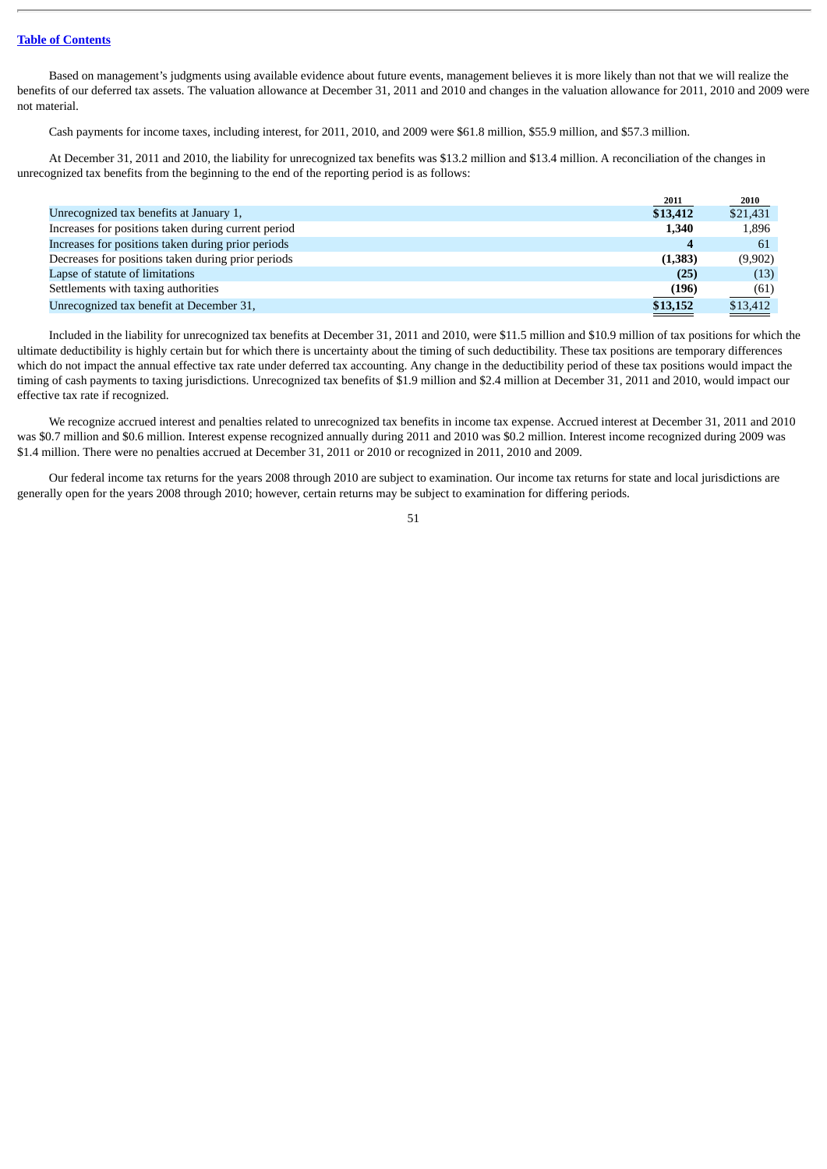Based on management's judgments using available evidence about future events, management believes it is more likely than not that we will realize the benefits of our deferred tax assets. The valuation allowance at December 31, 2011 and 2010 and changes in the valuation allowance for 2011, 2010 and 2009 were not material.

Cash payments for income taxes, including interest, for 2011, 2010, and 2009 were \$61.8 million, \$55.9 million, and \$57.3 million.

At December 31, 2011 and 2010, the liability for unrecognized tax benefits was \$13.2 million and \$13.4 million. A reconciliation of the changes in unrecognized tax benefits from the beginning to the end of the reporting period is as follows:

|                                                     | 2011     | 2010     |
|-----------------------------------------------------|----------|----------|
| Unrecognized tax benefits at January 1,             | \$13,412 | \$21,431 |
| Increases for positions taken during current period | 1,340    | 1,896    |
| Increases for positions taken during prior periods  | 4        | -61      |
| Decreases for positions taken during prior periods  | (1,383)  | (9,902)  |
| Lapse of statute of limitations                     | (25)     | (13)     |
| Settlements with taxing authorities                 | (196)    | $-$ (61) |
| Unrecognized tax benefit at December 31,            | \$13,152 | \$13,412 |
|                                                     |          |          |

Included in the liability for unrecognized tax benefits at December 31, 2011 and 2010, were \$11.5 million and \$10.9 million of tax positions for which the ultimate deductibility is highly certain but for which there is uncertainty about the timing of such deductibility. These tax positions are temporary differences which do not impact the annual effective tax rate under deferred tax accounting. Any change in the deductibility period of these tax positions would impact the timing of cash payments to taxing jurisdictions. Unrecognized tax benefits of \$1.9 million and \$2.4 million at December 31, 2011 and 2010, would impact our effective tax rate if recognized.

We recognize accrued interest and penalties related to unrecognized tax benefits in income tax expense. Accrued interest at December 31, 2011 and 2010 was \$0.7 million and \$0.6 million. Interest expense recognized annually during 2011 and 2010 was \$0.2 million. Interest income recognized during 2009 was \$1.4 million. There were no penalties accrued at December 31, 2011 or 2010 or recognized in 2011, 2010 and 2009.

Our federal income tax returns for the years 2008 through 2010 are subject to examination. Our income tax returns for state and local jurisdictions are generally open for the years 2008 through 2010; however, certain returns may be subject to examination for differing periods.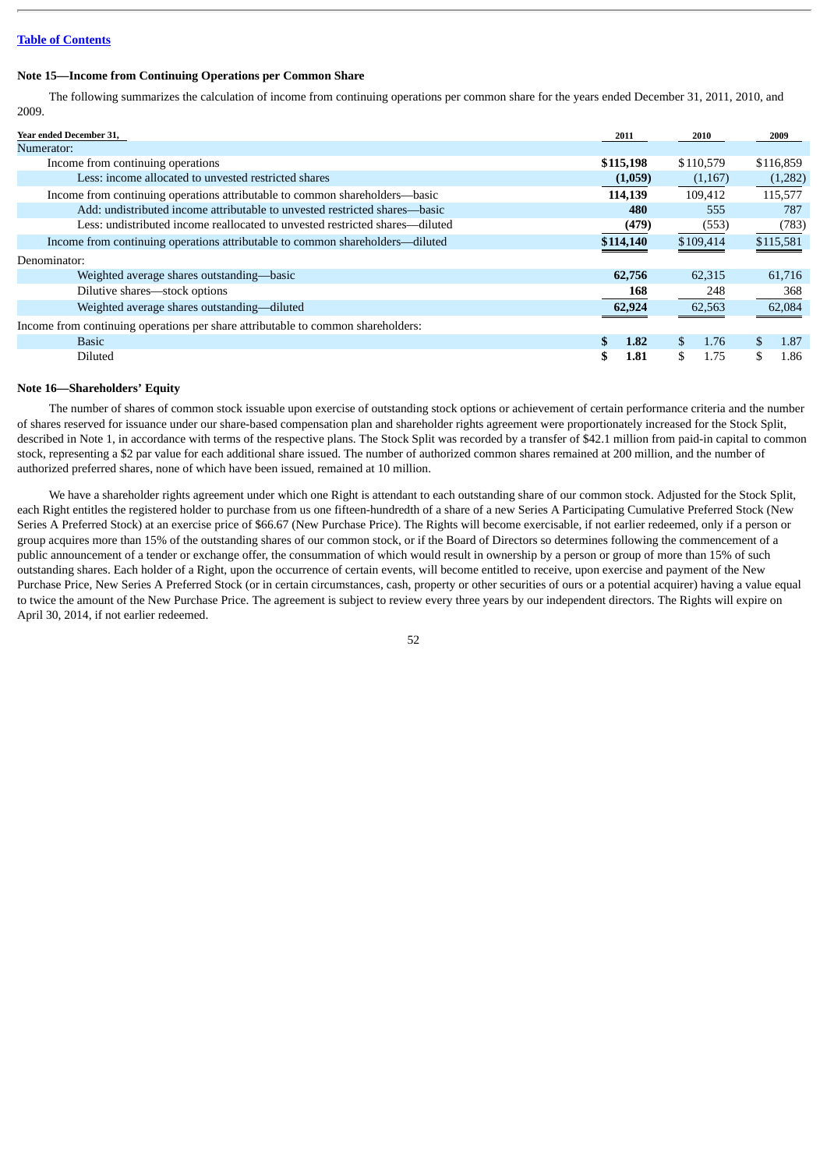### **Note 15—Income from Continuing Operations per Common Share**

The following summarizes the calculation of income from continuing operations per common share for the years ended December 31, 2011, 2010, and 2009.

| Year ended December 31,                                                          | 2011      | 2010        | 2009       |
|----------------------------------------------------------------------------------|-----------|-------------|------------|
| Numerator:                                                                       |           |             |            |
| Income from continuing operations                                                | \$115,198 | \$110,579   | \$116,859  |
| Less: income allocated to unvested restricted shares                             | (1,059)   | (1,167)     | (1,282)    |
| Income from continuing operations attributable to common shareholders-basic      | 114,139   | 109,412     | 115,577    |
| Add: undistributed income attributable to unvested restricted shares—basic       | 480       | 555         | 787        |
| Less: undistributed income reallocated to unvested restricted shares—diluted     | (479)     | (553)       | (783)      |
| Income from continuing operations attributable to common shareholders-diluted    | \$114,140 | \$109,414   | \$115,581  |
| Denominator:                                                                     |           |             |            |
| Weighted average shares outstanding—basic                                        | 62,756    | 62.315      | 61.716     |
| Dilutive shares—stock options                                                    | 168       | 248         | 368        |
| Weighted average shares outstanding—diluted                                      | 62,924    | 62,563      | 62,084     |
| Income from continuing operations per share attributable to common shareholders: |           |             |            |
| <b>Basic</b>                                                                     | 1.82      | 1.76<br>\$. | 1.87       |
| Diluted                                                                          | 1.81      | 1.75<br>S.  | \$<br>1.86 |

### **Note 16—Shareholders' Equity**

The number of shares of common stock issuable upon exercise of outstanding stock options or achievement of certain performance criteria and the number of shares reserved for issuance under our share-based compensation plan and shareholder rights agreement were proportionately increased for the Stock Split, described in Note 1, in accordance with terms of the respective plans. The Stock Split was recorded by a transfer of \$42.1 million from paid-in capital to common stock, representing a \$2 par value for each additional share issued. The number of authorized common shares remained at 200 million, and the number of authorized preferred shares, none of which have been issued, remained at 10 million.

We have a shareholder rights agreement under which one Right is attendant to each outstanding share of our common stock. Adjusted for the Stock Split, each Right entitles the registered holder to purchase from us one fifteen-hundredth of a share of a new Series A Participating Cumulative Preferred Stock (New Series A Preferred Stock) at an exercise price of \$66.67 (New Purchase Price). The Rights will become exercisable, if not earlier redeemed, only if a person or group acquires more than 15% of the outstanding shares of our common stock, or if the Board of Directors so determines following the commencement of a public announcement of a tender or exchange offer, the consummation of which would result in ownership by a person or group of more than 15% of such outstanding shares. Each holder of a Right, upon the occurrence of certain events, will become entitled to receive, upon exercise and payment of the New Purchase Price, New Series A Preferred Stock (or in certain circumstances, cash, property or other securities of ours or a potential acquirer) having a value equal to twice the amount of the New Purchase Price. The agreement is subject to review every three years by our independent directors. The Rights will expire on April 30, 2014, if not earlier redeemed.

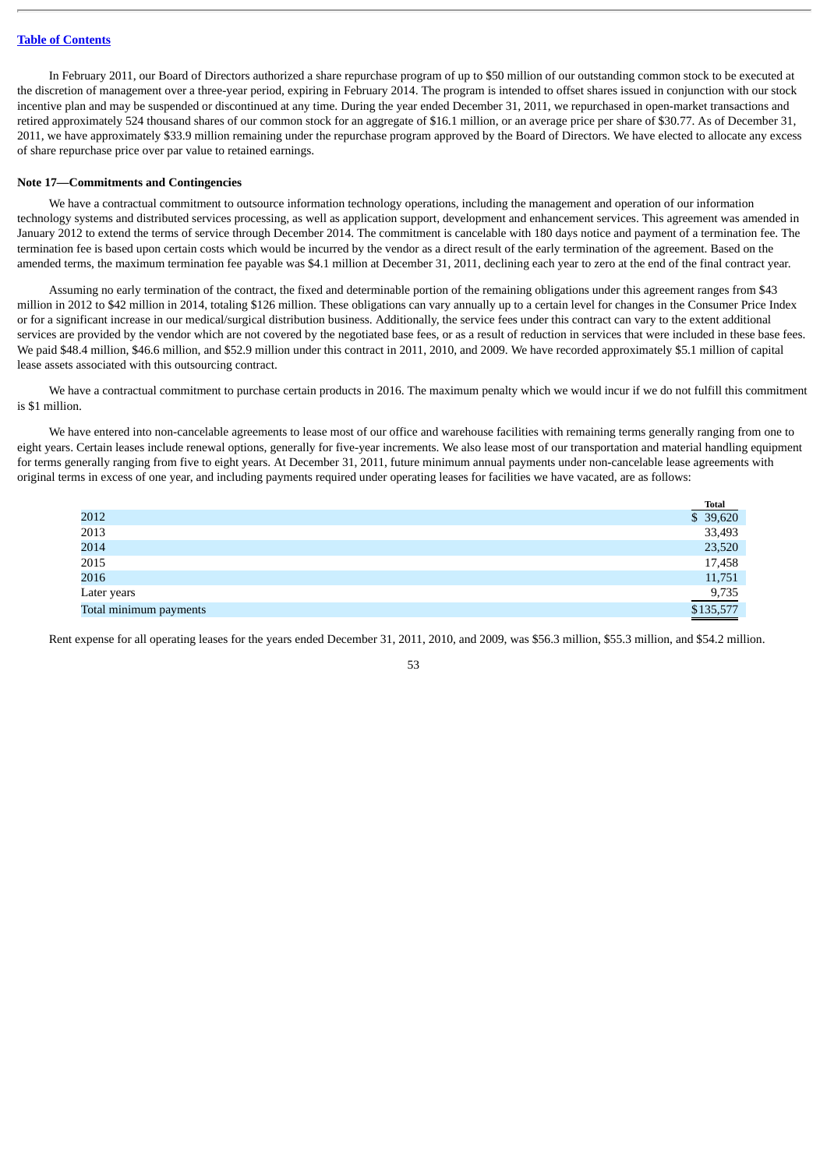In February 2011, our Board of Directors authorized a share repurchase program of up to \$50 million of our outstanding common stock to be executed at the discretion of management over a three-year period, expiring in February 2014. The program is intended to offset shares issued in conjunction with our stock incentive plan and may be suspended or discontinued at any time. During the year ended December 31, 2011, we repurchased in open-market transactions and retired approximately 524 thousand shares of our common stock for an aggregate of \$16.1 million, or an average price per share of \$30.77. As of December 31, 2011, we have approximately \$33.9 million remaining under the repurchase program approved by the Board of Directors. We have elected to allocate any excess of share repurchase price over par value to retained earnings.

#### **Note 17—Commitments and Contingencies**

We have a contractual commitment to outsource information technology operations, including the management and operation of our information technology systems and distributed services processing, as well as application support, development and enhancement services. This agreement was amended in January 2012 to extend the terms of service through December 2014. The commitment is cancelable with 180 days notice and payment of a termination fee. The termination fee is based upon certain costs which would be incurred by the vendor as a direct result of the early termination of the agreement. Based on the amended terms, the maximum termination fee payable was \$4.1 million at December 31, 2011, declining each year to zero at the end of the final contract year.

Assuming no early termination of the contract, the fixed and determinable portion of the remaining obligations under this agreement ranges from \$43 million in 2012 to \$42 million in 2014, totaling \$126 million. These obligations can vary annually up to a certain level for changes in the Consumer Price Index or for a significant increase in our medical/surgical distribution business. Additionally, the service fees under this contract can vary to the extent additional services are provided by the vendor which are not covered by the negotiated base fees, or as a result of reduction in services that were included in these base fees. We paid \$48.4 million, \$46.6 million, and \$52.9 million under this contract in 2011, 2010, and 2009. We have recorded approximately \$5.1 million of capital lease assets associated with this outsourcing contract.

We have a contractual commitment to purchase certain products in 2016. The maximum penalty which we would incur if we do not fulfill this commitment is \$1 million.

We have entered into non-cancelable agreements to lease most of our office and warehouse facilities with remaining terms generally ranging from one to eight years. Certain leases include renewal options, generally for five-year increments. We also lease most of our transportation and material handling equipment for terms generally ranging from five to eight years. At December 31, 2011, future minimum annual payments under non-cancelable lease agreements with original terms in excess of one year, and including payments required under operating leases for facilities we have vacated, are as follows:

|                        | Total                    |
|------------------------|--------------------------|
| 2012                   | \$39,620                 |
| 2013                   | 33,493                   |
| 2014                   | 23,520                   |
| 2015                   | 17,458                   |
| 2016                   | 11,751                   |
| Later years            | $\frac{9,735}{$135,577}$ |
| Total minimum payments |                          |

Rent expense for all operating leases for the years ended December 31, 2011, 2010, and 2009, was \$56.3 million, \$55.3 million, and \$54.2 million.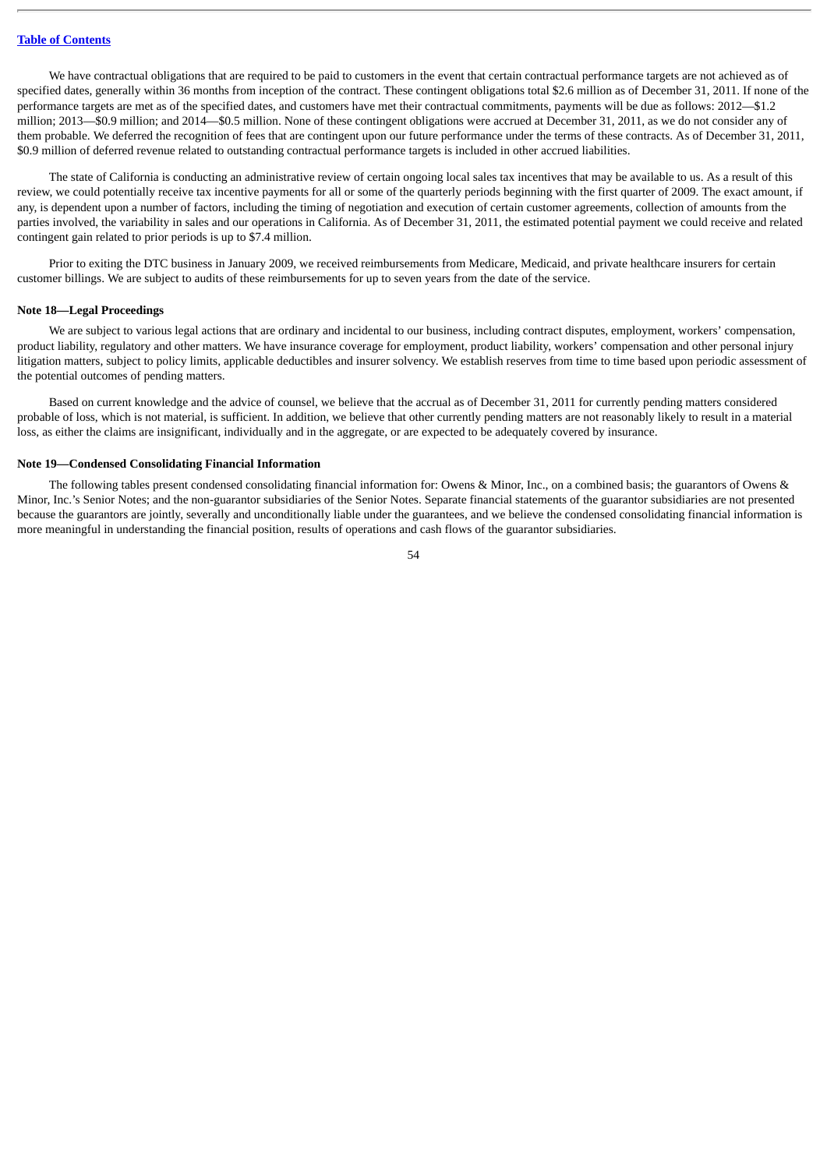We have contractual obligations that are required to be paid to customers in the event that certain contractual performance targets are not achieved as of specified dates, generally within 36 months from inception of the contract. These contingent obligations total \$2.6 million as of December 31, 2011. If none of the performance targets are met as of the specified dates, and customers have met their contractual commitments, payments will be due as follows: 2012—\$1.2 million; 2013—\$0.9 million; and 2014—\$0.5 million. None of these contingent obligations were accrued at December 31, 2011, as we do not consider any of them probable. We deferred the recognition of fees that are contingent upon our future performance under the terms of these contracts. As of December 31, 2011, \$0.9 million of deferred revenue related to outstanding contractual performance targets is included in other accrued liabilities.

The state of California is conducting an administrative review of certain ongoing local sales tax incentives that may be available to us. As a result of this review, we could potentially receive tax incentive payments for all or some of the quarterly periods beginning with the first quarter of 2009. The exact amount, if any, is dependent upon a number of factors, including the timing of negotiation and execution of certain customer agreements, collection of amounts from the parties involved, the variability in sales and our operations in California. As of December 31, 2011, the estimated potential payment we could receive and related contingent gain related to prior periods is up to \$7.4 million.

Prior to exiting the DTC business in January 2009, we received reimbursements from Medicare, Medicaid, and private healthcare insurers for certain customer billings. We are subject to audits of these reimbursements for up to seven years from the date of the service.

#### **Note 18—Legal Proceedings**

We are subject to various legal actions that are ordinary and incidental to our business, including contract disputes, employment, workers' compensation, product liability, regulatory and other matters. We have insurance coverage for employment, product liability, workers' compensation and other personal injury litigation matters, subject to policy limits, applicable deductibles and insurer solvency. We establish reserves from time to time based upon periodic assessment of the potential outcomes of pending matters.

Based on current knowledge and the advice of counsel, we believe that the accrual as of December 31, 2011 for currently pending matters considered probable of loss, which is not material, is sufficient. In addition, we believe that other currently pending matters are not reasonably likely to result in a material loss, as either the claims are insignificant, individually and in the aggregate, or are expected to be adequately covered by insurance.

## **Note 19—Condensed Consolidating Financial Information**

The following tables present condensed consolidating financial information for: Owens & Minor, Inc., on a combined basis; the guarantors of Owens & Minor, Inc.'s Senior Notes; and the non-guarantor subsidiaries of the Senior Notes. Separate financial statements of the guarantor subsidiaries are not presented because the guarantors are jointly, severally and unconditionally liable under the guarantees, and we believe the condensed consolidating financial information is more meaningful in understanding the financial position, results of operations and cash flows of the guarantor subsidiaries.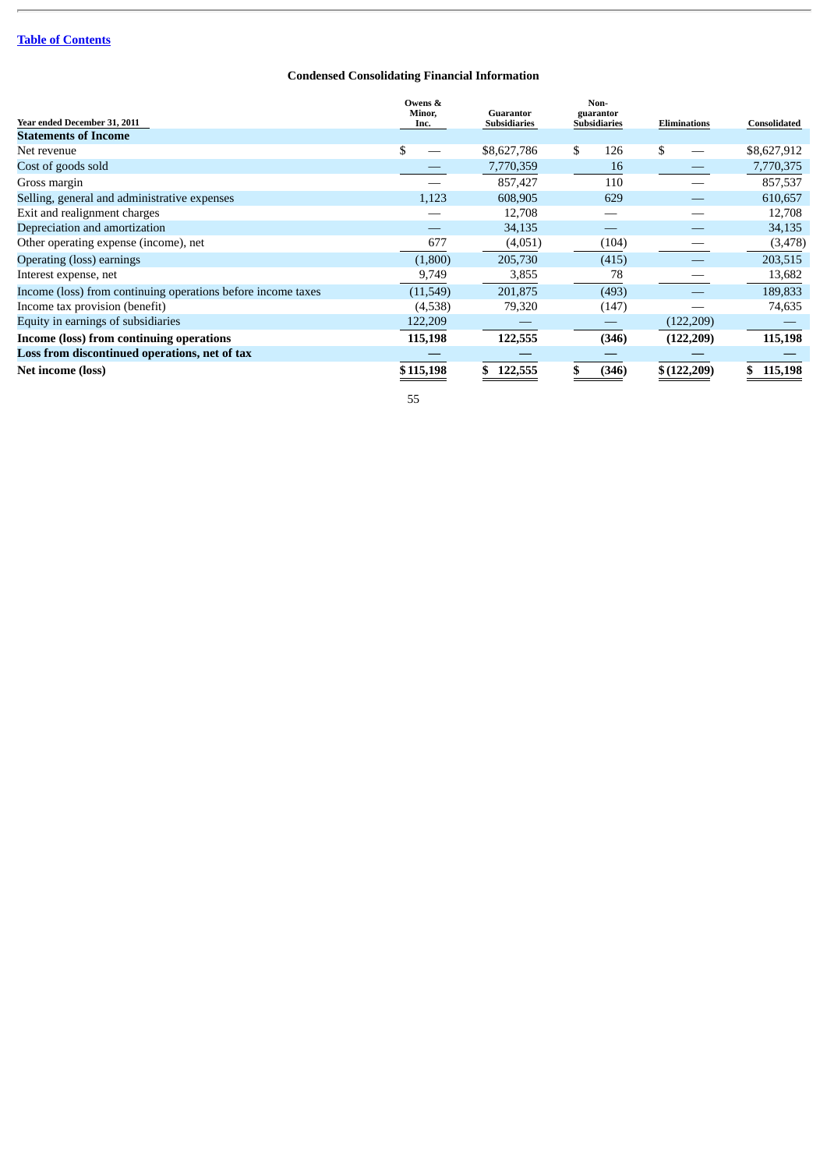# **Condensed Consolidating Financial Information**

|                                                              | Owens &<br>Minor, | Guarantor           | Non-<br>guarantor |                     |              |
|--------------------------------------------------------------|-------------------|---------------------|-------------------|---------------------|--------------|
| Year ended December 31, 2011                                 | Inc.              | <b>Subsidiaries</b> | Subsidiaries      | <b>Eliminations</b> | Consolidated |
| <b>Statements of Income</b>                                  |                   |                     |                   |                     |              |
| Net revenue                                                  | \$                | \$8,627,786         | \$<br>126         | \$                  | \$8,627,912  |
| Cost of goods sold                                           |                   | 7,770,359           | 16                |                     | 7,770,375    |
| Gross margin                                                 |                   | 857,427             | 110               |                     | 857,537      |
| Selling, general and administrative expenses                 | 1,123             | 608,905             | 629               |                     | 610,657      |
| Exit and realignment charges                                 |                   | 12,708              |                   |                     | 12,708       |
| Depreciation and amortization                                |                   | 34,135              |                   |                     | 34,135       |
| Other operating expense (income), net                        | 677               | (4,051)             | (104)             |                     | (3, 478)     |
| Operating (loss) earnings                                    | (1,800)           | 205,730             | (415)             |                     | 203,515      |
| Interest expense, net                                        | 9,749             | 3,855               | 78                |                     | 13,682       |
| Income (loss) from continuing operations before income taxes | (11,549)          | 201,875             | (493)             |                     | 189,833      |
| Income tax provision (benefit)                               | (4,538)           | 79,320              | (147)             |                     | 74,635       |
| Equity in earnings of subsidiaries                           | 122,209           |                     |                   | (122, 209)          |              |
| Income (loss) from continuing operations                     | 115,198           | 122,555             | (346)             | (122, 209)          | 115,198      |
| Loss from discontinued operations, net of tax                |                   |                     |                   |                     |              |
| Net income (loss)                                            | \$115,198         | 122,555             | (346)             | \$(122, 209)        | 115,198      |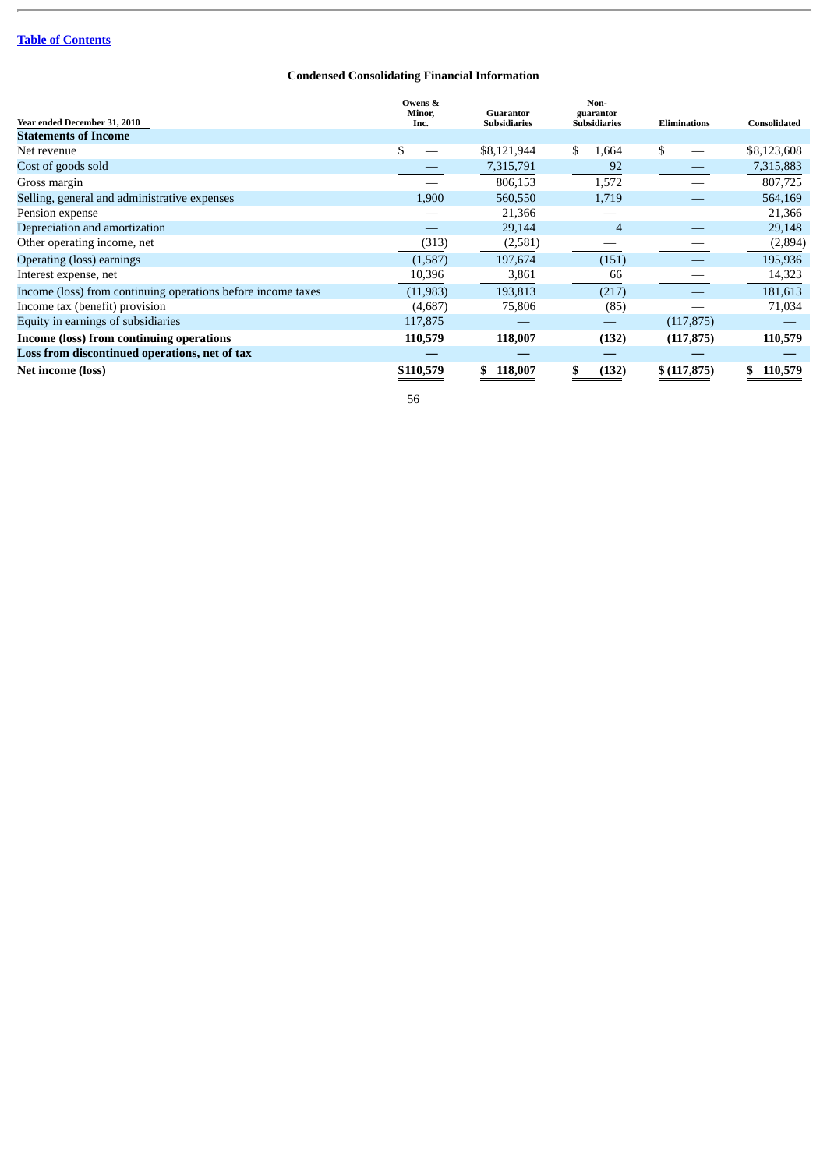# **Condensed Consolidating Financial Information**

|                                                              | Owens &<br>Minor, | Guarantor           | Non-<br>guarantor   |                     |              |
|--------------------------------------------------------------|-------------------|---------------------|---------------------|---------------------|--------------|
| Year ended December 31, 2010                                 | Inc.              | <b>Subsidiaries</b> | <b>Subsidiaries</b> | <b>Eliminations</b> | Consolidated |
| <b>Statements of Income</b>                                  |                   |                     |                     |                     |              |
| Net revenue                                                  | \$                | \$8,121,944         | \$<br>1,664         | \$.                 | \$8,123,608  |
| Cost of goods sold                                           |                   | 7,315,791           | 92                  |                     | 7,315,883    |
| Gross margin                                                 |                   | 806,153             | 1,572               |                     | 807,725      |
| Selling, general and administrative expenses                 | 1,900             | 560,550             | 1,719               |                     | 564,169      |
| Pension expense                                              |                   | 21,366              |                     |                     | 21,366       |
| Depreciation and amortization                                |                   | 29,144              | 4                   |                     | 29,148       |
| Other operating income, net                                  | (313)             | (2,581)             |                     |                     | (2,894)      |
| Operating (loss) earnings                                    | (1,587)           | 197,674             | (151)               |                     | 195,936      |
| Interest expense, net                                        | 10,396            | 3,861               | 66                  |                     | 14,323       |
| Income (loss) from continuing operations before income taxes | (11,983)          | 193,813             | (217)               |                     | 181,613      |
| Income tax (benefit) provision                               | (4,687)           | 75,806              | (85)                |                     | 71,034       |
| Equity in earnings of subsidiaries                           | 117,875           |                     |                     | (117, 875)          |              |
| Income (loss) from continuing operations                     | 110,579           | 118,007             | (132)               | (117, 875)          | 110,579      |
| Loss from discontinued operations, net of tax                |                   |                     |                     |                     |              |
| Net income (loss)                                            | \$110,579         | 118,007             | \$<br>(132)         | \$(117, 875)        | 110,579      |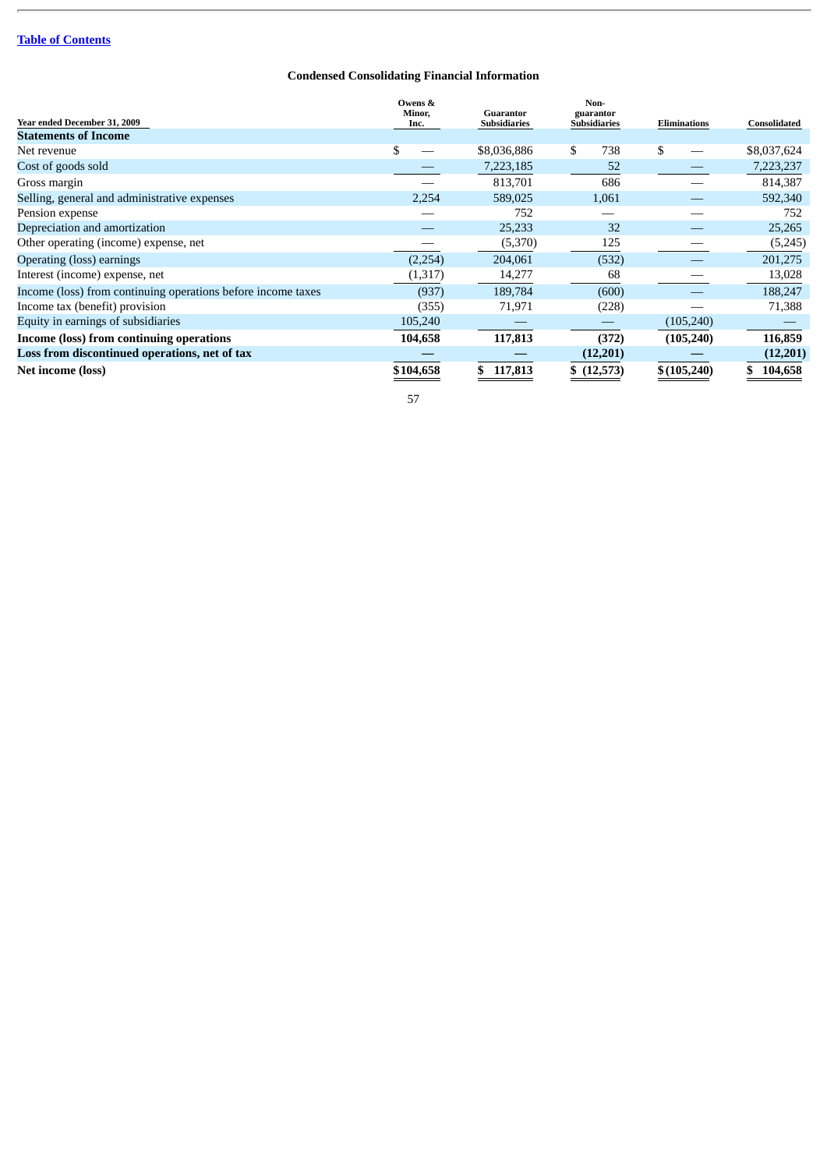# **Condensed Consolidating Financial Information**

|                                                              | Owens &<br>Minor, | Guarantor           | Non-<br>guarantor |                     |              |
|--------------------------------------------------------------|-------------------|---------------------|-------------------|---------------------|--------------|
| Year ended December 31, 2009                                 | Inc.              | <b>Subsidiaries</b> | Subsidiaries      | <b>Eliminations</b> | Consolidated |
| <b>Statements of Income</b>                                  |                   |                     |                   |                     |              |
| Net revenue                                                  | \$                | \$8,036,886         | \$<br>738         | \$                  | \$8,037,624  |
| Cost of goods sold                                           |                   | 7,223,185           | 52                |                     | 7,223,237    |
| Gross margin                                                 |                   | 813,701             | 686               |                     | 814,387      |
| Selling, general and administrative expenses                 | 2,254             | 589,025             | 1,061             |                     | 592,340      |
| Pension expense                                              |                   | 752                 |                   |                     | 752          |
| Depreciation and amortization                                |                   | 25,233              | 32                |                     | 25,265       |
| Other operating (income) expense, net                        |                   | (5,370)             | 125               |                     | (5,245)      |
| Operating (loss) earnings                                    | (2,254)           | 204,061             | (532)             |                     | 201,275      |
| Interest (income) expense, net                               | (1, 317)          | 14,277              | 68                |                     | 13,028       |
| Income (loss) from continuing operations before income taxes | (937)             | 189,784             | (600)             |                     | 188,247      |
| Income tax (benefit) provision                               | (355)             | 71,971              | (228)             |                     | 71,388       |
| Equity in earnings of subsidiaries                           | 105,240           |                     |                   | (105, 240)          |              |
| Income (loss) from continuing operations                     | 104,658           | 117,813             | (372)             | (105, 240)          | 116,859      |
| Loss from discontinued operations, net of tax                |                   |                     | (12,201)          |                     | (12,201)     |
| Net income (loss)                                            | \$104,658         | \$117,813           | \$(12,573)        | \$(105,240)         | 104,658      |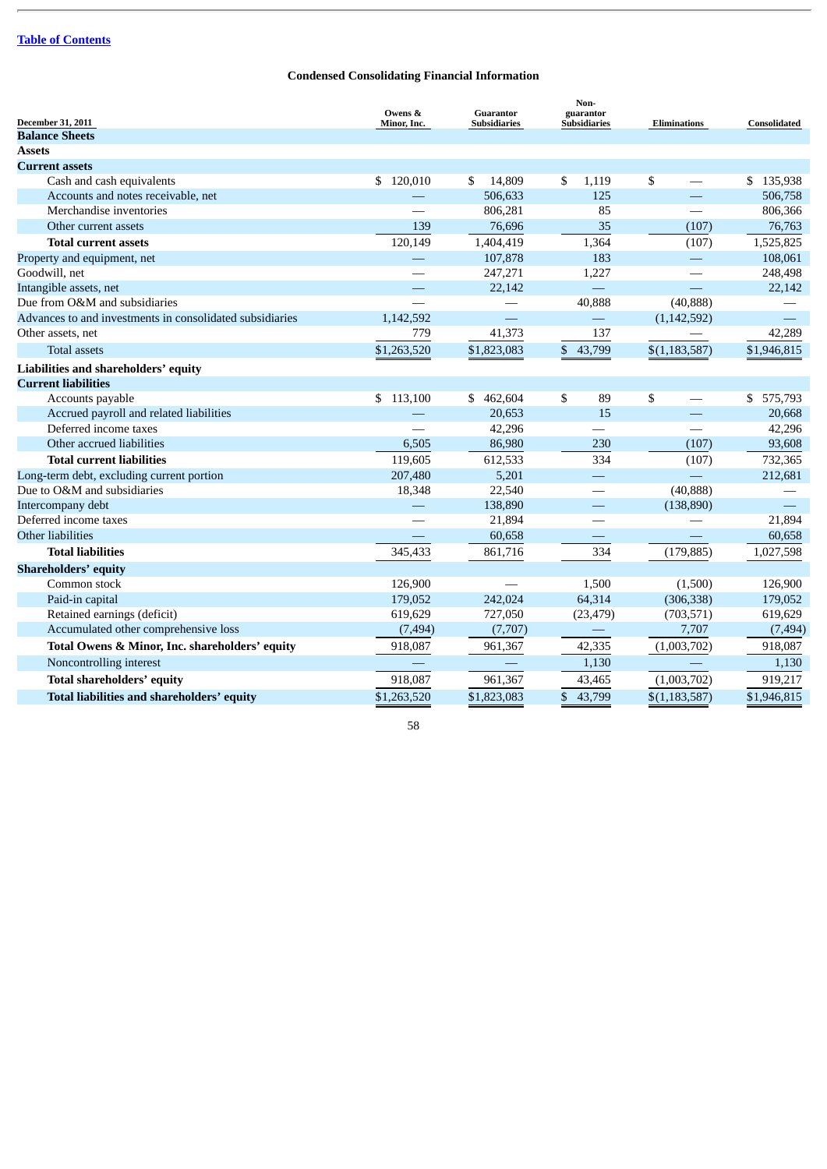| <b>December 31, 2011</b>                                 | Owens &<br>Minor, Inc.   | <b>Guarantor</b><br><b>Subsidiaries</b> | Non-<br>guarantor<br><b>Subsidiaries</b> | Consolidated                   |             |
|----------------------------------------------------------|--------------------------|-----------------------------------------|------------------------------------------|--------------------------------|-------------|
| <b>Balance Sheets</b>                                    |                          |                                         |                                          |                                |             |
| Assets                                                   |                          |                                         |                                          |                                |             |
| <b>Current assets</b>                                    |                          |                                         |                                          |                                |             |
| Cash and cash equivalents                                | \$120,010                | 14,809<br>\$.                           | \$<br>1,119                              | \$                             | \$135,938   |
| Accounts and notes receivable, net                       |                          | 506,633                                 | 125                                      |                                | 506,758     |
| Merchandise inventories                                  |                          | 806,281                                 | 85                                       |                                | 806,366     |
| Other current assets                                     | 139                      | 76,696                                  | 35                                       | (107)                          | 76,763      |
| <b>Total current assets</b>                              | 120,149                  | 1,404,419                               | 1,364                                    | (107)                          | 1,525,825   |
| Property and equipment, net                              |                          | 107,878                                 | 183                                      |                                | 108,061     |
| Goodwill, net                                            |                          | 247,271                                 | 1,227                                    |                                | 248,498     |
| Intangible assets, net                                   |                          | 22,142                                  |                                          |                                | 22,142      |
| Due from O&M and subsidiaries                            |                          |                                         | 40,888                                   | (40, 888)                      |             |
| Advances to and investments in consolidated subsidiaries | 1,142,592                |                                         | $\overline{\phantom{0}}$                 | (1, 142, 592)                  |             |
| Other assets, net                                        | 779                      | 41,373                                  | 137                                      |                                | 42,289      |
| <b>Total assets</b>                                      | \$1,263,520              | \$1,823,083                             | \$<br>43,799                             | \$(1,183,587)                  | \$1,946,815 |
| Liabilities and shareholders' equity                     |                          |                                         |                                          |                                |             |
| <b>Current liabilities</b>                               |                          |                                         |                                          |                                |             |
| Accounts payable                                         | \$113,100                | \$462,604                               | \$<br>89                                 | \$<br>$\overline{\phantom{0}}$ | \$575,793   |
| Accrued payroll and related liabilities                  |                          | 20.653                                  | 15                                       |                                | 20,668      |
| Deferred income taxes                                    |                          | 42,296                                  |                                          |                                | 42,296      |
| Other accrued liabilities                                | 6,505                    | 86,980                                  | 230                                      | (107)                          | 93,608      |
| <b>Total current liabilities</b>                         | 119,605                  | 612,533                                 | 334                                      | (107)                          | 732,365     |
| Long-term debt, excluding current portion                | 207,480                  | 5,201                                   |                                          |                                | 212,681     |
| Due to O&M and subsidiaries                              | 18,348                   | 22,540                                  |                                          | (40, 888)                      |             |
| Intercompany debt                                        | $\overline{\phantom{0}}$ | 138,890                                 |                                          | (138, 890)                     |             |
| Deferred income taxes                                    |                          | 21,894                                  | $\overline{\phantom{0}}$                 |                                | 21,894      |
| Other liabilities                                        |                          | 60,658                                  |                                          |                                | 60,658      |
| <b>Total liabilities</b>                                 | 345,433                  | 861,716                                 | 334                                      | (179, 885)                     | 1,027,598   |
| <b>Shareholders' equity</b>                              |                          |                                         |                                          |                                |             |
| Common stock                                             | 126,900                  |                                         | 1,500                                    | (1,500)                        | 126,900     |
| Paid-in capital                                          | 179,052                  | 242.024                                 | 64,314                                   | (306, 338)                     | 179,052     |
| Retained earnings (deficit)                              | 619,629                  | 727,050                                 | (23, 479)                                | (703, 571)                     | 619,629     |
| Accumulated other comprehensive loss                     | (7, 494)                 | (7,707)                                 | $\overline{\phantom{m}}$                 | 7,707                          | (7, 494)    |
| Total Owens & Minor, Inc. shareholders' equity           | 918,087                  | 961,367                                 | 42,335                                   | (1,003,702)                    | 918,087     |
| Noncontrolling interest                                  |                          |                                         | 1,130                                    |                                | 1,130       |
| <b>Total shareholders' equity</b>                        | 918,087                  | 961,367                                 | 43,465                                   | (1,003,702)                    | 919,217     |
| Total liabilities and shareholders' equity               | \$1,263,520              | \$1,823,083                             | \$43,799                                 | \$(1,183,587)                  | \$1,946,815 |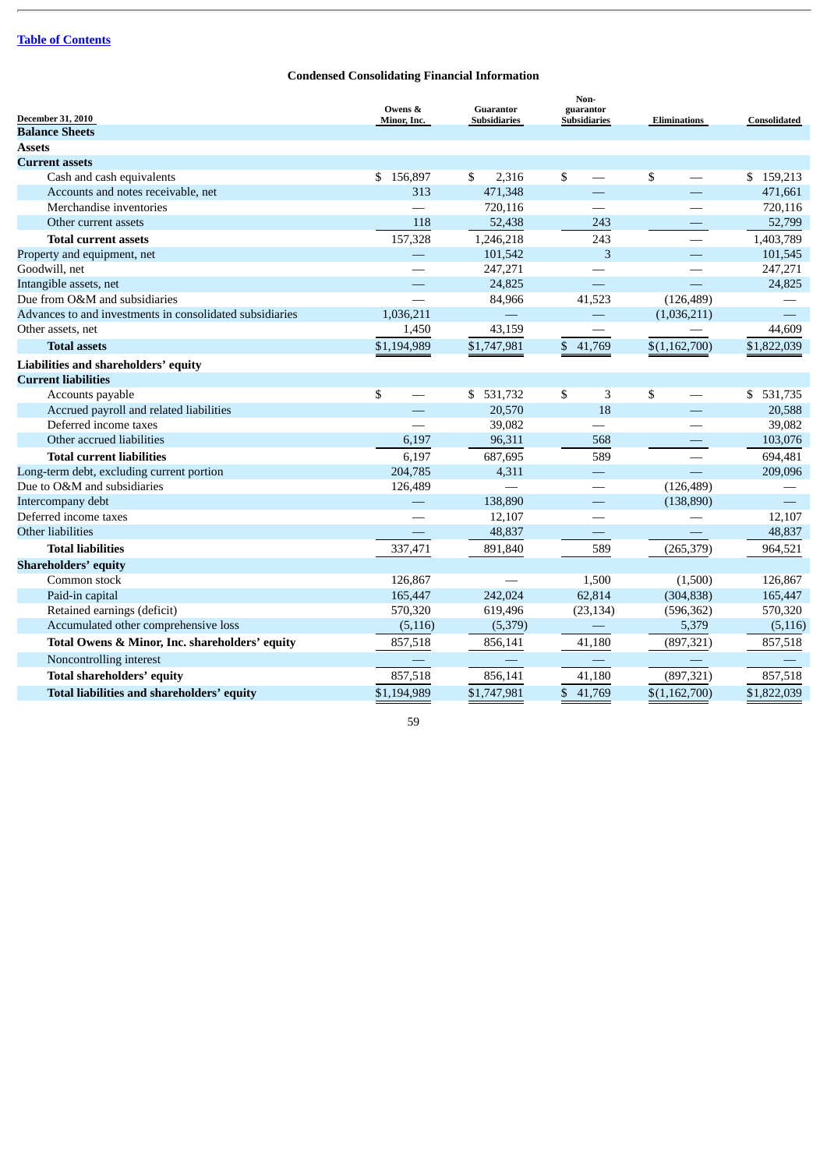| <b>December 31, 2010</b>                                 | Owens &<br>Minor, Inc.         | Guarantor<br><b>Subsidiaries</b> | Non-<br>guarantor<br><b>Subsidiaries</b> | <b>Eliminations</b>      | Consolidated             |
|----------------------------------------------------------|--------------------------------|----------------------------------|------------------------------------------|--------------------------|--------------------------|
| <b>Balance Sheets</b>                                    |                                |                                  |                                          |                          |                          |
| <b>Assets</b>                                            |                                |                                  |                                          |                          |                          |
| <b>Current assets</b>                                    |                                |                                  |                                          |                          |                          |
| Cash and cash equivalents                                | \$156,897                      | \$<br>2,316                      | \$                                       | \$                       | \$159,213                |
| Accounts and notes receivable, net                       | 313                            | 471,348                          |                                          |                          | 471,661                  |
| Merchandise inventories                                  |                                | 720,116                          |                                          |                          | 720,116                  |
| Other current assets                                     | 118                            | 52,438                           | 243                                      |                          | 52,799                   |
| <b>Total current assets</b>                              | 157,328                        | 1,246,218                        | 243                                      |                          | 1,403,789                |
| Property and equipment, net                              |                                | 101,542                          | 3                                        |                          | 101,545                  |
| Goodwill, net                                            |                                | 247,271                          |                                          |                          | 247,271                  |
| Intangible assets, net                                   |                                | 24,825                           |                                          |                          | 24,825                   |
| Due from O&M and subsidiaries                            |                                | 84,966                           | 41,523                                   | (126, 489)               |                          |
| Advances to and investments in consolidated subsidiaries | 1,036,211                      | $\equiv$                         | $\overline{\phantom{0}}$                 | (1,036,211)              |                          |
| Other assets, net                                        | 1,450                          | 43,159                           |                                          |                          | 44,609                   |
| <b>Total assets</b>                                      | \$1,194,989                    | \$1,747,981                      | \$<br>41,769                             | \$(1,162,700)            | \$1,822,039              |
| Liabilities and shareholders' equity                     |                                |                                  |                                          |                          |                          |
| <b>Current liabilities</b>                               |                                |                                  |                                          |                          |                          |
| Accounts payable                                         | \$<br>$\overline{\phantom{0}}$ | \$531,732                        | \$<br>3                                  | \$<br>$\equiv$           | \$531,735                |
| Accrued payroll and related liabilities                  |                                | 20,570                           | 18                                       |                          | 20,588                   |
| Deferred income taxes                                    |                                | 39,082                           |                                          |                          | 39,082                   |
| Other accrued liabilities                                | 6,197                          | 96,311                           | 568                                      |                          | 103,076                  |
| <b>Total current liabilities</b>                         | 6,197                          | 687,695                          | 589                                      | $\overline{\phantom{0}}$ | 694,481                  |
| Long-term debt, excluding current portion                | 204,785                        | 4,311                            |                                          |                          | 209,096                  |
| Due to O&M and subsidiaries                              | 126,489                        |                                  |                                          | (126, 489)               |                          |
| Intercompany debt                                        | $\overline{\phantom{0}}$       | 138,890                          | $\overline{\phantom{0}}$                 | (138, 890)               | $\overline{\phantom{0}}$ |
| Deferred income taxes                                    |                                | 12,107                           |                                          |                          | 12,107                   |
| Other liabilities                                        |                                | 48,837                           |                                          |                          | 48,837                   |
| <b>Total liabilities</b>                                 | 337,471                        | 891,840                          | 589                                      | (265, 379)               | 964,521                  |
| <b>Shareholders' equity</b>                              |                                |                                  |                                          |                          |                          |
| Common stock                                             | 126,867                        |                                  | 1,500                                    | (1,500)                  | 126,867                  |
| Paid-in capital                                          | 165,447                        | 242,024                          | 62,814                                   | (304, 838)               | 165,447                  |
| Retained earnings (deficit)                              | 570,320                        | 619,496                          | (23, 134)                                | (596, 362)               | 570,320                  |
| Accumulated other comprehensive loss                     | (5, 116)                       | (5, 379)                         |                                          | 5,379                    | (5, 116)                 |
| Total Owens & Minor, Inc. shareholders' equity           | 857,518                        | 856,141                          | 41,180                                   | (897, 321)               | 857,518                  |
| Noncontrolling interest                                  |                                |                                  |                                          |                          |                          |
| <b>Total shareholders' equity</b>                        | 857,518                        | 856,141                          | 41,180                                   | (897, 321)               | 857,518                  |
| Total liabilities and shareholders' equity               | \$1,194,989                    | \$1,747,981                      | \$<br>41,769                             | \$(1,162,700)            | \$1,822,039              |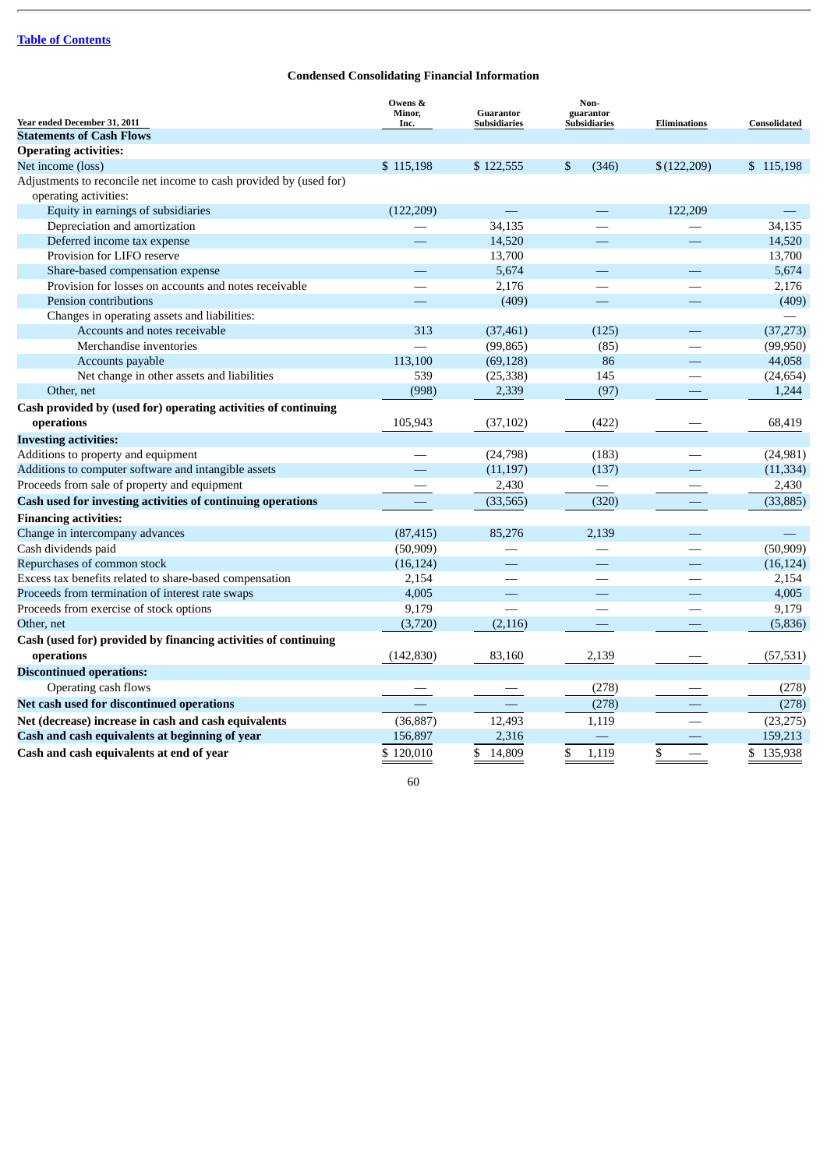| Year ended December 31, 2011                                       | Owens &<br>Minor,<br>Inc. | Guarantor<br><b>Subsidiaries</b> | Non-<br>guarantor<br><b>Subsidiaries</b> | <b>Eliminations</b> | Consolidated |
|--------------------------------------------------------------------|---------------------------|----------------------------------|------------------------------------------|---------------------|--------------|
| <b>Statements of Cash Flows</b>                                    |                           |                                  |                                          |                     |              |
| <b>Operating activities:</b>                                       |                           |                                  |                                          |                     |              |
| Net income (loss)                                                  | \$115,198                 | \$122,555                        | \$<br>(346)                              | \$(122, 209)        | \$115,198    |
| Adjustments to reconcile net income to cash provided by (used for) |                           |                                  |                                          |                     |              |
| operating activities:                                              |                           |                                  |                                          |                     |              |
| Equity in earnings of subsidiaries                                 | (122, 209)                |                                  |                                          | 122,209             |              |
| Depreciation and amortization                                      |                           | 34,135                           |                                          |                     | 34,135       |
| Deferred income tax expense                                        |                           | 14,520                           |                                          |                     | 14,520       |
| Provision for LIFO reserve                                         |                           | 13,700                           |                                          |                     | 13,700       |
| Share-based compensation expense                                   |                           | 5,674                            |                                          |                     | 5,674        |
| Provision for losses on accounts and notes receivable              |                           | 2,176                            |                                          |                     | 2,176        |
| Pension contributions                                              |                           | (409)                            |                                          |                     | (409)        |
| Changes in operating assets and liabilities:                       |                           |                                  |                                          |                     |              |
| Accounts and notes receivable                                      | 313                       | (37, 461)                        | (125)                                    |                     | (37, 273)    |
| Merchandise inventories                                            |                           | (99, 865)                        | (85)                                     |                     | (99, 950)    |
| Accounts payable                                                   | 113,100                   | (69, 128)                        | 86                                       |                     | 44,058       |
| Net change in other assets and liabilities                         | 539                       | (25, 338)                        | 145                                      |                     | (24, 654)    |
| Other, net                                                         | (998)                     | 2,339                            | (97)                                     |                     | 1,244        |
| Cash provided by (used for) operating activities of continuing     |                           |                                  |                                          |                     |              |
| operations                                                         | 105,943                   | (37, 102)                        | (422)                                    |                     | 68,419       |
| <b>Investing activities:</b>                                       |                           |                                  |                                          |                     |              |
| Additions to property and equipment                                |                           | (24,798)                         | (183)                                    |                     | (24, 981)    |
| Additions to computer software and intangible assets               |                           | (11, 197)                        | (137)                                    |                     | (11, 334)    |
| Proceeds from sale of property and equipment                       |                           | 2,430                            |                                          |                     | 2,430        |
| Cash used for investing activities of continuing operations        |                           | (33, 565)                        | (320)                                    |                     | (33, 885)    |
| <b>Financing activities:</b>                                       |                           |                                  |                                          |                     |              |
| Change in intercompany advances                                    | (87, 415)                 | 85,276                           | 2,139                                    |                     |              |
| Cash dividends paid                                                | (50, 909)                 |                                  |                                          |                     | (50, 909)    |
| Repurchases of common stock                                        | (16, 124)                 |                                  |                                          |                     | (16, 124)    |
| Excess tax benefits related to share-based compensation            | 2,154                     |                                  |                                          |                     | 2,154        |
| Proceeds from termination of interest rate swaps                   | 4,005                     |                                  |                                          |                     | 4,005        |
| Proceeds from exercise of stock options                            | 9,179                     |                                  |                                          |                     | 9,179        |
| Other, net                                                         | (3,720)                   | (2, 116)                         |                                          |                     | (5,836)      |
|                                                                    |                           |                                  |                                          |                     |              |
| Cash (used for) provided by financing activities of continuing     |                           | 83.160                           |                                          |                     |              |
| operations                                                         | (142, 830)                |                                  | 2,139                                    |                     | (57, 531)    |
| <b>Discontinued operations:</b>                                    |                           |                                  |                                          |                     |              |
| Operating cash flows                                               |                           |                                  | (278)                                    |                     | (278)        |
| Net cash used for discontinued operations                          |                           |                                  | (278)                                    |                     | (278)        |
| Net (decrease) increase in cash and cash equivalents               | (36, 887)                 | 12,493                           | 1,119                                    |                     | (23, 275)    |
| Cash and cash equivalents at beginning of year                     | 156,897                   | 2,316                            |                                          |                     | 159,213      |
| Cash and cash equivalents at end of year                           | \$120,010                 | \$14,809                         | \$<br>1,119                              | \$                  | \$135,938    |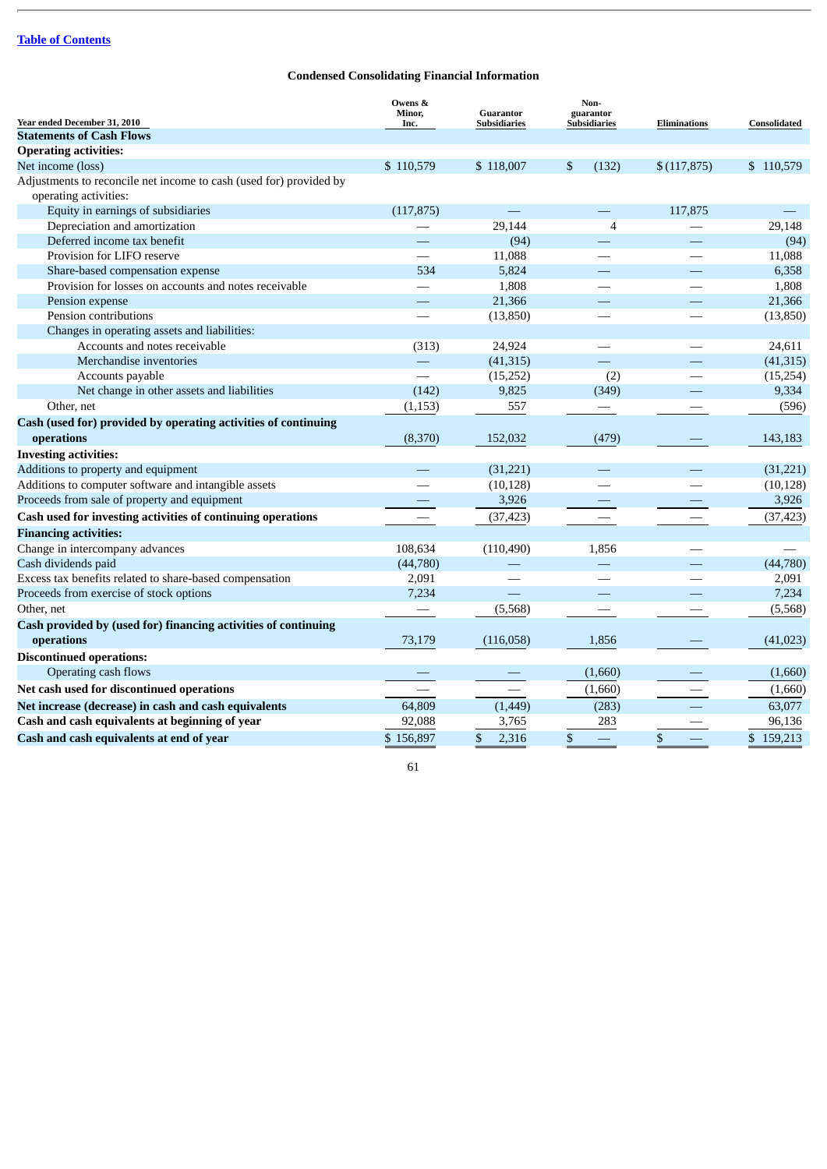| Year ended December 31, 2010                                       | Owens &<br>Minor,<br>Inc. | Guarantor<br><b>Subsidiaries</b> | Non-<br>guarantor<br><b>Subsidiaries</b> | <b>Eliminations</b> | Consolidated |
|--------------------------------------------------------------------|---------------------------|----------------------------------|------------------------------------------|---------------------|--------------|
| <b>Statements of Cash Flows</b>                                    |                           |                                  |                                          |                     |              |
| <b>Operating activities:</b>                                       |                           |                                  |                                          |                     |              |
| Net income (loss)                                                  | \$110,579                 | \$118,007                        | \$<br>(132)                              | \$(117, 875)        | \$110,579    |
| Adjustments to reconcile net income to cash (used for) provided by |                           |                                  |                                          |                     |              |
| operating activities:                                              |                           |                                  |                                          |                     |              |
| Equity in earnings of subsidiaries                                 | (117, 875)                |                                  |                                          | 117,875             |              |
| Depreciation and amortization                                      |                           | 29,144                           | $\overline{4}$                           |                     | 29,148       |
| Deferred income tax benefit                                        |                           | (94)                             |                                          |                     | (94)         |
| Provision for LIFO reserve                                         |                           | 11,088                           |                                          |                     | 11,088       |
| Share-based compensation expense                                   | 534                       | 5,824                            |                                          |                     | 6,358        |
| Provision for losses on accounts and notes receivable              |                           | 1,808                            |                                          |                     | 1,808        |
| Pension expense                                                    |                           | 21,366                           |                                          |                     | 21,366       |
| Pension contributions                                              | $\overline{\phantom{0}}$  | (13,850)                         | $\overline{\phantom{0}}$                 |                     | (13,850)     |
| Changes in operating assets and liabilities:                       |                           |                                  |                                          |                     |              |
| Accounts and notes receivable                                      | (313)                     | 24,924                           |                                          |                     | 24,611       |
| Merchandise inventories                                            | $\overline{\phantom{0}}$  | (41, 315)                        |                                          |                     | (41, 315)    |
| Accounts payable                                                   | $\equiv$                  | (15,252)                         | (2)                                      |                     | (15,254)     |
| Net change in other assets and liabilities                         | (142)                     | 9,825                            | (349)                                    |                     | 9,334        |
| Other, net                                                         | (1, 153)                  | 557                              |                                          |                     | (596)        |
| Cash (used for) provided by operating activities of continuing     |                           |                                  |                                          |                     |              |
| operations                                                         | (8,370)                   | 152,032                          | (479)                                    |                     | 143,183      |
| <b>Investing activities:</b>                                       |                           |                                  |                                          |                     |              |
| Additions to property and equipment                                |                           | (31,221)                         |                                          |                     | (31,221)     |
| Additions to computer software and intangible assets               |                           | (10, 128)                        |                                          |                     | (10, 128)    |
| Proceeds from sale of property and equipment                       |                           | 3,926                            |                                          |                     | 3,926        |
| Cash used for investing activities of continuing operations        |                           | (37, 423)                        |                                          |                     | (37, 423)    |
| <b>Financing activities:</b>                                       |                           |                                  |                                          |                     |              |
| Change in intercompany advances                                    | 108,634                   | (110, 490)                       | 1,856                                    |                     |              |
| Cash dividends paid                                                | (44,780)                  |                                  |                                          |                     | (44,780)     |
| Excess tax benefits related to share-based compensation            | 2,091                     |                                  |                                          |                     | 2,091        |
| Proceeds from exercise of stock options                            | 7,234                     |                                  | <u>e a</u>                               |                     | 7,234        |
| Other, net                                                         |                           | (5,568)                          |                                          |                     | (5,568)      |
| Cash provided by (used for) financing activities of continuing     |                           |                                  |                                          |                     |              |
| operations                                                         | 73,179                    | (116,058)                        | 1,856                                    |                     | (41, 023)    |
| <b>Discontinued operations:</b>                                    |                           |                                  |                                          |                     |              |
| Operating cash flows                                               |                           |                                  | (1,660)                                  |                     | (1,660)      |
| Net cash used for discontinued operations                          |                           | $\overline{\phantom{0}}$         |                                          |                     | (1,660)      |
|                                                                    |                           |                                  | (1,660)                                  |                     |              |
| Net increase (decrease) in cash and cash equivalents               | 64,809                    | (1, 449)                         | (283)                                    |                     | 63,077       |
| Cash and cash equivalents at beginning of year                     | 92,088                    | 3,765                            | 283                                      |                     | 96,136       |
| Cash and cash equivalents at end of year                           | \$156,897                 | $\mathbb{S}$<br>2,316            | $\boldsymbol{\mathsf{S}}$                | \$                  | \$159,213    |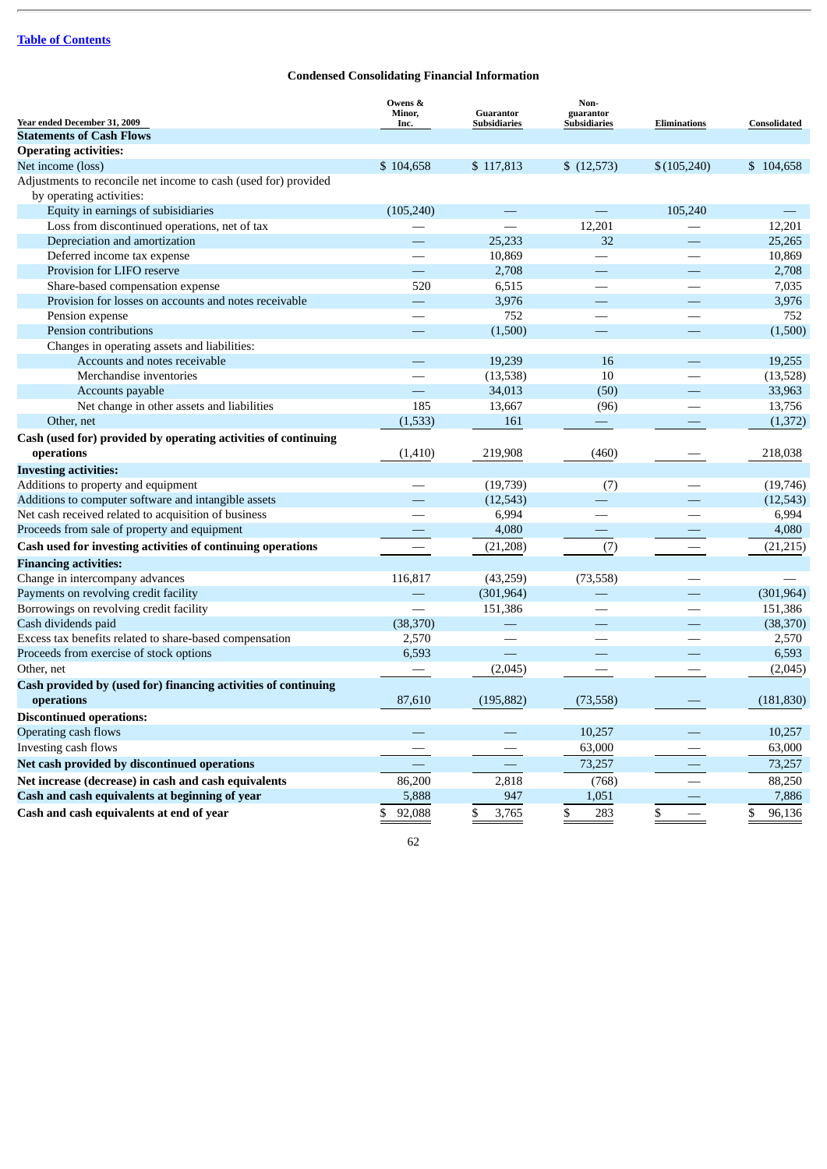| Year ended December 31, 2009                                                                | Owens &<br>Minor,<br>Inc. | <b>Guarantor</b><br><b>Subsidiaries</b> | Non-<br>guarantor<br>Subsidiaries | <b>Eliminations</b>   | Consolidated |
|---------------------------------------------------------------------------------------------|---------------------------|-----------------------------------------|-----------------------------------|-----------------------|--------------|
| <b>Statements of Cash Flows</b>                                                             |                           |                                         |                                   |                       |              |
| <b>Operating activities:</b>                                                                |                           |                                         |                                   |                       |              |
| Net income (loss)                                                                           | \$104.658                 | \$117,813                               | \$ (12,573)                       | \$(105,240)           | \$104,658    |
| Adjustments to reconcile net income to cash (used for) provided<br>by operating activities: |                           |                                         |                                   |                       |              |
| Equity in earnings of subisidiaries                                                         | (105, 240)                |                                         |                                   | 105,240               |              |
| Loss from discontinued operations, net of tax                                               |                           |                                         | 12,201                            |                       | 12,201       |
| Depreciation and amortization                                                               |                           | 25,233                                  | 32                                |                       | 25,265       |
| Deferred income tax expense                                                                 |                           | 10,869                                  |                                   |                       | 10,869       |
| Provision for LIFO reserve                                                                  |                           | 2,708                                   |                                   |                       | 2,708        |
| Share-based compensation expense                                                            | 520                       | 6,515                                   |                                   |                       | 7,035        |
| Provision for losses on accounts and notes receivable                                       | $\overline{\phantom{0}}$  | 3,976                                   |                                   |                       | 3,976        |
| Pension expense                                                                             |                           | 752                                     |                                   |                       | 752          |
| Pension contributions                                                                       |                           | (1,500)                                 |                                   |                       | (1,500)      |
| Changes in operating assets and liabilities:                                                |                           |                                         |                                   |                       |              |
| Accounts and notes receivable                                                               |                           | 19,239                                  | 16                                |                       | 19,255       |
| Merchandise inventories                                                                     |                           | (13,538)                                | 10                                |                       | (13,528)     |
| Accounts payable                                                                            |                           | 34,013                                  | (50)                              |                       | 33,963       |
| Net change in other assets and liabilities                                                  | 185                       | 13,667                                  | (96)                              |                       | 13,756       |
| Other, net                                                                                  | (1,533)                   | 161                                     |                                   |                       | (1,372)      |
| Cash (used for) provided by operating activities of continuing                              |                           |                                         |                                   |                       |              |
| operations                                                                                  | (1, 410)                  | 219,908                                 | (460)                             |                       | 218,038      |
| <b>Investing activities:</b>                                                                |                           |                                         |                                   |                       |              |
| Additions to property and equipment                                                         |                           | (19,739)                                | (7)                               |                       | (19,746)     |
| Additions to computer software and intangible assets                                        |                           | (12, 543)                               |                                   |                       | (12,543)     |
| Net cash received related to acquisition of business                                        |                           | 6,994                                   |                                   |                       | 6,994        |
| Proceeds from sale of property and equipment                                                |                           | 4,080                                   |                                   |                       | 4,080        |
| Cash used for investing activities of continuing operations                                 |                           | (21, 208)                               | (7)                               |                       | (21, 215)    |
| <b>Financing activities:</b>                                                                |                           |                                         |                                   |                       |              |
| Change in intercompany advances                                                             | 116,817                   | (43,259)                                | (73, 558)                         |                       |              |
| Payments on revolving credit facility                                                       |                           | (301, 964)                              |                                   |                       | (301, 964)   |
| Borrowings on revolving credit facility                                                     | $\overline{\phantom{0}}$  | 151,386                                 |                                   |                       | 151,386      |
| Cash dividends paid                                                                         | (38, 370)                 |                                         |                                   |                       | (38, 370)    |
| Excess tax benefits related to share-based compensation                                     | 2,570                     |                                         |                                   |                       | 2,570        |
| Proceeds from exercise of stock options                                                     | 6,593                     | $\equiv$                                |                                   |                       | 6,593        |
| Other, net                                                                                  |                           | (2,045)                                 |                                   |                       | (2,045)      |
| Cash provided by (used for) financing activities of continuing                              |                           |                                         |                                   |                       |              |
| operations                                                                                  | 87,610                    | (195, 882)                              | (73, 558)                         |                       | (181, 830)   |
| <b>Discontinued operations:</b>                                                             |                           |                                         |                                   |                       |              |
| Operating cash flows                                                                        |                           |                                         | 10,257                            |                       | 10,257       |
| Investing cash flows                                                                        |                           |                                         | 63,000                            |                       | 63,000       |
| Net cash provided by discontinued operations                                                |                           |                                         | 73,257                            |                       | 73,257       |
| Net increase (decrease) in cash and cash equivalents                                        | 86,200                    | 2,818                                   | (768)                             |                       | 88,250       |
| Cash and cash equivalents at beginning of year                                              | 5,888                     | 947                                     | 1,051                             |                       | 7,886        |
| Cash and cash equivalents at end of year                                                    | 92,088<br>\$              | \$<br>3,765                             | \$<br>283                         | \$<br>$\qquad \qquad$ | \$<br>96,136 |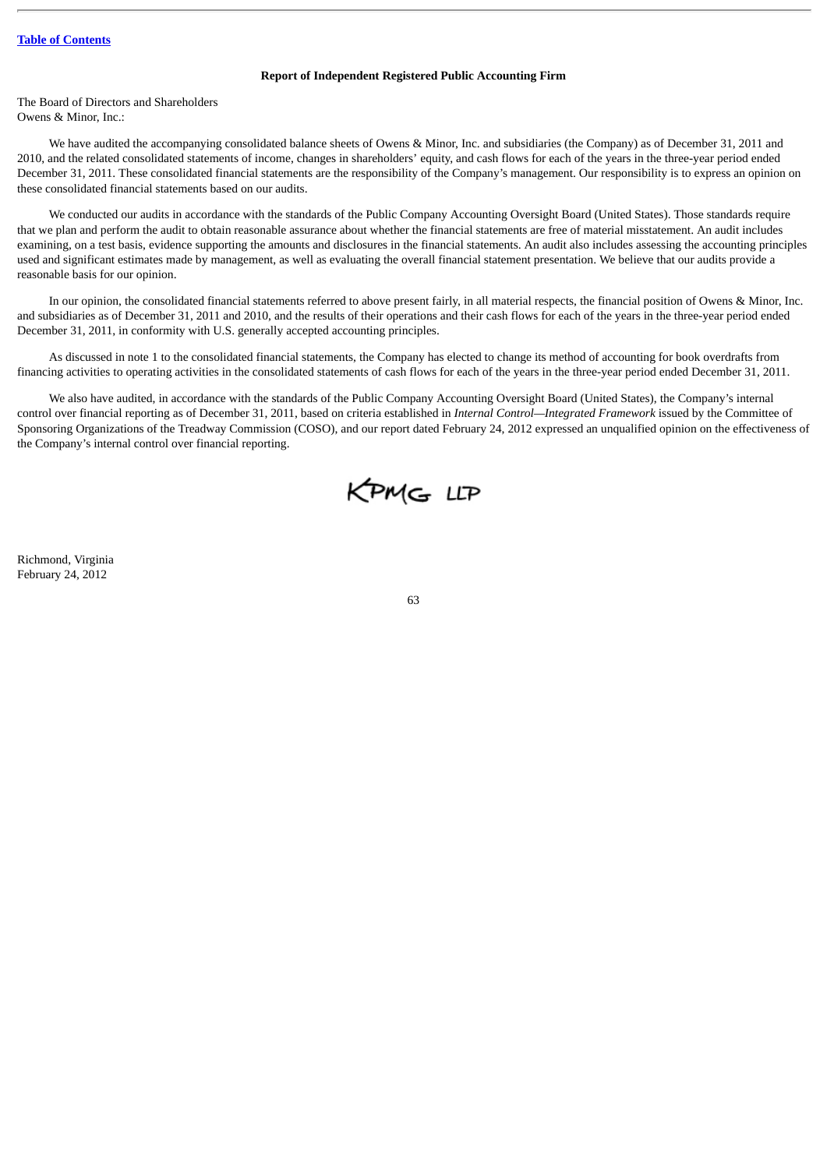#### **Report of Independent Registered Public Accounting Firm**

The Board of Directors and Shareholders Owens & Minor, Inc.:

We have audited the accompanying consolidated balance sheets of Owens & Minor, Inc. and subsidiaries (the Company) as of December 31, 2011 and 2010, and the related consolidated statements of income, changes in shareholders' equity, and cash flows for each of the years in the three-year period ended December 31, 2011. These consolidated financial statements are the responsibility of the Company's management. Our responsibility is to express an opinion on these consolidated financial statements based on our audits.

We conducted our audits in accordance with the standards of the Public Company Accounting Oversight Board (United States). Those standards require that we plan and perform the audit to obtain reasonable assurance about whether the financial statements are free of material misstatement. An audit includes examining, on a test basis, evidence supporting the amounts and disclosures in the financial statements. An audit also includes assessing the accounting principles used and significant estimates made by management, as well as evaluating the overall financial statement presentation. We believe that our audits provide a reasonable basis for our opinion.

In our opinion, the consolidated financial statements referred to above present fairly, in all material respects, the financial position of Owens & Minor, Inc. and subsidiaries as of December 31, 2011 and 2010, and the results of their operations and their cash flows for each of the years in the three-year period ended December 31, 2011, in conformity with U.S. generally accepted accounting principles.

As discussed in note 1 to the consolidated financial statements, the Company has elected to change its method of accounting for book overdrafts from financing activities to operating activities in the consolidated statements of cash flows for each of the years in the three-year period ended December 31, 2011.

We also have audited, in accordance with the standards of the Public Company Accounting Oversight Board (United States), the Company's internal control over financial reporting as of December 31, 2011, based on criteria established in *Internal Control—Integrated Framework* issued by the Committee of Sponsoring Organizations of the Treadway Commission (COSO), and our report dated February 24, 2012 expressed an unqualified opinion on the effectiveness of the Company's internal control over financial reporting.



Richmond, Virginia February 24, 2012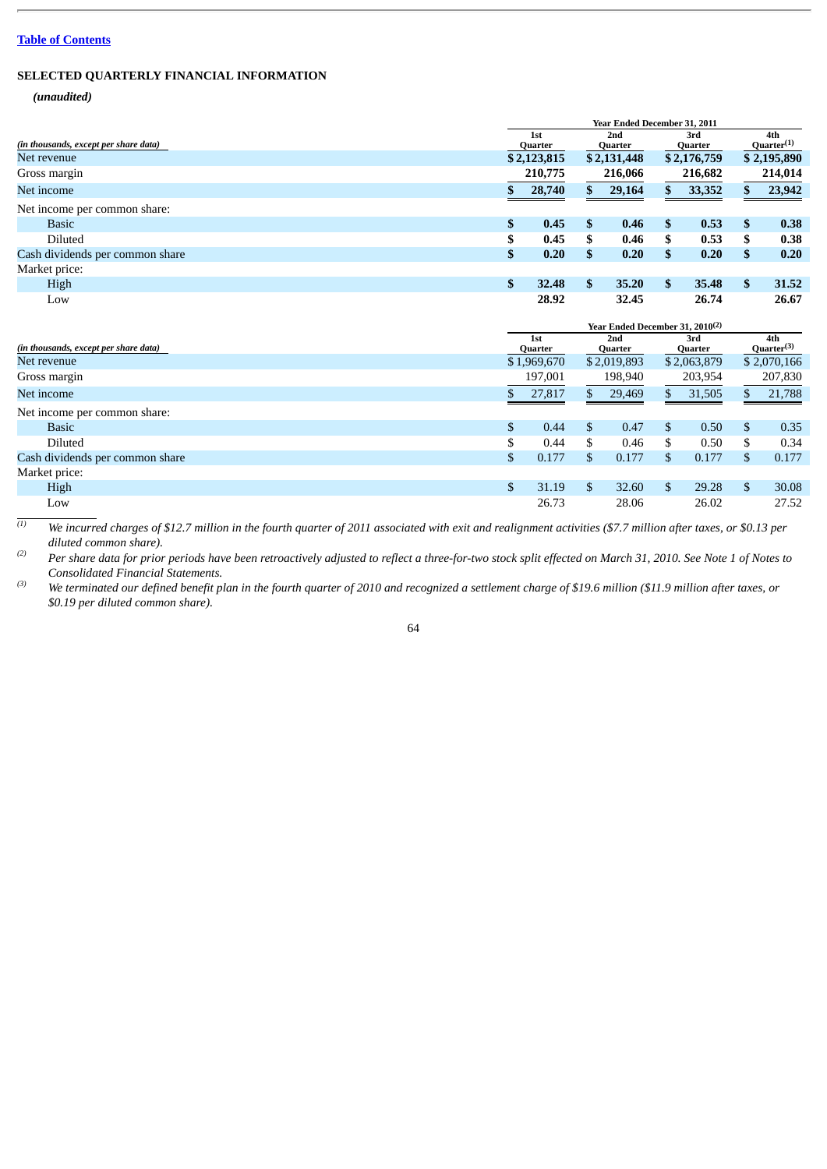# **SELECTED QUARTERLY FINANCIAL INFORMATION**

*(unaudited)*

|                                       |             | <b>Year Ended December 31, 2011</b> |              |             |    |                        |
|---------------------------------------|-------------|-------------------------------------|--------------|-------------|----|------------------------|
|                                       | 1st         | 2nd                                 |              | 3rd         |    | 4th                    |
| (in thousands, except per share data) | Quarter     | Quarter                             |              | Quarter     |    | Quarter <sup>(1)</sup> |
| Net revenue                           | \$2,123,815 | \$2,131,448                         |              | \$2,176,759 |    | \$2,195,890            |
| Gross margin                          | 210,775     | 216,066                             |              | 216,682     |    | 214,014                |
| Net income                            | 28,740      | \$<br>29,164                        |              | 33,352      | S. | 23,942                 |
| Net income per common share:          |             |                                     |              |             |    |                        |
| <b>Basic</b>                          | \$<br>0.45  | \$<br>0.46                          | $\mathbf{s}$ | 0.53        | S  | 0.38                   |
| Diluted                               | \$<br>0.45  | \$<br>0.46                          | \$           | 0.53        | S. | 0.38                   |
| Cash dividends per common share       | \$<br>0.20  | \$<br>0.20                          | \$           | 0.20        | S. | 0.20                   |
| Market price:                         |             |                                     |              |             |    |                        |
| High                                  | \$<br>32.48 | \$<br>35.20                         | \$           | 35.48       | S. | 31.52                  |
| Low                                   | 28.92       | 32.45                               |              | 26.74       |    | 26.67                  |
|                                       |             |                                     |              |             |    |                        |

|                                       | Year Ended December 31, 2010 <sup>(2)</sup> |             |    |             |    |             |     |                        |
|---------------------------------------|---------------------------------------------|-------------|----|-------------|----|-------------|-----|------------------------|
|                                       |                                             | 1st         |    | 2nd         |    | 3rd         |     | 4th                    |
| (in thousands, except per share data) |                                             | Quarter     |    | Quarter     |    | Quarter     |     | Quarter <sup>(3)</sup> |
| Net revenue                           |                                             | \$1,969,670 |    | \$2,019,893 |    | \$2,063,879 |     | \$2,070,166            |
| Gross margin                          |                                             | 197,001     |    | 198,940     |    | 203,954     |     | 207,830                |
| Net income                            |                                             | 27,817      | S. | 29,469      | S. | 31,505      | \$. | 21,788                 |
| Net income per common share:          |                                             |             |    |             |    |             |     |                        |
| <b>Basic</b>                          | \$                                          | 0.44        | \$ | 0.47        | \$ | 0.50        | \$  | 0.35                   |
| Diluted                               | \$.                                         | 0.44        | \$ | 0.46        | \$ | 0.50        | \$. | 0.34                   |
| Cash dividends per common share       | \$                                          | 0.177       | \$ | 0.177       | \$ | 0.177       | S   | 0.177                  |
| Market price:                         |                                             |             |    |             |    |             |     |                        |
| High                                  | $\mathbb{S}$                                | 31.19       | \$ | 32.60       | \$ | 29.28       | \$  | 30.08                  |
| Low                                   |                                             | 26.73       |    | 28.06       |    | 26.02       |     | 27.52                  |

*We incurred charges of \$12.7 million in the fourth quarter of 2011 associated with exit and realignment activities (\$7.7 million after taxes, or \$0.13 per diluted common share). (1)*

*Per share data for prior periods have been retroactively adjusted to reflect a three-for-two stock split effected on March 31, 2010. See Note 1 of Notes to Consolidated Financial Statements. (2)*

*We terminated our defined benefit plan in the fourth quarter of 2010 and recognized a settlement charge of \$19.6 million (\$11.9 million after taxes, or \$0.19 per diluted common share). (3)*

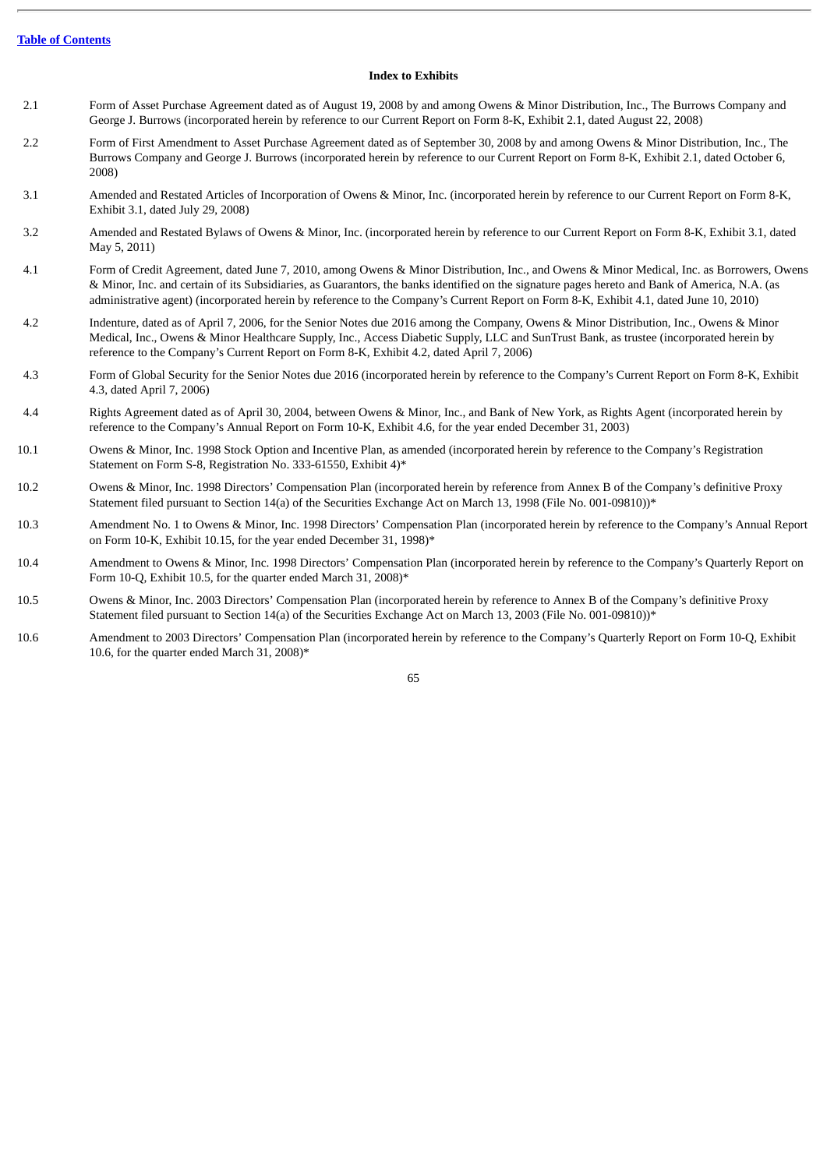#### **Index to Exhibits**

- 2.1 Form of Asset Purchase Agreement dated as of August 19, 2008 by and among Owens & Minor Distribution, Inc., The Burrows Company and George J. Burrows (incorporated herein by reference to our Current Report on Form 8-K, Exhibit 2.1, dated August 22, 2008)
- 2.2 Form of First Amendment to Asset Purchase Agreement dated as of September 30, 2008 by and among Owens & Minor Distribution, Inc., The Burrows Company and George J. Burrows (incorporated herein by reference to our Current Report on Form 8-K, Exhibit 2.1, dated October 6, 2008)
- 3.1 Amended and Restated Articles of Incorporation of Owens & Minor, Inc. (incorporated herein by reference to our Current Report on Form 8-K, Exhibit 3.1, dated July 29, 2008)
- 3.2 Amended and Restated Bylaws of Owens & Minor, Inc. (incorporated herein by reference to our Current Report on Form 8-K, Exhibit 3.1, dated May 5, 2011)
- 4.1 Form of Credit Agreement, dated June 7, 2010, among Owens & Minor Distribution, Inc., and Owens & Minor Medical, Inc. as Borrowers, Owens & Minor, Inc. and certain of its Subsidiaries, as Guarantors, the banks identified on the signature pages hereto and Bank of America, N.A. (as administrative agent) (incorporated herein by reference to the Company's Current Report on Form 8-K, Exhibit 4.1, dated June 10, 2010)
- 4.2 Indenture, dated as of April 7, 2006, for the Senior Notes due 2016 among the Company, Owens & Minor Distribution, Inc., Owens & Minor Medical, Inc., Owens & Minor Healthcare Supply, Inc., Access Diabetic Supply, LLC and SunTrust Bank, as trustee (incorporated herein by reference to the Company's Current Report on Form 8-K, Exhibit 4.2, dated April 7, 2006)
- 4.3 Form of Global Security for the Senior Notes due 2016 (incorporated herein by reference to the Company's Current Report on Form 8-K, Exhibit 4.3, dated April 7, 2006)
- 4.4 Rights Agreement dated as of April 30, 2004, between Owens & Minor, Inc., and Bank of New York, as Rights Agent (incorporated herein by reference to the Company's Annual Report on Form 10-K, Exhibit 4.6, for the year ended December 31, 2003)
- 10.1 Owens & Minor, Inc. 1998 Stock Option and Incentive Plan, as amended (incorporated herein by reference to the Company's Registration Statement on Form S-8, Registration No. 333-61550, Exhibit 4)\*
- 10.2 Owens & Minor, Inc. 1998 Directors' Compensation Plan (incorporated herein by reference from Annex B of the Company's definitive Proxy Statement filed pursuant to Section 14(a) of the Securities Exchange Act on March 13, 1998 (File No. 001-09810))\*
- 10.3 Amendment No. 1 to Owens & Minor, Inc. 1998 Directors' Compensation Plan (incorporated herein by reference to the Company's Annual Report on Form 10-K, Exhibit 10.15, for the year ended December 31, 1998)\*
- 10.4 Amendment to Owens & Minor, Inc. 1998 Directors' Compensation Plan (incorporated herein by reference to the Company's Quarterly Report on Form 10-Q, Exhibit 10.5, for the quarter ended March 31, 2008)\*
- 10.5 Owens & Minor, Inc. 2003 Directors' Compensation Plan (incorporated herein by reference to Annex B of the Company's definitive Proxy Statement filed pursuant to Section 14(a) of the Securities Exchange Act on March 13, 2003 (File No. 001-09810))<sup>\*</sup>
- 10.6 Amendment to 2003 Directors' Compensation Plan (incorporated herein by reference to the Company's Quarterly Report on Form 10-Q, Exhibit 10.6, for the quarter ended March 31, 2008)\*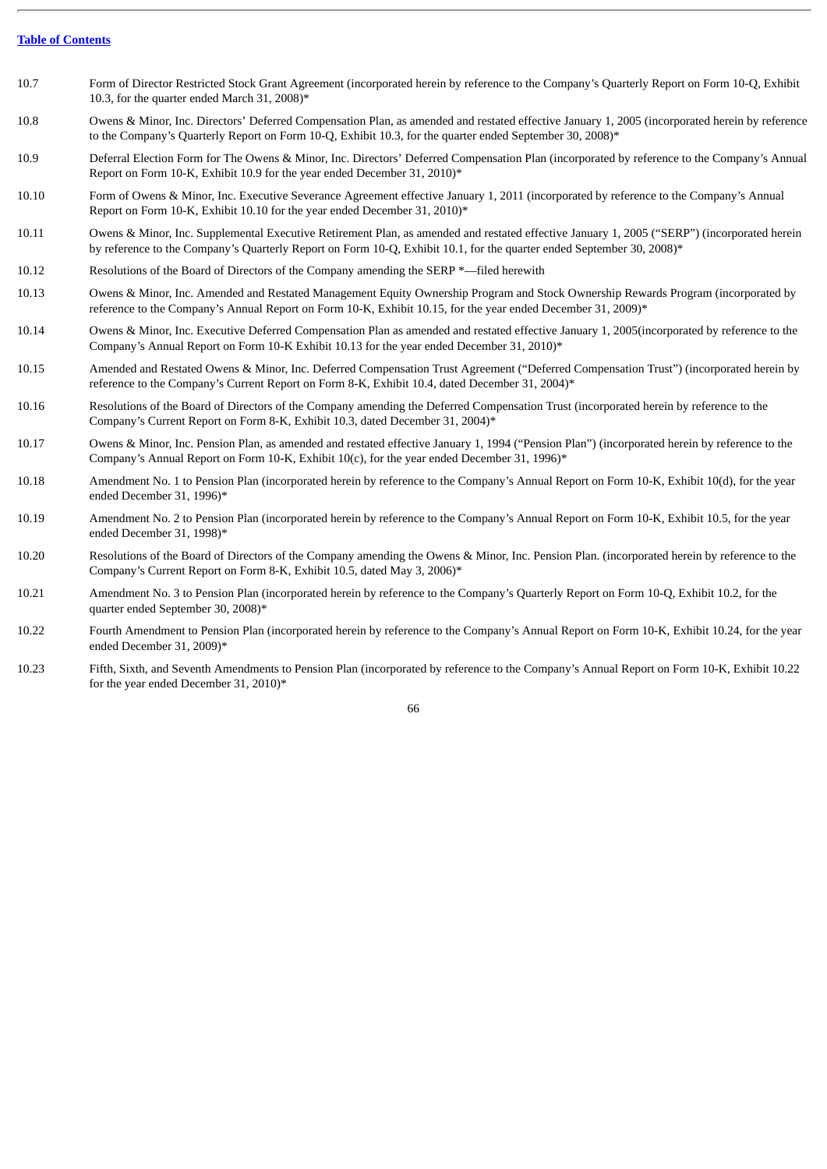- 10.7 Form of Director Restricted Stock Grant Agreement (incorporated herein by reference to the Company's Quarterly Report on Form 10-Q, Exhibit 10.3, for the quarter ended March 31, 2008)\*
- 10.8 Owens & Minor, Inc. Directors' Deferred Compensation Plan, as amended and restated effective January 1, 2005 (incorporated herein by reference to the Company's Quarterly Report on Form 10-Q, Exhibit 10.3, for the quarter ended September 30, 2008)\*
- 10.9 Deferral Election Form for The Owens & Minor, Inc. Directors' Deferred Compensation Plan (incorporated by reference to the Company's Annual Report on Form 10-K, Exhibit 10.9 for the year ended December 31, 2010)\*
- 10.10 Form of Owens & Minor, Inc. Executive Severance Agreement effective January 1, 2011 (incorporated by reference to the Company's Annual Report on Form 10-K, Exhibit 10.10 for the year ended December 31, 2010)\*
- 10.11 Owens & Minor, Inc. Supplemental Executive Retirement Plan, as amended and restated effective January 1, 2005 ("SERP") (incorporated herein by reference to the Company's Quarterly Report on Form 10-Q, Exhibit 10.1, for the quarter ended September 30, 2008)\*
- 10.12 Resolutions of the Board of Directors of the Company amending the SERP \*—filed herewith
- 10.13 Owens & Minor, Inc. Amended and Restated Management Equity Ownership Program and Stock Ownership Rewards Program (incorporated by reference to the Company's Annual Report on Form 10-K, Exhibit 10.15, for the year ended December 31, 2009)\*
- 10.14 Owens & Minor, Inc. Executive Deferred Compensation Plan as amended and restated effective January 1, 2005(incorporated by reference to the Company's Annual Report on Form 10-K Exhibit 10.13 for the year ended December 31, 2010)\*
- 10.15 Amended and Restated Owens & Minor, Inc. Deferred Compensation Trust Agreement ("Deferred Compensation Trust") (incorporated herein by reference to the Company's Current Report on Form 8-K, Exhibit 10.4, dated December 31, 2004)\*
- 10.16 Resolutions of the Board of Directors of the Company amending the Deferred Compensation Trust (incorporated herein by reference to the Company's Current Report on Form 8-K, Exhibit 10.3, dated December 31, 2004)\*
- 10.17 Owens & Minor, Inc. Pension Plan, as amended and restated effective January 1, 1994 ("Pension Plan") (incorporated herein by reference to the Company's Annual Report on Form 10-K, Exhibit 10(c), for the year ended December 31, 1996)\*
- 10.18 Amendment No. 1 to Pension Plan (incorporated herein by reference to the Company's Annual Report on Form 10-K, Exhibit 10(d), for the year ended December 31, 1996)\*
- 10.19 Amendment No. 2 to Pension Plan (incorporated herein by reference to the Company's Annual Report on Form 10-K, Exhibit 10.5, for the year ended December 31, 1998)\*
- 10.20 Resolutions of the Board of Directors of the Company amending the Owens & Minor, Inc. Pension Plan. (incorporated herein by reference to the Company's Current Report on Form 8-K, Exhibit 10.5, dated May 3, 2006)\*
- 10.21 Amendment No. 3 to Pension Plan (incorporated herein by reference to the Company's Quarterly Report on Form 10-Q, Exhibit 10.2, for the quarter ended September 30, 2008)\*
- 10.22 Fourth Amendment to Pension Plan (incorporated herein by reference to the Company's Annual Report on Form 10-K, Exhibit 10.24, for the year ended December 31, 2009)\*
- 10.23 Fifth, Sixth, and Seventh Amendments to Pension Plan (incorporated by reference to the Company's Annual Report on Form 10-K, Exhibit 10.22 for the year ended December 31, 2010)\*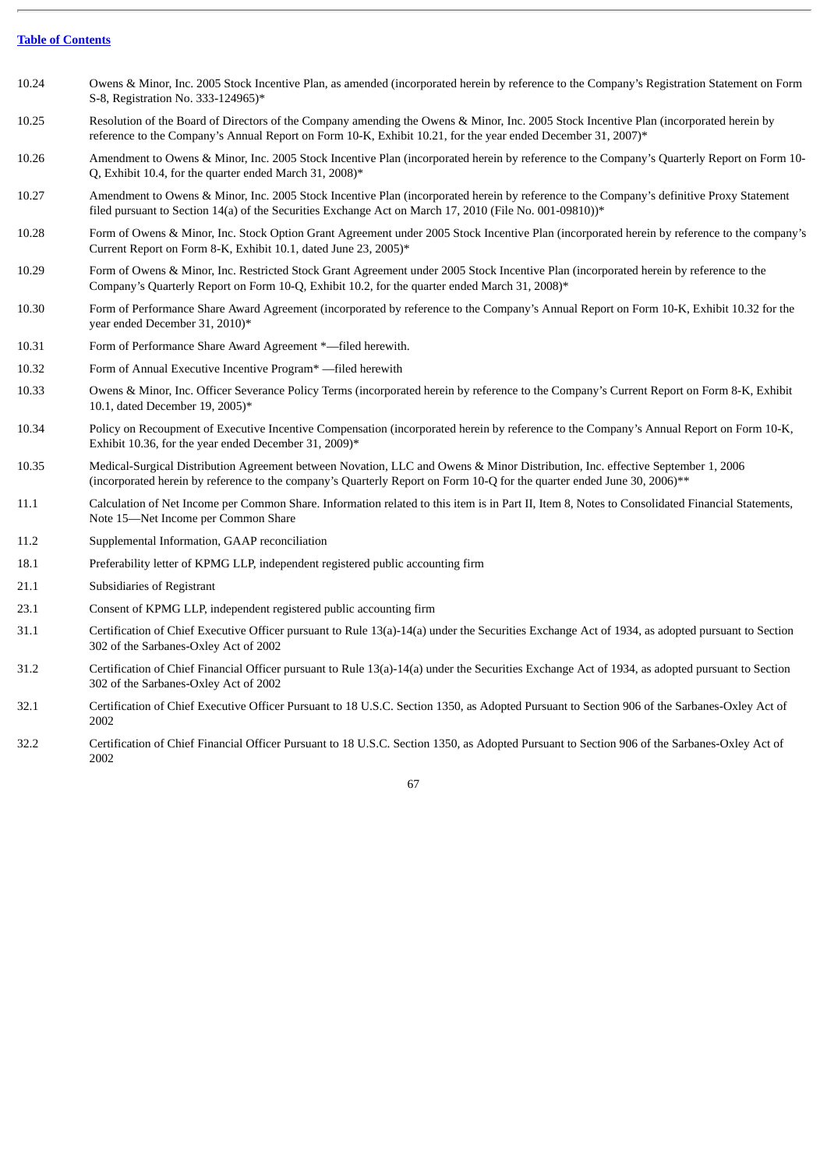- 10.24 Owens & Minor, Inc. 2005 Stock Incentive Plan, as amended (incorporated herein by reference to the Company's Registration Statement on Form S-8, Registration No. 333-124965)\*
- 10.25 Resolution of the Board of Directors of the Company amending the Owens & Minor, Inc. 2005 Stock Incentive Plan (incorporated herein by reference to the Company's Annual Report on Form 10-K, Exhibit 10.21, for the year ended December 31, 2007)\*
- 10.26 Amendment to Owens & Minor, Inc. 2005 Stock Incentive Plan (incorporated herein by reference to the Company's Quarterly Report on Form 10- Q, Exhibit 10.4, for the quarter ended March 31, 2008)\*
- 10.27 Amendment to Owens & Minor, Inc. 2005 Stock Incentive Plan (incorporated herein by reference to the Company's definitive Proxy Statement filed pursuant to Section 14(a) of the Securities Exchange Act on March 17, 2010 (File No. 001-09810))\*
- 10.28 Form of Owens & Minor, Inc. Stock Option Grant Agreement under 2005 Stock Incentive Plan (incorporated herein by reference to the company's Current Report on Form 8-K, Exhibit 10.1, dated June 23, 2005)\*
- 10.29 Form of Owens & Minor, Inc. Restricted Stock Grant Agreement under 2005 Stock Incentive Plan (incorporated herein by reference to the Company's Quarterly Report on Form 10-Q, Exhibit 10.2, for the quarter ended March 31, 2008)\*
- 10.30 Form of Performance Share Award Agreement (incorporated by reference to the Company's Annual Report on Form 10-K, Exhibit 10.32 for the year ended December 31, 2010)\*
- 10.31 Form of Performance Share Award Agreement \*—filed herewith.
- 10.32 Form of Annual Executive Incentive Program\* —filed herewith
- 10.33 Owens & Minor, Inc. Officer Severance Policy Terms (incorporated herein by reference to the Company's Current Report on Form 8-K, Exhibit 10.1, dated December 19, 2005)\*
- 10.34 Policy on Recoupment of Executive Incentive Compensation (incorporated herein by reference to the Company's Annual Report on Form 10-K, Exhibit 10.36, for the year ended December 31, 2009)\*
- 10.35 Medical-Surgical Distribution Agreement between Novation, LLC and Owens & Minor Distribution, Inc. effective September 1, 2006 (incorporated herein by reference to the company's Quarterly Report on Form 10-Q for the quarter ended June 30, 2006)\*\*
- 11.1 Calculation of Net Income per Common Share. Information related to this item is in Part II, Item 8, Notes to Consolidated Financial Statements, Note 15—Net Income per Common Share
- 11.2 Supplemental Information, GAAP reconciliation
- 18.1 Preferability letter of KPMG LLP, independent registered public accounting firm
- 21.1 Subsidiaries of Registrant
- 23.1 Consent of KPMG LLP, independent registered public accounting firm
- 31.1 Certification of Chief Executive Officer pursuant to Rule 13(a)-14(a) under the Securities Exchange Act of 1934, as adopted pursuant to Section 302 of the Sarbanes-Oxley Act of 2002
- 31.2 Certification of Chief Financial Officer pursuant to Rule 13(a)-14(a) under the Securities Exchange Act of 1934, as adopted pursuant to Section 302 of the Sarbanes-Oxley Act of 2002
- 32.1 Certification of Chief Executive Officer Pursuant to 18 U.S.C. Section 1350, as Adopted Pursuant to Section 906 of the Sarbanes-Oxley Act of 2002
- 32.2 Certification of Chief Financial Officer Pursuant to 18 U.S.C. Section 1350, as Adopted Pursuant to Section 906 of the Sarbanes-Oxley Act of 2002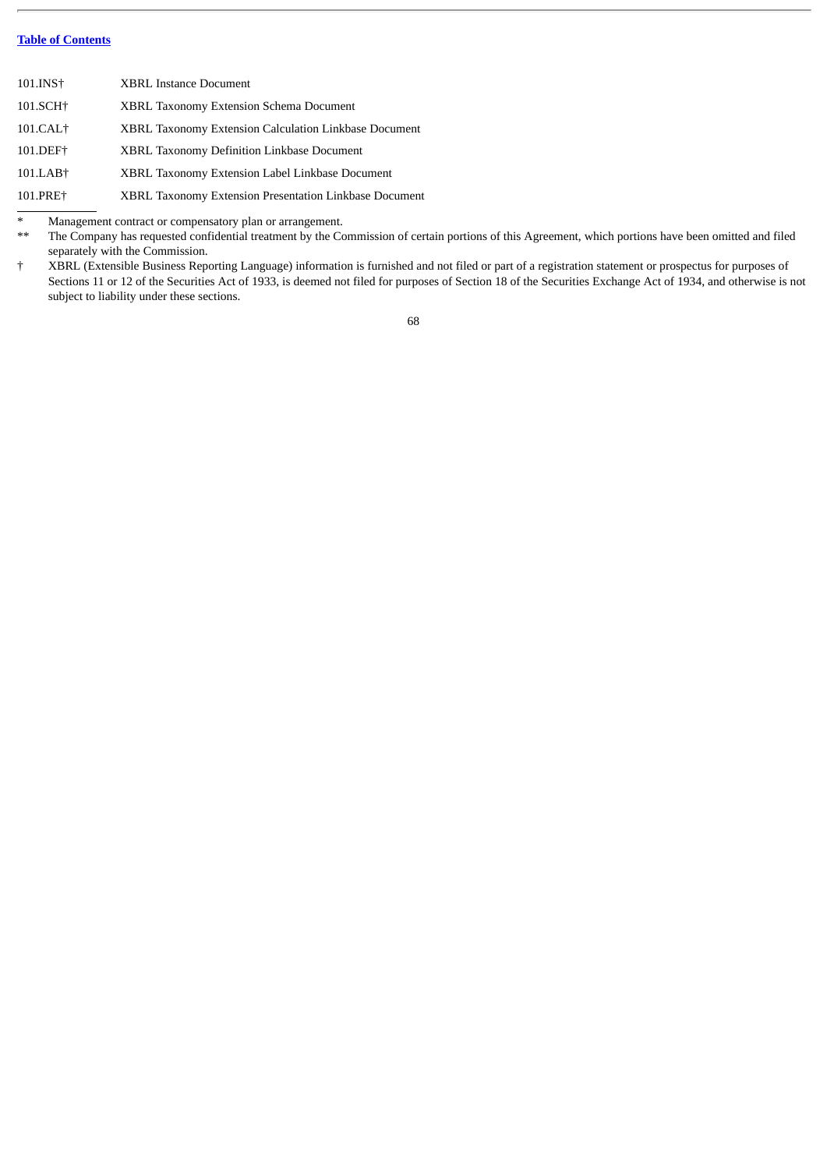| 101.INS+             | <b>XBRL Instance Document</b>                          |
|----------------------|--------------------------------------------------------|
| 101.SCH <sup>+</sup> | XBRL Taxonomy Extension Schema Document                |
| 101.CAL†             | XBRL Taxonomy Extension Calculation Linkbase Document  |
| 101.DEF†             | <b>XBRL Taxonomy Definition Linkbase Document</b>      |
| 101.LAB+             | XBRL Taxonomy Extension Label Linkbase Document        |
| 101.PRE+             | XBRL Taxonomy Extension Presentation Linkbase Document |

<sup>\*</sup> Management contract or compensatory plan or arrangement.

<sup>\*\*</sup> The Company has requested confidential treatment by the Commission of certain portions of this Agreement, which portions have been omitted and filed separately with the Commission.

<sup>†</sup> XBRL (Extensible Business Reporting Language) information is furnished and not filed or part of a registration statement or prospectus for purposes of Sections 11 or 12 of the Securities Act of 1933, is deemed not filed for purposes of Section 18 of the Securities Exchange Act of 1934, and otherwise is not subject to liability under these sections.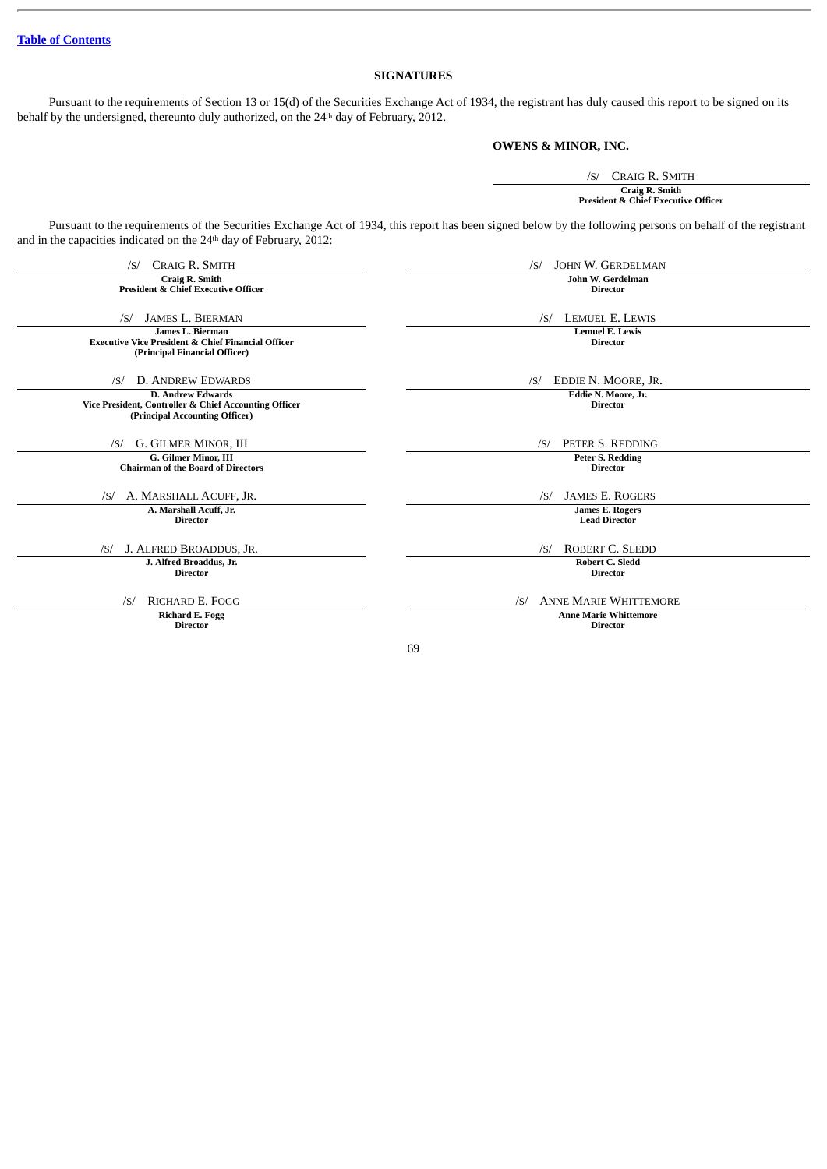# **SIGNATURES**

Pursuant to the requirements of Section 13 or 15(d) of the Securities Exchange Act of 1934, the registrant has duly caused this report to be signed on its behalf by the undersigned, thereunto duly authorized, on the 24<sup>th</sup> day of February, 2012.

|                                                                                                                     | <b>OWENS &amp; MINOR, INC.</b>                                                                                                                              |
|---------------------------------------------------------------------------------------------------------------------|-------------------------------------------------------------------------------------------------------------------------------------------------------------|
|                                                                                                                     | <b>CRAIG R. SMITH</b><br>/S/                                                                                                                                |
|                                                                                                                     | Craig R. Smith<br><b>President &amp; Chief Executive Officer</b>                                                                                            |
| and in the capacities indicated on the 24 <sup>th</sup> day of February, 2012:                                      | Pursuant to the requirements of the Securities Exchange Act of 1934, this report has been signed below by the following persons on behalf of the registrant |
| <b>CRAIG R. SMITH</b>                                                                                               | <b>JOHN W. GERDELMAN</b>                                                                                                                                    |
| /S/                                                                                                                 | /S/                                                                                                                                                         |
| Craig R. Smith                                                                                                      | John W. Gerdelman                                                                                                                                           |
| <b>President &amp; Chief Executive Officer</b>                                                                      | <b>Director</b>                                                                                                                                             |
| <b>JAMES L. BIERMAN</b>                                                                                             | LEMUEL E. LEWIS                                                                                                                                             |
| /S/                                                                                                                 | /S/                                                                                                                                                         |
| James L. Bierman<br><b>Executive Vice President &amp; Chief Financial Officer</b><br>(Principal Financial Officer)  | <b>Lemuel E. Lewis</b><br><b>Director</b>                                                                                                                   |
| <b>D. ANDREW EDWARDS</b>                                                                                            | EDDIE N. MOORE, JR.                                                                                                                                         |
| /S/                                                                                                                 | /S/                                                                                                                                                         |
| <b>D. Andrew Edwards</b><br>Vice President, Controller & Chief Accounting Officer<br>(Principal Accounting Officer) | Eddie N. Moore, Jr.<br><b>Director</b>                                                                                                                      |
| /S/ G. GILMER MINOR, III                                                                                            | PETER S. REDDING<br>/S/                                                                                                                                     |
| G. Gilmer Minor, III                                                                                                | <b>Peter S. Redding</b>                                                                                                                                     |
| <b>Chairman of the Board of Directors</b>                                                                           | <b>Director</b>                                                                                                                                             |
| A. MARSHALL ACUFF, JR.                                                                                              | <b>JAMES E. ROGERS</b>                                                                                                                                      |
| /S/                                                                                                                 | /S/                                                                                                                                                         |
| A. Marshall Acuff, Jr.                                                                                              | <b>James E. Rogers</b>                                                                                                                                      |
| <b>Director</b>                                                                                                     | <b>Lead Director</b>                                                                                                                                        |
| J. ALFRED BROADDUS, JR.                                                                                             | ROBERT C. SLEDD                                                                                                                                             |
| /S/                                                                                                                 | /S/                                                                                                                                                         |
| J. Alfred Broaddus, Jr.                                                                                             | <b>Robert C. Sledd</b>                                                                                                                                      |
| <b>Director</b>                                                                                                     | <b>Director</b>                                                                                                                                             |
| <b>RICHARD E. FOGG</b>                                                                                              | <b>ANNE MARIE WHITTEMORE</b>                                                                                                                                |
| /S/                                                                                                                 | /S/                                                                                                                                                         |
| <b>Richard E. Fogg</b>                                                                                              | <b>Anne Marie Whittemore</b>                                                                                                                                |
| <b>Director</b>                                                                                                     | <b>Director</b>                                                                                                                                             |
|                                                                                                                     | 69                                                                                                                                                          |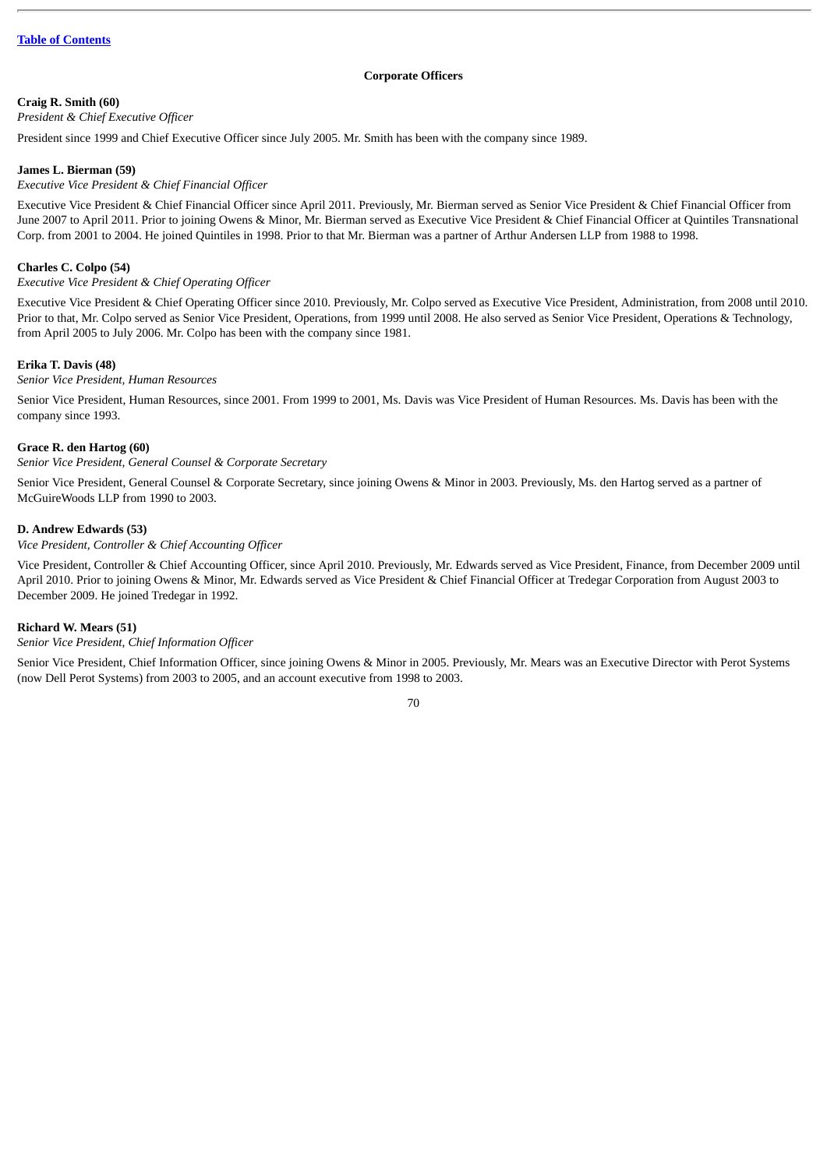# **Corporate Officers**

# **Craig R. Smith (60)**

*President & Chief Executive Officer*

President since 1999 and Chief Executive Officer since July 2005. Mr. Smith has been with the company since 1989.

## **James L. Bierman (59)**

## *Executive Vice President & Chief Financial Officer*

Executive Vice President & Chief Financial Officer since April 2011. Previously, Mr. Bierman served as Senior Vice President & Chief Financial Officer from June 2007 to April 2011. Prior to joining Owens & Minor, Mr. Bierman served as Executive Vice President & Chief Financial Officer at Quintiles Transnational Corp. from 2001 to 2004. He joined Quintiles in 1998. Prior to that Mr. Bierman was a partner of Arthur Andersen LLP from 1988 to 1998.

# **Charles C. Colpo (54)**

## *Executive Vice President & Chief Operating Officer*

Executive Vice President & Chief Operating Officer since 2010. Previously, Mr. Colpo served as Executive Vice President, Administration, from 2008 until 2010. Prior to that, Mr. Colpo served as Senior Vice President, Operations, from 1999 until 2008. He also served as Senior Vice President, Operations & Technology, from April 2005 to July 2006. Mr. Colpo has been with the company since 1981.

## **Erika T. Davis (48)**

## *Senior Vice President, Human Resources*

Senior Vice President, Human Resources, since 2001. From 1999 to 2001, Ms. Davis was Vice President of Human Resources. Ms. Davis has been with the company since 1993.

## **Grace R. den Hartog (60)**

### *Senior Vice President, General Counsel & Corporate Secretary*

Senior Vice President, General Counsel & Corporate Secretary, since joining Owens & Minor in 2003. Previously, Ms. den Hartog served as a partner of McGuireWoods LLP from 1990 to 2003.

## **D. Andrew Edwards (53)**

## *Vice President, Controller & Chief Accounting Officer*

Vice President, Controller & Chief Accounting Officer, since April 2010. Previously, Mr. Edwards served as Vice President, Finance, from December 2009 until April 2010. Prior to joining Owens & Minor, Mr. Edwards served as Vice President & Chief Financial Officer at Tredegar Corporation from August 2003 to December 2009. He joined Tredegar in 1992.

## **Richard W. Mears (51)**

### *Senior Vice President, Chief Information Officer*

Senior Vice President, Chief Information Officer, since joining Owens & Minor in 2005. Previously, Mr. Mears was an Executive Director with Perot Systems (now Dell Perot Systems) from 2003 to 2005, and an account executive from 1998 to 2003.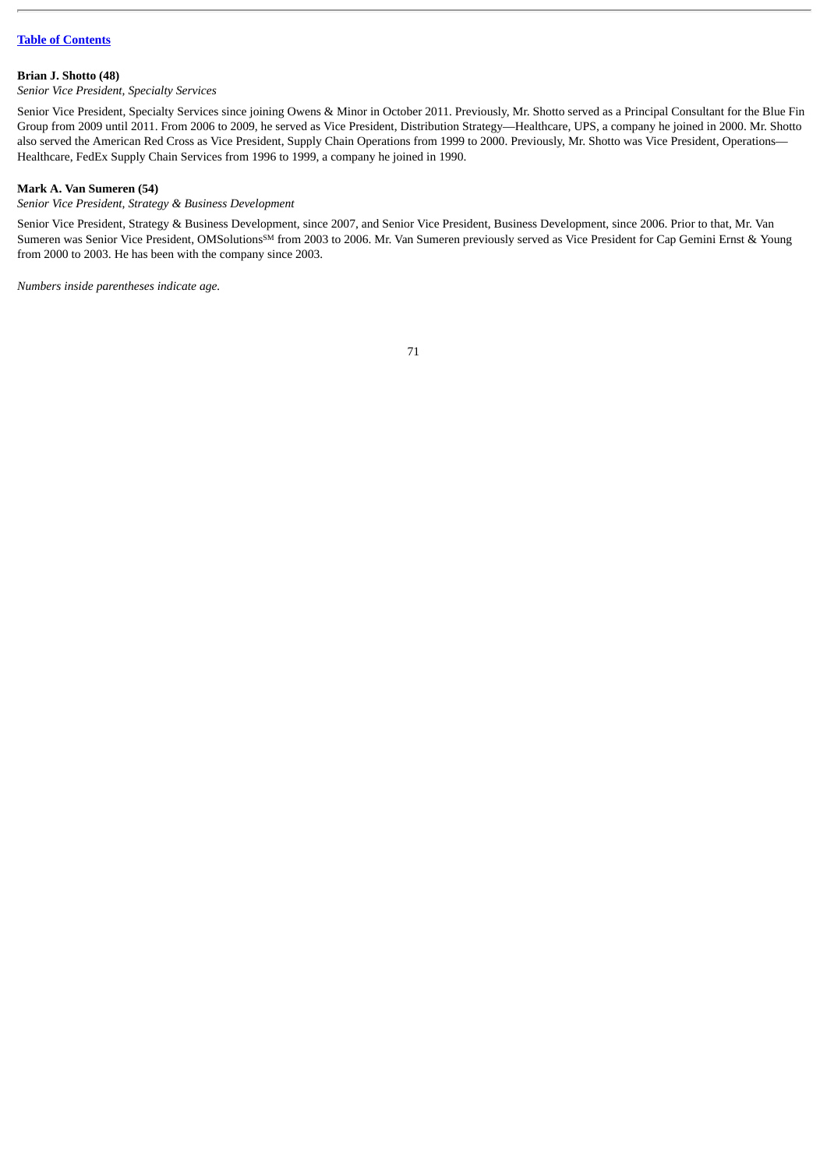### **Brian J. Shotto (48)**

*Senior Vice President, Specialty Services*

Senior Vice President, Specialty Services since joining Owens & Minor in October 2011. Previously, Mr. Shotto served as a Principal Consultant for the Blue Fin Group from 2009 until 2011. From 2006 to 2009, he served as Vice President, Distribution Strategy—Healthcare, UPS, a company he joined in 2000. Mr. Shotto also served the American Red Cross as Vice President, Supply Chain Operations from 1999 to 2000. Previously, Mr. Shotto was Vice President, Operations-Healthcare, FedEx Supply Chain Services from 1996 to 1999, a company he joined in 1990.

## **Mark A. Van Sumeren (54)**

## *Senior Vice President, Strategy & Business Development*

Senior Vice President, Strategy & Business Development, since 2007, and Senior Vice President, Business Development, since 2006. Prior to that, Mr. Van Sumeren was Senior Vice President, OMSolutions<sup>sM</sup> from 2003 to 2006. Mr. Van Sumeren previously served as Vice President for Cap Gemini Ernst & Young from 2000 to 2003. He has been with the company since 2003.

*Numbers inside parentheses indicate age.*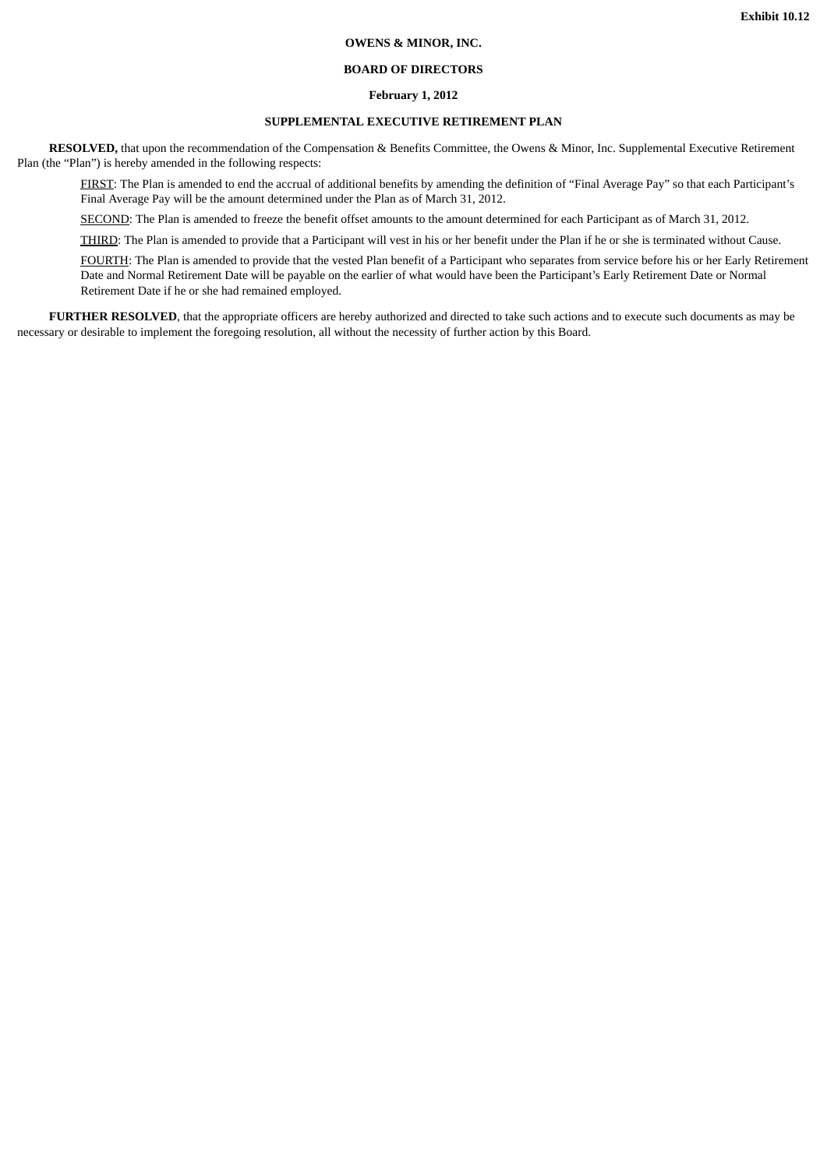## **OWENS & MINOR, INC.**

#### **BOARD OF DIRECTORS**

#### **February 1, 2012**

# **SUPPLEMENTAL EXECUTIVE RETIREMENT PLAN**

**RESOLVED,** that upon the recommendation of the Compensation & Benefits Committee, the Owens & Minor, Inc. Supplemental Executive Retirement Plan (the "Plan") is hereby amended in the following respects:

FIRST: The Plan is amended to end the accrual of additional benefits by amending the definition of "Final Average Pay" so that each Participant's Final Average Pay will be the amount determined under the Plan as of March 31, 2012.

SECOND: The Plan is amended to freeze the benefit offset amounts to the amount determined for each Participant as of March 31, 2012.

THIRD: The Plan is amended to provide that a Participant will vest in his or her benefit under the Plan if he or she is terminated without Cause.

FOURTH: The Plan is amended to provide that the vested Plan benefit of a Participant who separates from service before his or her Early Retirement Date and Normal Retirement Date will be payable on the earlier of what would have been the Participant's Early Retirement Date or Normal Retirement Date if he or she had remained employed.

**FURTHER RESOLVED**, that the appropriate officers are hereby authorized and directed to take such actions and to execute such documents as may be necessary or desirable to implement the foregoing resolution, all without the necessity of further action by this Board.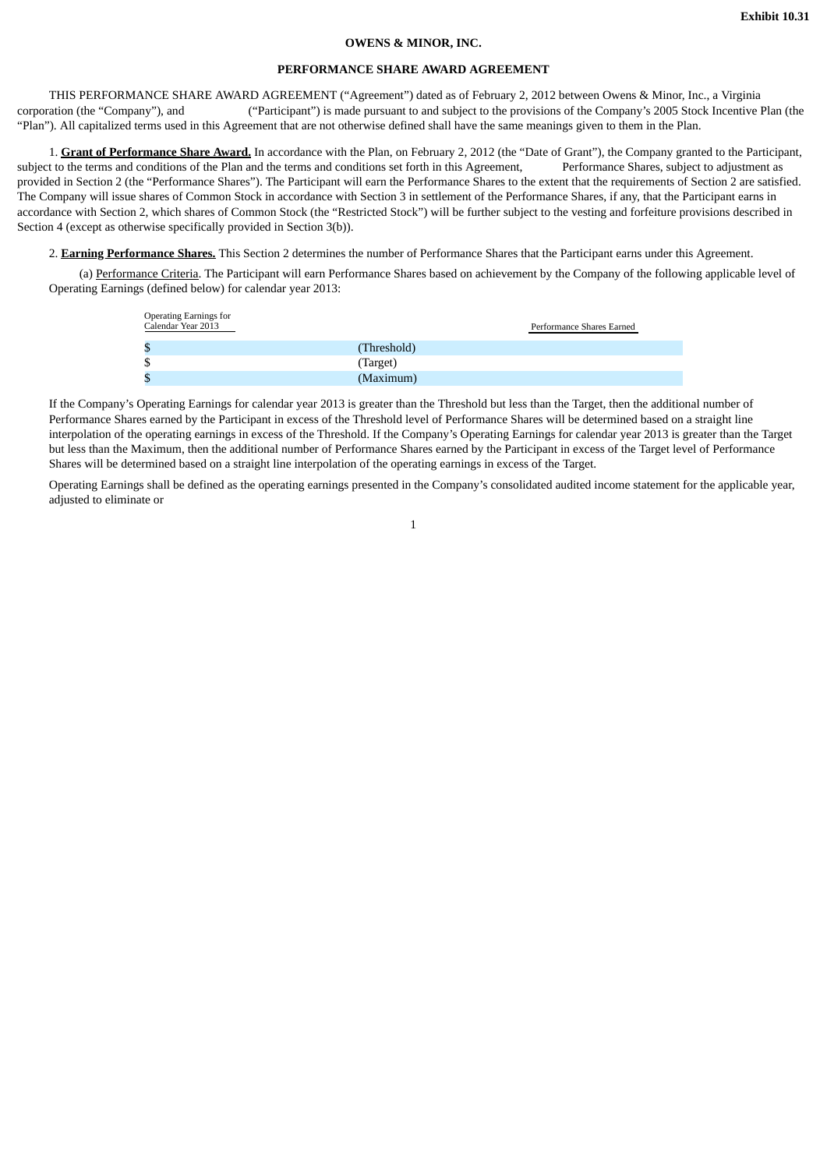### **OWENS & MINOR, INC.**

### **PERFORMANCE SHARE AWARD AGREEMENT**

THIS PERFORMANCE SHARE AWARD AGREEMENT ("Agreement") dated as of February 2, 2012 between Owens & Minor, Inc., a Virginia corporation (the "Company"), and ("Participant") is made pursuant to and subject to the provisions of the Company's 2005 Stock Incentive Plan (the "Plan"). All capitalized terms used in this Agreement that are not otherwise defined shall have the same meanings given to them in the Plan.

1. **Grant of Performance Share Award.** In accordance with the Plan, on February 2, 2012 (the "Date of Grant"), the Company granted to the Participant, subject to the terms and conditions of the Plan and the terms and conditions set forth in this Agreement. Performance Shares, subject to adjustment as provided in Section 2 (the "Performance Shares"). The Participant will earn the Performance Shares to the extent that the requirements of Section 2 are satisfied. The Company will issue shares of Common Stock in accordance with Section 3 in settlement of the Performance Shares, if any, that the Participant earns in accordance with Section 2, which shares of Common Stock (the "Restricted Stock") will be further subject to the vesting and forfeiture provisions described in Section 4 (except as otherwise specifically provided in Section 3(b)).

2. **Earning Performance Shares.** This Section 2 determines the number of Performance Shares that the Participant earns under this Agreement.

(a) Performance Criteria. The Participant will earn Performance Shares based on achievement by the Company of the following applicable level of Operating Earnings (defined below) for calendar year 2013:

| Operating Earnings for<br>Calendar Year 2013 |             | Performance Shares Earned |
|----------------------------------------------|-------------|---------------------------|
| \$                                           | (Threshold) |                           |
| \$                                           | (Target)    |                           |
| \$                                           | (Maximum)   |                           |

If the Company's Operating Earnings for calendar year 2013 is greater than the Threshold but less than the Target, then the additional number of Performance Shares earned by the Participant in excess of the Threshold level of Performance Shares will be determined based on a straight line interpolation of the operating earnings in excess of the Threshold. If the Company's Operating Earnings for calendar year 2013 is greater than the Target but less than the Maximum, then the additional number of Performance Shares earned by the Participant in excess of the Target level of Performance Shares will be determined based on a straight line interpolation of the operating earnings in excess of the Target.

Operating Earnings shall be defined as the operating earnings presented in the Company's consolidated audited income statement for the applicable year, adjusted to eliminate or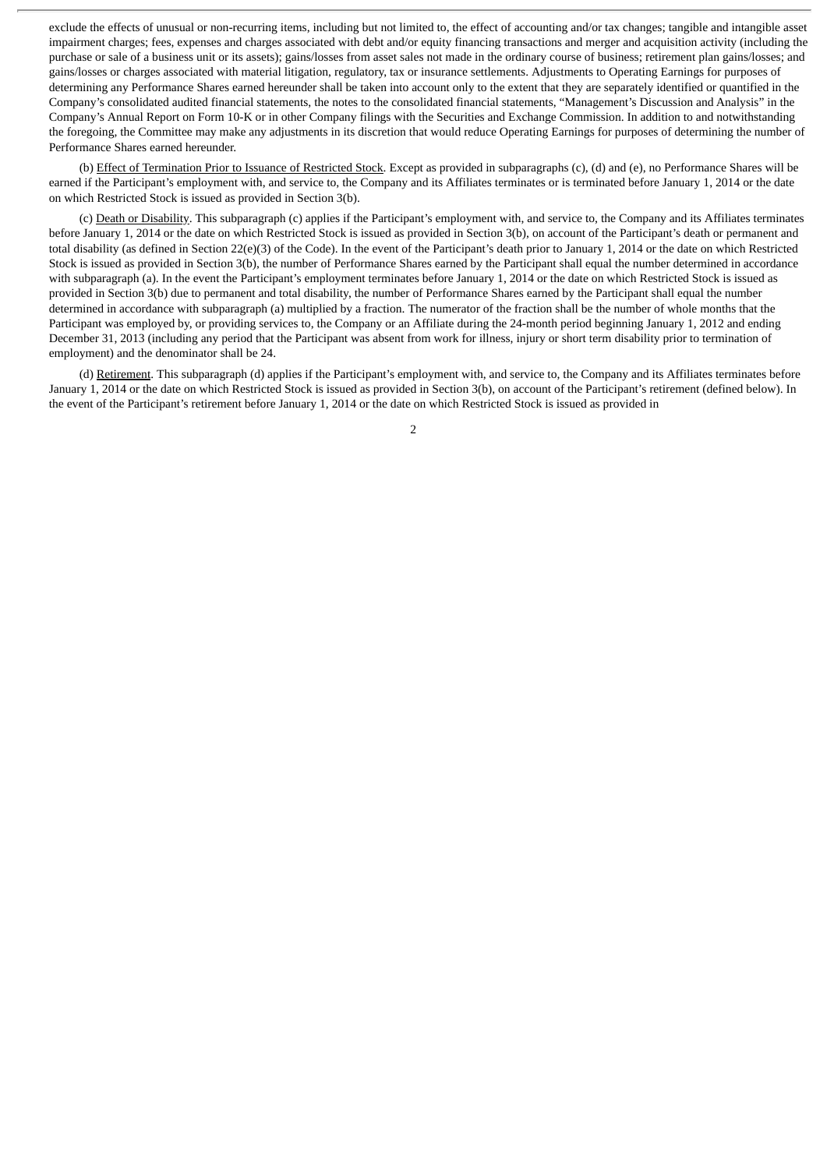exclude the effects of unusual or non-recurring items, including but not limited to, the effect of accounting and/or tax changes; tangible and intangible asset impairment charges; fees, expenses and charges associated with debt and/or equity financing transactions and merger and acquisition activity (including the purchase or sale of a business unit or its assets); gains/losses from asset sales not made in the ordinary course of business; retirement plan gains/losses; and gains/losses or charges associated with material litigation, regulatory, tax or insurance settlements. Adjustments to Operating Earnings for purposes of determining any Performance Shares earned hereunder shall be taken into account only to the extent that they are separately identified or quantified in the Company's consolidated audited financial statements, the notes to the consolidated financial statements, "Management's Discussion and Analysis" in the Company's Annual Report on Form 10-K or in other Company filings with the Securities and Exchange Commission. In addition to and notwithstanding the foregoing, the Committee may make any adjustments in its discretion that would reduce Operating Earnings for purposes of determining the number of Performance Shares earned hereunder.

(b) Effect of Termination Prior to Issuance of Restricted Stock. Except as provided in subparagraphs (c), (d) and (e), no Performance Shares will be earned if the Participant's employment with, and service to, the Company and its Affiliates terminates or is terminated before January 1, 2014 or the date on which Restricted Stock is issued as provided in Section 3(b).

(c) Death or Disability. This subparagraph (c) applies if the Participant's employment with, and service to, the Company and its Affiliates terminates before January 1, 2014 or the date on which Restricted Stock is issued as provided in Section 3(b), on account of the Participant's death or permanent and total disability (as defined in Section 22(e)(3) of the Code). In the event of the Participant's death prior to January 1, 2014 or the date on which Restricted Stock is issued as provided in Section 3(b), the number of Performance Shares earned by the Participant shall equal the number determined in accordance with subparagraph (a). In the event the Participant's employment terminates before January 1, 2014 or the date on which Restricted Stock is issued as provided in Section 3(b) due to permanent and total disability, the number of Performance Shares earned by the Participant shall equal the number determined in accordance with subparagraph (a) multiplied by a fraction. The numerator of the fraction shall be the number of whole months that the Participant was employed by, or providing services to, the Company or an Affiliate during the 24-month period beginning January 1, 2012 and ending December 31, 2013 (including any period that the Participant was absent from work for illness, injury or short term disability prior to termination of employment) and the denominator shall be 24.

(d) Retirement. This subparagraph (d) applies if the Participant's employment with, and service to, the Company and its Affiliates terminates before January 1, 2014 or the date on which Restricted Stock is issued as provided in Section 3(b), on account of the Participant's retirement (defined below). In the event of the Participant's retirement before January 1, 2014 or the date on which Restricted Stock is issued as provided in

 $\overline{2}$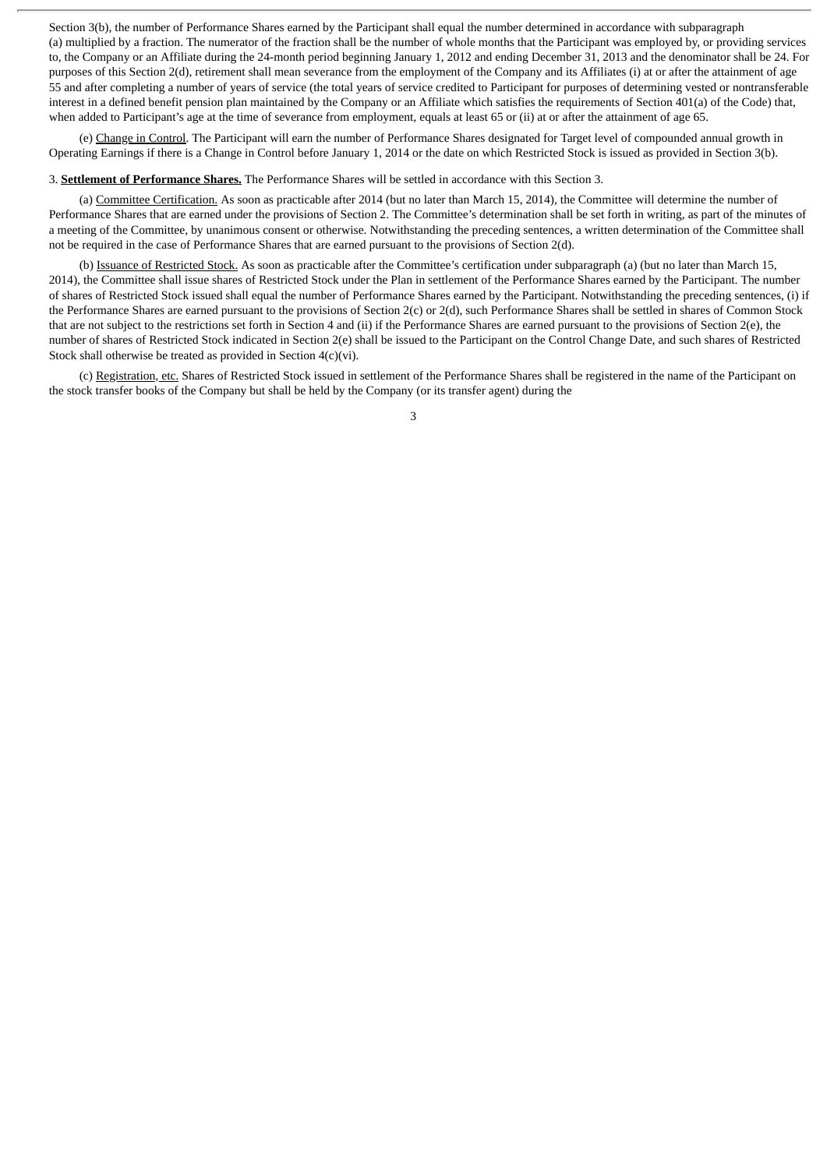Section 3(b), the number of Performance Shares earned by the Participant shall equal the number determined in accordance with subparagraph (a) multiplied by a fraction. The numerator of the fraction shall be the number of whole months that the Participant was employed by, or providing services to, the Company or an Affiliate during the 24-month period beginning January 1, 2012 and ending December 31, 2013 and the denominator shall be 24. For purposes of this Section 2(d), retirement shall mean severance from the employment of the Company and its Affiliates (i) at or after the attainment of age 55 and after completing a number of years of service (the total years of service credited to Participant for purposes of determining vested or nontransferable interest in a defined benefit pension plan maintained by the Company or an Affiliate which satisfies the requirements of Section 401(a) of the Code) that, when added to Participant's age at the time of severance from employment, equals at least 65 or (ii) at or after the attainment of age 65.

(e) Change in Control. The Participant will earn the number of Performance Shares designated for Target level of compounded annual growth in Operating Earnings if there is a Change in Control before January 1, 2014 or the date on which Restricted Stock is issued as provided in Section 3(b).

### 3. **Settlement of Performance Shares.** The Performance Shares will be settled in accordance with this Section 3.

(a) Committee Certification. As soon as practicable after 2014 (but no later than March 15, 2014), the Committee will determine the number of Performance Shares that are earned under the provisions of Section 2. The Committee's determination shall be set forth in writing, as part of the minutes of a meeting of the Committee, by unanimous consent or otherwise. Notwithstanding the preceding sentences, a written determination of the Committee shall not be required in the case of Performance Shares that are earned pursuant to the provisions of Section 2(d).

(b) Issuance of Restricted Stock. As soon as practicable after the Committee's certification under subparagraph (a) (but no later than March 15, 2014), the Committee shall issue shares of Restricted Stock under the Plan in settlement of the Performance Shares earned by the Participant. The number of shares of Restricted Stock issued shall equal the number of Performance Shares earned by the Participant. Notwithstanding the preceding sentences, (i) if the Performance Shares are earned pursuant to the provisions of Section 2(c) or 2(d), such Performance Shares shall be settled in shares of Common Stock that are not subject to the restrictions set forth in Section 4 and (ii) if the Performance Shares are earned pursuant to the provisions of Section 2(e), the number of shares of Restricted Stock indicated in Section 2(e) shall be issued to the Participant on the Control Change Date, and such shares of Restricted Stock shall otherwise be treated as provided in Section 4(c)(vi).

(c) Registration, etc. Shares of Restricted Stock issued in settlement of the Performance Shares shall be registered in the name of the Participant on the stock transfer books of the Company but shall be held by the Company (or its transfer agent) during the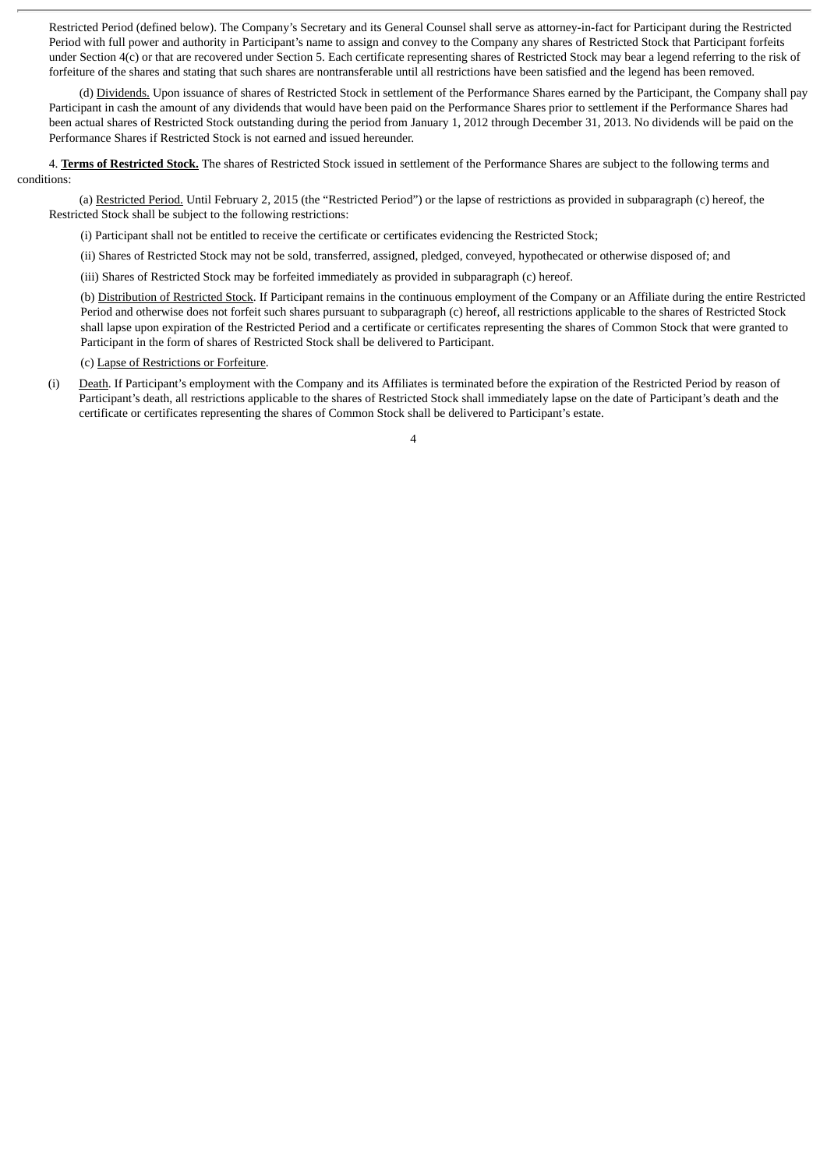Restricted Period (defined below). The Company's Secretary and its General Counsel shall serve as attorney-in-fact for Participant during the Restricted Period with full power and authority in Participant's name to assign and convey to the Company any shares of Restricted Stock that Participant forfeits under Section 4(c) or that are recovered under Section 5. Each certificate representing shares of Restricted Stock may bear a legend referring to the risk of forfeiture of the shares and stating that such shares are nontransferable until all restrictions have been satisfied and the legend has been removed.

(d) Dividends. Upon issuance of shares of Restricted Stock in settlement of the Performance Shares earned by the Participant, the Company shall pay Participant in cash the amount of any dividends that would have been paid on the Performance Shares prior to settlement if the Performance Shares had been actual shares of Restricted Stock outstanding during the period from January 1, 2012 through December 31, 2013. No dividends will be paid on the Performance Shares if Restricted Stock is not earned and issued hereunder.

4. **Terms of Restricted Stock.** The shares of Restricted Stock issued in settlement of the Performance Shares are subject to the following terms and conditions:

(a) Restricted Period. Until February 2, 2015 (the "Restricted Period") or the lapse of restrictions as provided in subparagraph (c) hereof, the Restricted Stock shall be subject to the following restrictions:

(i) Participant shall not be entitled to receive the certificate or certificates evidencing the Restricted Stock;

(ii) Shares of Restricted Stock may not be sold, transferred, assigned, pledged, conveyed, hypothecated or otherwise disposed of; and

(iii) Shares of Restricted Stock may be forfeited immediately as provided in subparagraph (c) hereof.

(b) Distribution of Restricted Stock. If Participant remains in the continuous employment of the Company or an Affiliate during the entire Restricted Period and otherwise does not forfeit such shares pursuant to subparagraph (c) hereof, all restrictions applicable to the shares of Restricted Stock shall lapse upon expiration of the Restricted Period and a certificate or certificates representing the shares of Common Stock that were granted to Participant in the form of shares of Restricted Stock shall be delivered to Participant.

### (c) Lapse of Restrictions or Forfeiture.

(i) Death. If Participant's employment with the Company and its Affiliates is terminated before the expiration of the Restricted Period by reason of Participant's death, all restrictions applicable to the shares of Restricted Stock shall immediately lapse on the date of Participant's death and the certificate or certificates representing the shares of Common Stock shall be delivered to Participant's estate.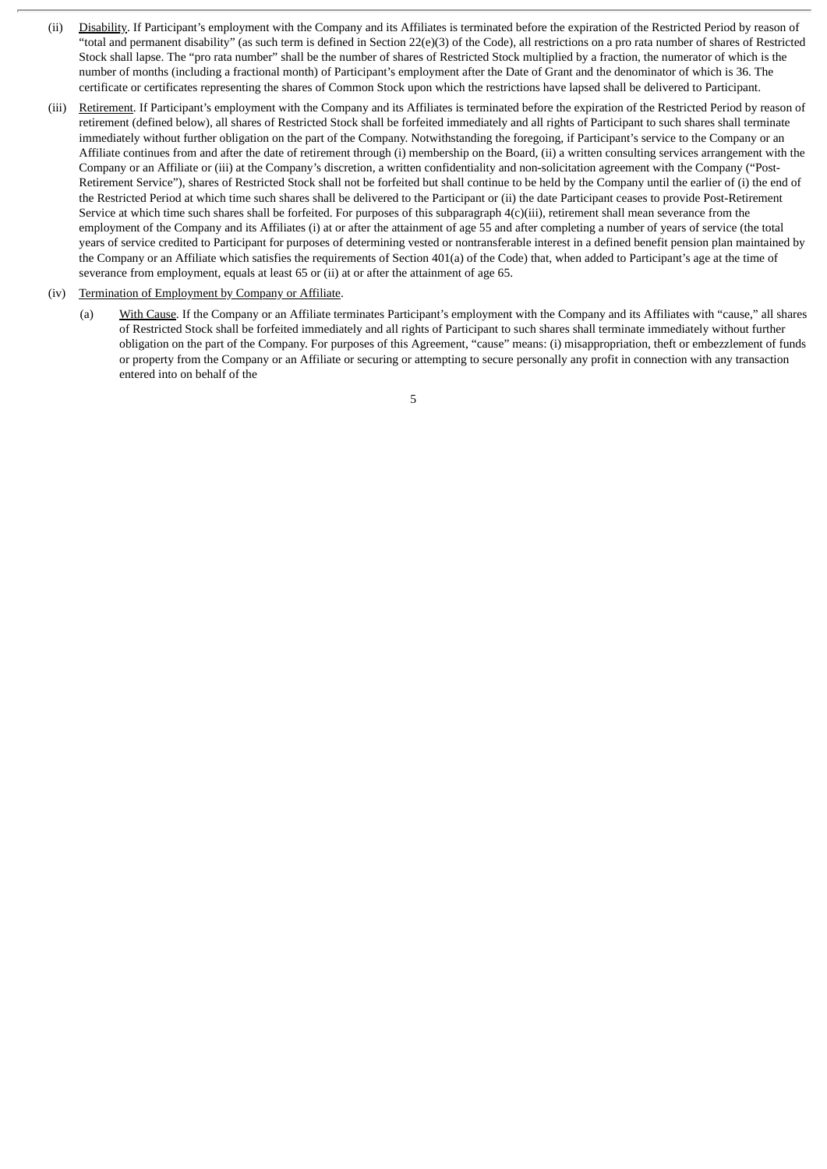- (ii) Disability. If Participant's employment with the Company and its Affiliates is terminated before the expiration of the Restricted Period by reason of "total and permanent disability" (as such term is defined in Section 22(e)(3) of the Code), all restrictions on a pro rata number of shares of Restricted Stock shall lapse. The "pro rata number" shall be the number of shares of Restricted Stock multiplied by a fraction, the numerator of which is the number of months (including a fractional month) of Participant's employment after the Date of Grant and the denominator of which is 36. The certificate or certificates representing the shares of Common Stock upon which the restrictions have lapsed shall be delivered to Participant.
- (iii) Retirement. If Participant's employment with the Company and its Affiliates is terminated before the expiration of the Restricted Period by reason of retirement (defined below), all shares of Restricted Stock shall be forfeited immediately and all rights of Participant to such shares shall terminate immediately without further obligation on the part of the Company. Notwithstanding the foregoing, if Participant's service to the Company or an Affiliate continues from and after the date of retirement through (i) membership on the Board, (ii) a written consulting services arrangement with the Company or an Affiliate or (iii) at the Company's discretion, a written confidentiality and non-solicitation agreement with the Company ("Post-Retirement Service"), shares of Restricted Stock shall not be forfeited but shall continue to be held by the Company until the earlier of (i) the end of the Restricted Period at which time such shares shall be delivered to the Participant or (ii) the date Participant ceases to provide Post-Retirement Service at which time such shares shall be forfeited. For purposes of this subparagraph  $4(c)$ (iii), retirement shall mean severance from the employment of the Company and its Affiliates (i) at or after the attainment of age 55 and after completing a number of years of service (the total years of service credited to Participant for purposes of determining vested or nontransferable interest in a defined benefit pension plan maintained by the Company or an Affiliate which satisfies the requirements of Section 401(a) of the Code) that, when added to Participant's age at the time of severance from employment, equals at least 65 or (ii) at or after the attainment of age 65.
- (iv) Termination of Employment by Company or Affiliate.
	- (a) With Cause. If the Company or an Affiliate terminates Participant's employment with the Company and its Affiliates with "cause," all shares of Restricted Stock shall be forfeited immediately and all rights of Participant to such shares shall terminate immediately without further obligation on the part of the Company. For purposes of this Agreement, "cause" means: (i) misappropriation, theft or embezzlement of funds or property from the Company or an Affiliate or securing or attempting to secure personally any profit in connection with any transaction entered into on behalf of the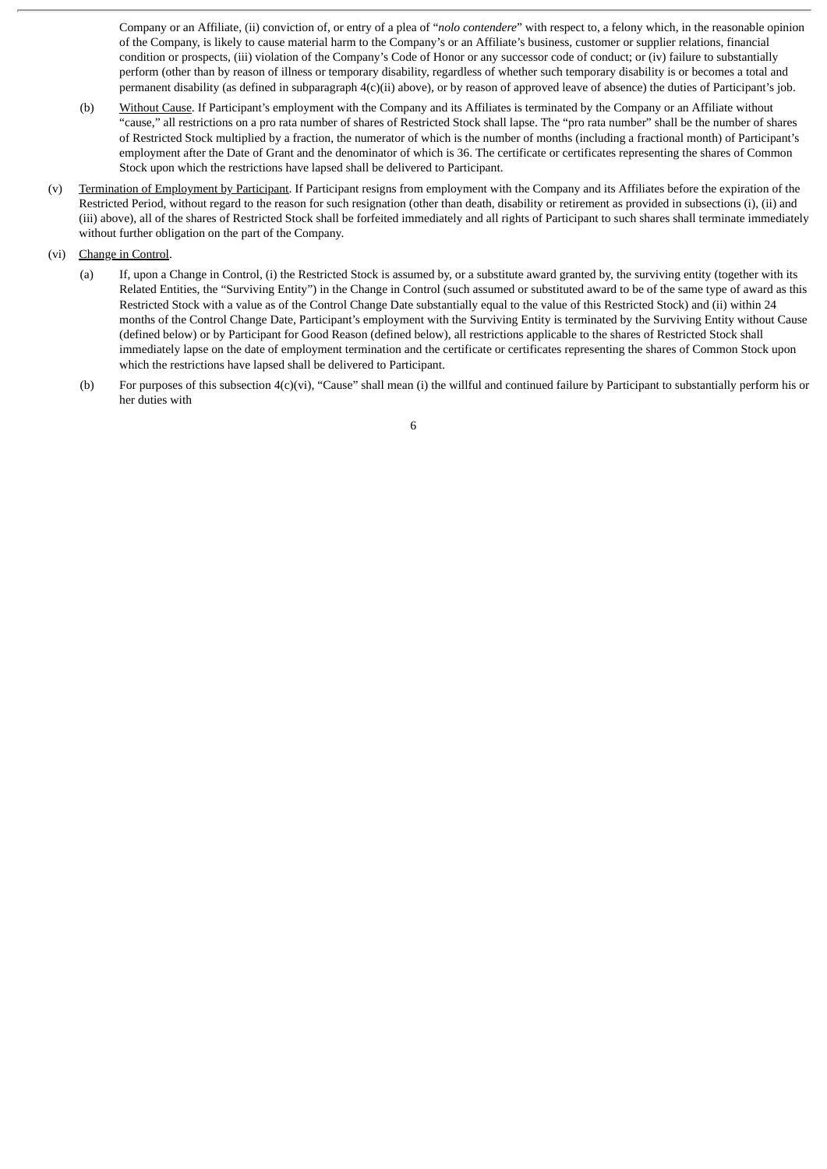Company or an Affiliate, (ii) conviction of, or entry of a plea of "*nolo contendere*" with respect to, a felony which, in the reasonable opinion of the Company, is likely to cause material harm to the Company's or an Affiliate's business, customer or supplier relations, financial condition or prospects, (iii) violation of the Company's Code of Honor or any successor code of conduct; or (iv) failure to substantially perform (other than by reason of illness or temporary disability, regardless of whether such temporary disability is or becomes a total and permanent disability (as defined in subparagraph 4(c)(ii) above), or by reason of approved leave of absence) the duties of Participant's job.

- (b) Without Cause. If Participant's employment with the Company and its Affiliates is terminated by the Company or an Affiliate without "cause," all restrictions on a pro rata number of shares of Restricted Stock shall lapse. The "pro rata number" shall be the number of shares of Restricted Stock multiplied by a fraction, the numerator of which is the number of months (including a fractional month) of Participant's employment after the Date of Grant and the denominator of which is 36. The certificate or certificates representing the shares of Common Stock upon which the restrictions have lapsed shall be delivered to Participant.
- (v) Termination of Employment by Participant. If Participant resigns from employment with the Company and its Affiliates before the expiration of the Restricted Period, without regard to the reason for such resignation (other than death, disability or retirement as provided in subsections (i), (ii) and (iii) above), all of the shares of Restricted Stock shall be forfeited immediately and all rights of Participant to such shares shall terminate immediately without further obligation on the part of the Company.

# (vi) Change in Control.

- (a) If, upon a Change in Control, (i) the Restricted Stock is assumed by, or a substitute award granted by, the surviving entity (together with its Related Entities, the "Surviving Entity") in the Change in Control (such assumed or substituted award to be of the same type of award as this Restricted Stock with a value as of the Control Change Date substantially equal to the value of this Restricted Stock) and (ii) within 24 months of the Control Change Date, Participant's employment with the Surviving Entity is terminated by the Surviving Entity without Cause (defined below) or by Participant for Good Reason (defined below), all restrictions applicable to the shares of Restricted Stock shall immediately lapse on the date of employment termination and the certificate or certificates representing the shares of Common Stock upon which the restrictions have lapsed shall be delivered to Participant.
- (b) For purposes of this subsection 4(c)(vi), "Cause" shall mean (i) the willful and continued failure by Participant to substantially perform his or her duties with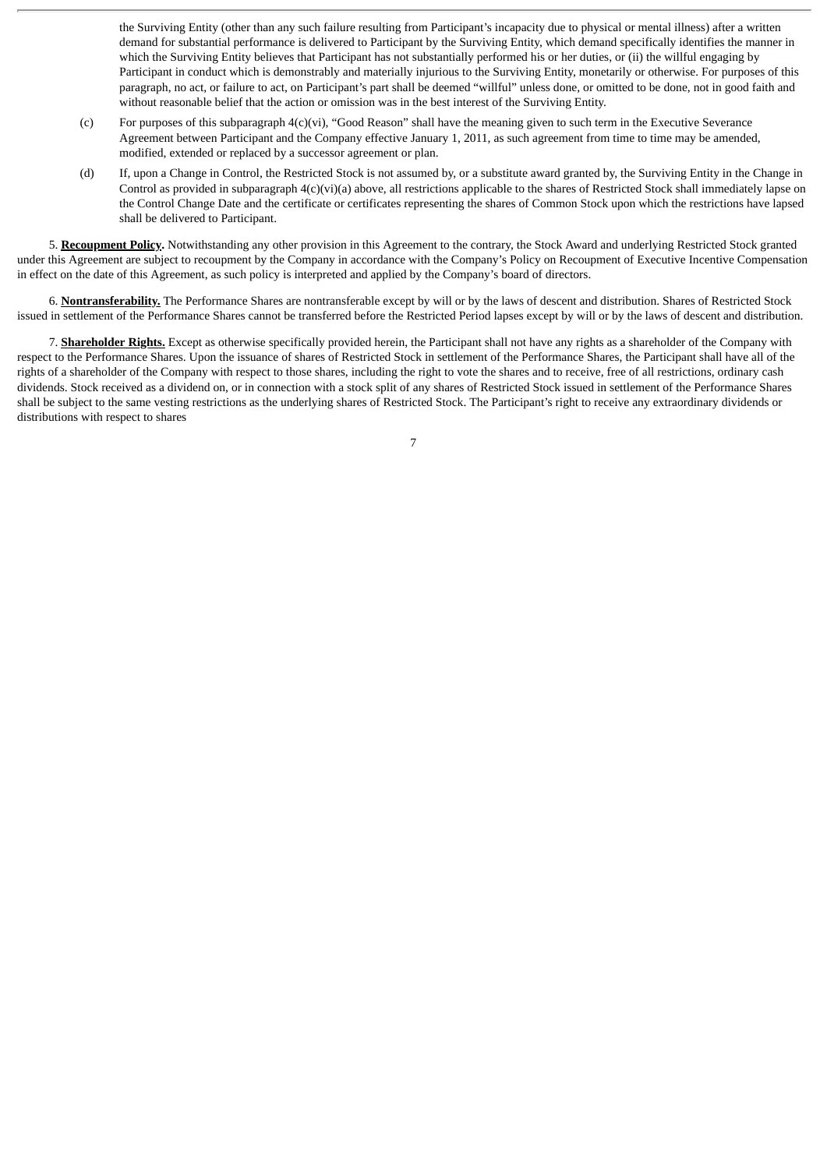the Surviving Entity (other than any such failure resulting from Participant's incapacity due to physical or mental illness) after a written demand for substantial performance is delivered to Participant by the Surviving Entity, which demand specifically identifies the manner in which the Surviving Entity believes that Participant has not substantially performed his or her duties, or (ii) the willful engaging by Participant in conduct which is demonstrably and materially injurious to the Surviving Entity, monetarily or otherwise. For purposes of this paragraph, no act, or failure to act, on Participant's part shall be deemed "willful" unless done, or omitted to be done, not in good faith and without reasonable belief that the action or omission was in the best interest of the Surviving Entity.

- (c) For purposes of this subparagraph 4(c)(vi), "Good Reason" shall have the meaning given to such term in the Executive Severance Agreement between Participant and the Company effective January 1, 2011, as such agreement from time to time may be amended, modified, extended or replaced by a successor agreement or plan.
- (d) If, upon a Change in Control, the Restricted Stock is not assumed by, or a substitute award granted by, the Surviving Entity in the Change in Control as provided in subparagraph 4(c)(vi)(a) above, all restrictions applicable to the shares of Restricted Stock shall immediately lapse on the Control Change Date and the certificate or certificates representing the shares of Common Stock upon which the restrictions have lapsed shall be delivered to Participant.

5. **Recoupment Policy.** Notwithstanding any other provision in this Agreement to the contrary, the Stock Award and underlying Restricted Stock granted under this Agreement are subject to recoupment by the Company in accordance with the Company's Policy on Recoupment of Executive Incentive Compensation in effect on the date of this Agreement, as such policy is interpreted and applied by the Company's board of directors.

6. **Nontransferability.** The Performance Shares are nontransferable except by will or by the laws of descent and distribution. Shares of Restricted Stock issued in settlement of the Performance Shares cannot be transferred before the Restricted Period lapses except by will or by the laws of descent and distribution.

7. **Shareholder Rights.** Except as otherwise specifically provided herein, the Participant shall not have any rights as a shareholder of the Company with respect to the Performance Shares. Upon the issuance of shares of Restricted Stock in settlement of the Performance Shares, the Participant shall have all of the rights of a shareholder of the Company with respect to those shares, including the right to vote the shares and to receive, free of all restrictions, ordinary cash dividends. Stock received as a dividend on, or in connection with a stock split of any shares of Restricted Stock issued in settlement of the Performance Shares shall be subject to the same vesting restrictions as the underlying shares of Restricted Stock. The Participant's right to receive any extraordinary dividends or distributions with respect to shares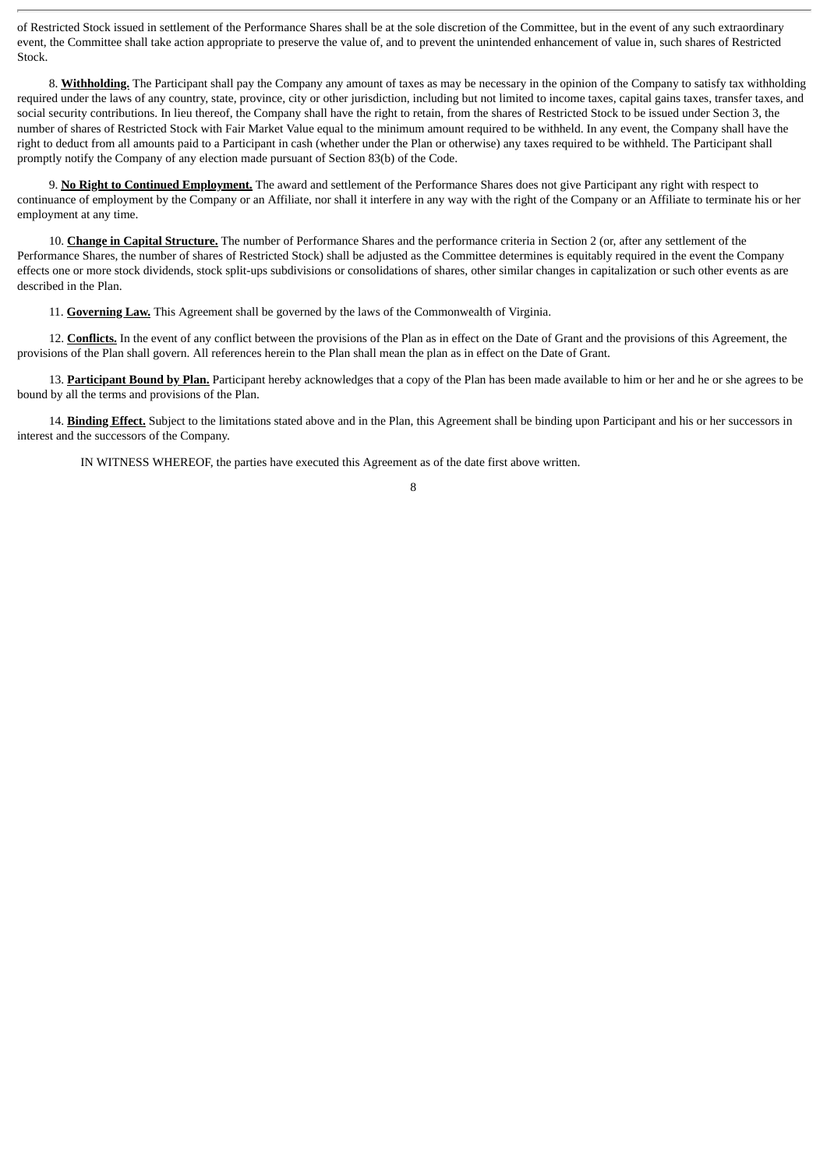of Restricted Stock issued in settlement of the Performance Shares shall be at the sole discretion of the Committee, but in the event of any such extraordinary event, the Committee shall take action appropriate to preserve the value of, and to prevent the unintended enhancement of value in, such shares of Restricted Stock.

8. **Withholding.** The Participant shall pay the Company any amount of taxes as may be necessary in the opinion of the Company to satisfy tax withholding required under the laws of any country, state, province, city or other jurisdiction, including but not limited to income taxes, capital gains taxes, transfer taxes, and social security contributions. In lieu thereof, the Company shall have the right to retain, from the shares of Restricted Stock to be issued under Section 3, the number of shares of Restricted Stock with Fair Market Value equal to the minimum amount required to be withheld. In any event, the Company shall have the right to deduct from all amounts paid to a Participant in cash (whether under the Plan or otherwise) any taxes required to be withheld. The Participant shall promptly notify the Company of any election made pursuant of Section 83(b) of the Code.

9. **No Right to Continued Employment.** The award and settlement of the Performance Shares does not give Participant any right with respect to continuance of employment by the Company or an Affiliate, nor shall it interfere in any way with the right of the Company or an Affiliate to terminate his or her employment at any time.

10. **Change in Capital Structure.** The number of Performance Shares and the performance criteria in Section 2 (or, after any settlement of the Performance Shares, the number of shares of Restricted Stock) shall be adjusted as the Committee determines is equitably required in the event the Company effects one or more stock dividends, stock split-ups subdivisions or consolidations of shares, other similar changes in capitalization or such other events as are described in the Plan.

11. **Governing Law.** This Agreement shall be governed by the laws of the Commonwealth of Virginia.

12. **Conflicts.** In the event of any conflict between the provisions of the Plan as in effect on the Date of Grant and the provisions of this Agreement, the provisions of the Plan shall govern. All references herein to the Plan shall mean the plan as in effect on the Date of Grant.

13. **Participant Bound by Plan.** Participant hereby acknowledges that a copy of the Plan has been made available to him or her and he or she agrees to be bound by all the terms and provisions of the Plan.

14. **Binding Effect.** Subject to the limitations stated above and in the Plan, this Agreement shall be binding upon Participant and his or her successors in interest and the successors of the Company.

IN WITNESS WHEREOF, the parties have executed this Agreement as of the date first above written.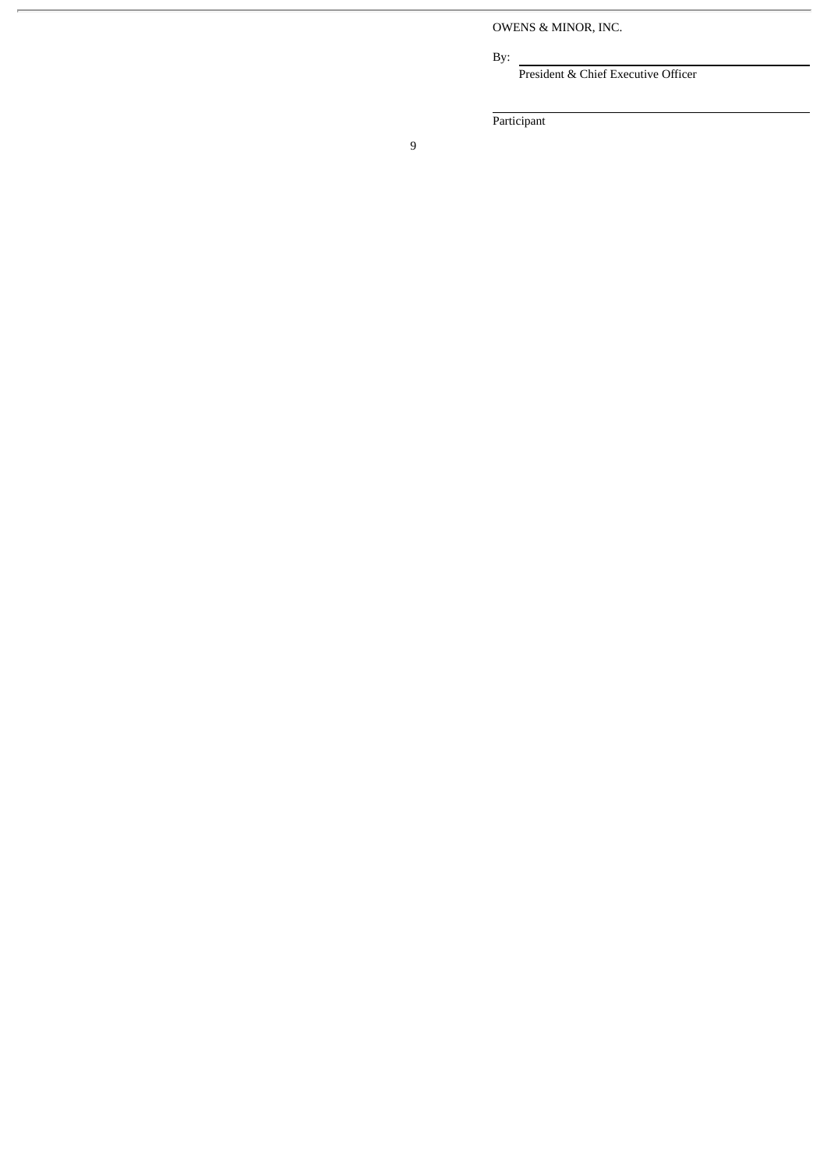OWENS & MINOR, INC.

By:

President & Chief Executive Officer

Participant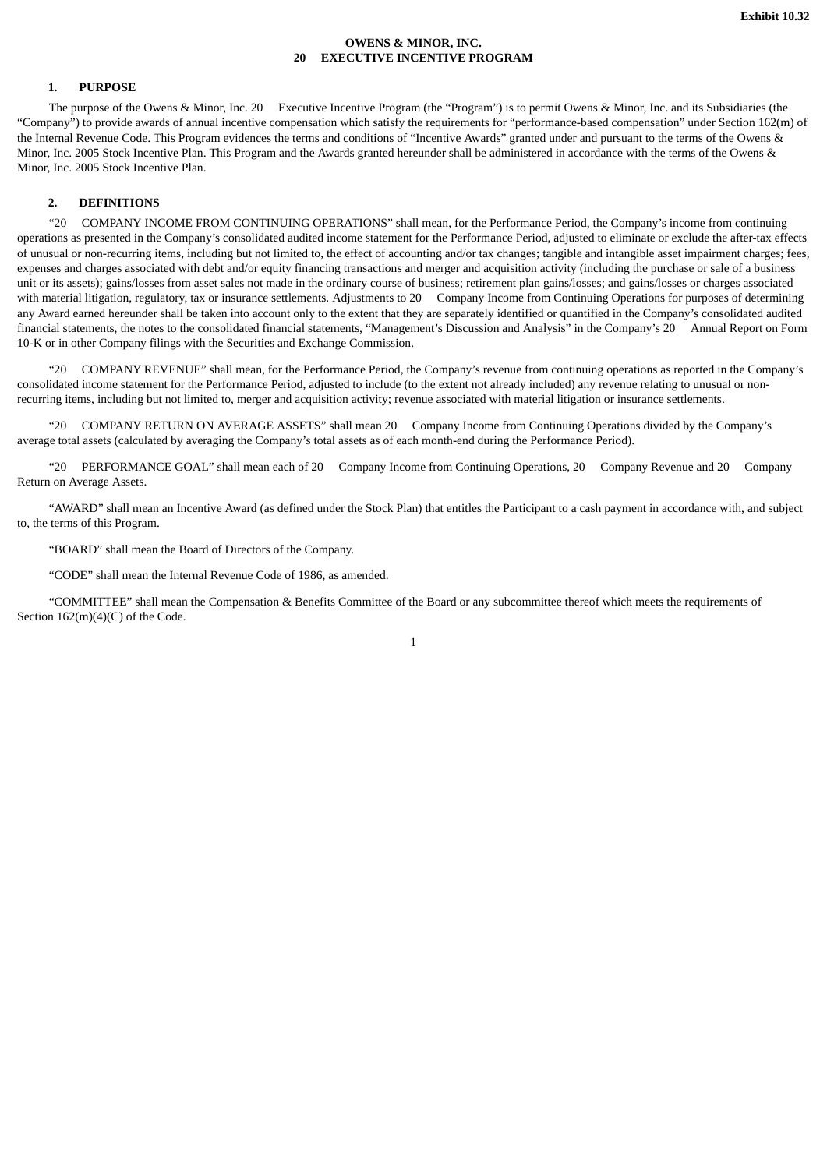## **OWENS & MINOR, INC.** *EXECUTIVE INCENTIVE PROGRAM*

# **1. PURPOSE**

The purpose of the Owens & Minor, Inc. 20 Executive Incentive Program (the "Program") is to permit Owens & Minor, Inc. and its Subsidiaries (the "Company") to provide awards of annual incentive compensation which satisfy the requirements for "performance-based compensation" under Section 162(m) of the Internal Revenue Code. This Program evidences the terms and conditions of "Incentive Awards" granted under and pursuant to the terms of the Owens & Minor, Inc. 2005 Stock Incentive Plan. This Program and the Awards granted hereunder shall be administered in accordance with the terms of the Owens & Minor, Inc. 2005 Stock Incentive Plan.

#### **2. DEFINITIONS**

"20 COMPANY INCOME FROM CONTINUING OPERATIONS" shall mean, for the Performance Period, the Company's income from continuing operations as presented in the Company's consolidated audited income statement for the Performance Period, adjusted to eliminate or exclude the after-tax effects of unusual or non-recurring items, including but not limited to, the effect of accounting and/or tax changes; tangible and intangible asset impairment charges; fees, expenses and charges associated with debt and/or equity financing transactions and merger and acquisition activity (including the purchase or sale of a business unit or its assets); gains/losses from asset sales not made in the ordinary course of business; retirement plan gains/losses; and gains/losses or charges associated with material litigation, regulatory, tax or insurance settlements. Adjustments to 20 Company Income from Continuing Operations for purposes of determining any Award earned hereunder shall be taken into account only to the extent that they are separately identified or quantified in the Company's consolidated audited financial statements, the notes to the consolidated financial statements, "Management's Discussion and Analysis" in the Company's 20 Annual Report on Form 10-K or in other Company filings with the Securities and Exchange Commission.

"20 COMPANY REVENUE" shall mean, for the Performance Period, the Company's revenue from continuing operations as reported in the Company's consolidated income statement for the Performance Period, adjusted to include (to the extent not already included) any revenue relating to unusual or nonrecurring items, including but not limited to, merger and acquisition activity; revenue associated with material litigation or insurance settlements.

"20 COMPANY RETURN ON AVERAGE ASSETS" shall mean 20 Company Income from Continuing Operations divided by the Company's average total assets (calculated by averaging the Company's total assets as of each month-end during the Performance Period).

"20 PERFORMANCE GOAL" shall mean each of 20 Company Income from Continuing Operations, 20 Company Revenue and 20 Company Return on Average Assets.

"AWARD" shall mean an Incentive Award (as defined under the Stock Plan) that entitles the Participant to a cash payment in accordance with, and subject to, the terms of this Program.

"BOARD" shall mean the Board of Directors of the Company.

"CODE" shall mean the Internal Revenue Code of 1986, as amended.

"COMMITTEE" shall mean the Compensation & Benefits Committee of the Board or any subcommittee thereof which meets the requirements of Section 162(m)(4)(C) of the Code.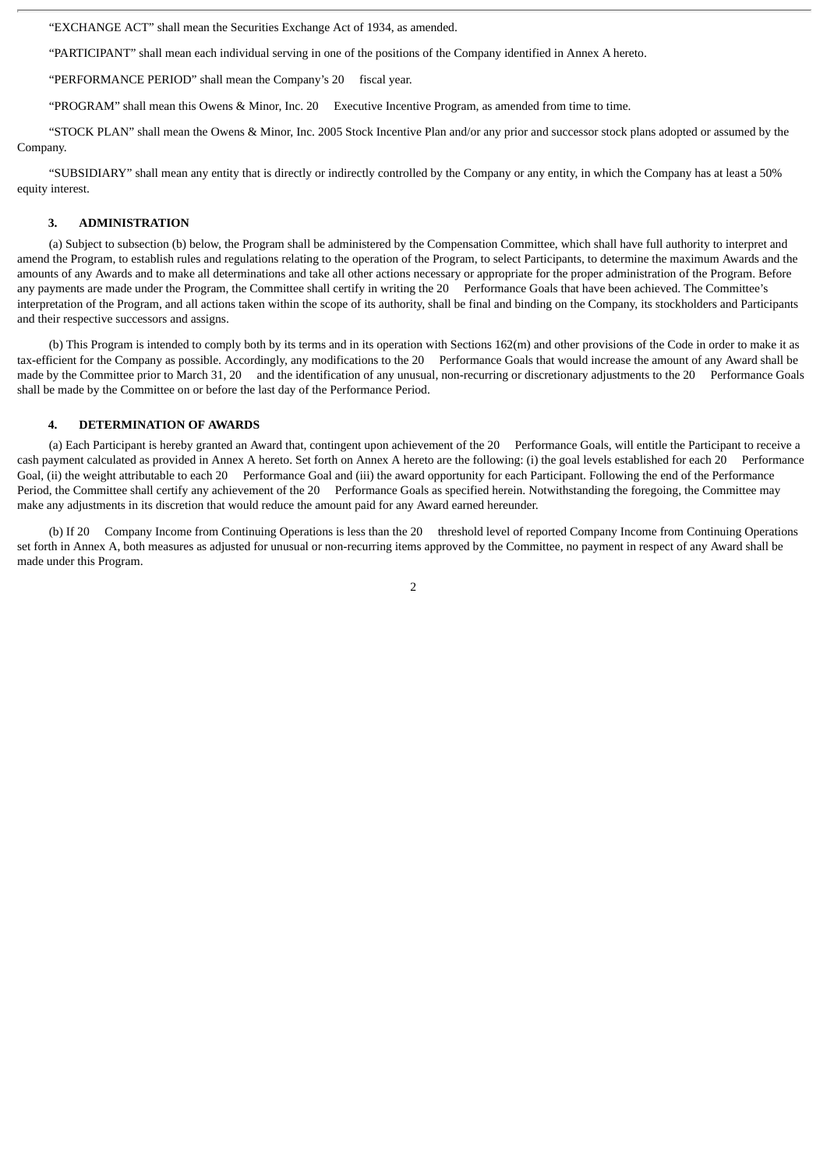"EXCHANGE ACT" shall mean the Securities Exchange Act of 1934, as amended.

"PARTICIPANT" shall mean each individual serving in one of the positions of the Company identified in Annex A hereto.

"PERFORMANCE PERIOD" shall mean the Company's 20 fiscal year.

"PROGRAM" shall mean this Owens & Minor, Inc. 20 Executive Incentive Program, as amended from time to time.

"STOCK PLAN" shall mean the Owens & Minor, Inc. 2005 Stock Incentive Plan and/or any prior and successor stock plans adopted or assumed by the Company.

"SUBSIDIARY" shall mean any entity that is directly or indirectly controlled by the Company or any entity, in which the Company has at least a 50% equity interest.

### **3. ADMINISTRATION**

(a) Subject to subsection (b) below, the Program shall be administered by the Compensation Committee, which shall have full authority to interpret and amend the Program, to establish rules and regulations relating to the operation of the Program, to select Participants, to determine the maximum Awards and the amounts of any Awards and to make all determinations and take all other actions necessary or appropriate for the proper administration of the Program. Before any payments are made under the Program, the Committee shall certify in writing the 20 Performance Goals that have been achieved. The Committee's interpretation of the Program, and all actions taken within the scope of its authority, shall be final and binding on the Company, its stockholders and Participants and their respective successors and assigns.

(b) This Program is intended to comply both by its terms and in its operation with Sections 162(m) and other provisions of the Code in order to make it as tax-efficient for the Company as possible. Accordingly, any modifications to the 20 Performance Goals that would increase the amount of any Award shall be made by the Committee prior to March 31, 20 and the identification of any unusual, non-recurring or discretionary adjustments to the 20 Performance Goals shall be made by the Committee on or before the last day of the Performance Period.

#### **4. DETERMINATION OF AWARDS**

(a) Each Participant is hereby granted an Award that, contingent upon achievement of the 20 Performance Goals, will entitle the Participant to receive a cash payment calculated as provided in Annex A hereto. Set forth on Annex A hereto are the following: (i) the goal levels established for each 20 Performance Goal, (ii) the weight attributable to each 20 Performance Goal and (iii) the award opportunity for each Participant. Following the end of the Performance Period, the Committee shall certify any achievement of the 20 Performance Goals as specified herein. Notwithstanding the foregoing, the Committee may make any adjustments in its discretion that would reduce the amount paid for any Award earned hereunder.

(b) If 20 Company Income from Continuing Operations is less than the 20 threshold level of reported Company Income from Continuing Operations set forth in Annex A, both measures as adjusted for unusual or non-recurring items approved by the Committee, no payment in respect of any Award shall be made under this Program.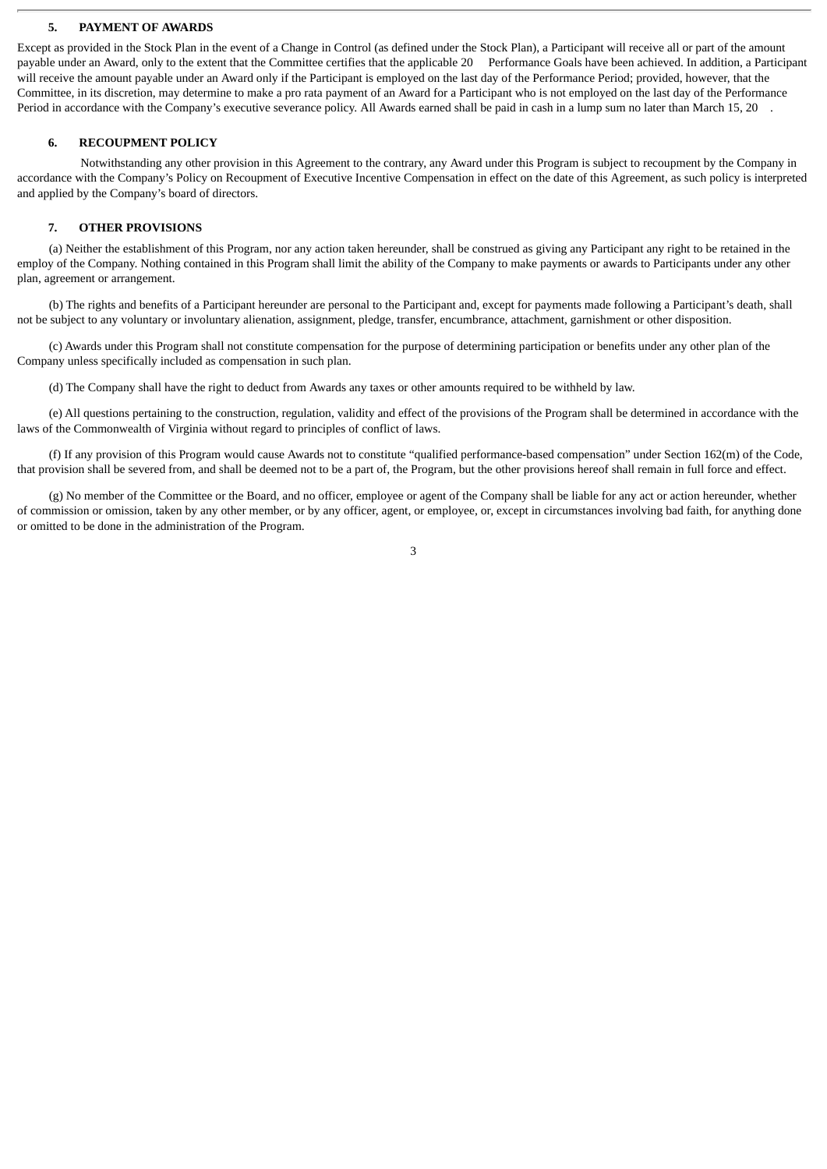### **5. PAYMENT OF AWARDS**

Except as provided in the Stock Plan in the event of a Change in Control (as defined under the Stock Plan), a Participant will receive all or part of the amount payable under an Award, only to the extent that the Committee certifies that the applicable 20 Performance Goals have been achieved. In addition, a Participant will receive the amount payable under an Award only if the Participant is employed on the last day of the Performance Period; provided, however, that the Committee, in its discretion, may determine to make a pro rata payment of an Award for a Participant who is not employed on the last day of the Performance Period in accordance with the Company's executive severance policy. All Awards earned shall be paid in cash in a lump sum no later than March 15, 20 .

#### **6. RECOUPMENT POLICY**

Notwithstanding any other provision in this Agreement to the contrary, any Award under this Program is subject to recoupment by the Company in accordance with the Company's Policy on Recoupment of Executive Incentive Compensation in effect on the date of this Agreement, as such policy is interpreted and applied by the Company's board of directors.

### **7. OTHER PROVISIONS**

(a) Neither the establishment of this Program, nor any action taken hereunder, shall be construed as giving any Participant any right to be retained in the employ of the Company. Nothing contained in this Program shall limit the ability of the Company to make payments or awards to Participants under any other plan, agreement or arrangement.

(b) The rights and benefits of a Participant hereunder are personal to the Participant and, except for payments made following a Participant's death, shall not be subject to any voluntary or involuntary alienation, assignment, pledge, transfer, encumbrance, attachment, garnishment or other disposition.

(c) Awards under this Program shall not constitute compensation for the purpose of determining participation or benefits under any other plan of the Company unless specifically included as compensation in such plan.

(d) The Company shall have the right to deduct from Awards any taxes or other amounts required to be withheld by law.

(e) All questions pertaining to the construction, regulation, validity and effect of the provisions of the Program shall be determined in accordance with the laws of the Commonwealth of Virginia without regard to principles of conflict of laws.

(f) If any provision of this Program would cause Awards not to constitute "qualified performance-based compensation" under Section 162(m) of the Code, that provision shall be severed from, and shall be deemed not to be a part of, the Program, but the other provisions hereof shall remain in full force and effect.

(g) No member of the Committee or the Board, and no officer, employee or agent of the Company shall be liable for any act or action hereunder, whether of commission or omission, taken by any other member, or by any officer, agent, or employee, or, except in circumstances involving bad faith, for anything done or omitted to be done in the administration of the Program.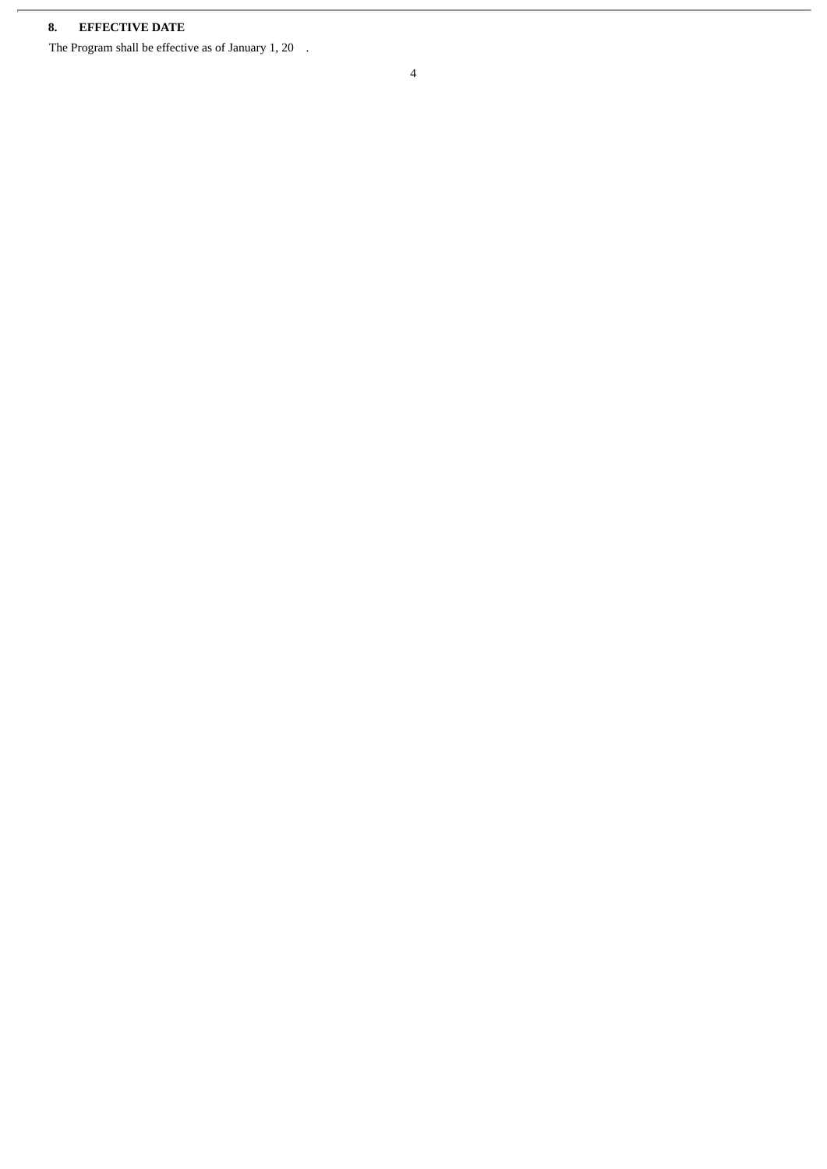# **8. EFFECTIVE DATE**

The Program shall be effective as of January 1, 20 .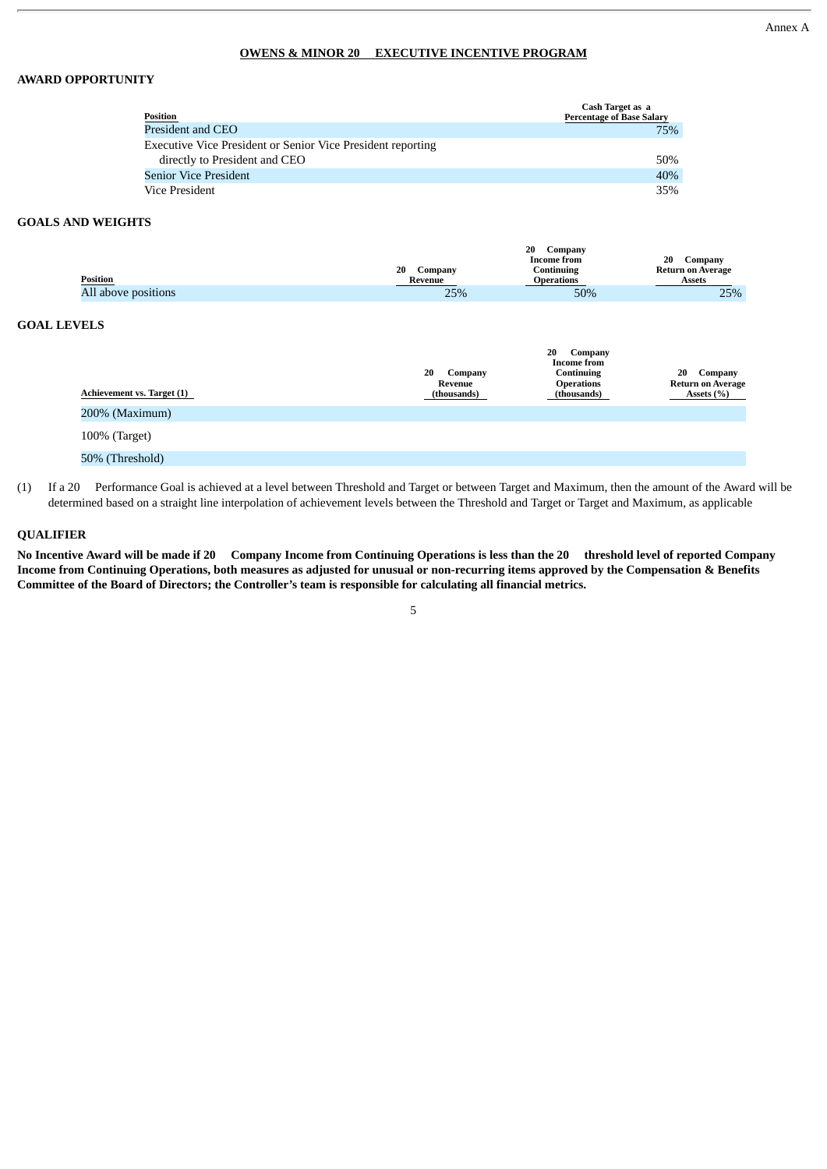# **OWENS & MINOR 20 EXECUTIVE INCENTIVE PROGRAM**

# **AWARD OPPORTUNITY**

| <b>Position</b><br>President and CEO                        | Cash Target as a<br><b>Percentage of Base Salary</b><br>75% |
|-------------------------------------------------------------|-------------------------------------------------------------|
| Executive Vice President or Senior Vice President reporting |                                                             |
| directly to President and CEO                               | 50%                                                         |
| <b>Senior Vice President</b>                                | 40%                                                         |
| Vice President                                              | 35%                                                         |

# **GOALS AND WEIGHTS**

|                    | <b>Position</b>            | 20<br>Company<br>Revenue | 20<br>Company<br><b>Income from</b><br>Continuing<br><b>Operations</b> | 20<br>Company<br><b>Return on Average</b><br>Assets |
|--------------------|----------------------------|--------------------------|------------------------------------------------------------------------|-----------------------------------------------------|
|                    | All above positions        | 25%                      | 50%                                                                    | 25%                                                 |
| <b>GOAL LEVELS</b> | Achievement vs. Target (1) | 20<br>Company<br>Revenue | 20<br>Company<br><b>Income from</b><br>Continuing<br><b>Operations</b> | 20<br>Company<br><b>Return on Average</b>           |
|                    |                            | (thousands)              | (thousands)                                                            | Assets $(\% )$                                      |
|                    | 200% (Maximum)             |                          |                                                                        |                                                     |
|                    | 100% (Target)              |                          |                                                                        |                                                     |
|                    | 50% (Threshold)            |                          |                                                                        |                                                     |

(1) If a 20 Performance Goal is achieved at a level between Threshold and Target or between Target and Maximum, then the amount of the Award will be determined based on a straight line interpolation of achievement levels between the Threshold and Target or Target and Maximum, as applicable

### **QUALIFIER**

**No Incentive Award will be made if 20 Company Income from Continuing Operations is less than the 20 threshold level of reported Company Income from Continuing Operations, both measures as adjusted for unusual or non-recurring items approved by the Compensation & Benefits Committee of the Board of Directors; the Controller's team is responsible for calculating all financial metrics.**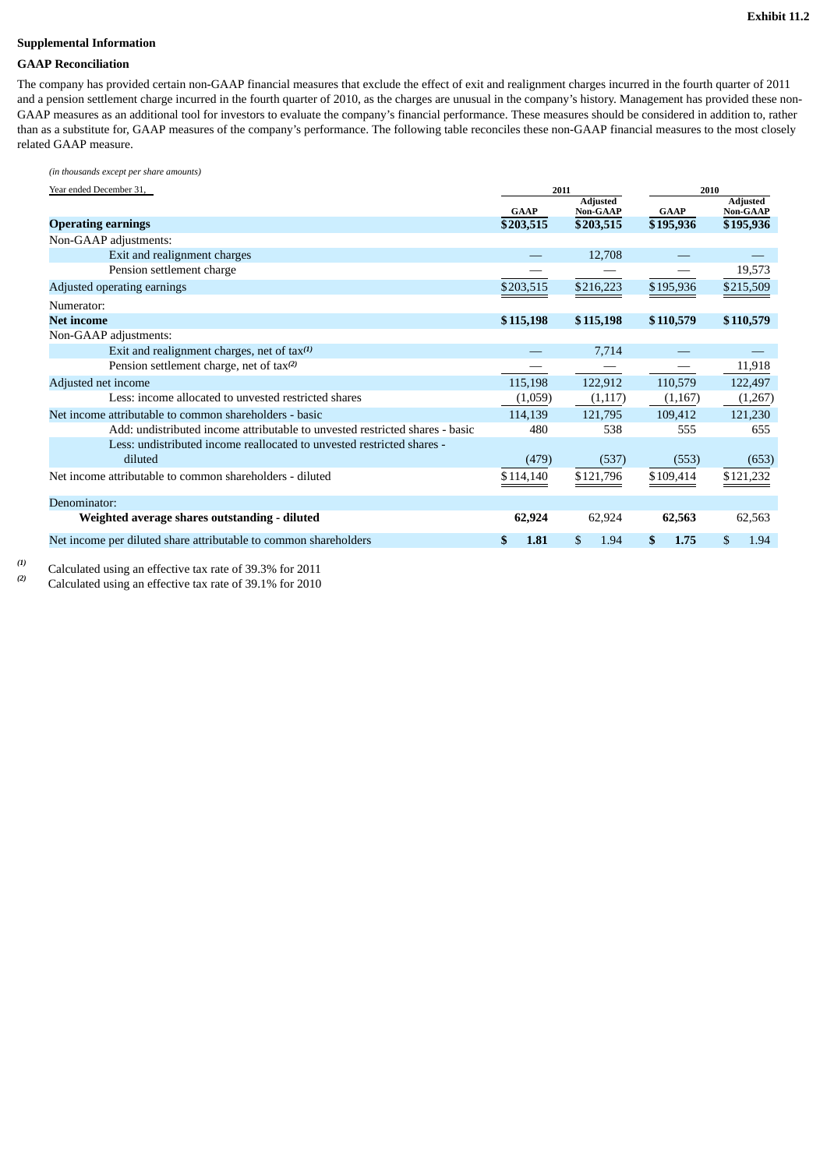### **Supplemental Information**

### **GAAP Reconciliation**

The company has provided certain non-GAAP financial measures that exclude the effect of exit and realignment charges incurred in the fourth quarter of 2011 and a pension settlement charge incurred in the fourth quarter of 2010, as the charges are unusual in the company's history. Management has provided these non-GAAP measures as an additional tool for investors to evaluate the company's financial performance. These measures should be considered in addition to, rather than as a substitute for, GAAP measures of the company's performance. The following table reconciles these non-GAAP financial measures to the most closely related GAAP measure.

| (in thousands except per share amounts)                                      |             |                             |             |                                    |  |
|------------------------------------------------------------------------------|-------------|-----------------------------|-------------|------------------------------------|--|
| Year ended December 31,                                                      |             | 2011                        |             | 2010                               |  |
|                                                                              | <b>GAAP</b> | <b>Adjusted</b><br>Non-GAAP | <b>GAAP</b> | <b>Adjusted</b><br><b>Non-GAAP</b> |  |
| <b>Operating earnings</b>                                                    | \$203,515   | \$203,515                   | \$195,936   | \$195,936                          |  |
| Non-GAAP adjustments:                                                        |             |                             |             |                                    |  |
| Exit and realignment charges                                                 |             | 12,708                      |             |                                    |  |
| Pension settlement charge                                                    |             |                             |             | 19,573                             |  |
| Adjusted operating earnings                                                  | \$203,515   | \$216,223                   | \$195,936   | \$215,509                          |  |
| Numerator:                                                                   |             |                             |             |                                    |  |
| <b>Net income</b>                                                            | \$115,198   | \$115,198                   | \$110,579   | \$110,579                          |  |
| Non-GAAP adjustments:                                                        |             |                             |             |                                    |  |
| Exit and realignment charges, net of $tax^{(1)}$                             |             | 7,714                       |             |                                    |  |
| Pension settlement charge, net of tax(2)                                     |             |                             |             | 11,918                             |  |
| Adjusted net income                                                          | 115,198     | 122,912                     | 110,579     | 122,497                            |  |
| Less: income allocated to unvested restricted shares                         | (1,059)     | (1,117)                     | (1,167)     | (1,267)                            |  |
| Net income attributable to common shareholders - basic                       | 114,139     | 121,795                     | 109,412     | 121,230                            |  |
| Add: undistributed income attributable to unvested restricted shares - basic | 480         | 538                         | 555         | 655                                |  |
| Less: undistributed income reallocated to unvested restricted shares -       |             |                             |             |                                    |  |
| diluted                                                                      | (479)       | (537)                       | (553)       | (653)                              |  |
| Net income attributable to common shareholders - diluted                     | \$114,140   | \$121,796                   | \$109,414   | \$121,232                          |  |
| Denominator:                                                                 |             |                             |             |                                    |  |
| Weighted average shares outstanding - diluted                                | 62,924      | 62,924                      | 62,563      | 62,563                             |  |
| Net income per diluted share attributable to common shareholders             | 1.81<br>\$  | 1.94<br>S.                  | 1.75<br>S.  | S.<br>1.94                         |  |

Calculated using an effective tax rate of 39.3% for 2011 *(1)*

Calculated using an effective tax rate of 39.1% for 2010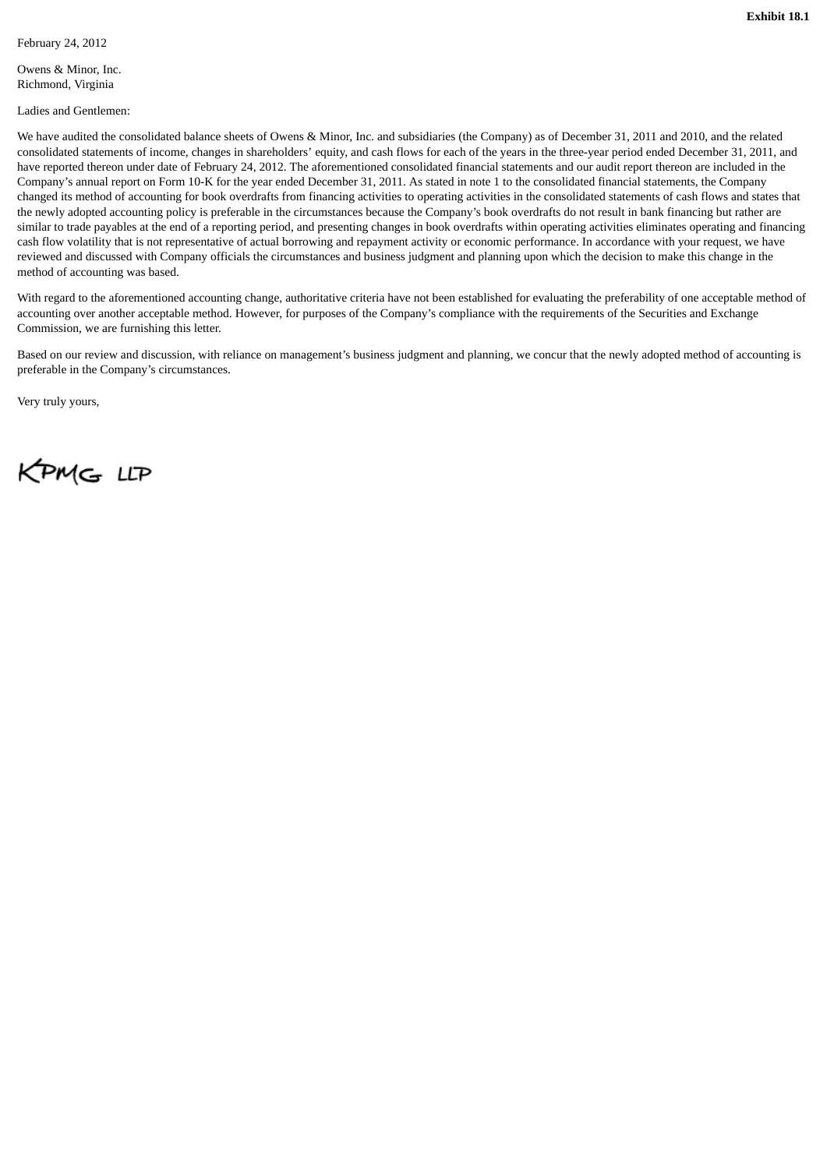February 24, 2012

Owens & Minor, Inc. Richmond, Virginia

Ladies and Gentlemen:

We have audited the consolidated balance sheets of Owens & Minor, Inc. and subsidiaries (the Company) as of December 31, 2011 and 2010, and the related consolidated statements of income, changes in shareholders' equity, and cash flows for each of the years in the three-year period ended December 31, 2011, and have reported thereon under date of February 24, 2012. The aforementioned consolidated financial statements and our audit report thereon are included in the Company's annual report on Form 10-K for the year ended December 31, 2011. As stated in note 1 to the consolidated financial statements, the Company changed its method of accounting for book overdrafts from financing activities to operating activities in the consolidated statements of cash flows and states that the newly adopted accounting policy is preferable in the circumstances because the Company's book overdrafts do not result in bank financing but rather are similar to trade payables at the end of a reporting period, and presenting changes in book overdrafts within operating activities eliminates operating and financing cash flow volatility that is not representative of actual borrowing and repayment activity or economic performance. In accordance with your request, we have reviewed and discussed with Company officials the circumstances and business judgment and planning upon which the decision to make this change in the method of accounting was based.

With regard to the aforementioned accounting change, authoritative criteria have not been established for evaluating the preferability of one acceptable method of accounting over another acceptable method. However, for purposes of the Company's compliance with the requirements of the Securities and Exchange Commission, we are furnishing this letter.

Based on our review and discussion, with reliance on management's business judgment and planning, we concur that the newly adopted method of accounting is preferable in the Company's circumstances.

Very truly yours,

KPMG LLP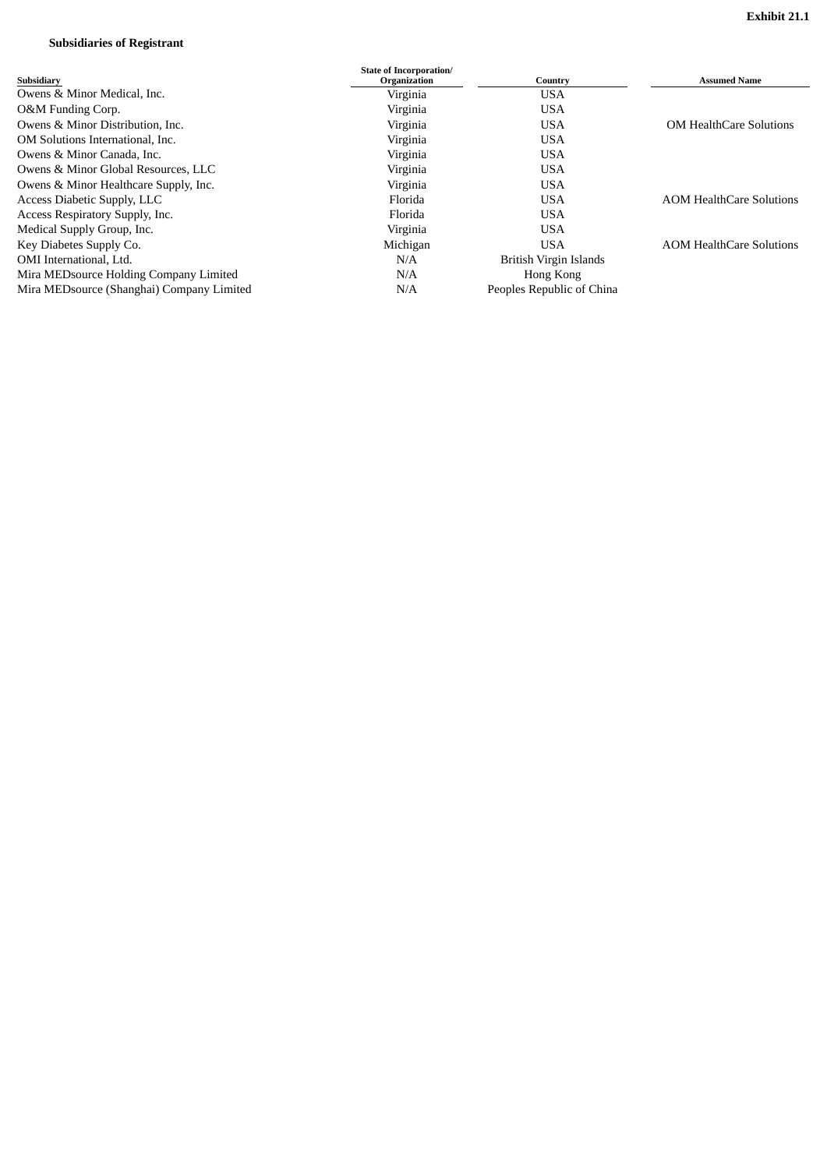# **Subsidiaries of Registrant**

|                                           | <b>State of Incorporation/</b> |                           |                                 |
|-------------------------------------------|--------------------------------|---------------------------|---------------------------------|
| Subsidiary                                | Organization                   | Country                   | <b>Assumed Name</b>             |
| Owens & Minor Medical. Inc.               | Virginia                       | <b>USA</b>                |                                 |
| O&M Funding Corp.                         | Virginia                       | <b>USA</b>                |                                 |
| Owens & Minor Distribution, Inc.          | Virginia                       | <b>USA</b>                | <b>OM HealthCare Solutions</b>  |
| OM Solutions International, Inc.          | Virginia                       | <b>USA</b>                |                                 |
| Owens & Minor Canada, Inc.                | Virginia                       | <b>USA</b>                |                                 |
| Owens & Minor Global Resources, LLC       | Virginia                       | <b>USA</b>                |                                 |
| Owens & Minor Healthcare Supply, Inc.     | Virginia                       | <b>USA</b>                |                                 |
| Access Diabetic Supply, LLC               | Florida                        | <b>USA</b>                | <b>AOM HealthCare Solutions</b> |
| Access Respiratory Supply, Inc.           | Florida                        | <b>USA</b>                |                                 |
| Medical Supply Group, Inc.                | Virginia                       | <b>USA</b>                |                                 |
| Key Diabetes Supply Co.                   | Michigan                       | <b>USA</b>                | <b>AOM HealthCare Solutions</b> |
| OMI International, Ltd.                   | N/A                            | British Virgin Islands    |                                 |
| Mira MED source Holding Company Limited   | N/A                            | Hong Kong                 |                                 |
| Mira MEDsource (Shanghai) Company Limited | N/A                            | Peoples Republic of China |                                 |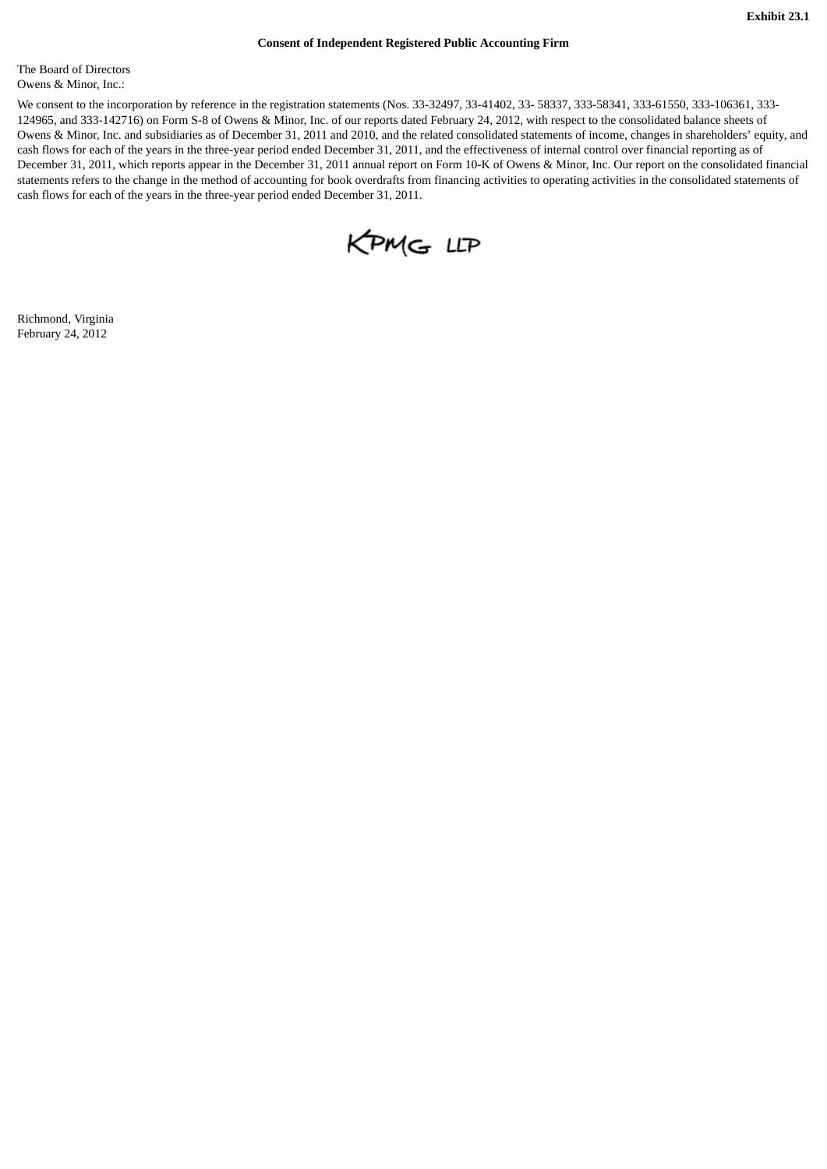# **Consent of Independent Registered Public Accounting Firm**

The Board of Directors Owens & Minor, Inc.:

We consent to the incorporation by reference in the registration statements (Nos. 33-32497, 33-41402, 33- 58337, 333-58341, 333-61550, 333-106361, 333- 124965, and 333-142716) on Form S-8 of Owens & Minor, Inc. of our reports dated February 24, 2012, with respect to the consolidated balance sheets of Owens & Minor, Inc. and subsidiaries as of December 31, 2011 and 2010, and the related consolidated statements of income, changes in shareholders' equity, and cash flows for each of the years in the three-year period ended December 31, 2011, and the effectiveness of internal control over financial reporting as of December 31, 2011, which reports appear in the December 31, 2011 annual report on Form 10-K of Owens & Minor, Inc. Our report on the consolidated financial statements refers to the change in the method of accounting for book overdrafts from financing activities to operating activities in the consolidated statements of cash flows for each of the years in the three-year period ended December 31, 2011.



Richmond, Virginia February 24, 2012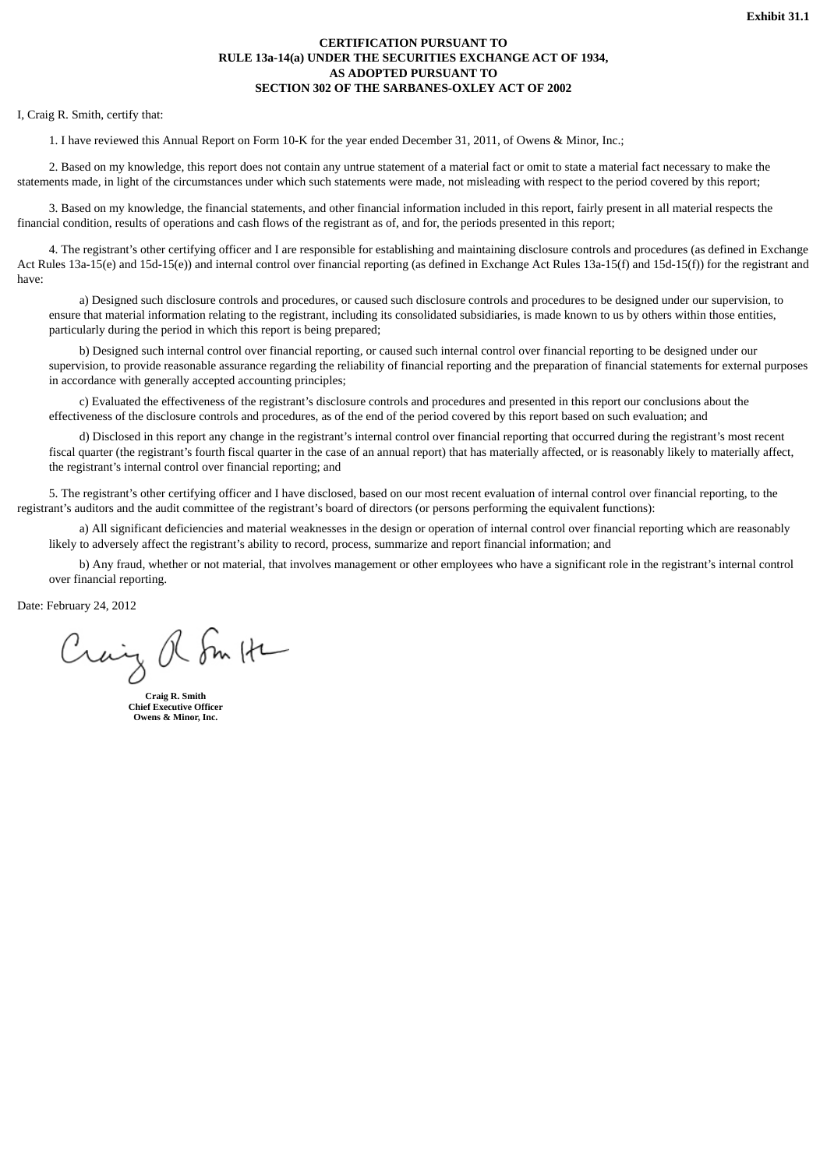### **CERTIFICATION PURSUANT TO RULE 13a-14(a) UNDER THE SECURITIES EXCHANGE ACT OF 1934, AS ADOPTED PURSUANT TO SECTION 302 OF THE SARBANES-OXLEY ACT OF 2002**

I, Craig R. Smith, certify that:

1. I have reviewed this Annual Report on Form 10-K for the year ended December 31, 2011, of Owens & Minor, Inc.;

2. Based on my knowledge, this report does not contain any untrue statement of a material fact or omit to state a material fact necessary to make the statements made, in light of the circumstances under which such statements were made, not misleading with respect to the period covered by this report;

3. Based on my knowledge, the financial statements, and other financial information included in this report, fairly present in all material respects the financial condition, results of operations and cash flows of the registrant as of, and for, the periods presented in this report;

4. The registrant's other certifying officer and I are responsible for establishing and maintaining disclosure controls and procedures (as defined in Exchange Act Rules 13a-15(e) and 15d-15(e)) and internal control over financial reporting (as defined in Exchange Act Rules 13a-15(f) and 15d-15(f)) for the registrant and have:

a) Designed such disclosure controls and procedures, or caused such disclosure controls and procedures to be designed under our supervision, to ensure that material information relating to the registrant, including its consolidated subsidiaries, is made known to us by others within those entities, particularly during the period in which this report is being prepared;

b) Designed such internal control over financial reporting, or caused such internal control over financial reporting to be designed under our supervision, to provide reasonable assurance regarding the reliability of financial reporting and the preparation of financial statements for external purposes in accordance with generally accepted accounting principles;

c) Evaluated the effectiveness of the registrant's disclosure controls and procedures and presented in this report our conclusions about the effectiveness of the disclosure controls and procedures, as of the end of the period covered by this report based on such evaluation; and

d) Disclosed in this report any change in the registrant's internal control over financial reporting that occurred during the registrant's most recent fiscal quarter (the registrant's fourth fiscal quarter in the case of an annual report) that has materially affected, or is reasonably likely to materially affect, the registrant's internal control over financial reporting; and

5. The registrant's other certifying officer and I have disclosed, based on our most recent evaluation of internal control over financial reporting, to the registrant's auditors and the audit committee of the registrant's board of directors (or persons performing the equivalent functions):

a) All significant deficiencies and material weaknesses in the design or operation of internal control over financial reporting which are reasonably likely to adversely affect the registrant's ability to record, process, summarize and report financial information; and

b) Any fraud, whether or not material, that involves management or other employees who have a significant role in the registrant's internal control over financial reporting.

Date: February 24, 2012

Craing R Sm Ht

**Craig R. Smith Chief Executive Officer Owens & Minor, Inc.**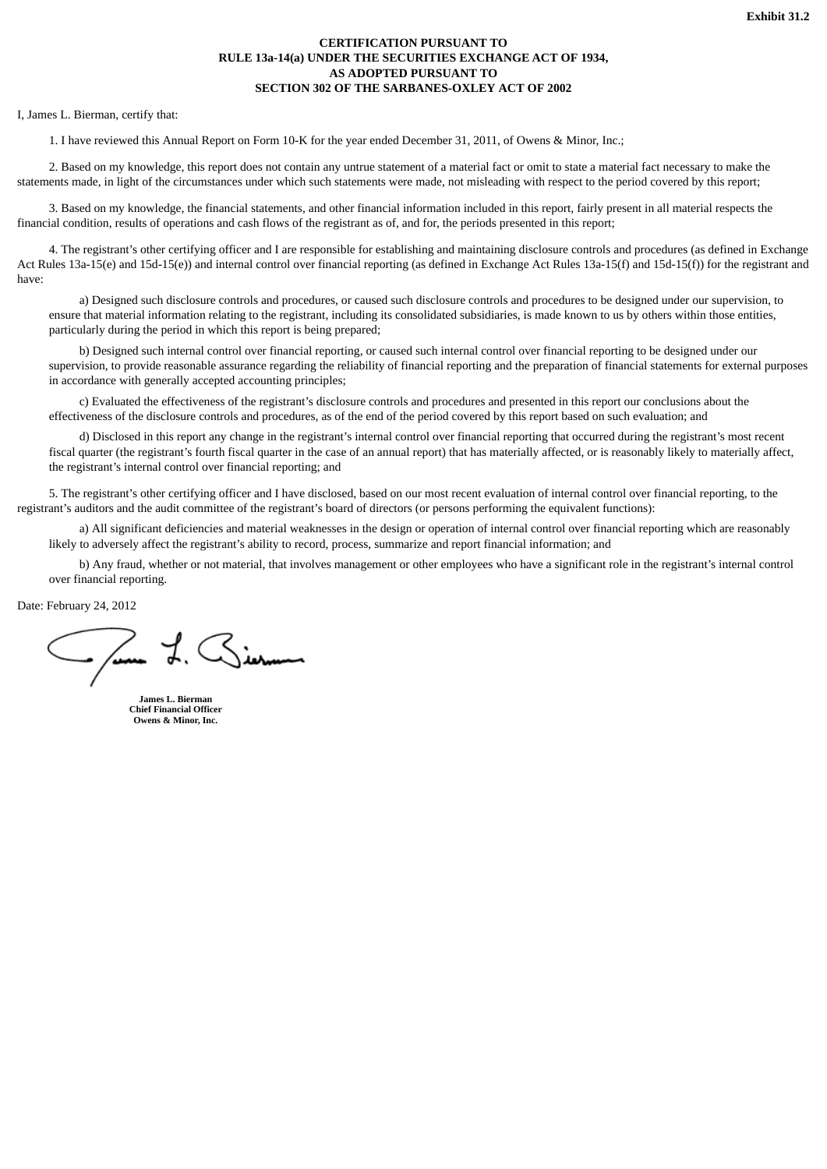## **CERTIFICATION PURSUANT TO RULE 13a-14(a) UNDER THE SECURITIES EXCHANGE ACT OF 1934, AS ADOPTED PURSUANT TO SECTION 302 OF THE SARBANES-OXLEY ACT OF 2002**

I, James L. Bierman, certify that:

1. I have reviewed this Annual Report on Form 10-K for the year ended December 31, 2011, of Owens & Minor, Inc.;

2. Based on my knowledge, this report does not contain any untrue statement of a material fact or omit to state a material fact necessary to make the statements made, in light of the circumstances under which such statements were made, not misleading with respect to the period covered by this report;

3. Based on my knowledge, the financial statements, and other financial information included in this report, fairly present in all material respects the financial condition, results of operations and cash flows of the registrant as of, and for, the periods presented in this report;

4. The registrant's other certifying officer and I are responsible for establishing and maintaining disclosure controls and procedures (as defined in Exchange Act Rules 13a-15(e) and 15d-15(e)) and internal control over financial reporting (as defined in Exchange Act Rules 13a-15(f) and 15d-15(f)) for the registrant and have:

a) Designed such disclosure controls and procedures, or caused such disclosure controls and procedures to be designed under our supervision, to ensure that material information relating to the registrant, including its consolidated subsidiaries, is made known to us by others within those entities, particularly during the period in which this report is being prepared;

b) Designed such internal control over financial reporting, or caused such internal control over financial reporting to be designed under our supervision, to provide reasonable assurance regarding the reliability of financial reporting and the preparation of financial statements for external purposes in accordance with generally accepted accounting principles;

c) Evaluated the effectiveness of the registrant's disclosure controls and procedures and presented in this report our conclusions about the effectiveness of the disclosure controls and procedures, as of the end of the period covered by this report based on such evaluation; and

d) Disclosed in this report any change in the registrant's internal control over financial reporting that occurred during the registrant's most recent fiscal quarter (the registrant's fourth fiscal quarter in the case of an annual report) that has materially affected, or is reasonably likely to materially affect, the registrant's internal control over financial reporting; and

5. The registrant's other certifying officer and I have disclosed, based on our most recent evaluation of internal control over financial reporting, to the registrant's auditors and the audit committee of the registrant's board of directors (or persons performing the equivalent functions):

a) All significant deficiencies and material weaknesses in the design or operation of internal control over financial reporting which are reasonably likely to adversely affect the registrant's ability to record, process, summarize and report financial information; and

b) Any fraud, whether or not material, that involves management or other employees who have a significant role in the registrant's internal control over financial reporting.

Date: February 24, 2012

L.

**James L. Bierman Chief Financial Officer Owens & Minor, Inc.**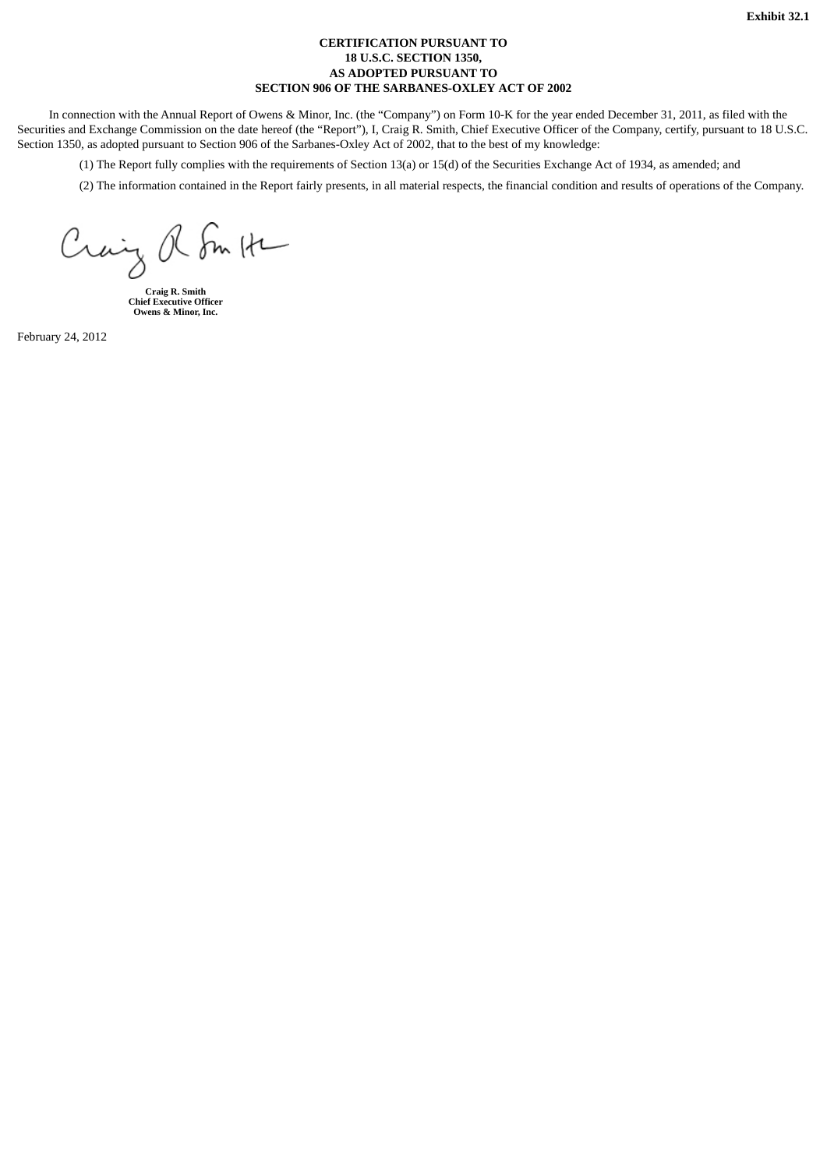# **CERTIFICATION PURSUANT TO 18 U.S.C. SECTION 1350, AS ADOPTED PURSUANT TO SECTION 906 OF THE SARBANES-OXLEY ACT OF 2002**

In connection with the Annual Report of Owens & Minor, Inc. (the "Company") on Form 10-K for the year ended December 31, 2011, as filed with the Securities and Exchange Commission on the date hereof (the "Report"), I, Craig R. Smith, Chief Executive Officer of the Company, certify, pursuant to 18 U.S.C. Section 1350, as adopted pursuant to Section 906 of the Sarbanes-Oxley Act of 2002, that to the best of my knowledge:

(1) The Report fully complies with the requirements of Section 13(a) or 15(d) of the Securities Exchange Act of 1934, as amended; and

(2) The information contained in the Report fairly presents, in all material respects, the financial condition and results of operations of the Company.

Crainz R Sm Ht

**Craig R. Smith Chief Executive Officer Owens & Minor, Inc.**

February 24, 2012